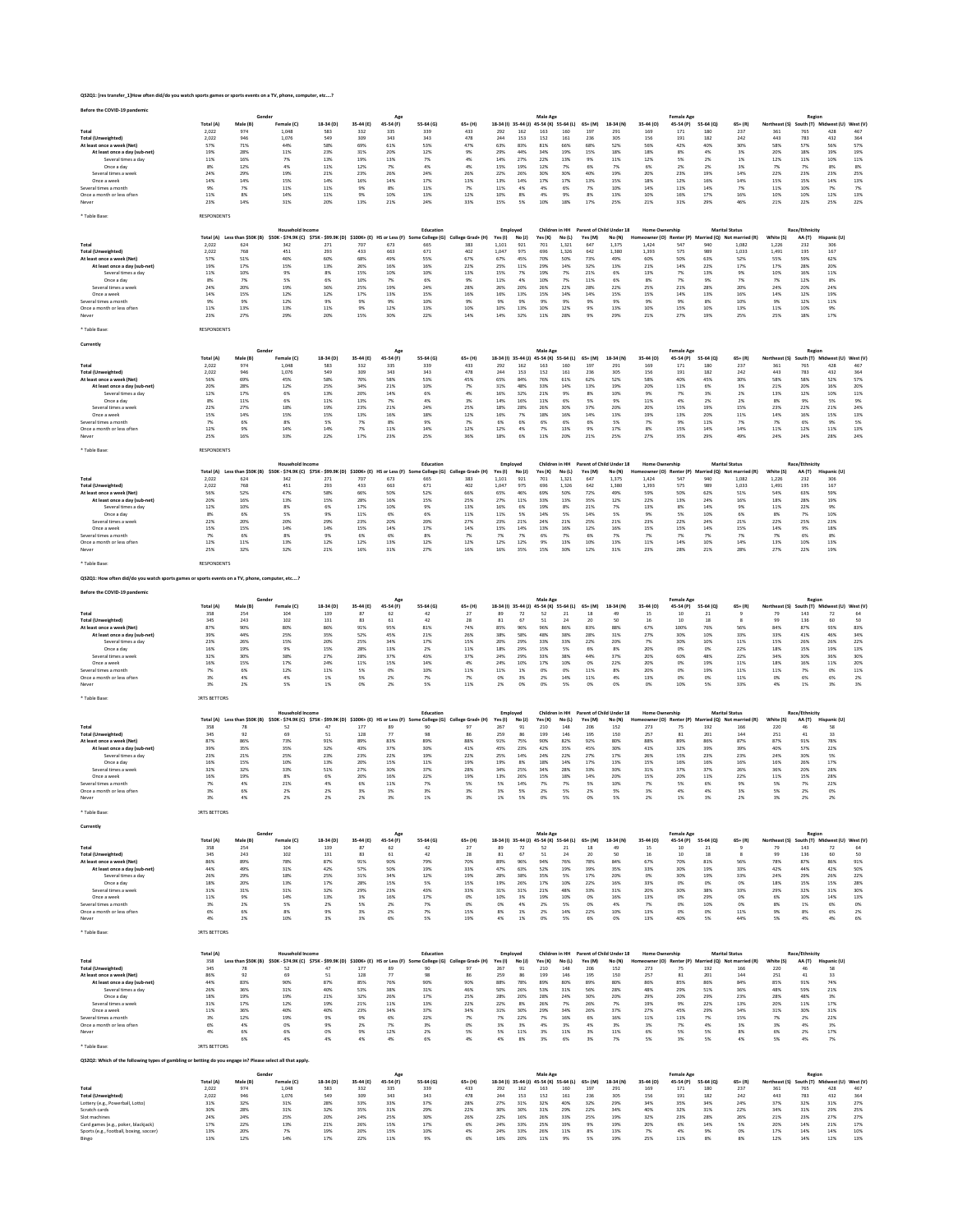| Before the COVID-19 pandemic                                                                               |                     |                                      |                                                                                            |                  |                  |                                  |                             |                          |                     |               | Male Age                                            |                |                  |                                    |                       | <b>Female Age</b>              |                  |                                                                            |                      | Region                   |                                       |              |
|------------------------------------------------------------------------------------------------------------|---------------------|--------------------------------------|--------------------------------------------------------------------------------------------|------------------|------------------|----------------------------------|-----------------------------|--------------------------|---------------------|---------------|-----------------------------------------------------|----------------|------------------|------------------------------------|-----------------------|--------------------------------|------------------|----------------------------------------------------------------------------|----------------------|--------------------------|---------------------------------------|--------------|
|                                                                                                            | Total (A)<br>2,022  | Male (B)<br>974                      | Female (C)<br>1,048                                                                        | $18-34(D)$       | 35-44 (E)<br>332 | 45-54 (F)                        | 55-64 (G)<br>339            | $65+ (H)$<br>433         | 292                 | 162           | 18-34 (I) 35-44 (J) 45-54 (K) 55-64 (L)<br>163      |                | $65+ (M)$<br>197 | 18-34 (N)<br>291                   | 35-44 (O)<br>169      | 45-54 (P)<br>171               | 55-64 (Q)        | $65+ (R)$                                                                  | Northeast (S)        |                          | South (T) Midwest (U) West (V)<br>428 | 467          |
| Total<br><b>Total (Unweighted)</b>                                                                         | 2,022               | 946                                  | 1,076                                                                                      | 583<br>549       | 309              | 335<br>343                       | 343                         | 478                      | 244                 | 153           | 152                                                 | 160<br>161     | 236              | 305                                | 156                   | 191                            | 180<br>182       | 237<br>242                                                                 | 361<br>443           | 765<br>783               | 432                                   | 364          |
| At least once a week (Net)<br>At least once a day (sub-net)                                                | 57%<br>19%          | 71%<br>28%                           | 44%<br>11%                                                                                 | 58%<br>23%       | 69%<br>31%       | 61%<br>20%                       | 53%<br>12%                  | 47%<br>9%                | 63%<br>29%          | 83%<br>44%    | 81%<br>34%                                          | 66%<br>19%     | 68%<br>15%       | 52%<br>18%                         | 56%<br>18%            | 42%<br>8%                      | 40%<br>4%        | 30%<br>3%                                                                  | 58%<br>20%           | 57%<br>18%               | 56%<br>19%                            | 57%<br>19%   |
| Several times a day                                                                                        | 11%                 | 16%                                  | 7%                                                                                         | 13%              | 19%              | 13%                              | 7%                          | 4%                       | 14%                 | 27%           | 22%                                                 | 13%            | 9%               | 11%                                | 12%                   | 5%                             | 2%               | 1%                                                                         | 12%                  | 11%                      | 10%                                   | 11%          |
| Once a day<br>Several times a week                                                                         | 8%<br>24%           | 12%<br>29%                           | 4%<br>19%                                                                                  | 11%<br>21%       | 12%<br>23%       | 7%<br>26%                        | 4%<br>24%                   | 4%<br>26%                | 15%<br>22%          | 19%<br>26%    | 12%<br>30%                                          | 7%<br>30%      | 6%<br>40%        | 7%<br>19%                          | 6%<br>20%             | 2%<br>23%                      | 2%<br>19%        | 3%<br>14%                                                                  | 7%<br>22%            | 7%<br>23%                | 8%<br>23%                             | 8%<br>25%    |
| Once a week<br>Several times a month                                                                       | 14%<br>9%           | 14%<br>7%                            | 15%<br>11%                                                                                 | 14%<br>11%       | 16%<br>9%        | 14%<br>8%                        | 17%<br>11%                  | 13%<br>7%                | 13%<br>11%          | 14%<br>4%     | 17%<br>4%                                           | 17%<br>6%      | 13%<br>7%        | 15%<br>10%                         | 18%<br>14%            | 12%<br>11%                     | 16%<br>14%       | 14%<br>7%                                                                  | 15%<br>11%           | 15%<br>10%               | 14%<br>7%                             | 13%<br>7%    |
| Once a month or less often                                                                                 | 11%                 | 8%                                   | 14%                                                                                        | 11%              | 9%               | 10%                              | 13%                         | 12%                      | 10%                 | 8%            | 4%                                                  | 9%             | 8%               | 13%                                | 10%                   | 16%                            | 17%              | 16%                                                                        | 10%                  | 10%                      | 12%                                   | 13%          |
| Never                                                                                                      | 23%                 | 14%                                  | 31%                                                                                        | 20%              | 13%              | 21%                              | 24%                         | 33%                      | 15%                 | 5%            | 10%                                                 | 18%            | 17%              | 25%                                | 21%                   | 31%                            | 29%              | 46%                                                                        | 21%                  | 22%                      | 25%                                   | 22%          |
| Table Base                                                                                                 | RESPONDENTS         |                                      |                                                                                            |                  |                  |                                  |                             |                          |                     |               |                                                     |                |                  |                                    |                       |                                |                  |                                                                            |                      |                          |                                       |              |
|                                                                                                            |                     |                                      | Household Incom                                                                            |                  |                  |                                  | Education                   |                          | Employed            |               | Children in HH                                      |                |                  | Parent of Child Under 18           | <b>Home Ownership</b> |                                |                  | <b>Marital Status</b>                                                      |                      | Race/Ethnicity           |                                       |              |
| Total                                                                                                      | 2,022               | Total (A) Less than \$50K (B)<br>624 | \$50K - \$74.9K (C) \$75K - \$99.9K (D) \$100K+ (E) HS or Less (F) So<br>342               | 271              | 707              | 673                              | e College (G)<br>665        | College Grad+ (H)<br>383 | Yes (I)<br>1,101    | No (J)<br>921 | Yes (K)<br>701                                      | No(L)<br>1,321 | Yes (M)<br>647   | No (N)<br>1,375                    | 1,424                 | neowner (O) Renter (P)<br>547  | 940              | Married (Q) Not married (R)<br>1,082                                       | White (S)<br>1,226   | AA(T)<br>232             | Hispanic (U)<br>306                   |              |
| <b>Total (Unweighted)</b><br>At least once a week (Net)                                                    | 2,022<br>57%        | 768<br>51%                           | 451<br>46%                                                                                 | 293<br>60%       | 433<br>68%       | 663<br>49%                       | 671<br>55%                  | 402<br>67%               | 1,047<br>67%        | 975<br>45%    | 696<br>70%                                          | 1,326<br>50%   | 642<br>73%       | 1,380<br>49%                       | 1,393<br>60%          | 575<br>50%                     | 989<br>63%       | 1,033<br>52%                                                               | 1,491<br>55%         | 195<br>59%               | 167<br>62%                            |              |
| At least once a day (sub-net)                                                                              | 19%                 | 17%                                  | 15%                                                                                        | 13%              | 26%              | 16%                              | 16%                         | 22%                      | 25%                 | 11%           | 29%                                                 | 14%            | 32%              | 13%                                | 21%                   | 14%                            | 22%              | 17%                                                                        | 17%                  | 28%                      | 20%                                   |              |
| Several times a day<br>Once a day                                                                          | 11%<br>8%           | 10%<br>7%                            | 9%<br>5%                                                                                   | 8%<br>6%         | 15%<br>10%       | 10%<br>7%                        | 10%<br>6%                   | 13%<br>9%                | 15%<br>11%          | 7%<br>4%      | 19%<br>10%                                          | 7%<br>7%       | 21%<br>11%       | 6%<br>6%                           | 13%<br>8%             | 7%<br>7%                       | 13%<br>9%        | 9%<br>7%                                                                   | 10%<br>7%            | 16%<br>12%               | 11%<br>8%                             |              |
| Several times a week                                                                                       | 24%                 | 20%                                  | 19%                                                                                        | 36%<br>12%       | 25%              | 19%                              | 24%                         | 28%                      | 26%                 | 20%           | 26%<br>15%                                          | 22%            | 28%              | 22%                                | 25%                   | 21%                            | 28%              | 20%                                                                        | 24%                  | 20%                      | 24%                                   |              |
| Once a week<br>Several times a month                                                                       | 14%<br>9%           | 15%<br>9%                            | 12%<br>12%                                                                                 | 9%               | 17%<br>9%        | 13%<br>9%                        | 15%<br>10%                  | 16%<br>9%                | 16%<br>9%           | 13%<br>9%     | 9%                                                  | 14%<br>9%      | 14%<br>9%        | 15%<br>9%                          | 15%<br>9%             | 14%<br>9%                      | 13%<br>8%        | 16%<br>10%                                                                 | 14%<br>9%            | 12%<br>12%               | 19%<br>11%                            |              |
| Once a month or less often<br>Never                                                                        | 11%<br>23%          | 13%<br>27%                           | 13%<br>29%                                                                                 | 11%<br>20%       | 9%<br>15%        | 12%<br>30%                       | 13%<br>22%                  | 10%<br>14%               | 10%<br>14%          | 13%<br>32%    | 10%<br>11%                                          | 12%<br>28%     | 9%<br>9%         | 13%<br>29%                         | 10%<br>21%            | 15%<br>27%                     | 10%<br>19%       | 13%<br>25%                                                                 | 11%<br>25%           | 10%<br>18%               | 9%<br>17%                             |              |
|                                                                                                            | <b>RESPONDENTS</b>  |                                      |                                                                                            |                  |                  |                                  |                             |                          |                     |               |                                                     |                |                  |                                    |                       |                                |                  |                                                                            |                      |                          |                                       |              |
| * Table Base:                                                                                              |                     |                                      |                                                                                            |                  |                  |                                  |                             |                          |                     |               |                                                     |                |                  |                                    |                       |                                |                  |                                                                            |                      |                          |                                       |              |
| Currently                                                                                                  |                     | Gende                                |                                                                                            |                  |                  |                                  |                             |                          |                     |               | Male Age                                            |                |                  |                                    |                       | <b>Female Age</b>              |                  |                                                                            |                      | Region                   |                                       |              |
|                                                                                                            | Total (A)           | Male (B)                             | Female (C)                                                                                 | 18-34 (D)        | 35-44 (E)        | 45-54 (F)                        | 55-64 (G)                   | $65+$ (H)                | 18-34 (i) 35-44 (j) |               | 45-54 (K) 55-64 (L)                                 |                | 65+ (M)          | 18-34 (N)                          | 35-44 (0)             | 45-54 (P)                      | 55-64 (0)        | $65 + (R)$                                                                 | Northeast (S)        |                          | South (T) Midwest (U) West (V)        |              |
| Total<br><b>Total (Unweighted)</b>                                                                         | 2.022<br>2,022      | 974<br>946                           | 1.048<br>1,076                                                                             | 583<br>549       | 332<br>309       | 335<br>343                       | 339<br>343                  | 433<br>478               | 292<br>244          | 162<br>153    | 163<br>152                                          | 160<br>161     | 197<br>236       | 291<br>305                         | 169<br>156            | 171<br>191                     | 180<br>182       | 237<br>242                                                                 | 361<br>443           | 765<br>783               | 428<br>432                            | 467<br>364   |
| At least once a week (Net)<br>At least once a day (sub-net)                                                | 56%<br>20%          | 69%<br>28%                           | 45%<br>12%                                                                                 | 58%<br>25%       | 70%<br>34%       | 58%<br>21%                       | 53%<br>10%                  | 45%<br>7%                | 65%<br>31%          | 84%<br>48%    | 76%<br>33%                                          | 61%<br>14%     | 62%<br>13%       | 52%<br>19%                         | 58%<br>20%            | 40%<br>11%                     | 45%<br>6%        | 30%<br>3%                                                                  | 58%<br>21%           | 58%<br>20%               | 52%<br>16%                            | 57%<br>20%   |
| Several times a day                                                                                        | 12%                 | 17%                                  | 6%                                                                                         | 13%              | 20%              | 14%                              | 6%<br>4%                    | 4%                       | 16%                 | 32%           | 21%                                                 | 9%             | 8%               | 10%                                | 9%                    | 7%                             | 3%               | 2%                                                                         | 13%                  | $12\%$                   | 10%                                   | $11\%$       |
| Once a day<br>Several times a wee                                                                          | 8%<br>22%           | 11%<br>27%                           | 6%<br>18%                                                                                  | 11%<br>19%       | 13%<br>23%       | 7%<br>21%                        | 24%                         | 3%<br>25%                | 14%<br>18%          | 16%<br>28%    | 11%<br>26%                                          | 6%<br>30%      | 5%<br>37%        | 9%<br>20%                          | 11%<br>20%            | 4%<br>15%                      | 2%<br>19%        | 2%<br>15%                                                                  | 8%<br>23%            | 9%<br>22%                | 5%<br>21%                             | $9\%$<br>24% |
| Once a week<br>Several times a month                                                                       | 15%<br>7%           | 14%<br>6%                            | 15%<br>8%                                                                                  | 15%<br>5%        | 13%<br>7%        | 16%<br>8%                        | 18%<br>9%                   | 12%<br>7%                | 16%<br>6%           | 7%<br>6%      | 18%<br>6%                                           | 16%<br>6%      | 14%<br>6%        | 13%<br>5%                          | 19%<br>7%             | 13%<br>9%                      | 20%<br>11%       | 11%<br>7%                                                                  | 14%<br>7%            | 16%<br>6%                | 15%<br>9%                             | 13%<br>5%    |
| Once a month or less often                                                                                 | 12%                 | 9%                                   | 14%                                                                                        | 14%              | 7%               | 11%                              | 14%                         | 12%                      | 12%                 | 4%            | 7%                                                  | 13%            | 9%               | 17%                                | 8%                    | 15%                            | 14%              | 14%                                                                        | 11%                  | 12%                      | 11%                                   | 13%          |
| Never                                                                                                      | 25%                 | 16%                                  | 33%                                                                                        | 22%              | 17%              | 23%                              | 25%                         | 36%                      | 18%                 | 6%            | 11%                                                 | 20%            | 21%              | 25%                                | 27%                   | 35%                            | 29%              | 49%                                                                        | 24%                  | 24%                      | 28%                                   | 24%          |
| Table Base                                                                                                 | RESPONDENTS         |                                      |                                                                                            |                  |                  |                                  |                             |                          |                     |               |                                                     |                |                  |                                    |                       |                                |                  |                                                                            |                      |                          |                                       |              |
|                                                                                                            |                     |                                      | Household Income                                                                           |                  |                  |                                  | Education                   |                          | Employed            |               | Children in HH                                      |                |                  | Parent of Child Under 18           | <b>Home Ownership</b> |                                |                  | <b>Marital Status</b>                                                      |                      | Race/Ethnicity           |                                       |              |
| Total                                                                                                      | 2,022               | Total (A) Less than \$50K (B)<br>624 | \$50K - \$74.9K (C) \$75K - \$99.9K (D) \$100K+ (E) HS or Less (F) Some College (G)<br>342 | 271              | 707              | 673                              | 665                         | College Grad+ (H)<br>383 | Yes(1)<br>1,101     | No (J)<br>921 | Yes(K)<br>701                                       | No(L)<br>1,321 | Yes (M)<br>647   | No (N)<br>1,375                    | 1,424                 | neowner (O) Renter (P)<br>547  | 940              | Married (Q) Not married (R)<br>1,082                                       | White (S)<br>1,226   | AA (T)<br>232            | Hispanic (U)<br>306                   |              |
| <b>Total (Unweighted)</b><br>At least once a week (Net)                                                    | 2,022<br>56%        | 768<br>52%                           | 451<br>47%                                                                                 | 293<br>58%       | 433<br>66%       | 663<br>50%                       | 671<br>52%                  | 402<br>66%               | 1,047<br>65%        | 975<br>46%    | 696<br>69%                                          | 1,326<br>50%   | 642<br>72%       | 1,380<br>49%                       | 1,393<br>59%          | 575<br>50%                     | 989<br>62%       | 1,033<br>51%                                                               | 1,491<br>54%         | 195<br>63%               | 167<br>59%                            |              |
| At least once a day (sub-net)                                                                              | 20%                 | 16%                                  | 13%                                                                                        | 15%              | 28%              | 16%                              | 15%                         | 25%                      | 27%                 | 11%           | 33%                                                 | 13%            | 35%              | 12%                                | 22%                   | 13%                            | 24%              | 16%                                                                        | 18%                  | 28%                      | 19%                                   |              |
| Several times a day<br>Once a day                                                                          | 12%<br>8%           | 10%<br>6%                            | 8%<br>5%                                                                                   | 6%<br>9%         | 17%<br>11%       | 10%<br>6%                        | 9%<br>6%                    | 13%<br>11%               | 16%<br>11%          | 6%<br>5%      | 19%<br>14%                                          | 8%<br>5%       | 21%<br>14%       | 7%<br>5%                           | 13%<br>9%             | 8%<br>5%                       | 14%<br>10%       | 9%<br>6%                                                                   | 11%<br>8%            | 22%<br>7%                | 9%<br>10%                             |              |
| Several times a week<br>Once a week                                                                        | 22%<br>15%          | 20%<br>15%                           | 20%<br>14%                                                                                 | 29%<br>14%       | 23%<br>15%       | 20%<br>14%                       | 20%<br>17%                  | 27%<br>14%               | 23%<br>15%          | 21%<br>14%    | 24%<br>13%                                          | 21%<br>16%     | 25%<br>12%       | 21%<br>16%                         | 23%<br>15%            | 22%<br>15%                     | 24%<br>14%       | 21%<br>15%                                                                 | 22%<br>14%           | 25%<br>9%                | 23%<br>18%                            |              |
| Several times a month                                                                                      | 7%                  | 6%                                   | 8%                                                                                         | 9%               | 6%               | 6%                               | 8%                          | 7%                       | 7%                  | 7%            | 6%                                                  | 7%             | 6%               | 7%                                 | 7%                    | 7%                             | 7%               | 7%                                                                         | 7%                   | 6%                       | 8%                                    |              |
| Once a month or less often<br>Never                                                                        | 12%<br>25%          | 11%<br>32%                           | 13%<br>32%                                                                                 | 12%<br>21%       | 12%<br>16%       | 13%<br>31%                       | 12%<br>27%                  | 12%<br>16%               | 12%<br>16%          | 12%<br>35%    | 9%<br>15%                                           | 13%<br>30%     | 10%<br>12%       | 13%<br>31%                         | 11%<br>23%            | 14%<br>28%                     | 10%<br>21%       | 14%<br>28%                                                                 | 13%<br>27%           | 10%<br>22%               | 13%<br>19%                            |              |
|                                                                                                            | <b>RESPONDENTS</b>  |                                      |                                                                                            |                  |                  |                                  |                             |                          |                     |               |                                                     |                |                  |                                    |                       |                                |                  |                                                                            |                      |                          |                                       |              |
| * Table Base                                                                                               |                     |                                      |                                                                                            |                  |                  |                                  |                             |                          |                     |               |                                                     |                |                  |                                    |                       |                                |                  |                                                                            |                      |                          |                                       |              |
| QS2Q1: How often did/do you watch sports games or sports events on a TV, phone, computer, etc?             |                     |                                      |                                                                                            |                  |                  |                                  |                             |                          |                     |               |                                                     |                |                  |                                    |                       |                                |                  |                                                                            |                      |                          |                                       |              |
| Before the COVID-19 pandemi                                                                                |                     |                                      |                                                                                            |                  |                  |                                  |                             |                          |                     |               |                                                     |                |                  |                                    |                       |                                |                  |                                                                            |                      |                          |                                       |              |
|                                                                                                            | Total (A)           | Male (B)                             | Female (C)                                                                                 | 18-34 (D)        | 35-44 (E)        | 45-54 (F)                        | 55-64 (G)                   | $65+ (H)$                | 18-34 (I) 35-44 (J) |               | Male Age<br>45-54 (K) 55-64 (L)                     |                | 65+ (M)          | 18-34 (N)                          | 35-44 (O)             | <b>Female Age</b><br>45-54 (P) | 55-64 (Q)        | $65 + (R)$                                                                 | Northeast (S)        | Region                   | uth (T) Midwest (U)                   | West (V)     |
| Total<br><b>Total (Unweighted)</b>                                                                         | 358<br>345          | 254<br>243                           | 104<br>102                                                                                 | 139<br>131       | 87<br>83         | 62<br>61                         | 42<br>42                    | 27<br>28                 | 89<br>81            | 72<br>67      | 52<br>51                                            | 21<br>24       | 18<br>20         | 49<br>50                           | 15<br>16              | 10<br>10                       | 21<br>18         |                                                                            | 79<br>99             | 143<br>136               | 72<br>60                              | 64<br>50     |
| At least once a week (Net)                                                                                 | 87%                 | 90%                                  | 80%                                                                                        | 86%              | 91%              | 95%                              | 81%                         | 74%                      | 85%                 | 96%           | 96%                                                 | 86%            | 83%              | 88%                                | 67%                   | 100%                           | 76%              | 56%                                                                        | 84%                  | 87%                      | 93%                                   | 83%          |
| At least once a day (sub-net)<br>Several times a day                                                       | 39%<br>23%          | 44%<br>26%                           | 25%<br>15%                                                                                 | 35%<br>20%       | 52%              | 45%                              | 21%                         | 26%<br>15%               | 38%<br>20%          | 58%<br>29%    | 48%<br>33%                                          | 38%<br>33%     | 28%<br>22%       | 31%<br>20%                         | 27%<br>7%             | 30%<br>30%                     | 10%<br>10%       | 33%<br>11%                                                                 | 33%<br>15%           | 41%<br>26%               | 46%<br>26%                            | 34%<br>22%   |
|                                                                                                            |                     |                                      |                                                                                            |                  | 25%              | 34%                              | 17%                         |                          |                     |               |                                                     |                |                  |                                    |                       |                                |                  |                                                                            |                      |                          |                                       |              |
| Once a day                                                                                                 | 16%                 | 19%                                  | 9%                                                                                         | 15%              | 28%              | 13%                              | 2%                          | 11%                      | 18%                 | 29%           | 15%                                                 | 5%             | 6%               | 8%                                 | 20%                   | 0%                             | 0%               | 22%                                                                        | 18%                  | 15%                      | 19%                                   | 13%          |
| Several times a week<br>Once a week                                                                        | 32%<br>16%          | 30%<br>15%                           | 38%<br>17%                                                                                 | 27%<br>24%       | 28%<br>11%       | 37%<br>15%                       | 43%<br>14%                  | 37%<br>4%                | 24%<br>24%          | 29%<br>10%    | 33%<br>17%                                          | 38%<br>10%     | 44%<br>0%        | 37%<br>22%                         | 20%<br>20%            | 60%<br>0%                      | 48%<br>19%       | 22%<br>11%                                                                 | 34%<br>18%           | 30%<br>16%               | 36%<br>11%                            | 30%<br>20%   |
| Several times a month<br>Once a month or less often                                                        | 7%<br>3%            | 6%<br>4%                             | 12%<br>4%                                                                                  | 11%<br>1%        | 5%<br>5%         | 0%<br>2%                         | 10%<br>7%                   | 11%<br>7%                | 11%<br>0%           | 1%<br>3%      | 0%<br>2%                                            | 0%<br>14%      | 11%<br>11%       | 8%<br>4%                           | 20%<br>13%            | 0%<br>0%                       | 19%<br>0%        | 11%<br>11%                                                                 | 11%<br>0%            | 7%<br>6%                 | 0%<br>6%                              | 11%<br>2%    |
| Never                                                                                                      | 3%                  | 2%                                   | 5%                                                                                         | 1%               | 0%               | 2%                               | 5%                          | 11%                      | 2%                  | 0%            | 0%                                                  | 5%             | 0%               | 0%                                 | 0%                    | 10%                            | 5%               | 33%                                                                        | 4%                   | 1%                       | 3%                                    | 3%           |
| * Table Base:                                                                                              | <b>JRTS BETTORS</b> |                                      |                                                                                            |                  |                  |                                  |                             |                          |                     |               |                                                     |                |                  |                                    |                       |                                |                  |                                                                            |                      |                          |                                       |              |
|                                                                                                            |                     |                                      | <b>Household Income</b>                                                                    |                  |                  |                                  | Education                   |                          | Employed            |               | Children in HH                                      |                |                  | Parent of Child Under 18           | Home Ownership        |                                |                  | <b>Marital Status</b>                                                      |                      | Race/Ethnicity           |                                       |              |
|                                                                                                            | Total (A)           | Less than \$50K (B)                  | \$50K - \$74.9K (C) \$75K - \$99.9K (D)                                                    |                  |                  | \$100K+ (E) HS or Less (F)       | Some College (G)            | College Grad+ (H)        | Yes (I)             | No (J)        | Yes (K)                                             | No (L)         | Yes (M)          | No (N)                             |                       | owner (O) Renter (P)           |                  | Married (Q) Not married (R                                                 | White (S)            | AA (T)                   | Hispanic (U)                          |              |
| Total<br><b>Total (Unweighted)</b>                                                                         | 358<br>345          | 78<br>92                             | 52<br>69                                                                                   | 47<br>51         | 177<br>128       | 89<br>77                         | 90<br>98                    | 97<br>86                 | 267<br>259          | 91<br>86      | 210<br>199                                          | 148<br>146     | 206<br>195       | 152<br>150                         | 273<br>257            | 75<br>81                       | 192<br>201       | 166<br>144                                                                 | 220<br>251           | 46<br>41                 | 58<br>33                              |              |
| At least once a week (Net)                                                                                 | 87%                 | 86%                                  | 73%                                                                                        | 91%              | 89%              | 83%                              | 89%<br>30%                  | 88%                      | 91%<br>45%          | 75%           | 90%<br>42%                                          | 82%<br>35%     | 92%<br>45%       | 80%                                | 88%<br>41%            | 89%                            | 86%              | 87%                                                                        | 87%<br>40%           | 91%                      | 78%                                   |              |
| At least once a day (sub-net)<br>Several times a day                                                       | 39%<br>23%          | 35%<br>21%                           | 35%<br>25%                                                                                 | 32%<br>23%       | 43%<br>23%       | 37%<br>22%                       | 19%                         | 41%<br>22%               | 25%                 | 23%<br>14%    | 24%                                                 | 22%            | 27%              | 30%<br>17%                         | 26%                   | 32%<br>15%                     | 39%<br>23%       | 39%<br>23%                                                                 | 24%                  | 57%<br>30%               | 22%<br>5%                             |              |
| Once a day<br>Several times a week                                                                         | 16%<br>32%          | 15%<br>32%                           | 10%<br>33%                                                                                 | 13%<br>51%       | 20%<br>27%       | 15%<br>30%                       | 11%<br>37%                  | 19%<br>28%               | 19%<br>34%          | 8%<br>25%     | 18%<br>34%                                          | 14%<br>28%     | 17%<br>33%       | 13%<br>30%                         | 15%<br>31%            | 16%<br>37%                     | 16%<br>37%       | 16%<br>26%                                                                 | 16%<br>36%           | 26%<br>20%               | 17%<br>28%                            |              |
| Once a week<br>Several times a month                                                                       | 16%<br>7%           | 19%<br>4%                            | 8%<br>21%                                                                                  | 6%<br>4%         | 20%<br>6%        | 16%<br>11%                       | 22%<br>7%                   | 19%<br>5%                | 13%<br>5%           | 26%<br>14%    | 15%<br>7%                                           | 18%<br>7%      | 14%<br>5%        | 20%<br>10%                         | 15%<br>7%             | 20%<br>5%                      | 11%<br>6%        | 22%<br>9%                                                                  | 11%<br>5%            | 15%<br>7%                | 28%<br>22%                            |              |
| Once a month or less often                                                                                 | 3%                  | 6%                                   | 2%                                                                                         | 2%               | 3%               | 3%                               | 3%                          | 3%                       | 3%                  | 5%            | 2%                                                  | 5%             | 2%               | 5%                                 | 3%                    | 4%                             | 4%               | 3%                                                                         | 5%                   | 2%                       | O%                                    |              |
| Never                                                                                                      | 3%                  | 4%                                   | 2%                                                                                         | 2%               | 2%               | 3%                               | 1%                          | 3%                       | 1%                  | 5%            | 0%                                                  | 5%             | 0%               | 5%                                 | 2%                    | 1%                             | 3%               | 2%                                                                         | 3%                   | 2%                       | 2%                                    |              |
| * Table Base:                                                                                              | <b>IRTS BETTORS</b> |                                      |                                                                                            |                  |                  |                                  |                             |                          |                     |               |                                                     |                |                  |                                    |                       |                                |                  |                                                                            |                      |                          |                                       |              |
| Currently                                                                                                  |                     |                                      |                                                                                            |                  |                  |                                  |                             |                          |                     |               |                                                     |                |                  |                                    |                       |                                |                  |                                                                            |                      |                          |                                       |              |
|                                                                                                            | Total (A)           | Gender<br>Male (B)                   | Female (C)                                                                                 | 18-34 (D)        | 35-44 (E)        | Age<br>45-54 (F)                 | 55-64 (G)                   | $65+ (H)$                |                     |               | Male Age<br>18-34 (I) 35-44 (J) 45-54 (K) 55-64 (L) |                | $65+ (M)$        | 18-34 (N)                          | 35-44 (O)             | <b>Female Age</b><br>45-54 (P) | 55-64 (Q)        | $65 + (R)$                                                                 | Northeast (S)        | Region                   | South (T) Midwest (U) West (V)        |              |
| Total<br><b>Total (Unweighted)</b>                                                                         | 358<br>345          | 254<br>243                           | 104<br>102                                                                                 | 139<br>131       | 87<br>83         | 62<br>61                         | $42\,$<br>42                | 27<br>28                 | 89<br>81            | $72\,$<br>67  | 52<br>51                                            | 21<br>24       | 18<br>20         | 49<br>50                           | 15<br>16              | $10$<br>10                     | 21<br>18         | $\overline{9}$<br>8                                                        | 79<br>99             | 143<br>136               | 72<br>60                              | 64<br>50     |
| At least once a week (Net)                                                                                 | 86%<br>44%          | 89%<br>49%                           | 78%<br>31%                                                                                 | 87%<br>42%       | 91%<br>57%       | 90%<br>50%                       | 79%<br>19%                  | 70%<br>33%               | 89%<br>47%          | 96%<br>63%    | 94%<br>52%                                          | 76%<br>19%     | 78%<br>39%       | 84%<br>35%                         | 67%<br>33%            | 70%<br>30%                     | 81%<br>19%       | 56%<br>33%                                                                 | 78%<br>42%           | 87%<br>44%               | 86%<br>42%                            | 91%<br>50%   |
| At least once a day (sub-net)<br>Several times a day                                                       | 26%                 | 29%                                  | 18%                                                                                        | 25%              | 31%              | 34%                              | 12%                         | 19%                      | 28%                 | 38%           | 35%                                                 | 5%             | 17%              | 20%                                | 0%                    | 30%                            | 19%              | 33%                                                                        | 24%                  | 29%                      | 26%                                   | 22%          |
| Once a day<br>Several times a week                                                                         | 18%<br>31%          | 20%<br>31%                           | 13%<br>31%                                                                                 | 17%<br>32%       | 28%<br>29%       | 15%<br>23%                       | 5%<br>43%                   | 15%<br>33%               | 19%<br>31%          | 26%<br>31%    | 17%<br>21%                                          | 10%<br>48%     | 22%<br>33%       | 16%<br>31%                         | 33%<br>20%            | 0%<br>30%                      | 0%<br>38%        | 0%<br>33%                                                                  | 18%<br>29%           | 15%<br>32%               | 15%<br>31%                            | 28%<br>30%   |
| Once a week                                                                                                | 11%                 | 9%                                   | 14%                                                                                        | 13%              | 3%               | 16%                              | 17%                         | 0%                       | 10%                 | 3%            | 19%                                                 | 10%            | 0%               | 16%                                | 13%                   | 0%                             | 29%              | 0%                                                                         | 6%                   | 10%                      | 14%                                   | 13%          |
| Several times a month<br>Once a month or less often                                                        | 3%<br>6%            | 2%<br>6%                             | 5%<br>8%                                                                                   | 2%<br>9%         | 5%<br>3%         | 2%<br>2%                         | 7%<br>7%                    | O%<br>15%                | 0%<br>8%            | 4%<br>1%      | 2%<br>2%                                            | 5%<br>14%      | 0%<br>22%        | 4%<br>10%                          | 7%<br>13%             | 0%<br>0%                       | 10%<br>0%        | 0%<br>11%                                                                  | 8%<br>9%             | 1%<br>8%                 | 6%<br>6%                              | 0%<br>2%     |
| Never                                                                                                      | 4%                  | 2%                                   | 10%                                                                                        | 3%               | 3%               | 6%                               | 5%                          | 19%                      | 4%                  | 1%            | 0%                                                  | 5%             | 6%               | 0%                                 | 13%                   | 40%                            | 5%               | 44%                                                                        | 5%                   | 4%                       | 4%                                    | 6%           |
| * Table Base                                                                                               | <b>JRTS BETTORS</b> |                                      |                                                                                            |                  |                  |                                  |                             |                          |                     |               |                                                     |                |                  |                                    |                       |                                |                  |                                                                            |                      |                          |                                       |              |
|                                                                                                            |                     |                                      |                                                                                            |                  |                  |                                  |                             |                          |                     |               |                                                     |                |                  |                                    |                       |                                |                  |                                                                            |                      |                          |                                       |              |
| Total                                                                                                      | Total (A)<br>358    | Less than \$50K (B)                  | Household Income<br>\$50K - \$74.9K (C) \$75K - \$99.9K (D)                                |                  |                  | $$100K+ (E)$ HS or Less $(F)$ So | Education<br>te College (G) | College Grad+ (H)        | Employed<br>Yes (I) | No (J)        | Children in HH<br>Yes (K)                           | No(L)          | Yes (M)          | Parent of Child Under 18<br>No (N) | <b>Home Ownership</b> |                                |                  | <b>Marital Status</b><br>eowner (O) Renter (P) Married (Q) Not married (R) | White (S)            | Race/Ethnicity<br>AA (T) | Hispanic (U)                          |              |
| <b>Total (Unweighted)</b>                                                                                  | 345                 | 78                                   | 52                                                                                         | 47               | 177              | 89                               | 90                          | 97                       | 267                 | 91            | 210                                                 | 148            | 206              | 152                                | 273                   | 75                             | 192              | 166                                                                        | 220                  | 46                       | 58                                    |              |
| At least once a week (Net)<br>At least once a day (sub-net)                                                | 86%<br>44%          | 92<br>83%                            | 69<br>90%                                                                                  | 51<br>87%        | 128<br>85%       | 77<br>76%                        | 98<br>90%                   | 86<br>90%                | 259<br>88%          | 86<br>78%     | 199<br>89%                                          | 146<br>80%     | 195<br>89%       | 150<br>80%                         | 257<br>86%            | 81<br>85%                      | 201<br>86%       | 144<br>84%                                                                 | 251<br>85%           | 41<br>91%                | 33<br>74%                             |              |
| Several times a day<br>Once a day                                                                          | 26%<br>18%          | 36%<br>19%                           | 31%<br>19%                                                                                 | 40%<br>21%       | 53%<br>32%       | 38%<br>26%                       | 31%<br>17%                  | 46%<br>25%               | 50%<br>28%          | 26%<br>20%    | 53%<br>28%                                          | 31%<br>24%     | 56%<br>30%       | 28%<br>20%                         | 48%<br>29%            | 29%<br>20%                     | 51%<br>29%       | 36%<br>23%                                                                 | 48%<br>28%           | 59%<br>48%               | 21%<br>3%                             |              |
| Several times a week                                                                                       | 31%                 | 17%                                  | 12%                                                                                        | 19%              | 21%              | 11%                              | 13%                         | 22%                      | 22%                 | 8%            | 26%                                                 | 7%             | 26%              | 7%                                 | 19%                   | 9%                             | 22%              | 13%                                                                        | 20%                  | 11%                      | 17%                                   |              |
| Once a week<br>Several times a month                                                                       | 11%<br>3%           | 36%<br>12%                           | 40%<br>19%                                                                                 | 40%<br>9%        | 23%<br>9%        | 34%<br>6%                        | 37%<br>22%                  | 34%<br>7%                | 31%<br>7%           | 30%<br>22%    | 29%<br>7%                                           | 34%<br>16%     | 26%<br>6%        | 37%<br>16%                         | 27%<br>11%            | 45%<br>11%                     | 29%<br>7%        | 34%<br>15%                                                                 | 31%<br>7%            | 30%<br>2%                | 31%<br>22%                            |              |
| Once a month or less often<br>Never                                                                        | 6%<br>4%            | 4%<br>6%                             | 0%<br>6%                                                                                   | 9%<br>0%         | $2\%$<br>9%      | 7%<br>12%                        | 3%<br>2%                    | 0%<br>5%                 | 3%<br>5%            | 3%<br>11%     | 4%<br>3%                                            | 3%<br>11%      | 4%<br>3%         | 3%<br>11%                          | 3%<br>6%              | 7%<br>5%                       | 4%<br>5%         | 3%<br>8%                                                                   | 3%<br>6%             | 4%<br>2%                 | 3%<br>17%                             |              |
|                                                                                                            |                     | 6%                                   | 4%                                                                                         | 4%               | 4%               | 4%                               | 6%                          | 4%                       | 4%                  | 8%            | 3%                                                  | 6%             | 3%               | 7%                                 | 5%                    | 3%                             | 5%               | 4%                                                                         | 5%                   | 4%                       | 7%                                    |              |
| ' Table Base:                                                                                              | <b>JRTS BETTORS</b> |                                      |                                                                                            |                  |                  |                                  |                             |                          |                     |               |                                                     |                |                  |                                    |                       |                                |                  |                                                                            |                      |                          |                                       |              |
| QS2Q2: Which of the following types of gambling or betting do you engage in? Please select all that apply. |                     |                                      |                                                                                            |                  |                  |                                  |                             |                          |                     |               |                                                     |                |                  |                                    |                       |                                |                  |                                                                            |                      |                          |                                       |              |
|                                                                                                            |                     | Gender                               |                                                                                            |                  |                  | Age                              |                             |                          |                     |               | Male Age                                            |                |                  |                                    |                       | <b>Female Age</b>              |                  |                                                                            |                      | Region                   |                                       |              |
| Total                                                                                                      | Total (A)<br>2,022  | Male (B)<br>974                      | Female (C)<br>1,048                                                                        | 18-34 (D)<br>583 | 35-44 (E)<br>332 | 45-54 (F)<br>335                 | 55-64 (G)<br>339            | 65+ (H)<br>433           | 292                 | 162           | 18-34 (I) 35-44 (J) 45-54 (K) 55-64 (L)<br>163      | 160            | $65+ (M)$<br>197 | 18-34 (N)<br>291                   | 35-44 (0)<br>169      | 45-54 (P)<br>$171\,$           | 55-64 (Q)<br>180 | $65+ (R)$<br>237                                                           | Northeast (S)<br>361 | 765                      | South (T) Midwest (U) West (V)<br>428 | 467          |
| <b>Total (Unweighted)</b>                                                                                  | 2,022               | 946                                  | 1,076                                                                                      | 549<br>28%       | 309              | 343                              | 343                         | 478                      | 244                 | 153           | 152                                                 | 161<br>40%     | 236<br>32%       | 305                                | 156                   | 191                            | 182<br>34%       | 242                                                                        | 443                  | 783                      | 432                                   | 364          |
| Lottery (e.g., Powerball, Lotto)<br>Scratch cards                                                          | 31%<br>30%          | 32%<br>28%                           | 31%<br>31%                                                                                 | 32%              | 33%<br>35%       | 33%<br>31%                       | 37%<br>29%                  | 28%<br>22%               | 27%<br>30%          | 31%<br>30%    | 32%<br>31%                                          | 29%            | 22%              | 29%<br>34%                         | 34%<br>40%            | 35%<br>32%                     | 31%              | 24%<br>22%                                                                 | 37%<br>34%           | 32%<br>31%               | 31%<br>29%                            | 27%<br>25%   |
| Slot machine:                                                                                              | 24%<br>17%          | 24%<br>22%                           | 25%<br>13%                                                                                 | 20%<br>21%       | 24%<br>26%       | 25%<br>15%                       | 30%<br>17%                  | 26%<br>6%                | 22%<br>24%          | 16%<br>33%    | 26%<br>25%                                          | 33%<br>19%     | 25%<br>9%        | 19%<br>19%                         | 32%<br>20%            | 23%<br>6%                      | 28%<br>14%       | 26%<br>5%                                                                  | 21%<br>20%           | 23%<br>14%               | 27%<br>21%                            | 27%<br>17%   |
| Card games (e.g., poker, blackjack)<br>Sports (e.g., football, boxing, soccer)<br>Bingo                    | 13%<br>13%          | 20%<br>12%                           | 7%<br>14%                                                                                  | 19%<br>17%       | 20%<br>22%       | 15%<br>11%                       | 10%<br>9%                   | 4%<br>6%                 | 24%<br>16%          | 33%<br>20%    | 26%<br>11%                                          | 11%<br>9%      | 8%<br>5%         | 13%<br>19%                         | 7%<br>25%             | $4\%$<br>11%                   | 9%<br>8%         | 0%<br>8%                                                                   | 17%<br>12%           | 14%<br>14%               | 14%<br>12%                            | 10%<br>13%   |

QS2Q1: [res transfer\_1]How often did/do you watch sports games or sports events on a TV, phone, computer, etc....?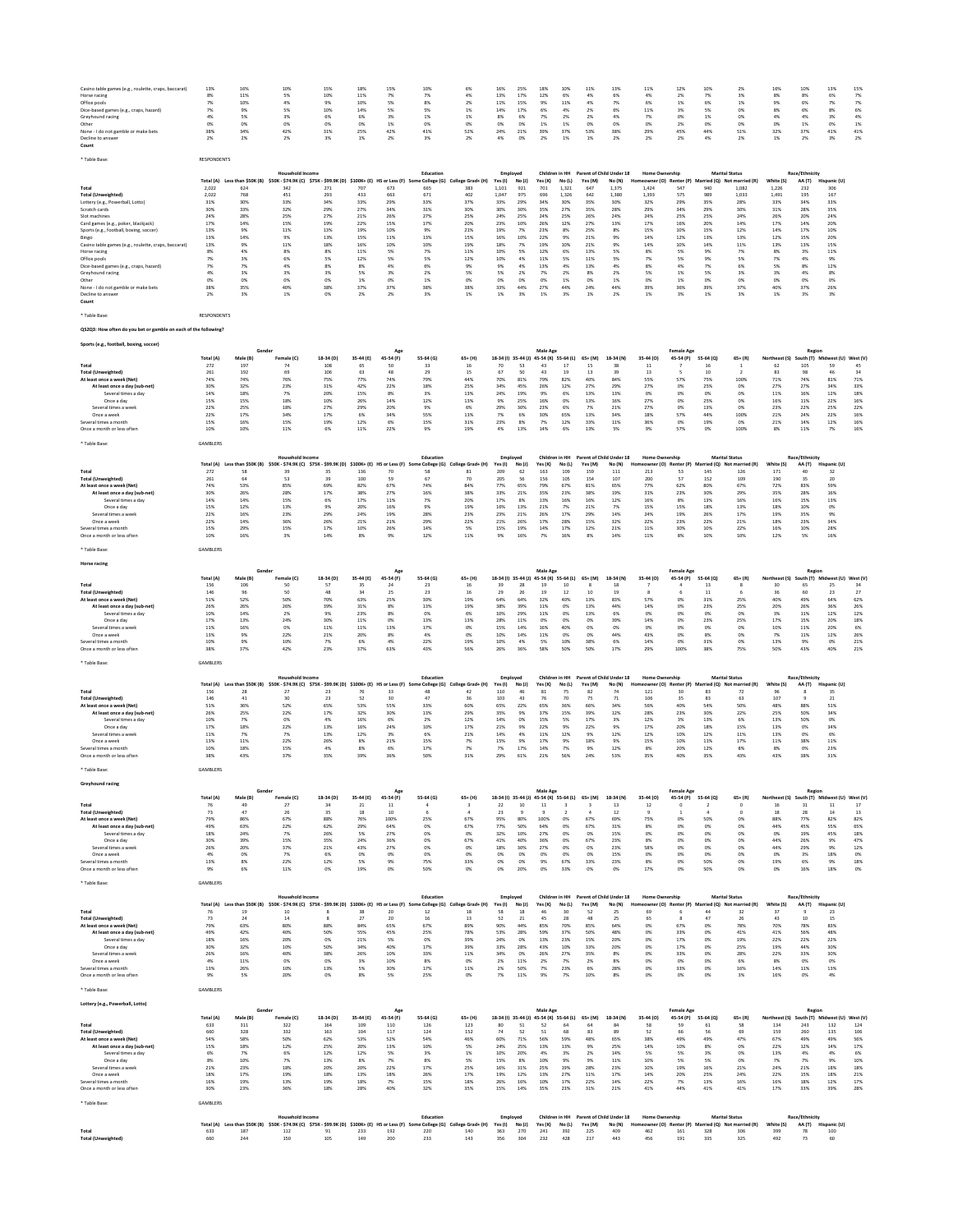| Casino table games (e.g., roulette, craps, baccarat)<br>Horse racing | 13%<br>8%          | 16%                 | 10%                                                                                                                                        | 15%              | 18%             | 15%                        |                            | 6%                      |                                         |                           |
|----------------------------------------------------------------------|--------------------|---------------------|--------------------------------------------------------------------------------------------------------------------------------------------|------------------|-----------------|----------------------------|----------------------------|-------------------------|-----------------------------------------|---------------------------|
|                                                                      |                    |                     |                                                                                                                                            |                  |                 |                            | 10%                        |                         | 16%                                     | 25%                       |
| Office pools                                                         | 7%                 | 11%<br>10%          | 5%<br>4%                                                                                                                                   | 10%<br>9%        | 11%<br>10%      | 7%<br>5%                   | 7%<br>8%                   | 4%<br>2%                | 13%<br>11%                              | 17%<br>15%                |
| Dice-based games (e.g., craps, hazard)                               | 7%                 | 9%                  | 5%                                                                                                                                         | 10%              | 14%             | 5%                         | 5%                         | 1%                      | 14%                                     | 17%                       |
| Greyhound racing                                                     | 4%                 | 5%                  | 3%                                                                                                                                         | 6%               | 6%              | 3%                         | 1%                         | 1%                      | 8%                                      | 6%                        |
| Other                                                                | 0%                 | 0%                  | 0%                                                                                                                                         | 0%               | 0%              | 1%                         | 0%                         | 0%                      | 0%                                      | 0%                        |
| None - I do not gamble or make bets                                  | 38%                | 34%                 | 42%                                                                                                                                        | 31%              | 25%             | 42%                        | 41%                        | 52%                     | 24%                                     | 21%                       |
| Decline to answer<br>Count                                           | 2%                 | 2%                  | 2%                                                                                                                                         | 3%               | 1%              | 2%                         | 3%                         | 2%                      | 4%                                      | 0%                        |
|                                                                      |                    |                     |                                                                                                                                            |                  |                 |                            |                            |                         |                                         |                           |
| * Table Base:                                                        | <b>RESPONDENTS</b> |                     |                                                                                                                                            |                  |                 |                            |                            |                         |                                         |                           |
|                                                                      |                    |                     |                                                                                                                                            |                  |                 |                            |                            |                         |                                         |                           |
|                                                                      |                    |                     | <b>Household Income</b>                                                                                                                    |                  |                 |                            | Education                  |                         | Employed                                |                           |
|                                                                      | Total (A)          | Less than \$50K (B) | \$50K - \$74.9K (C) \$75K - \$99.9K (D) \$100K+ (E) HS or Less (F) So                                                                      |                  |                 |                            | e College (G)              | College Grad+ (H)       | Yes(1)                                  | No(1)                     |
| Total<br><b>Total (Unweighted)</b>                                   | 2.022<br>2,022     | 624<br>768          | 342<br>451                                                                                                                                 | 271<br>293       | 707<br>433      | 673<br>663                 | 665<br>671                 | 383<br>402              | 1.101<br>1,047                          | 921<br>975                |
| Lottery (e.g., Powerball, Lotto)                                     | 31%                | 30%                 | 33%                                                                                                                                        | 34%              | 33%             | 29%                        | 33%                        | 37%                     | 33%                                     | 29%                       |
| Scratch cards                                                        | 30%                | 33%                 | 32%                                                                                                                                        | 29%              | 27%             | 34%                        | 31%                        | 30%                     | 30%                                     | 30%                       |
| Slot machines                                                        | 24%                | 28%                 | 25%                                                                                                                                        | 27%              | 21%             | 26%                        | 27%                        | 25%                     | 24%                                     | 25%                       |
| Card games (e.g., poker, blackjack)                                  | 17%                | 14%                 | 15%                                                                                                                                        | 19%              | 22%             | 15%                        | 17%                        | 20%                     | 23%                                     | 10%                       |
| Sports (e.g., football, boxing, soccer)                              | 13%                | 9%                  | 11%                                                                                                                                        | 13%              | 19%             | 10%                        | 9%                         | 21%                     | 19%                                     | 7%                        |
| Bingo                                                                | 13%                | 14%                 | 9%                                                                                                                                         | 13%              | 15%             | 11%                        | 13%                        | 15%                     | 16%                                     | 10%                       |
| Casino table games (e.g., roulette, craps, baccarat)                 | 13%                | 9%                  | 11%                                                                                                                                        | 18%              | 16%             | 10%                        | 10%                        | 19%                     | 18%                                     | 7%                        |
| Horse racing                                                         | 8%                 | 4%                  | 8%                                                                                                                                         | 8%               | 11%             | 5%                         | 7%                         | 11%                     | 10%                                     | 5%                        |
| Office pools                                                         | 7%                 | 3%                  | 6%                                                                                                                                         | 5%               | 12%             | 5%                         | 5%                         | 12%                     | 10%                                     | 4%                        |
| Dice-based games (e.g., craps, hazard)                               | 7%<br>4%           | 7%<br>3%            | 4%<br>3%                                                                                                                                   | 8%<br>3%         | 8%<br>5%        | 4%<br>3%                   | 6%<br>2%                   | 9%<br>5%                | 9%<br>5%                                | 4%<br>2%                  |
| Greyhound racing                                                     |                    |                     |                                                                                                                                            |                  |                 |                            |                            |                         |                                         |                           |
| Other<br>None - I do not gamble or make bets                         | 0%<br>38%          | 0%<br>35%           | 0%<br>40%                                                                                                                                  | O%<br>38%        | 1%<br>37%       | 0%<br>37%                  | 1%<br>38%                  | 0%<br>38%               | 0%<br>33%                               | 0%<br>44%                 |
| Decline to answer                                                    | 2%                 | 3%                  | 1%                                                                                                                                         | 0%               | 2%              | 2%                         | 3%                         | 1%                      | 1%                                      | 3%                        |
| Count                                                                |                    |                     |                                                                                                                                            |                  |                 |                            |                            |                         |                                         |                           |
|                                                                      |                    |                     |                                                                                                                                            |                  |                 |                            |                            |                         |                                         |                           |
| * Table Base:                                                        | RESPONDENTS        |                     |                                                                                                                                            |                  |                 |                            |                            |                         |                                         |                           |
|                                                                      |                    |                     |                                                                                                                                            |                  |                 |                            |                            |                         |                                         |                           |
| QS2Q3: How often do you bet or gamble on each of the following?      |                    |                     |                                                                                                                                            |                  |                 |                            |                            |                         |                                         |                           |
|                                                                      |                    |                     |                                                                                                                                            |                  |                 |                            |                            |                         |                                         |                           |
| Sports (e.g., football, boxing, soccer)                              |                    |                     |                                                                                                                                            |                  |                 |                            |                            |                         |                                         |                           |
|                                                                      |                    | Gende               |                                                                                                                                            |                  |                 | Age                        |                            |                         |                                         |                           |
| Total                                                                | Total (A)<br>272   | Male (B)<br>197     | Female (C)<br>74                                                                                                                           | 18-34 (D)<br>108 | 35-44 (E)<br>65 | 45-54 (F)<br>50            | 55-64 (G)<br>33            | $65+ (H)$<br>16         | 18-34 (l) 35-44 (J)<br>70               | 45-54 (K) 55-64 (L)<br>53 |
| <b>Total (Unweighted)</b>                                            | 261                | 192                 | 69                                                                                                                                         | 106              | 63              | 48                         | 29                         | 15                      | 67                                      | 50                        |
| At least once a week (Net)                                           | 74%                | 74%                 | 76%                                                                                                                                        | 75%              | 77%             | 74%                        | 79%                        | 44%                     | 70%                                     | 81%                       |
| At least once a day (sub-net)                                        | 30%                | 32%                 | 23%                                                                                                                                        | $31\%$           | 42%             | 22%                        | 18%                        | 25%                     | 34%                                     | 45%                       |
| Several times a day                                                  | 14%                | 18%                 | 7%                                                                                                                                         | 20%              | 15%             | 8%                         | 3%                         | 13%                     | 24%                                     | 19%                       |
| Once a day                                                           | 15%                | 15%                 | 18%                                                                                                                                        | 10%              | 26%             | 14%                        | 12%                        | 13%                     | 9%                                      | 25%                       |
| Several times a week                                                 | 22%                | 25%                 | 18%                                                                                                                                        | 27%              | 29%             | 20%                        | 9%                         | 6%                      | 29%                                     | 30%                       |
| Once a week                                                          | 22%                | 17%                 | 34%                                                                                                                                        | 17%              | 6%              | 34%                        | 55%                        | 13%                     | 7%                                      | 6%                        |
| Several times a month                                                | 15%                | 16%                 | 15%                                                                                                                                        | 19%              | 12%             | 6%                         | 15%                        | 31%                     | 23%                                     | 8%                        |
| Once a month or less often                                           | 10%                | 10%                 | 11%                                                                                                                                        | 6%               | 11%             | 22%                        | 9%                         | 19%                     | 4%                                      | 13%                       |
|                                                                      |                    |                     |                                                                                                                                            |                  |                 |                            |                            |                         |                                         |                           |
| * Table Base:                                                        | GAMBLERS           |                     |                                                                                                                                            |                  |                 |                            |                            |                         |                                         |                           |
|                                                                      |                    |                     |                                                                                                                                            |                  |                 |                            |                            |                         |                                         |                           |
|                                                                      |                    |                     | <b>Household Income</b><br>Total (A) Less than \$50K (B) \$50K - \$74.9K (C) \$75K - \$99.9K (D) \$100K+ (E) HS or Less (F) Sc             |                  |                 |                            | Education<br>e College (G) | College Grad+ (H)       | Employed<br>Yes(1)                      | No (J)                    |
| Total                                                                | 272                | 58                  | 39                                                                                                                                         | 35               | 136             | 70                         | 58                         | 81                      | 209                                     | 62                        |
| <b>Total (Unweighted)</b>                                            | 261                | 64                  | 53                                                                                                                                         | 39               | 100             | 59                         | 67                         | 70                      | 205                                     | 56                        |
| At least once a week (Net)                                           | 74%                | 53%                 | 85%                                                                                                                                        | 69%              | 82%             | 67%                        | 74%                        | 84%                     | 77%                                     | 65%                       |
| At least once a day (sub-net)                                        | 30%                | 26%                 | 28%                                                                                                                                        | 17%              | 38%             | 27%                        | 16%                        | 38%                     | 33%                                     | 21%                       |
| Several times a day                                                  | 14%                | 14%                 | 15%                                                                                                                                        | 6%               | 17%             | 11%                        | 7%                         | 20%                     | 17%                                     | 8%                        |
| Once a day                                                           | 15%                | 12%                 | 13%                                                                                                                                        | 9%               | 20%             | 16%                        | 9%                         | 19%                     | 16%                                     | 13%                       |
| Several times a week                                                 | 22%                | 16%                 | 23%                                                                                                                                        | 29%              | 24%             | 19%                        | 28%                        | 23%                     | 23%                                     | 21%                       |
| Once a week                                                          | 22%                | 14%                 | 36%                                                                                                                                        | 26%              | 21%             | 21%                        | 29%                        | 22%                     | 21%                                     | 26%                       |
| Several times a month<br>Once a month or less often                  | 15%<br>10%         | 29%<br>16%          | 15%<br>3%                                                                                                                                  | 17%<br>14%       | 10%<br>8%       | 26%<br>9%                  | 14%<br>12%                 | 5%<br>11%               | 15%<br>9%                               | 19%<br>16%                |
|                                                                      |                    |                     |                                                                                                                                            |                  |                 |                            |                            |                         |                                         |                           |
| * Table Base                                                         | GAMBLERS           |                     |                                                                                                                                            |                  |                 |                            |                            |                         |                                         |                           |
|                                                                      |                    |                     |                                                                                                                                            |                  |                 |                            |                            |                         |                                         |                           |
| <b>Horse racing</b>                                                  |                    |                     |                                                                                                                                            |                  |                 |                            |                            |                         |                                         |                           |
|                                                                      |                    | Gende               |                                                                                                                                            |                  |                 |                            |                            |                         |                                         |                           |
|                                                                      | Total (A)          | Male (B)            | Female (C)                                                                                                                                 | 18-34 (D)        | 35-44 (E)       | 45-54 (F)                  | 55-64 (G)                  | $65+ (H)$               | 18-34 (I) 35-44 (J)                     | 45-54 (K) 55-64 (L)       |
| Total                                                                | 156                | 106                 | 50                                                                                                                                         | 57               | 35              | 24                         | 23                         | 16                      | 39                                      | 28                        |
| <b>Total (Unweighted)</b>                                            | 146                | 96                  | 50                                                                                                                                         | 48               | 34              | 25                         | 23                         | 16                      | 29                                      | 26                        |
| At least once a week (Net)                                           | 51%                | 52%                 | 50%                                                                                                                                        | 70%              | 63%             | 25%                        | 30%                        | 19%                     | 64%                                     | 64%                       |
| At least once a day (sub-net)                                        | 26%                | 26%                 | 26%                                                                                                                                        | 39%              | 31%             | 8%                         | 13%                        | 19%                     | 38%                                     | 39%                       |
| Several times a day                                                  | 10%                | 14%                 | 2%                                                                                                                                         | 9%               | 23%             | 8%                         | 0%                         | 6%                      | 10%                                     | 29%                       |
| Once a day                                                           | 17%                | 13%                 | 24%                                                                                                                                        | 30%              | 11%             | 0%                         | 13%                        | 13%                     | 28%                                     | 11%                       |
| Several times a week                                                 | 11%                | 16%                 | 0%                                                                                                                                         | 11%              | 11%             | 13%                        | 17%                        | 0%                      | 15%                                     | 14%                       |
| Once a week                                                          | 13%                | 9%                  | 22%                                                                                                                                        | 21%              | 20%             | 8%                         | $4\%$                      | 0%                      | 10%                                     | 14%                       |
| Several times a month<br>Once a month or less often                  | 10%<br>38%         | 9%<br>37%           | 10%<br>42%                                                                                                                                 | 7%<br>23%        | 6%<br>37%       | 4%<br>63%                  | 22%<br>43%                 | 19%<br>56%              | 10%<br>26%                              | 4%<br>36%                 |
|                                                                      |                    |                     |                                                                                                                                            |                  |                 |                            |                            |                         |                                         |                           |
| * Table Base:                                                        | GAMBLERS           |                     |                                                                                                                                            |                  |                 |                            |                            |                         |                                         |                           |
|                                                                      |                    |                     |                                                                                                                                            |                  |                 |                            |                            |                         |                                         |                           |
|                                                                      |                    |                     | Household Incom                                                                                                                            |                  |                 |                            | Education                  |                         | Employed                                |                           |
|                                                                      | Total (A)          | Less than SSOK (B)  | \$50K - \$74.9K (C) \$75K - \$99.9K (D)                                                                                                    |                  |                 | \$100K+ (E) HS or Less (F) | e College (G)              | College Grad+ (H)       | Yes(1)                                  | No (J)                    |
| Total                                                                | 156                | 28                  | 27                                                                                                                                         | 23               | 76              | 33                         | 48                         | 42                      | 110                                     | 46                        |
| <b>Total (Unweighted)</b>                                            | 146                | 41                  | 30                                                                                                                                         | 23               | 52              | 30                         | 47                         | 36                      | 103                                     | 43                        |
| At least once a week (Net)                                           | 51%                | 36%                 | 52%                                                                                                                                        | 65%              | 53%             | 55%                        | 33%                        | 60%                     | 65%                                     | 22%                       |
| At least once a day (sub-net)                                        | 26%                | 25%                 | 22%                                                                                                                                        | 17%              | 32%             | 30%                        | 13%                        | 29%                     | 35%                                     | 9%                        |
| Several times a day                                                  |                    | 7%                  | 0%                                                                                                                                         | 4%               | 16%             | 6%                         | 2%                         | 12%                     | 14%                                     | 0%                        |
|                                                                      | 10%                |                     | 22%                                                                                                                                        | 13%              |                 |                            |                            |                         |                                         |                           |
| Once a day                                                           | 17%                | 18%                 |                                                                                                                                            |                  | 16%             | 24%                        | 10%                        | 17%                     | 21%                                     | 9%                        |
| Several times a week                                                 | $11\%$             | 7%                  | 7%                                                                                                                                         | 13%              | 12%             | 3%                         | 6%                         | 21%                     | 14%                                     | 4%                        |
| Once a week                                                          | 13%                | 11%                 | 22%                                                                                                                                        | 26%              | 8%              | 21%                        | 15%                        | 7%                      | 15%                                     | 9%                        |
| Several times a month                                                | 10%                | 18%                 | 15%                                                                                                                                        | 4%               | 8%              | 6%                         | 17%                        | 7%                      | 7%                                      | 17%                       |
| Once a month or less often                                           | 38%                | 43%                 | 37%                                                                                                                                        | 35%              | 39%             | 36%                        | 50%                        | 31%                     | 29%                                     | 61%                       |
| * Table Base:                                                        | GAMBLERS           |                     |                                                                                                                                            |                  |                 |                            |                            |                         |                                         |                           |
|                                                                      |                    |                     |                                                                                                                                            |                  |                 |                            |                            |                         |                                         |                           |
| Greyhound racing                                                     |                    |                     |                                                                                                                                            |                  |                 |                            |                            |                         |                                         |                           |
|                                                                      |                    |                     |                                                                                                                                            |                  |                 |                            |                            |                         |                                         |                           |
|                                                                      | Total (A)          | Male (B)            | Female (C)                                                                                                                                 | 18-34 (D)        | 35-44 (E)       | 45-54 (F)                  | 55-64 (G)                  | 65+ (H)                 | 18-34 (I) 35-44 (J)                     | 45-54 (K) 55-64 (L)       |
| Total                                                                | 76                 | 49                  | 27                                                                                                                                         | 34               | $21\,$          | $11\,$                     | $\overline{4}$             | $\overline{\mathbf{3}}$ | $22\,$                                  | $10\,$                    |
| <b>Total (Unweighted)</b>                                            | 73                 | 47                  | 26                                                                                                                                         | 35               | 18              | 10                         | $\,$ 6 $\,$                | $\overline{4}$          | $23\,$                                  | $\overline{9}$            |
| At least once a week (Net)                                           | 79%                | 86%                 | 67%                                                                                                                                        | 88%              | 76%             | 100%                       | 25%                        | 67%                     | 95%                                     | 80%                       |
| At least once a day (sub-net)<br>Several times a day                 | 49%<br>18%         | 63%<br>24%          | 22%<br>7%                                                                                                                                  | 62%<br>26%       | 29%<br>5%       | 64%<br>27%                 | 0%<br>0%                   | 67%<br>0%               | 77%<br>32%                              | 50%<br>10%                |
| Once a day                                                           | 30%                | 39%                 | 15%                                                                                                                                        | 35%              | 24%             | 36%                        | 0%                         | 67%                     | 41%                                     | 40%                       |
| Several times a week                                                 | 26%                | 20%                 | 37%                                                                                                                                        | 21%              | 43%             | 27%                        | 0%                         | 0%                      | 18%                                     | 30%                       |
| Once a week                                                          | 4%                 | 0%                  | 7%                                                                                                                                         | 6%               | 0%              | 0%                         | 0%                         | 0%                      | 0%                                      | 0%                        |
| Several times a month                                                | 13%                | 8%                  | 22%                                                                                                                                        | 12%              | 5%              | 9%                         | 75%                        | 33%                     | 0%                                      | 0%                        |
| Once a month or less often                                           | 9%                 | 6%                  | 11%                                                                                                                                        | 0%               | 19%             | 0%                         | 50%                        | 0%                      | 0%                                      | 20%                       |
|                                                                      |                    |                     |                                                                                                                                            |                  |                 |                            |                            |                         |                                         |                           |
| * Table Base:                                                        | GAMBLERS           |                     |                                                                                                                                            |                  |                 |                            |                            |                         |                                         |                           |
|                                                                      |                    |                     | <b>Household Income</b>                                                                                                                    |                  |                 |                            | Education                  |                         | Employed                                |                           |
|                                                                      |                    |                     |                                                                                                                                            |                  |                 |                            |                            |                         |                                         |                           |
| Total                                                                | Total (A)          | 19                  | Less than \$50K (B) \$50K - \$74.9K (C) \$75K - \$99.9K (D) \$100K+ (E) HS or Less (F) Sc<br>10                                            |                  | 38              | 20                         | e College (G)<br>$12\,$    | College Grad+ (H)<br>18 | Yes (I)<br>58                           | No (J)<br>18              |
| <b>Total (Unweighted)</b>                                            | $76\,$<br>73       | 24                  | $14\,$                                                                                                                                     | $\mathbf{R}$     | 27              | 20                         | 16                         | 13                      | 52                                      | $\bf{21}$                 |
| At least once a week (Net)                                           | 79%                | 63%                 | 80%                                                                                                                                        | 88%              | 84%             | 65%                        | 67%                        | 89%                     | 90%                                     | 44%                       |
| At least once a day (sub-net)                                        | 49%                | 42%                 | 40%                                                                                                                                        | 50%              | 55%             | 45%                        | 25%                        | 78%                     | 53%                                     | 28%                       |
| Several times a day                                                  | 18%                | 16%                 | 20%                                                                                                                                        | 0%               | 21%             | 5%                         | 0%                         | 39%                     | 24%                                     | 0%                        |
| Once a day                                                           | 30%                | 32%                 | 10%                                                                                                                                        | 50%              | 34%             | 40%                        | 17%                        | 39%                     | 33%                                     | 28%                       |
| Several times a week                                                 | 26%                | 16%                 | 40%                                                                                                                                        | 38%              | 26%             | 10%                        | 33%                        | 11%                     | 34%                                     | 0%                        |
| Once a week                                                          | 4%                 | 11%                 | 0%                                                                                                                                         | O%               | 3%              | 10%                        | 8%                         | 0%                      | $2\%$                                   | 11%                       |
| Several times a month                                                | 13%                | 26%                 | 10%                                                                                                                                        | 13%              | 5%              | 30%                        | 17%                        | 11%                     | 2%                                      | 50%                       |
| Once a month or less often                                           | 9%                 | 5%                  | 20%                                                                                                                                        | O%               | 8%              | 5%                         | 25%                        | 0%                      | 7%                                      | 11%                       |
|                                                                      |                    |                     |                                                                                                                                            |                  |                 |                            |                            |                         |                                         |                           |
| * Table Base:                                                        | GAMBLERS           |                     |                                                                                                                                            |                  |                 |                            |                            |                         |                                         |                           |
| Lottery (e.g., Powerball, Lotto)                                     |                    |                     |                                                                                                                                            |                  |                 |                            |                            |                         |                                         |                           |
|                                                                      |                    | Gender              |                                                                                                                                            |                  |                 | Age                        |                            |                         |                                         |                           |
|                                                                      | Total (A)          | Male (B)            | Female (C)                                                                                                                                 | 18-34 (D)        | 35-44 (E)       | 45-54 (F)                  | 55-64 (G)                  | $65+ (H)$               | 18-34 (I) 35-44 (J) 45-54 (K) 55-64 (L) |                           |
| Total                                                                | 633                | 311                 | 322                                                                                                                                        | 164              | 109             | 110                        | 126                        | 123                     | 80                                      | 51                        |
| <b>Total (Unweighted)</b>                                            | 660                | 328                 | 332                                                                                                                                        | 163              | 104             | 117                        | 124                        | 152                     | $74\,$                                  | 52                        |
| At least once a week (Net)                                           | 54%                | 58%                 | 50%                                                                                                                                        | 62%              | 53%             | 52%                        | 54%                        | 46%                     | 60%                                     | 71%                       |
| At least once a day (sub-net)                                        | 15%                | 18%                 | 12%                                                                                                                                        | 25%              | 20%             | 13%                        | 10%                        | 5%                      | 24%                                     | 25%                       |
| Several times a day                                                  | 6%                 | 7%                  | 6%                                                                                                                                         | 12%              | 12%             | 5%                         | 3%                         | 1%                      | 10%                                     | 20%                       |
| Once a day                                                           | 8%                 | 10%                 | 7%                                                                                                                                         | 13%              | 8%              | 7%                         | 8%                         | 5%                      | 15%                                     | 8%                        |
| Several times a week                                                 | 21%                | 23%                 | 18%                                                                                                                                        | 20%              | 20%             | 22%                        | 17%                        | 25%                     | 16%                                     | 31%                       |
| Once a week                                                          | 18%                | 17%                 | 19%                                                                                                                                        | 18%              | 13%             | 18%                        | 26%                        | 17%                     | 19%                                     | 12%                       |
| Several times a month                                                | 16%<br>30%         | 19%<br>23%          | 13%<br>36%                                                                                                                                 | 19%<br>18%       | 18%<br>28%      | 7%<br>40%                  | 15%<br>32%                 | 18%<br>35%              | 26%<br>15%                              | 16%<br>14%                |
| Once a month or less often                                           |                    |                     |                                                                                                                                            |                  |                 |                            |                            |                         |                                         |                           |
| * Table Base                                                         | <b>GAMBLERS</b>    |                     |                                                                                                                                            |                  |                 |                            |                            |                         |                                         |                           |
|                                                                      |                    |                     |                                                                                                                                            |                  |                 |                            |                            |                         |                                         |                           |
|                                                                      |                    |                     | Household Income                                                                                                                           |                  |                 |                            | Education                  |                         | Employed                                |                           |
| Total                                                                | 633                | 187                 | Total (A) Less than \$50K (B) \$50K - \$74.9K (C) \$75K - \$99.9K (D) \$100K+ (E) HS or Less (F) Some College (G) College Grad+ (H)<br>112 | 91               | 233             | 192                        | 220                        | 140                     | Yes(1)<br>363                           | No (J)<br>270             |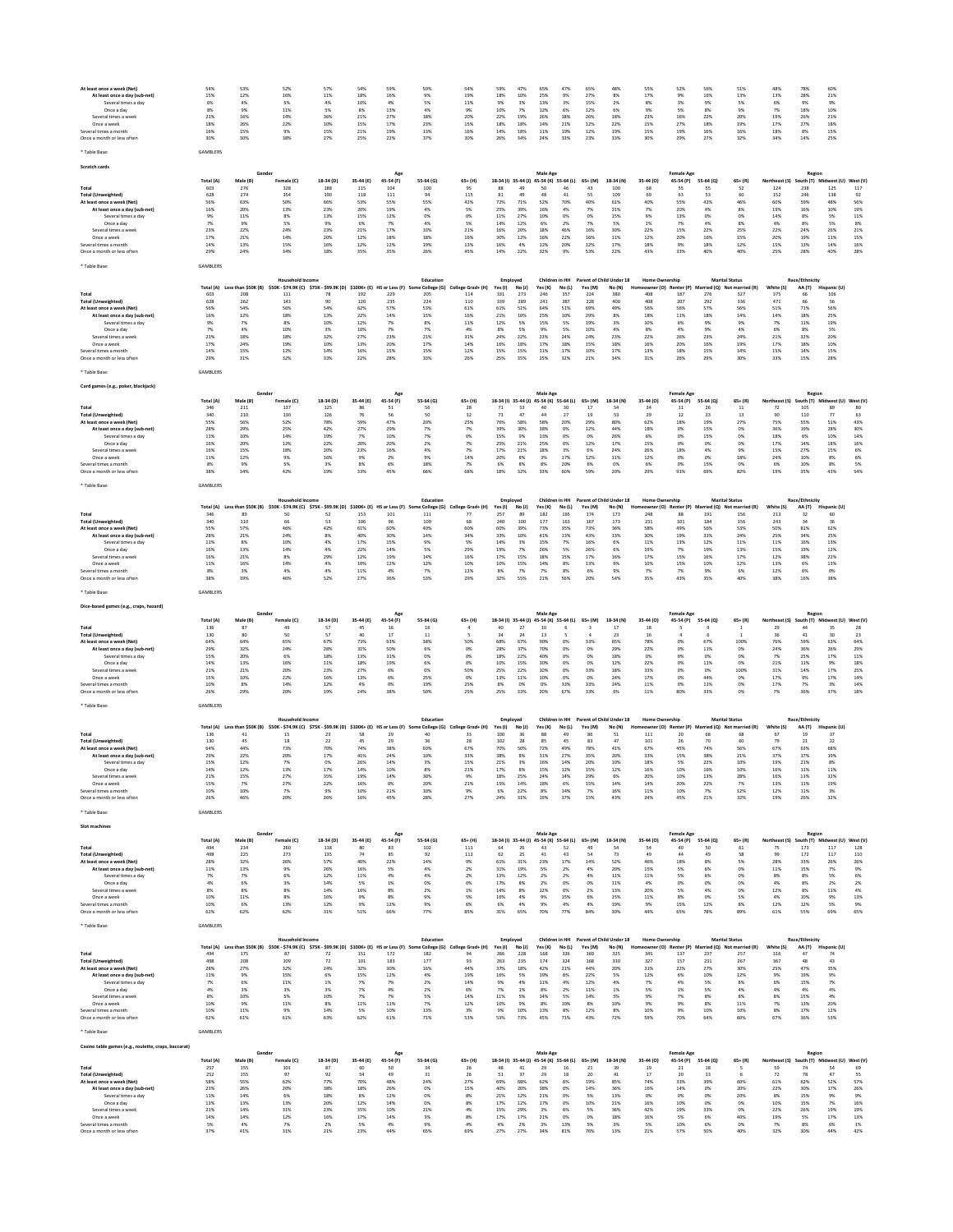| At least once a week (Net)<br>At least once a day (sub-net)<br>Several times a day<br>Once a day<br>Several times a weel<br>Once a week<br>Several times a month                                                                                      | 54%<br>15%<br>6%<br>8%<br>21%<br>18%<br>16%<br>30%                                         | 53%<br>12%<br>4%<br>9%<br>16%<br>26%<br>15%<br>30%                                               | 52%<br>16%<br>5%<br>11%<br>14%<br>22%<br>9%<br>38%                                                                                                                      | 57%<br>11%<br>4%<br>5%<br>36%<br>10%<br>15%<br>27%                              | 54%<br>18%<br>10%<br>8%<br>21%<br>15%<br>21%<br>25%                                 | 59%<br>16%<br>4%<br>13%<br>27%<br>17%<br>19%<br>22%                                   | 50%<br>9%<br>5%<br>4%<br>18%<br>23%<br>13%<br>37%                                  | 54%<br>19%<br>11%<br>9%<br>20%<br>15%<br>16%<br>30%                                       | 59%<br>18%<br>9%<br>10%<br>22%<br>18%<br>14%<br>26%                                    | 47%<br>10%<br>3%<br>7%<br>19%<br>18%<br>18%<br>34%                       | 65%<br>25%<br>13%<br>12%<br>26%<br>14%<br>11%<br>24%                                                      | 47%<br>9%<br>3%<br>6%<br>18%<br>21%<br>19%<br>33%                       | 65%<br>27%<br>15%<br>12%<br>26%<br>12%<br>12%<br>23%                         | 48%<br>8%<br>2%<br>6%<br>18%<br>22%<br>19%<br>33%                              | 55%<br>17%<br>8%<br>9%<br>23%<br>15%<br>15%<br>30%                                             | 52%<br>9%<br>3%<br>5%<br>16%<br>27%<br>19%<br>29%                                                | 56%<br>16%<br>9%<br>8%<br>22%<br>18%<br>16%<br>27%                              | 51%<br>13%<br>5%<br>9%<br>20%<br>19%<br>16%<br>32%                                                                      | 48%<br>13%<br>6%<br>7%<br>19%<br>17%<br>18%<br>34%                                 | 78%<br>28%<br>9%<br>18%<br>26%<br>27%<br>8%<br>14%                                        | 60%<br>21%<br>9%<br>10%<br>21%<br>18%<br>15%<br>25%                                     |                                                                                 |
|-------------------------------------------------------------------------------------------------------------------------------------------------------------------------------------------------------------------------------------------------------|--------------------------------------------------------------------------------------------|--------------------------------------------------------------------------------------------------|-------------------------------------------------------------------------------------------------------------------------------------------------------------------------|---------------------------------------------------------------------------------|-------------------------------------------------------------------------------------|---------------------------------------------------------------------------------------|------------------------------------------------------------------------------------|-------------------------------------------------------------------------------------------|----------------------------------------------------------------------------------------|--------------------------------------------------------------------------|-----------------------------------------------------------------------------------------------------------|-------------------------------------------------------------------------|------------------------------------------------------------------------------|--------------------------------------------------------------------------------|------------------------------------------------------------------------------------------------|--------------------------------------------------------------------------------------------------|---------------------------------------------------------------------------------|-------------------------------------------------------------------------------------------------------------------------|------------------------------------------------------------------------------------|-------------------------------------------------------------------------------------------|-----------------------------------------------------------------------------------------|---------------------------------------------------------------------------------|
| Once a month or less often<br>* Table Base                                                                                                                                                                                                            | GAMBLERS                                                                                   |                                                                                                  |                                                                                                                                                                         |                                                                                 |                                                                                     |                                                                                       |                                                                                    |                                                                                           |                                                                                        |                                                                          |                                                                                                           |                                                                         |                                                                              |                                                                                |                                                                                                |                                                                                                  |                                                                                 |                                                                                                                         |                                                                                    |                                                                                           |                                                                                         |                                                                                 |
| Scratch cards                                                                                                                                                                                                                                         |                                                                                            |                                                                                                  |                                                                                                                                                                         |                                                                                 |                                                                                     |                                                                                       |                                                                                    |                                                                                           |                                                                                        |                                                                          |                                                                                                           |                                                                         |                                                                              |                                                                                |                                                                                                |                                                                                                  |                                                                                 |                                                                                                                         |                                                                                    |                                                                                           |                                                                                         |                                                                                 |
| Total<br><b>Total (Unweighted)</b><br>At least once a week (Net)<br>At least once a day (sub-net)<br>Several times a day<br>Once a day<br>Several times a week<br>Once a week<br>Several times a month<br>Once a month or less often<br>* Table Base: | Total (A)<br>603<br>628<br>56%<br>16%<br>9%<br>7%<br>23%<br>17%<br>14%<br>29%<br>GAMBLERS  | Male (B)<br>276<br>274<br>63%<br>20%<br>11%<br>9%<br>22%<br>21%<br>13%<br>24%                    | Female (C)<br>328<br>354<br>50%<br>13%<br>8%<br>5%<br>24%<br>14%<br>15%<br>34%                                                                                          | 18-34 (D)<br>188<br>190<br>66%<br>23%<br>13%<br>9%<br>23%<br>20%<br>16%<br>18%  | 35-44 (E)<br>115<br>118<br>53%<br>20%<br>15%<br>6%<br>21%<br>12%<br>12%<br>35%      | Age<br>45-54 (F)<br>104<br>111<br>55%<br>19%<br>12%<br>7%<br>17%<br>18%<br>12%<br>35% | 55-64 (G)<br>100<br>94<br>55%<br>4%<br>0%<br>4%<br>33%<br>18%<br>19%<br>26%        | $65+ (H)$<br>95<br>115<br>42%<br>5%<br>0%<br>5%<br>21%<br>16%<br>13%<br>45%               | 18-34 (i) 35-44 (j)<br>81<br>72%<br>25%<br>11%<br>14%<br>16%<br>30%<br>16%<br>14%      | 49<br>49<br>71%<br>39%<br>27%<br>12%<br>20%<br>12%<br>4%<br>22%          | Male Age<br>45-54 (K) 55-64 (L)<br>50<br>48<br>52%<br>16%<br>10%<br>6%<br>18%<br>16%<br>12%<br>32%        | 41<br>70%<br>4%<br>0%<br>2%<br>46%<br>22%<br>20%<br>9%                  | $65+ (M)$<br>43<br>55<br>40%<br>7%<br>0%<br>7%<br>16%<br>16%<br>12%<br>53%   | 18-34 (N)<br>100<br>109<br>61%<br>21%<br>15%<br>5%<br>30%<br>11%<br>17%<br>22% | 35-44 (O)<br>68<br>69<br>40%<br>7%<br>6%<br>1%<br>22%<br>12%<br>18%<br>43%                     | <b>Female Age</b><br>45-54 (P)<br>55<br>63<br>55%<br>20%<br>13%<br>7%<br>15%<br>20%<br>9%<br>33% | 55-64 (Q)<br>55<br>53<br>42%<br>4%<br>0%<br>4%<br>22%<br>16%<br>18%<br>40%      | $65 + (R)$<br>52<br>60<br>46%<br>8%<br>0%<br>8%<br>25%<br>15%<br>12%<br>40%                                             | Northeast (S)<br>124<br>152<br>60%<br>19%<br>14%<br>4%<br>22%<br>20%<br>15%<br>25% | Region<br>South (T) M<br>238<br>246<br>59%<br>16%<br>8%<br>8%<br>24%<br>19%<br>13%<br>28% | dwest (U)<br>125<br>138<br>48%<br>10%<br>5%<br>5%<br>26%<br>11%<br>14%<br>40%           | West (V)<br>117<br>92<br>56%<br>19%<br>11%<br>8%<br>21%<br>15%<br>16%<br>28%    |
|                                                                                                                                                                                                                                                       | Total (A)                                                                                  | Less than \$50K (B)                                                                              | Household Income<br>\$50K - \$74.9K (C) \$75K - \$99.9K (D)                                                                                                             |                                                                                 | \$100K+ (E)                                                                         | HS or Less (F)                                                                        | Education<br>: College (G)                                                         | College Grad+ (H)                                                                         | Employed<br>Yes (I)                                                                    | No (J)                                                                   | Children in HH<br>Yes (K)                                                                                 | No (L)                                                                  | Yes (M)                                                                      | Parent of Child Under 18<br>No (N)                                             | <b>Home Ownership</b><br>eowner (O)                                                            | Renter (P)                                                                                       |                                                                                 | <b>Marital Status</b><br>rried (Q) Not married (R)                                                                      | White (S)                                                                          | Race/Ethnicity<br>AA (T)                                                                  | Hispanic (U)                                                                            |                                                                                 |
| Total<br><b>Total (Unweighted)</b><br>At least once a week (Net)<br>At least once a day (sub-net)<br>Several times a day<br>Once a day<br>Several times a week<br>Once a week<br>Several times a month<br>Once a month or less often<br>* Table Base: | 603<br>628<br>56%<br>16%<br>9%<br>7%<br>23%<br>17%<br>14%<br>29%<br>GAMBLERS               | 208<br>262<br>54%<br>12%<br>7%<br>4%<br>18%<br>24%<br>15%<br>31%                                 | 111<br>143<br>56%<br>18%<br>8%<br>10%<br>18%<br>19%<br>12%<br>32%                                                                                                       | 78<br>90<br>54%<br>13%<br>10%<br>3%<br>32%<br>10%<br>14%<br>33%                 | 192<br>120<br>62%<br>22%<br>12%<br>10%<br>27%<br>13%<br>16%<br>22%                  | 229<br>235<br>57%<br>14%<br>7%<br>7%<br>23%<br>20%<br>15%<br>28%                      | 205<br>224<br>53%<br>15%<br>8%<br>7%<br>21%<br>17%<br>15%<br>33%                   | 114<br>110<br>61%<br>16%<br>11%<br>4%<br>31%<br>14%<br>12%<br>26%                         | 331<br>339<br>61%<br>21%<br>12%<br>8%<br>24%<br>16%<br>15%<br>25%                      | 273<br>289<br>51%<br>10%<br>5%<br>5%<br>22%<br>18%<br>15%<br>35%         | 246<br>241<br>64%<br>25%<br>15%<br>9%<br>23%<br>17%<br>11%<br>25%                                         | 357<br>387<br>51%<br>10%<br>5%<br>5%<br>24%<br>18%<br>17%<br>32%        | 224<br>228<br>69%<br>29%<br>19%<br>10%<br>24%<br>15%<br>10%<br>21%           | 380<br>400<br>49%<br>8%<br>3%<br>4%<br>23%<br>18%<br>17%<br>34%                | 408<br>408<br>56%<br>18%<br>10%<br>8%<br>22%<br>16%<br>13%<br>31%                              | 187<br>207<br>56%<br>11%<br>6%<br>4%<br>26%<br>20%<br>18%<br>26%                                 | 276<br>292<br>57%<br>18%<br>9%<br>9%<br>23%<br>16%<br>15%<br>29%                | 327<br>336<br>56%<br>14%<br>9%<br>4%<br>24%<br>19%<br>14%<br>30%                                                        | 375<br>471<br>51%<br>14%<br>7%<br>6%<br>21%<br>17%<br>15%<br>33%                   | 66<br>66<br>71%<br>18%<br>$11\%$<br>8%<br>32%<br>18%<br>14%<br>15%                        | 106<br>56<br>56%<br>25%<br>19%<br>5%<br>20%<br>10%<br>15%<br>28%                        |                                                                                 |
| Card games (e.g., poker, blackjack)                                                                                                                                                                                                                   |                                                                                            |                                                                                                  |                                                                                                                                                                         |                                                                                 |                                                                                     | Age                                                                                   |                                                                                    |                                                                                           |                                                                                        |                                                                          | Male Age                                                                                                  |                                                                         |                                                                              |                                                                                |                                                                                                | <b>Female Age</b>                                                                                |                                                                                 |                                                                                                                         |                                                                                    | Region                                                                                    |                                                                                         |                                                                                 |
| Total<br><b>Total (Unweighted)</b><br>At least once a week (Net)<br>At least once a day (sub-net)<br>Several times a day<br>Once a day<br>Several times a week<br>Once a week<br>Several times a month<br>Once a month or less ofter<br>* Table Base  | Total (A)<br>346<br>340<br>55%<br>28%<br>11%<br>16%<br>16%<br>11%<br>8%<br>38%<br>GAMBLERS | Male (B)<br>211<br>210<br>56%<br>29%<br>10%<br>20%<br>15%<br>12%<br>9%<br>34%                    | Female (C)<br>137<br>130<br>52%<br>25%<br>14%<br>12%<br>18%<br>9%<br>5%<br>42%                                                                                          | $18-34(D)$<br>125<br>126<br>78%<br>42%<br>19%<br>22%<br>20%<br>16%<br>3%<br>19% | 35-44 (E)<br>86<br>76<br>59%<br>27%<br>7%<br>20%<br>23%<br>9%<br>8%<br>33%          | 45-54 (F)<br>51<br>56<br>47%<br>29%<br>10%<br>20%<br>16%<br>2%<br>6%<br>45%           | 55-64 (G)<br>56<br>50<br>20%<br>7%<br>7%<br>2%<br>4%<br>9%<br>18%<br>66%           | $65+ (H)$<br>28<br>32<br>25%<br>7%<br>0%<br>7%<br>7%<br>14%<br>7%<br>68%                  | 71<br>73<br>76%<br>39%<br>15%<br>25%<br>17%<br>20%<br>6%<br>18%                        | 53<br>47<br>58%<br>30%<br>9%<br>21%<br>21%<br>8%<br>8%<br>32%            | 18-34 (I) 35-44 (J) 45-54 (K) 55-64 (L)<br>40<br>44<br>58%<br>38%<br>13%<br>25%<br>18%<br>3%<br>8%<br>33% | 30<br>27<br>20%<br>0%<br>0%<br>0%<br>3%<br>17%<br>20%<br>60%            | $65+ (M)$<br>17<br>19<br>29%<br>12%<br>0%<br>12%<br>6%<br>12%<br>6%<br>59%   | 18-34 (N)<br>54<br>53<br>80%<br>44%<br>26%<br>17%<br>24%<br>11%<br>0%<br>20%   | 35-44 (0)<br>34<br>29<br>62%<br>18%<br>6%<br>15%<br>26%<br>12%<br>6%<br>29%                    | 45-54 (P)<br>11<br>12<br>18%<br>0%<br>0%<br>0%<br>18%<br>0%<br>0%<br>91%                         | 55-64 (Q)<br>26<br>23<br>19%<br>15%<br>15%<br>0%<br>4%<br>0%<br>15%<br>69%      | $65 + (R)$<br>11<br>13<br>27%<br>0%<br>0%<br>0%<br>9%<br>18%<br>0%<br>82%                                               | Northeast (S)<br>72<br>90<br>75%<br>36%<br>18%<br>17%<br>15%<br>24%<br>6%<br>19%   | 105<br>110<br>55%<br>19%<br>6%<br>14%<br>27%<br>10%<br>10%<br>35%                         | South (T) Midwest (U)<br>89<br>77<br>51%<br>28%<br>10%<br>18%<br>15%<br>8%<br>8%<br>43% | West (V)<br>80<br>63<br>43%<br>30%<br>14%<br>16%<br>6%<br>6%<br>5%<br>54%       |
|                                                                                                                                                                                                                                                       |                                                                                            |                                                                                                  | <b>Household Income</b><br>\$50K - \$74.9K (C) \$75K - \$99.9K (D)                                                                                                      |                                                                                 |                                                                                     |                                                                                       | Education                                                                          |                                                                                           | Employed                                                                               |                                                                          | Children in HH                                                                                            |                                                                         |                                                                              | Parent of Child Under 18                                                       | <b>Home Ownership</b>                                                                          |                                                                                                  |                                                                                 | <b>Marital Status</b>                                                                                                   |                                                                                    | Race/Ethnicity                                                                            |                                                                                         |                                                                                 |
| Total<br><b>Total (Unweighted)</b><br>At least once a week (Net)<br>At least once a day (sub-net)<br>Several times a day<br>Once a day<br>Several times a week<br>Once a week<br>Several times a month<br>Once a month or less often                  | Total (A)<br>346<br>340<br>55%<br>28%<br>11%<br>16%<br>16%<br>11%<br>8%<br>38%             | Less than \$50K (B)<br>89<br>110<br>57%<br>21%<br>8%<br>13%<br>21%<br>16%<br>3%<br>39%           | 50<br>66<br>46%<br>24%<br>10%<br>14%<br>8%<br>14%<br>4%<br>46%                                                                                                          | 52<br>53<br>42%<br>8%<br>4%<br>4%<br>29%<br>4%<br>4%<br>52%                     | $$100K + (E)$<br>153<br>106<br>61%<br>40%<br>17%<br>22%<br>12%<br>10%<br>11%<br>27% | HS or Less (F)<br>101<br>60%<br>30%<br>15%<br>14%<br>19%<br>12%<br>4%<br>36%          | College (G)<br>111<br>109<br>40%<br>14%<br>9%<br>5%<br>14%<br>12%<br>7%<br>53%     | College Grad+ (H)<br>77<br>68<br>60%<br>34%<br>5%<br>29%<br>16%<br>10%<br>12%<br>29%      | Yes (I)<br>257<br>240<br>60%<br>33%<br>14%<br>19%<br>17%<br>10%<br>8%<br>32%           | No (J)<br>89<br>100<br>39%<br>10%<br>3%<br>7%<br>15%<br>15%<br>7%<br>55% | Yes (K)<br>182<br>177<br>73%<br>41%<br>15%<br>26%<br>18%<br>14%<br>7%<br>21%                              | No(L)<br>165<br>163<br>35%<br>13%<br>7%<br>5%<br>15%<br>8%<br>8%<br>56% | Yes (M)<br>174<br>167<br>73%<br>43%<br>16%<br>26%<br>17%<br>13%<br>6%<br>20% | No (N)<br>173<br>173<br>36%<br>13%<br>6%<br>6%<br>16%<br>9%<br>9%<br>54%       | eowner (O)<br>248<br>231<br>58%<br>30%<br>11%<br>19%<br>17%<br>10%<br>7%<br>35%                | Renter (P)<br>88<br>101<br>49%<br>19%<br>13%<br>7%<br>15%<br>15%<br>7%<br>43%                    | arried (Q)<br>191<br>184<br>56%<br>31%<br>12%<br>19%<br>16%<br>10%<br>9%<br>35% | Not married (R)<br>156<br>156<br>53%<br>24%<br>11%<br>13%<br>17%<br>12%<br>6%<br>40%                                    | White (S)<br>213<br>243<br>50%<br>25%<br>11%<br>15%<br>12%<br>13%<br>12%<br>38%    | AA (T)<br>32<br>34<br>81%<br>34%<br>16%<br>19%<br>38%<br>6%<br>6%<br>16%                  | Hispanic (U)<br>60<br>36<br>62%<br>25%<br>13%<br>12%<br>22%<br>13%<br>0%<br>38%         |                                                                                 |
| * Table Base:                                                                                                                                                                                                                                         | GAMBLERS                                                                                   |                                                                                                  |                                                                                                                                                                         |                                                                                 |                                                                                     |                                                                                       |                                                                                    |                                                                                           |                                                                                        |                                                                          |                                                                                                           |                                                                         |                                                                              |                                                                                |                                                                                                |                                                                                                  |                                                                                 |                                                                                                                         |                                                                                    |                                                                                           |                                                                                         |                                                                                 |
| Dice-based games (e.g., craps, hazard)                                                                                                                                                                                                                |                                                                                            |                                                                                                  |                                                                                                                                                                         |                                                                                 |                                                                                     | Age                                                                                   |                                                                                    |                                                                                           |                                                                                        |                                                                          | Male Age                                                                                                  |                                                                         |                                                                              |                                                                                |                                                                                                | <b>Female Age</b>                                                                                |                                                                                 |                                                                                                                         |                                                                                    | Region                                                                                    |                                                                                         |                                                                                 |
| Total<br><b>Total (Unweighted)</b><br>At least once a week (Net)<br>At least once a day (sub-net)<br>Several times a day<br>Once a day<br>Several times a week<br>Once a week<br>Several times a month<br>Once a month or less often                  | Total (A)<br>136<br>130<br>64%<br>29%<br>15%<br>14%<br>21%<br>15%<br>10%<br>26%            | Male (B)<br>87<br>80<br>64%<br>32%<br>20%<br>13%<br>21%<br>10%<br>8%<br>29%                      | Female (C)<br>49<br>50<br>65%<br>24%<br>6%<br>16%<br>20%<br>22%<br>14%<br>20%                                                                                           | 18-34 (D)<br>57<br>57<br>67%<br>28%<br>18%<br>11%<br>23%<br>16%<br>12%<br>19%   | 35-44 (E)<br>45<br>40<br>73%<br>31%<br>13%<br>18%<br>27%<br>13%<br>4%<br>24%        | 45-54 (F)<br>16<br>17<br>63%<br>50%<br>$31\%$<br>19%<br>6%<br>6%<br>0%<br>38%         | 55-64 (G)<br>16<br>11<br>38%<br>6%<br>0%<br>6%<br>0%<br>25%<br>19%<br>50%          | $65+$ (H)<br>$\overline{\phantom{a}}$<br>50%<br>0%<br>0%<br>0%<br>50%<br>0%<br>25%<br>25% | 18-34 (i) 35-44 (j)<br>40<br>34<br>68%<br>28%<br>18%<br>10%<br>25%<br>13%<br>8%<br>25% | 27<br>24<br>67%<br>37%<br>22%<br>15%<br>22%<br>$11\%$<br>0%<br>33%       | 45-54 (K) 55-64 (L)<br>10<br>13<br>90%<br>70%<br>40%<br>30%<br>10%<br>10%<br>0%<br>20%                    | 6<br>0%<br>0%<br>0%<br>0%<br>0%<br>0%<br>33%<br>67%                     | 65+ (M)<br>×<br>33%<br>0%<br>0%<br>0%<br>33%<br>0%<br>33%<br>33%             | 18-34 (N)<br>17<br>23<br>65%<br>29%<br>18%<br>12%<br>18%<br>24%<br>24%<br>6%   | 35-44 (0)<br>18<br>16<br>78%<br>22%<br>0%<br>22%<br>33%<br>17%<br>11%<br>11%                   | 45-54 (P)<br>$\leq$<br>$\overline{A}$<br>0%<br>0%<br>0%<br>0%<br>0%<br>0%<br>0%<br>80%           | 55-64 (Q)<br>67%<br>11%<br>0%<br>11%<br>0%<br>44%<br>11%<br>33%                 | $65 + (R)$<br>$\overline{1}$<br>100%<br>0%<br>0%<br>0%<br>100%<br>0%<br>0%<br>0%                                        | Northeast (S)<br>29<br>36<br>76%<br>24%<br>7%<br>21%<br>31%<br>17%<br>17%<br>7%    | 44<br>41<br>59%<br>36%<br>25%<br>$11\%$<br>14%<br>9%<br>7%<br>36%                         | South (T) Midwest (U)<br>35<br>30<br>63%<br>26%<br>17%<br>9%<br>17%<br>17%<br>3%<br>37% | West (V)<br>28<br>23<br>64%<br>29%<br>$11\%$<br>18%<br>25%<br>14%<br>14%<br>18% |
| * Table Base                                                                                                                                                                                                                                          | GAMBLERS                                                                                   |                                                                                                  | <b>Household Income</b>                                                                                                                                                 |                                                                                 |                                                                                     |                                                                                       | Education                                                                          |                                                                                           | Employed                                                                               |                                                                          | Children in HH                                                                                            |                                                                         |                                                                              | Parent of Child Under 18                                                       | <b>Home Ownership</b>                                                                          |                                                                                                  |                                                                                 | <b>Marital Status</b>                                                                                                   |                                                                                    | Race/Ethnicity                                                                            |                                                                                         |                                                                                 |
| Total<br><b>Total (Unweighted)</b><br>At least once a week (Net)<br>At least once a day (sub-net)<br>Several times a day<br>Once a day<br>Once a week<br>Several times a month<br>Once a month or less often                                          | 136<br>130<br>64%<br>29%<br>15%<br>14%<br>21%<br>15%<br>10%<br>26%                         | Total (A) Less than \$50K (B)<br>41<br>45<br>44%<br>22%<br>12%<br>12%<br>15%<br>7%<br>10%<br>46% | \$50K - \$74.9K (C) \$75K - \$99.9K (D)<br>15<br>18<br>73%<br>20%<br>7%<br>13%<br>27%<br>27%<br>7%<br>20%                                                               | 23<br>22<br>70%<br>17%<br>0%<br>17%<br>35%<br>22%<br>9%<br>26%                  | $$100K + (E)$<br>58<br>45<br>74%<br>41%<br>26%<br>14%<br>19%<br>16%<br>10%<br>16%   | HS or Less (F)<br>29<br>29<br>38%<br>24%<br>14%<br>10%<br>14%<br>0%<br>21%<br>45%     | Some College (G)<br>40<br>36<br>60%<br>10%<br>3%<br>8%<br>30%<br>20%<br>10%<br>28% | College Grad+ (H)<br>33<br>28<br>67%<br>33%<br>15%<br>21%<br>21%<br>9%<br>27%             | Yes $(1)$<br>100<br>102<br>70%<br>38%<br>21%<br>17%<br>18%<br>15%<br>6%<br>24%         | No (J)<br>36<br>28<br>50%<br>8%<br>3%<br>8%<br>25%<br>14%<br>22%<br>31%  | Yes (K)<br>88<br>85<br>72%<br>31%<br>16%<br>15%<br>24%<br>18%<br>8%<br>19%                                | No(L)<br>49<br>45<br>49%<br>27%<br>14%<br>12%<br>6%<br>14%<br>37%       | Yes (M)<br>86<br>83<br>78%<br>35%<br>20%<br>15%<br>199<br>15%<br>7%<br>15%   | No (N)<br>51<br>47<br>41%<br>20%<br>10%<br>12%<br>6%<br>14%<br>16%<br>43%      | Homeowner (O) Renter (P)<br>111<br>101<br>67%<br>33%<br>18%<br>16%<br>20%<br>14%<br>11%<br>24% | 20<br>26<br>45%<br>15%<br>5%<br>10%<br>109<br>20%<br>10%<br>45%                                  | 68<br>70<br>74%<br>38%<br>22%<br>16%<br>13%<br>22%<br>7%<br>21%                 | Married (Q) Not married (R)<br>68<br>60<br>56%<br>21%<br>10%<br>10%<br>28%<br>7%<br>12%<br>32%                          | White (S)<br>67<br>79<br>67%<br>37%<br>19%<br>16%<br>16%<br>13%<br>12%<br>19%      | AA(T)<br>19<br>21<br>63%<br>37%<br>21%<br>11%<br>11%<br>11%<br>11%<br>26%                 | Hispanic (U)<br>37<br>22<br>68%<br>19%<br>8%<br>11%<br>32%<br>19%<br>3%<br>32%          |                                                                                 |
| * Table Base                                                                                                                                                                                                                                          | GAMBLERS                                                                                   |                                                                                                  |                                                                                                                                                                         |                                                                                 |                                                                                     |                                                                                       |                                                                                    |                                                                                           |                                                                                        |                                                                          |                                                                                                           |                                                                         |                                                                              |                                                                                |                                                                                                |                                                                                                  |                                                                                 |                                                                                                                         |                                                                                    |                                                                                           |                                                                                         |                                                                                 |
| Slot machines<br>Total<br><b>Total (Unweighted)</b><br>At least once a week (Net)<br>At least once a day (sub-net)<br>Several times a day<br>Once a day<br>Several times a week                                                                       | Total (A)<br>494<br>498<br>28%<br>11%<br>7%<br>4%<br>8%                                    | Gende<br>Male (B)<br>234<br>225<br>32%<br>13%<br>7%<br>6%<br>8%                                  | Female (C)<br>260<br>273<br>26%<br>9%<br>6%<br>3%<br>8%                                                                                                                 | 18-34 (D)<br>$118\,$<br>135<br>57%<br>26%<br>12%<br>14%<br>14%                  | 35-44 (E)<br>80<br>74<br>40%<br>16%<br>11%<br>5%<br>16%                             | Ago<br>45-54 (F)<br>83<br>85<br>22%<br>5%<br>4%<br>1%<br>8%                           | 55-64 (G)<br>102<br>92<br>14%<br>4%<br>4%<br>OX<br>2%                              | $65+ (H)$<br>$111\,$<br>112<br>9%<br>2%<br>2%<br>0%<br>1%                                 | 64<br>62<br>61%<br>31%<br>13%<br>17%<br>14%                                            | 26<br>25<br>31%<br>19%<br>12%<br>8%<br>8%                                | Male Age<br>18-34 (I) 35-44 (J) 45-54 (K) 55-64 (L)<br>43<br>41<br>23%<br>5%<br>2%<br>2%<br>12%           | 52<br>43<br>17%<br>2%<br>2%<br>0%<br>0%                                 | $65+ (M)$<br>49<br>54<br>14%<br>4%<br>4%<br>0%<br>2%                         | 18-34 (N)<br>54<br>73<br>52%<br>20%<br>11%<br>11%<br>13%                       | 35-44 (0)<br>54<br>49<br>46%<br>15%<br>11%<br>4%<br>20%                                        | <b>Female Age</b><br>45-54 (P)<br>$40\,$<br>44<br>18%<br>5%<br>5%<br>O%<br>5%                    | 55-64 (Q)<br>50<br>49<br>8%<br>6%<br>6%<br>0%<br>4%                             | $65 + (R)$<br>61<br>58<br>5%<br>0%<br>0%<br>0%<br>0%                                                                    | Northeast (S)<br>75<br>99<br>28%<br>11%<br>8%<br>4%<br>12%                         | Region<br>173<br>172<br>33%<br>15%<br>8%<br>8%<br>8%                                      | South (T) Midwest (U) West (V)<br>117<br>117<br>26%<br>7%<br>5%<br>2%<br>11%            | 128<br>110<br>26%<br>$9\%$<br>6%<br>$2\%$<br>$4\%$                              |
| Once a week<br>Several times a month                                                                                                                                                                                                                  | 10%<br>10%                                                                                 | 11%<br>6%                                                                                        | 8%<br>13%                                                                                                                                                               | 16%<br>12%                                                                      | $9\%$<br>$9\%$                                                                      | 8%<br>12%                                                                             | 9%<br>9%                                                                           | 5%<br>6%                                                                                  | 16%<br>$6\%$                                                                           | 4%<br>$4\%$                                                              | $9\%$<br>9%                                                                                               | 15%<br>$4\%$                                                            | 6%<br>$4\%$                                                                  | 15%<br>19%                                                                     | 11%<br>9%                                                                                      | 8%<br>15%                                                                                        | 0%<br>12%                                                                       | 5%<br>$8\%$                                                                                                             | 4%<br>12%                                                                          | 10%<br>12%                                                                                | 9%<br>$5\%$                                                                             | 13%<br>9%                                                                       |
| Once a month or less often<br>* Table Base:                                                                                                                                                                                                           | 62%<br>GAMBLERS                                                                            | 62%                                                                                              | 62%                                                                                                                                                                     | 31%                                                                             | 51%                                                                                 | 66%                                                                                   | 77%                                                                                | 85%                                                                                       | 31%                                                                                    | 65%                                                                      | 70%                                                                                                       | 77%                                                                     | 84%                                                                          | 30%                                                                            | 44%                                                                                            | 65%                                                                                              | 78%                                                                             | 89%                                                                                                                     | 61%                                                                                | 55%                                                                                       | 69%                                                                                     | 65%                                                                             |
|                                                                                                                                                                                                                                                       |                                                                                            |                                                                                                  | <b>Household Income</b>                                                                                                                                                 |                                                                                 |                                                                                     |                                                                                       | Education                                                                          |                                                                                           | Employed                                                                               |                                                                          | Children in HH                                                                                            |                                                                         |                                                                              | Parent of Child Under 18                                                       | <b>Home Ownership</b>                                                                          |                                                                                                  |                                                                                 | <b>Marital Status</b>                                                                                                   |                                                                                    | Race/Ethnicity                                                                            |                                                                                         |                                                                                 |
| Total<br><b>Total (Unweighted)</b><br>At least once a week (Net)<br>At least once a day (sub-net)<br>Several times a day<br>Once a day<br>Several times a week<br>Once a week<br>Several times a month<br>Once a month or less often<br>* Table Base  | 494<br>498<br>28%<br>11%<br>7%<br>4%<br>8%<br>10%<br>10%<br>62%<br>GAMBLERS                | Total (A) Less than \$50K (B)<br>175<br>208<br>27%<br>9%<br>6%<br>3%<br>10%<br>9%<br>11%<br>61%  | \$50K - \$74.9K (C) \$75K - \$99.9K (D) \$100K+ (E) HS or Less (F) Some College (G) College Grad+ (H)<br>87<br>109<br>32%<br>15%<br>11%<br>3%<br>5%<br>11%<br>9%<br>61% | 72<br>72<br>24%<br>6%<br>1%<br>3%<br>10%<br>8%<br>14%<br>63%                    | 151<br>101<br>32%<br>15%<br>7%<br>7%<br>7%<br>11%<br>5%<br>62%                      | 172<br>183<br>30%<br>12%<br>7%<br>4%<br>7%<br>11%<br>10%<br>61%                       | 182<br>177<br>16%<br>4%<br>2%<br>2%<br>5%<br>7%<br>13%<br>71%                      | 94<br>93<br>44%<br>19%<br>14%<br>6%<br>14%<br>12%<br>3%<br>53%                            | Yes(1)<br>266<br>263<br>37%<br>16%<br>9%<br>7%<br>11%<br>10%<br>9%<br>53%              | No (J)<br>228<br>235<br>18%<br>5%<br>4%<br>1%<br>5%<br>9%<br>10%<br>73%  | Yes (K)<br>168<br>174<br>42%<br>19%<br>11%<br>8%<br>14%<br>8%<br>13%<br>45%                               | No(L)<br>326<br>324<br>21%<br>6%<br>4%<br>2%<br>5%<br>10%<br>8%<br>71%  | Yes (M)<br>169<br>168<br>44%<br>22%<br>12%<br>11%<br>14%<br>8%<br>12%<br>43% | No (N)<br>325<br>330<br>20%<br>5%<br>4%<br>1%<br>5%<br>10%<br>8%<br>72%        | 345<br>327<br>31%<br>12%<br>7%<br>5%<br>9%<br>9%<br>10%<br>59%                                 | 137<br>157<br>22%<br>6%<br>4%<br>1%<br>7%<br>9%<br>9%<br>70%                                     | 237<br>231<br>27%<br>10%<br>5%<br>5%<br>8%<br>8%<br>10%<br>64%                  | Homeowner (O) Renter (P) Married (Q) Not married (R)<br>257<br>267<br>30%<br>12%<br>8%<br>4%<br>8%<br>11%<br>10%<br>60% | White (S)<br>316<br>367<br>25%<br>9%<br>6%<br>4%<br>8%<br>7%<br>8%<br>67%          | AA (T)<br>47<br>48<br>47%<br>19%<br>15%<br>4%<br>15%<br>13%<br>17%<br>36%                 | Hispanic (U)<br>74<br>43<br>35%<br>9%<br>7%<br>4%<br>4%<br>20%<br>12%<br>53%            |                                                                                 |
| Casino table games (e.g., roulette, craps, baccarat)                                                                                                                                                                                                  |                                                                                            | Gende                                                                                            |                                                                                                                                                                         |                                                                                 |                                                                                     |                                                                                       |                                                                                    |                                                                                           |                                                                                        |                                                                          | Male Age                                                                                                  |                                                                         |                                                                              |                                                                                |                                                                                                | <b>Female Age</b>                                                                                |                                                                                 |                                                                                                                         |                                                                                    | Region                                                                                    |                                                                                         |                                                                                 |
| Total<br><b>Total (Unweighted)</b><br>At least once a week (Net)<br>At least once a day (sub-net)<br>Several times a day<br>Once a day<br>Several times a week<br>Once a week<br>Several times a month<br>Once a month or less often                  | Total (A)<br>257<br>252<br>58%<br>23%<br>11%<br>13%<br>21%<br>14%<br>5%<br>37%             | Male (B)<br>155<br>155<br>55%<br>26%<br>14%<br>13%<br>14%<br>14%<br>4%<br>41%                    | Female (C)<br>101<br>97<br>62%<br>20%<br>6%<br>13%<br>31%<br>12%<br>7%<br>31%                                                                                           | 18-34 (D)<br>87<br>92<br>77%<br>38%<br>18%<br>20%<br>23%<br>16%<br>2%<br>21%    | 35-44 (E)<br>60<br>54<br>70%<br>18%<br>8%<br>12%<br>35%<br>17%<br>5%<br>23%         | Age<br>45-54 (F)<br>50<br>49<br>48%<br>26%<br>12%<br>14%<br>10%<br>14%<br>4%<br>44%   | 55-64 (G)<br>34<br>31<br>24%<br>0%<br>0%<br>0%<br>21%<br>3%<br>9%<br>65%           | $65+ (H)$<br>26<br>26<br>27%<br>15%<br>8%<br>8%<br>4%<br>8%<br>4%<br>69%                  | 18-34 (I) 35-44 (J)<br>48<br>51<br>69%<br>40%<br>21%<br>17%<br>15%<br>17%<br>4%<br>27% | 41<br>37<br>68%<br>20%<br>12%<br>12%<br>29%<br>17%<br>2%<br>27%          | 45-54 (K) 55-64 (L)<br>29<br>29<br>62%<br>38%<br>21%<br>17%<br>3%<br>21%<br>3%<br>34%                     | 16<br>18<br>6%<br>0%<br>0%<br>0%<br>6%<br>0%<br>13%<br>81%              | $65+ (M)$<br>21<br>20<br>19%<br>14%<br>5%<br>10%<br>5%<br>0%<br>5%<br>76%    | 18-34 (N)<br>39<br>41<br>85%<br>36%<br>13%<br>21%<br>36%<br>18%<br>3%<br>13%   | 35-44 (O)<br>19<br>17<br>74%<br>16%<br>0%<br>16%<br>42%<br>16%<br>5%<br>21%                    | 45-54 (P)<br>21<br>20<br>33%<br>14%<br>0%<br>10%<br>19%<br>5%<br>10%<br>57%                      | 55-64 (Q)<br>18<br>13<br>39%<br>0%<br>0%<br>0%<br>33%<br>6%<br>6%<br>50%        | $65 + (R)$<br>-5<br>6<br>60%<br>20%<br>20%<br>0%<br>0%<br>40%<br>0%<br>40%                                              | Northeast (S)<br>59<br>72<br>61%<br>22%<br>8%<br>10%<br>22%<br>19%<br>7%<br>32%    | 74<br>78<br>62%<br>30%<br>15%<br>15%<br>26%<br>5%<br>8%<br>30%                            | South (T) Midwest (U)<br>54<br>47<br>52%<br>17%<br>9%<br>7%<br>19%<br>17%<br>6%<br>44%  | West (V)<br>69<br>55<br>57%<br>26%<br>9%<br>$16\%$<br>19%<br>13%<br>1%<br>42%   |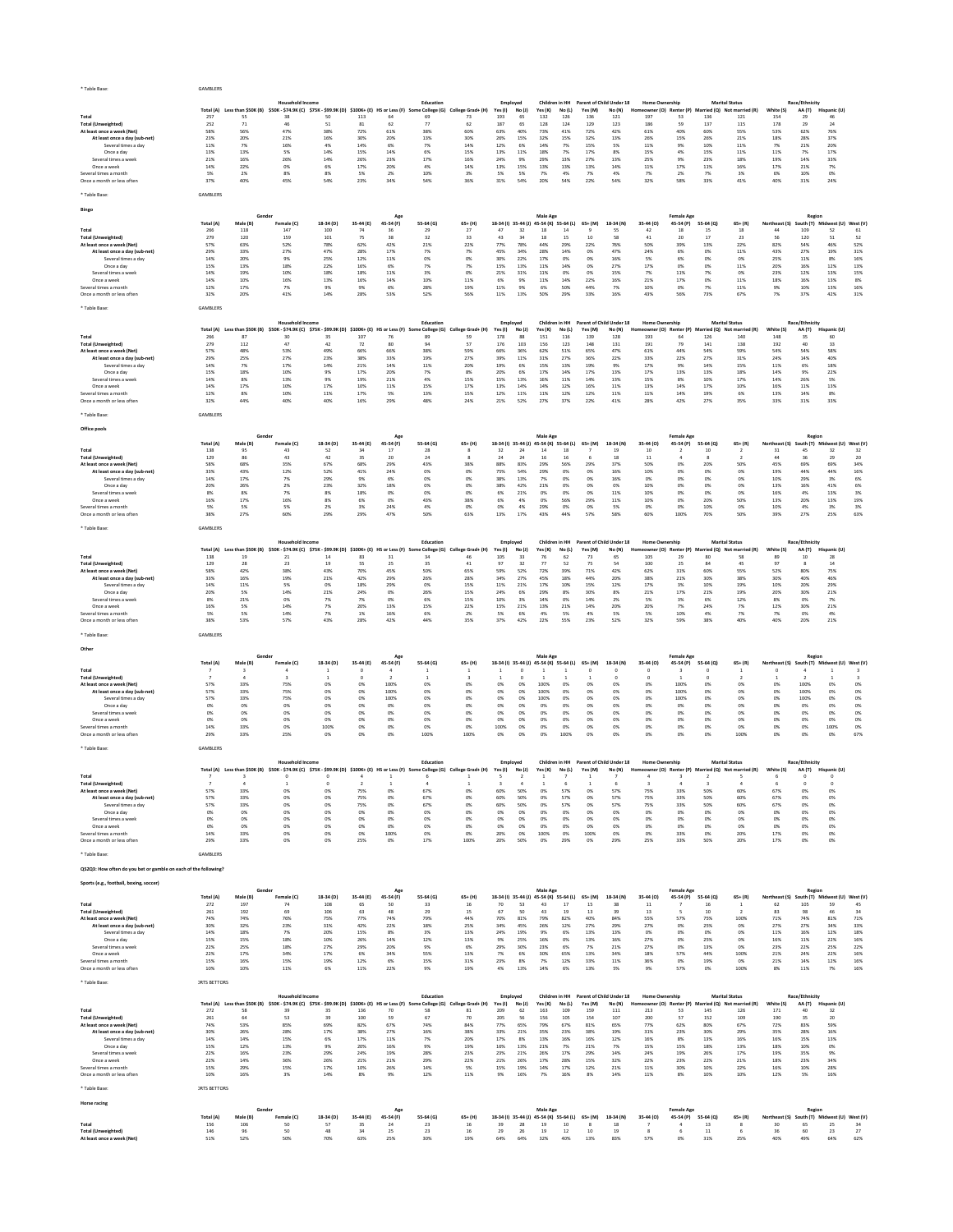| * Table Base                                                    | GAMBLERS            |                     |                                                                                                                      |                  |                          |                                  |                                                                                                                                     |                                  |                     |                          |                                               |               |                                                           |                                         |                                                             |                                |                          |                                                                             |                                                    |                         |                                      |                    |
|-----------------------------------------------------------------|---------------------|---------------------|----------------------------------------------------------------------------------------------------------------------|------------------|--------------------------|----------------------------------|-------------------------------------------------------------------------------------------------------------------------------------|----------------------------------|---------------------|--------------------------|-----------------------------------------------|---------------|-----------------------------------------------------------|-----------------------------------------|-------------------------------------------------------------|--------------------------------|--------------------------|-----------------------------------------------------------------------------|----------------------------------------------------|-------------------------|--------------------------------------|--------------------|
|                                                                 |                     |                     | Household Income<br>Total (A) Less than \$50K (B) \$50K - \$74.9K (C) \$75K - \$99.9K (D) \$100K+ (E) HS or Less (F) |                  |                          |                                  | Education                                                                                                                           | ne College (G) College Grad+ (H) | Yes(1)              | Employed<br>No (J)       | Children in HH<br>Yes (K)                     | <b>No (L)</b> | Yes (M)                                                   | Parent of Child Under 18<br>No (N)      | <b>Home Ownership</b><br>Ho                                 |                                |                          | <b>Marital Status</b><br>neowner (O) Renter (P) Married (Q) Not married (R) | White (S)                                          | Race/Ethnicity<br>AA(T) | Hispanic (U)                         |                    |
| Total<br><b>Total (Unweighted)</b>                              | 257<br>252          | 55<br>71            | 38<br>46                                                                                                             | 50<br>51         | 113<br>81                | 64<br>62                         | 69<br>77                                                                                                                            | 73<br>62                         | 193<br>187          | 65<br>65                 | 132<br>128                                    | 126<br>124    | 136<br>129                                                | 121<br>123                              | 197<br>186                                                  | 53<br>59                       | 136<br>137               | 121<br>115                                                                  | 154<br>178                                         | 29<br>29                | 46<br>24                             |                    |
| At least once a week (Net)<br>At least once a day (sub-net)     | 58%<br>23%          | 56%<br>20%          | 47%<br>21%                                                                                                           | 38%<br>16%       | 72%<br>30%               | 61%<br>20%                       | 38%<br>13%                                                                                                                          | 60%<br>30%                       | 63%<br>26%          | 40%<br>15%               | 73%<br>32%                                    | 41%<br>15%    | 72%<br>32%                                                | 42%<br>13%                              | 61%<br>26%                                                  | 40%<br>15%                     | 60%<br>26%               | 55%<br>21%                                                                  | 53%<br>18%                                         | 62%<br>28%              | 76%<br>37%                           |                    |
| Several times a day<br>Once a day                               | 11%<br>13%          | 7%<br>13%           | 16%<br>5%                                                                                                            | 4%<br>14%        | 14%<br>15%               | 6%<br>14%                        | 7%<br>6%                                                                                                                            | 14%<br>15%                       | 12%<br>13%          | 6%<br>11%                | 14%<br>18%                                    | 7%<br>7%      | 15%<br>17%                                                | 5%<br>8%                                | 11%<br>15%                                                  | 9%<br>4%                       | 10%<br>15%               | 11%<br>11%                                                                  | 7%<br>11%                                          | 21%<br>7%               | 20%<br>17%                           |                    |
| Several times a week<br>Once a week                             | 21%<br>14%          | 16%<br>22%          | 26%<br>0%                                                                                                            | 14%<br>6%        | 26%<br>17%               | 23%<br>20%                       | 17%<br>4%                                                                                                                           | 16%<br>14%                       | 24%<br>13%          | 9%<br>15%                | 29%<br>13%                                    | 13%<br>13%    | 27%<br>13%                                                | 13%<br>14%                              | 25%<br>11%                                                  | 9%<br>17%                      | 23%<br>11%               | 18%<br>16%                                                                  | 19%<br>17%                                         | 14%<br>21%              | 33%<br>7%                            |                    |
| Several times a month                                           | 5%                  | 2%                  | 8%                                                                                                                   | 8%               | 5%                       | 2%                               | 10%                                                                                                                                 | 3%                               | 5%                  | 5%                       | 7%                                            | 4%            | 7%                                                        | 4%                                      | 7%                                                          | 2%                             | 7%                       | 3%                                                                          | 6%                                                 | 10%                     | 0%                                   |                    |
| Once a month or less often                                      | 37%                 | 40%                 | 45%                                                                                                                  | 54%              | 23%                      | 34%                              | 54%                                                                                                                                 | 36%                              | 31%                 | 54%                      | 20%                                           | 54%           | 22%                                                       | 54%                                     | 32%                                                         | 58%                            | 33%                      | 41%                                                                         | 40%                                                | 31%                     | 24%                                  |                    |
| * Table Base                                                    | GAMBLERS            |                     |                                                                                                                      |                  |                          |                                  |                                                                                                                                     |                                  |                     |                          |                                               |               |                                                           |                                         |                                                             |                                |                          |                                                                             |                                                    |                         |                                      |                    |
| Bingo                                                           |                     | Gende               |                                                                                                                      |                  |                          | Ag                               |                                                                                                                                     |                                  |                     |                          | Male Age                                      |               |                                                           |                                         |                                                             | Female Age                     |                          |                                                                             |                                                    | Regior                  |                                      |                    |
|                                                                 | Total (A)           | Male (B)            | Female (C)                                                                                                           | 18-34 (D)        | 35-44 (E)                | 45-54 (F)                        | 55-64 (G)                                                                                                                           | $65+$ (H)                        | 18-34 (I) 35-44 (J) |                          | 45-54 (K) 55-64 (L)                           |               | 65+ (M)                                                   | 18-34 (N)                               | 35-44 (O)                                                   | 45-54 (P)                      | 55-64 (Q)                | $65 + (R)$                                                                  | Northeast (S)<br>44                                |                         | uth (T) Midwest (U) West (V)         |                    |
| Total<br><b>Total (Unweighted)</b>                              | 266<br>279          | 118<br>120          | 147<br>159                                                                                                           | 100<br>101       | 74<br>75                 | 36<br>38                         | 29<br>32                                                                                                                            | 27<br>33                         | 47<br>43            | 32<br>34                 | 18<br>18                                      | 14<br>15      | 10                                                        | 55<br>58                                | 42<br>41                                                    | 18<br>20                       | 15<br>17                 | 18<br>23                                                                    | 56                                                 | 109<br>120              | 52<br>51                             | 61<br>52           |
| At least once a week (Net)<br>At least once a day (sub-net)     | 57%<br>29%          | 63%<br>33%          | 52%<br>27%                                                                                                           | 78%<br>47%       | 62%<br>28%               | 42%<br>17%                       | 21%<br>7%                                                                                                                           | 22%<br>7%                        | 77%<br>45%          | 78%<br>34%               | 44%<br>28%                                    | 29%<br>14%    | 22%<br>0%                                                 | 76%<br>47%                              | 50%<br>24%                                                  | 39%<br>6%                      | 13%<br>0%                | 22%<br>11%                                                                  | 82%<br>43%                                         | 54%<br>27%              | 46%<br>19%                           | 52%<br>31%         |
| Several times a day                                             | 14%                 | 20%                 | 9%                                                                                                                   | 25%              | 12%                      | 11%                              |                                                                                                                                     | 0%                               | 30%                 | 22%                      | 17%                                           | 0%            | 0%                                                        | 16%                                     | 5%                                                          | 6%                             | 0%                       | 0%                                                                          | 25%                                                | 11%                     | 8%                                   | 16%                |
| Once a day<br>Several times a week                              | 15%<br>14%          | 13%<br>19%          | 18%<br>10%                                                                                                           | 22%<br>18%       | 16%<br>18%               | 6%<br>11%                        | 7%<br>3%                                                                                                                            | 7%<br>0%                         | 15%<br>21%          | 13%<br>31%               | 11%<br>11%                                    | 14%<br>0%     | 0%<br>0%                                                  | 27%<br>15%                              | 17%<br>7%                                                   | 0%<br>11%                      | 0%<br>7%                 | 11%<br>0%                                                                   | 20%<br>23%                                         | 16%<br>12%              | 12%<br>13%                           | 13%<br>15%         |
| Once a week<br>Several times a month                            | 14%<br>12%          | 10%<br>17%          | 16%<br>7%                                                                                                            | 13%<br>9%        | 16%<br>9%                | 14%<br>6%                        | 10%<br>28%                                                                                                                          | 11%<br>19%                       | 6%<br>11%           | 9%<br>9%                 | 11%<br>6%                                     | 14%<br>50%    | 22%<br>44%                                                | 16%<br>7%                               | 21%<br>10%                                                  | 17%<br>0%                      | 0%<br>7%                 | 11%<br>11%                                                                  | 18%<br>9%                                          | 16%<br>10%              | 13%<br>13%                           | 8%<br>16%          |
| Once a month or less often                                      | 32%                 | 20%                 | 41%                                                                                                                  | 14%              | 28%                      | 53%                              | 52%                                                                                                                                 | 56%                              | 11%                 | 13%                      | 50%                                           | 29%           | 33%                                                       | 16%                                     | 43%                                                         | 56%                            | 73%                      | 67%                                                                         | 7%                                                 | 37%                     | 42%                                  | 31%                |
| * Table Base:                                                   | GAMBLERS            |                     |                                                                                                                      |                  |                          |                                  |                                                                                                                                     |                                  |                     |                          |                                               |               |                                                           |                                         |                                                             |                                |                          |                                                                             |                                                    |                         |                                      |                    |
|                                                                 |                     |                     | <b>Household Income</b>                                                                                              |                  |                          |                                  | Education                                                                                                                           |                                  |                     | Employed                 | Children in HH                                |               |                                                           | Parent of Child Under 18                | <b>Home Ownership</b>                                       |                                |                          | <b>Marital Status</b>                                                       |                                                    | Race/Ethnicity          |                                      |                    |
| Total                                                           | 266                 | 87                  | Total (A) Less than \$50K (B) \$50K - \$74.9K (C) \$75K - \$99.9K (D)<br>30                                          | 35               | 107                      | \$100K+ (E) HS or Less (F)<br>76 | ne College (G)<br>s<br>89                                                                                                           | College Grad+ (H)<br>59          | Yes $(i)$<br>178    | No (J)<br>88             | Yes (K)<br>151                                | No (L)<br>116 | Yes (M)<br>139                                            | No (N)<br>128                           | Homeowner (O) Renter (P) Married (Q) Not married (R)<br>193 | 64                             | 126                      | 140                                                                         | White (S)<br>148                                   | AA (T)<br>35            | Hispanic (U)<br>60                   |                    |
| <b>Total (Unweighted)</b>                                       | 279                 | 112                 | 47                                                                                                                   | 42               | 72                       | 80                               | 94                                                                                                                                  | 57                               | 176                 | 103                      | 156                                           | 123           | 148                                                       | 131                                     | 191                                                         | 79                             | 141                      | 138                                                                         | 192                                                | 40                      | 33                                   |                    |
| At least once a week (Net)<br>At least once a day (sub-net)     | 57%<br>29%          | 48%<br>25%          | 53%<br>27%                                                                                                           | 49%<br>23%       | 66%<br>38%               | 66%<br>33%                       | 38%<br>19%                                                                                                                          | 59%<br>27%                       | 66%<br>39%          | 36%<br>11%               | 62%<br>31%                                    | 51%<br>27%    | 65%<br>36%                                                | 47%<br>22%                              | 61%<br>33%                                                  | 44%<br>22%                     | 54%<br>27%               | 59%<br>31%                                                                  | 54%<br>24%                                         | 54%<br>14%              | 58%<br>40%                           |                    |
| Several times a day<br>Once a day                               | 14%<br>15%          | 7%<br>18%           | 17%<br>10%                                                                                                           | 14%<br>9%        | 21%<br>17%               | 14%<br>20%                       | 11%<br>7%                                                                                                                           | 20%<br>8%                        | 19%<br>20%          | 6%<br>6%                 | 15%<br>17%                                    | 13%<br>14%    | 19%<br>17%                                                | 9%<br>13%                               | 17%<br>17%                                                  | 9%<br>13%                      | 14%<br>13%               | 15%<br>18%                                                                  | 11%<br>14%                                         | 6%<br>9%                | 18%<br>22%                           |                    |
| Several times a weel                                            | 14%                 | 8%                  | 13%                                                                                                                  | 9%               | 19%                      | 21%                              | 4%                                                                                                                                  | 15%                              | 15%                 | 13%                      | 16%                                           | 11%           | 14%                                                       | 13%                                     | 15%                                                         | 8%                             | 10%                      | 17%                                                                         | 14%                                                | 26%                     | 5%                                   |                    |
| Once a week<br>Several times a month                            | 14%<br>12%          | 17%<br>8%           | 10%<br>10%                                                                                                           | 17%<br>11%       | 10%<br>17%               | 11%<br>5%                        | 15%<br>13%                                                                                                                          | 17%<br>15%                       | 13%<br>12%          | 14%<br>$11\%$            | 14%<br>11%                                    | 12%<br>12%    | 16%<br>12%                                                | 11%<br>11%                              | 13%<br>11%                                                  | 14%<br>14%                     | 17%<br>19%               | 10%<br>6%                                                                   | 16%<br>13%                                         | 11%<br>14%              | 13%<br>8%                            |                    |
| Once a month or less often                                      | 32%                 | 44%                 | 40%                                                                                                                  | 40%              | 16%                      | 29%                              | 48%                                                                                                                                 | 24%                              | 21%                 | 52%                      | 27%                                           | 37%           | 22%                                                       | 41%                                     | 28%                                                         | 42%                            | 27%                      | 35%                                                                         | 33%                                                | 31%                     | 33%                                  |                    |
| * Table Base                                                    | GAMBLERS            |                     |                                                                                                                      |                  |                          |                                  |                                                                                                                                     |                                  |                     |                          |                                               |               |                                                           |                                         |                                                             |                                |                          |                                                                             |                                                    |                         |                                      |                    |
| Office pools                                                    |                     |                     |                                                                                                                      |                  |                          |                                  |                                                                                                                                     |                                  |                     |                          |                                               |               |                                                           |                                         |                                                             |                                |                          |                                                                             |                                                    |                         |                                      |                    |
|                                                                 | Total (A)           | Male (B)            | Female (C)                                                                                                           | 18-34 (D)        | 35-44 (E)                | Age<br>45-54 (F)                 | 55-64 (G)                                                                                                                           | 65+ (H)                          | 18-34 (I)           | $35 - 44$                | Male Age<br>45-54 (K) 55-64 (L)               |               | $65+ (M)$                                                 | 18-34 (N)                               | 35-44 (O)                                                   | <b>Female Age</b><br>45-54 (P) | 55-64 (Q)                | $65 + (R)$                                                                  | Northeast (S)                                      | Regior<br>outh (T)      | dwest (U)                            | West (V)           |
| Total                                                           | 138                 | 95                  | 43                                                                                                                   | 52               |                          | 17                               | 28                                                                                                                                  | 8                                | 32                  | 24                       | 14                                            | 18            |                                                           | 19                                      | 10                                                          |                                | 10                       |                                                                             | 31                                                 | 45                      | 32                                   | 32                 |
| <b>Total (Unweighted)</b><br>At least once a week (Net)         | 129<br>58%          | 86<br>68%           | 43<br>35%                                                                                                            | 42<br>67%        | 35<br>68%                | 20<br>29%                        | 24<br>43%                                                                                                                           | 8<br>38%                         | 24<br>88%           | 24<br>83%                | 16<br>29%                                     | 16<br>56%     | 29%                                                       | 18<br>37%                               | 11<br>50%                                                   | 0%                             | 20%                      | 50%                                                                         | 44<br>45%                                          | 36<br>69%               | 29<br>69%                            | 20<br>34%          |
| At least once a day (sub-net)                                   | 33%                 | 43%                 | 12%                                                                                                                  | 52%              | 41%                      | 24%                              | 0%                                                                                                                                  | 0%                               | 75%                 | 54%                      | 29%                                           | 0%            | 0%                                                        | 16%                                     | 10%                                                         | 0%                             | 0%                       | 0%                                                                          | 19%                                                | 44%                     | 44%                                  | 16%                |
| Several times a day<br>Once a day                               | 14%<br>20%          | 17%<br>26%          | 7%<br>2%                                                                                                             | 29%<br>23%       | 9%<br>32%                | 6%<br>18%                        | 0%<br>0%                                                                                                                            | 0%<br>0%                         | 38%<br>38%          | 13%<br>42%               | 7%<br>21%                                     | 0%<br>0%      | 0%<br>0%                                                  | 16%<br>0%                               | 0%<br>10%                                                   | 0%<br>0%                       | 0%<br>0%                 | 0%<br>0%                                                                    | 10%<br>13%                                         | 29%<br>16%              | 3%<br>41%                            | 6%<br>6%           |
| Several times a week<br>Once a week                             | 8%<br>16%           | 8%<br>17%           | 7%<br>16%                                                                                                            | 8%<br>8%         | 18%<br>6%                | 0%<br>0%                         | 0%<br>43%                                                                                                                           | 0%<br>38%                        | 6%<br>6%            | 21%<br>4%                | 0%<br>0%                                      | 0%<br>56%     | 0%<br>29%                                                 | 11%<br>11%                              | 10%<br>10%                                                  | 0%<br>0%                       | 0%<br>20%                | 0%<br>50%                                                                   | 16%<br>13%                                         | 4%<br>20%               | 13%<br>13%                           | 3%<br>19%          |
| Several times a month                                           | 5%                  | 5%                  | 5%                                                                                                                   | 2%               | 3%                       | 24%                              | 4%                                                                                                                                  | 0%                               | 0%                  | 4%                       | 29%                                           | 0%            | 0%                                                        | 5%                                      | 0%                                                          | 0%                             | 10%                      | 0%                                                                          | 10%                                                | 4%                      | 3%                                   | 3%                 |
| Once a month or less often                                      | 38%                 | 27%                 | 60%                                                                                                                  | 29%              | 29%                      | 47%                              | 50%                                                                                                                                 | 63%                              | 13%                 | 17%                      | 43%                                           | 44%           | 57%                                                       | 58%                                     | 60%                                                         | 100%                           | 70%                      | 50%                                                                         | 39%                                                | 27%                     | 25%                                  | 63%                |
| * Table Base                                                    | GAMBLERS            |                     |                                                                                                                      |                  |                          |                                  |                                                                                                                                     |                                  |                     |                          |                                               |               |                                                           |                                         |                                                             |                                |                          |                                                                             |                                                    |                         |                                      |                    |
|                                                                 | Total (A)           | Less than \$50K (B) | <b>Household Income</b><br>\$50K - \$74.9K (C) \$75K - \$99.9K (D)                                                   |                  | \$100K+ (E)              | HS or Less (F)                   | Education<br>e College (G)                                                                                                          | College Grad+ (H)                | Yes (I)             | Employed<br>No (J)       | Children in HH<br>Yes (K)                     | No(L)         | Yes (M)                                                   | Parent of Child Under 18<br>No (N)      | <b>Home Ownership</b><br>towner (O)                         | Renter (P)                     | ried (O)                 | <b>Marital Status</b><br>Not married (R)                                    | White (S)                                          | Race/Ethnicity<br>AA(T) | Hispanic (U)                         |                    |
| Total                                                           | 138<br>129          | 19<br>28            | 21<br>23                                                                                                             | 14<br>19         | 83<br>55                 | 31<br>25                         | 34<br>35                                                                                                                            | 46<br>41                         | 105<br>97           | 33<br>32                 | 76<br>77                                      | 62<br>52      | 73                                                        | 65<br>54                                | 105<br>100                                                  | 29<br>25                       | 80<br>84                 | 58<br>45                                                                    | 89<br>97                                           | 10<br>$\mathbf{R}$      | 28<br>14                             |                    |
| <b>Total (Unweighted)</b><br>At least once a week (Net)         | 58%                 | 42%                 | 38%                                                                                                                  | 43%              | 70%                      | 45%                              | 50%                                                                                                                                 | 65%                              | 59%                 | 52%                      | 72%                                           | 39%           | 75<br>71%                                                 | 42%                                     | 62%                                                         | 31%                            | 60%                      | 55%                                                                         | 52%                                                | 80%                     | 75%                                  |                    |
| At least once a day (sub-net)<br>Several times a day            | 33%<br>14%          | 16%<br>11%          | 19%<br>5%                                                                                                            | 21%<br>0%        | 42%<br>18%               | 29%<br>29%                       | 26%<br>0%                                                                                                                           | 28%<br>15%                       | 34%<br>11%          | 27%<br>21%               | 45%<br>17%                                    | 18%<br>10%    | 44%<br>15%                                                | 20%<br>12%                              | 38%<br>17%                                                  | 21%<br>3%                      | 30%<br>10%               | 38%<br>19%                                                                  | 30%<br>10%                                         | 40%<br>20%              | 46%<br>29%                           |                    |
| Once a day                                                      | 20%                 | 5%                  | 14%                                                                                                                  | 21%              | 24%                      | 0%                               | 26%                                                                                                                                 | 15%                              | 24%                 | 6%                       | 29%                                           | 8%            | 30%                                                       | 8%                                      | 21%                                                         | 17%                            | 21%                      | 19%                                                                         | 20%                                                | 30%                     | 21%                                  |                    |
| Several times a week<br>Once a week                             | 8%<br>16%           | 21%<br>5%           | 0%<br>14%                                                                                                            | 7%<br>7%         | 7%<br>20%                | 0%<br>13%                        | 6%<br>15%                                                                                                                           | 15%<br>22%                       | 10%<br>15%          | 3%<br>21%                | 14%<br>13%                                    | 0%<br>21%     | 14%<br>14%                                                | 2%<br>20%                               | 5%<br>20%                                                   | 3%<br>7%                       | 6%<br>24%                | 12%<br>7%                                                                   | 8%<br>12%                                          | 0%<br>30%               | 7%<br>21%                            |                    |
| Several times a month<br>Once a month or less often             | 5%<br>38%           | 5%<br>53%           | 14%<br>57%                                                                                                           | 7%<br>43%        | 1%<br>28%                | 16%<br>42%                       | 6%<br>44%                                                                                                                           | 2%<br>35%                        | 5%<br>37%           | 6%<br>42%                | 4%<br>22%                                     | 5%<br>55%     | 4%<br>23%                                                 | 5%<br>52%                               | 5%<br>32%                                                   | 10%<br>59%                     | 4%<br>38%                | 7%<br>40%                                                                   | 7%<br>40%                                          | 0%<br>20%               | 4%<br>21%                            |                    |
|                                                                 |                     |                     |                                                                                                                      |                  |                          |                                  |                                                                                                                                     |                                  |                     |                          |                                               |               |                                                           |                                         |                                                             |                                |                          |                                                                             |                                                    |                         |                                      |                    |
| * Table Base:                                                   | GAMBLERS            |                     |                                                                                                                      |                  |                          |                                  |                                                                                                                                     |                                  |                     |                          |                                               |               |                                                           |                                         |                                                             |                                |                          |                                                                             |                                                    |                         |                                      |                    |
| Other                                                           |                     |                     |                                                                                                                      |                  |                          | Age                              |                                                                                                                                     |                                  |                     |                          | Male Age                                      |               |                                                           |                                         |                                                             | <b>Female Age</b>              |                          |                                                                             |                                                    | Regior                  |                                      |                    |
|                                                                 | Total (A)           | Male (B)            | Female (C)                                                                                                           | $18-34(D)$       | 35-44 (E)                | 45-54 (F)                        | 55-64 (G)                                                                                                                           | $65+$ (H)                        |                     |                          | 18-34 (I) 35-44 (J) 45-54 (K) 55-64 (L)       |               | $65+ (M)$                                                 | 18-34 (N)                               | 35-44 (O)                                                   | 45-54 (P)                      | 55-64 (Q)                | $65 + (R)$                                                                  | Northeast (S)                                      | South (T)               | Midwest (U) West (V)                 |                    |
| Total<br><b>Total (Unweighted)</b>                              | -7                  | -3<br>-4            | 3                                                                                                                    | -1<br>-1         | $^{\circ}$<br>$^{\circ}$ | 4<br>$\overline{2}$              | $\mathbf{1}$<br>$\overline{1}$                                                                                                      | -1<br>3                          | 1<br>1              | $^{\circ}$<br>$^{\circ}$ | -1<br>1                                       |               |                                                           | $^{\circ}$                              | $^{\circ}$<br>$^{\circ}$                                    | 3                              | $^{\circ}$<br>$^{\circ}$ | -2                                                                          | $^{\circ}$<br>-1                                   |                         | 1                                    | 3                  |
| At least once a week (Net)<br>At least once a day (sub-net)     | 57%<br>57%          | 33%<br>33%          | 75%<br>75%                                                                                                           | 0%<br>0%         | 0%<br>0%                 | 100%<br>100%                     | 0%<br>0%                                                                                                                            | 0%<br>0%                         | 0%<br>0%            | 0%<br>0%                 | 100%<br>100%                                  | 0%<br>0%      | 0%<br>0%                                                  | 0%<br>0%                                | 0%<br>0%                                                    | 100%<br>100%                   | 0%<br>0%                 | 0%<br>0%                                                                    | 0%<br>0%                                           | 100%<br>100%            | 0%<br>0%                             | 0%<br>0%           |
| Several times a day                                             | 57%                 | 33%                 | 75%                                                                                                                  | 0%               | 0%                       | 100%                             | 0%                                                                                                                                  | 0%                               | 0%                  | 0%                       | 100%                                          | 0%            | 0%                                                        | 0%                                      | 0%                                                          | 100%                           | 0%                       | 0%                                                                          | 0%                                                 | 100%                    | 0%                                   | 0%                 |
| Once a day<br>Several times a week                              | 0%<br>0%            | 0%<br>0%            | 0%<br>0%                                                                                                             | 0%<br>0%         | 0%<br>0%                 | 0%<br>0%                         | 0%<br>0%                                                                                                                            | 0%<br>0%                         | 0%<br>0%            | 0%<br>0%                 | 0%<br>0%                                      | 0%<br>0%      | 0%<br>0%                                                  | 0%<br>0%                                | 0%<br>0%                                                    | 0%<br>0%                       | 0%<br>0%                 | 0%<br>0%                                                                    | 0%<br>0%                                           | 0%<br>0%                | 0%<br>0%                             | 0%<br>0%           |
| Once a week<br>Several times a month                            | 0%<br>14%           | 0%<br>33%           | 0%<br>0%                                                                                                             | 0%<br>100%       | 0%<br>0%                 | 0%<br>0%                         | 0%<br>0%                                                                                                                            | 0%<br>0%                         | 0%<br>100%          | 0%<br>0%                 | 0%<br>0%                                      | 0%<br>0%      | 0%<br>0%                                                  | 0%<br>0%                                | 0%<br>0%                                                    | 0%<br>0%                       | 0%<br>0%                 | 0%<br>0%                                                                    | 0%<br>0%                                           | 0%<br>0%                | 0%<br>100%                           | 0%<br>0%           |
| Once a month or less ofter                                      | 29%                 | 33%                 | 25%                                                                                                                  | 0%               | 0%                       | 0%                               | 100%                                                                                                                                | 100%                             | 0%                  | 0%                       | 0%                                            | 100%          | 0%                                                        | 0%                                      | O%                                                          | 0%                             | 0%                       | 100%                                                                        | 0%                                                 | 0%                      | 0%                                   | 67%                |
| * Table Base                                                    | GAMBLERS            |                     |                                                                                                                      |                  |                          |                                  |                                                                                                                                     |                                  |                     |                          |                                               |               |                                                           |                                         |                                                             |                                |                          |                                                                             |                                                    |                         |                                      |                    |
|                                                                 |                     |                     | <b>Household Income</b>                                                                                              |                  |                          |                                  | Education                                                                                                                           |                                  |                     | Employed                 |                                               |               |                                                           | Children in HH Parent of Child Under 18 | <b>Home Ownership</b>                                       |                                |                          | <b>Marital Status</b>                                                       |                                                    | Race/Ethnicity          |                                      |                    |
|                                                                 |                     |                     |                                                                                                                      |                  |                          |                                  | Total (A) Less than \$50K (B) \$50K - \$74.9K (C) \$75K - \$99.9K (D) \$100K+ (E) HS or Less (F) Some College (G) College Grad+ (H) |                                  | Yes (I)             | No (J)                   | Yes (K)                                       | No (L)        | Yes (M)                                                   | No (N) Homeo                            |                                                             |                                |                          | ner (O) Renter (P) Married (Q) Not married (R)                              | White (S)                                          |                         | AA (T) Hispanic (U)                  |                    |
| Total<br><b>Total (Unweighted)</b>                              |                     |                     |                                                                                                                      |                  |                          | $\mathbf{1}$                     | $\Delta$                                                                                                                            | $\,$ 1 $\,$                      |                     | $\overline{4}$           | $\mathbf{1}$                                  | 6             |                                                           |                                         |                                                             |                                |                          |                                                                             |                                                    | $\circ$                 | $\bf{0}$                             |                    |
| At least once a week (Net)<br>At least once a day (sub-net)     | 57%<br>57%          | 33%<br>33%          | 0%<br>0%                                                                                                             | OX<br>0%         | 75%<br>75%               | 0%<br>0%                         | 67%<br>67%                                                                                                                          | 0%<br>0%                         | 60%<br>60%          | 50%<br>50%               | 0%<br>0%                                      | 57%<br>57%    | 0%<br>$0\%$                                               | 57%<br>57%                              | 75%<br>75%                                                  | 33%<br>33%                     | 50%<br>50%               | 60%<br>60%                                                                  | 67%<br>67%                                         | 0%<br>0%                | 0%<br>$0\%$                          |                    |
| Several times a day                                             | 57%                 | 33%                 | 0%                                                                                                                   | OX               | 75%                      | 0%                               | 67%                                                                                                                                 | 0%                               | 60%                 | 50%                      | 0%                                            | 57%           | 0%                                                        | 57%                                     | 75%                                                         | 33%                            | 50%                      | 60%                                                                         | 67%                                                | 0%                      | 0%                                   |                    |
| Once a day<br>Several times a week                              | $0\%$<br>0%         | 0%<br>0%            | 0%<br>0%                                                                                                             | $0\%$<br>0%      | $0\%$<br>0%              | 0%<br>0%                         | $0\%$<br>0%                                                                                                                         | 0%<br>0%                         | $0\%$<br>0%         | 0%<br>0%                 | $0\%$<br>0%                                   | $0\%$<br>0%   | $0\%$<br>0%                                               | $0\%$<br>0%                             | 0%<br>0%                                                    | 0%<br>0%                       | $0\%$<br>0%              | 0%<br>0%                                                                    | 0%<br>0%                                           | 0%<br>0%                | $0\%$<br>0%                          |                    |
| Once a week<br>Several times a month                            | $0\%$<br>14%        | 0%<br>33%           | 0%<br>0%                                                                                                             | $0\%$<br>0%      | 0%<br>0%                 | 0%<br>100%                       | 0%<br>0%                                                                                                                            | 0%<br>0%                         | $0\%$<br>20%        | 0%<br>0%                 | $0\%$<br>100%                                 | $0\%$<br>0%   | $0\%$<br>100%                                             | 0%<br>0%                                | 0%<br>0%                                                    | 0%<br>33%                      | 0%<br>0%                 | 0%<br>20%                                                                   | 0%<br>17%                                          | 0%<br>0%                | $0\%$<br>0%                          |                    |
| Once a month or less often                                      | 29%                 | 33%                 | 0%                                                                                                                   | 0%               | 25%                      | 0%                               | 17%                                                                                                                                 | 100%                             | 20%                 | 50%                      | 0%                                            | 29%           | 0%                                                        | 29%                                     | 25%                                                         | 33%                            | 50%                      | 20%                                                                         | 17%                                                | 0%                      | $0\%$                                |                    |
| Table Base:                                                     | GAMBLERS            |                     |                                                                                                                      |                  |                          |                                  |                                                                                                                                     |                                  |                     |                          |                                               |               |                                                           |                                         |                                                             |                                |                          |                                                                             |                                                    |                         |                                      |                    |
| QS2Q3: How often do you bet or gamble on each of the following? |                     |                     |                                                                                                                      |                  |                          |                                  |                                                                                                                                     |                                  |                     |                          |                                               |               |                                                           |                                         |                                                             |                                |                          |                                                                             |                                                    |                         |                                      |                    |
| Sports (e.g., football, boxing, soccer)                         |                     |                     |                                                                                                                      |                  |                          |                                  |                                                                                                                                     |                                  |                     |                          |                                               |               |                                                           |                                         |                                                             |                                |                          |                                                                             |                                                    |                         |                                      |                    |
|                                                                 |                     | Gender              |                                                                                                                      |                  |                          | Age                              |                                                                                                                                     |                                  |                     |                          | Male Age                                      |               |                                                           |                                         |                                                             | <b>Female Age</b>              |                          |                                                                             |                                                    | Region                  |                                      |                    |
| Total                                                           | Total (A)<br>272    | Male (B)<br>197     | Female (C)<br>74                                                                                                     | 18-34 (D)<br>108 | 35-44 (E)<br>65          | 45-54 (F)<br>50                  | 55-64 (G)<br>33                                                                                                                     | $65+$ (H)<br>16                  | 70                  | 53                       | 18-34 (I) 35-44 (J) 45-54 (K) 55-64 (L)<br>43 | $17$          | 65+ (M)<br>15                                             | 18-34 (N)<br>38                         | 35-44 (0)<br>$11\,$                                         | 45-54 (P)<br>$\overline{z}$    | 55-64 (0)<br>16          | $65 + (R)$                                                                  | Northeast (S)<br>62                                | 105                     | South (T) Midwest (U) West (V)<br>59 | 45                 |
| <b>Total (Unweighted)</b>                                       | 261                 | 192                 | 69                                                                                                                   | 106              | 63                       | 48                               | 29                                                                                                                                  | 15                               | 67                  | 50                       | 43                                            | 19            | 13                                                        | 39                                      | 13                                                          | s                              | 10                       |                                                                             | 83                                                 | 98                      | 46                                   | 34                 |
| At least once a week (Net)<br>At least once a day (sub-net)     | 74%<br>30%          | 74%<br>32%          | 76%<br>23%                                                                                                           | 75%<br>31%       | 77%<br>42%               | 74%<br>22%                       | 79%<br>18%                                                                                                                          | 44%<br>25%                       | 70%<br>34%          | 81%<br>45%               | 79%<br>26%                                    | 82%<br>12%    | 40%<br>27%                                                | 84%<br>29%                              | 55%<br>27%                                                  | 57%<br>0%                      | 75%<br>25%               | 100%<br>0%                                                                  | 71%<br>27%                                         | 74%<br>27%              | 81%<br>34%                           | 71%<br>33%         |
| Several times a day<br>Once a day                               | 14%<br>15%          | 18%<br>15%          | 7%<br>18%                                                                                                            | 20%<br>10%       | 15%<br>26%               | 8%<br>14%                        | 3%<br>12%                                                                                                                           | 13%<br>13%                       | 24%<br>9%           | 19%<br>25%               | 9%<br>16%                                     | 6%<br>0%      | 13%<br>13%                                                | 13%<br>16%                              | 0%<br>27%                                                   | 0%<br>0%                       | 0%<br>25%                | 0%<br>0%                                                                    | 11%<br>16%                                         | 16%<br>11%              | 12%<br>22%                           | 18%<br>16%         |
| Several times a week                                            | 22%                 | 25%                 | 18%                                                                                                                  | 27%              | 29%                      | 20%                              | 9%                                                                                                                                  | 6%                               | 29%                 | 30%                      | 23%                                           | $6\%$         | 7%                                                        | 21%                                     | 27%                                                         | 0%                             | 13%                      | 0%                                                                          | 23%                                                | 22%                     | 25%                                  | 22%                |
| Once a week<br>Several times a month                            | 22%<br>15%          | 17%<br>16%          | 34%<br>15%                                                                                                           | 17%<br>19%       | 6%<br>12%                | 34%<br>$6\%$                     | 55%<br>15%                                                                                                                          | 13%<br>31%                       | 7%<br>23%           | 6%<br>8%                 | 30%<br>$7\%$                                  | 65%<br>12%    | 13%<br>33%                                                | 34%<br>11%                              | 18%<br>36%                                                  | 57%<br>0%                      | 44%<br>19%               | 100%<br>0%                                                                  | 21%<br>21%                                         | 24%<br>14%              | 22%<br>12%                           | 16%<br>16%         |
| Once a month or less often                                      | 10%                 | 10%                 | 11%                                                                                                                  | 6%               | 11%                      | 22%                              | 9%                                                                                                                                  | 19%                              | 4%                  | 13%                      | 14%                                           | 6%            | 13%                                                       | 5%                                      | 9%                                                          | 57%                            | 0%                       | 100%                                                                        | 8%                                                 | 11%                     | 7%                                   | 16%                |
| * Table Base                                                    | <b>IRTS BETTORS</b> |                     |                                                                                                                      |                  |                          |                                  |                                                                                                                                     |                                  |                     |                          |                                               |               |                                                           |                                         |                                                             |                                |                          |                                                                             |                                                    |                         |                                      |                    |
|                                                                 |                     |                     | <b>Household Income</b>                                                                                              |                  |                          |                                  | Education                                                                                                                           |                                  |                     | Employed                 |                                               |               |                                                           | Children in HH Parent of Child Under 18 | <b>Home Ownership</b>                                       |                                |                          | <b>Marital Status</b>                                                       |                                                    | Race/Ethnicity          |                                      |                    |
|                                                                 | 272                 |                     | Total (A) Less than \$50K (B) \$50K - \$74.9K (C) \$75K - \$99.9K (D) \$100K+ (E) HS or Less (F)                     |                  |                          |                                  | Some College (G) College Grad+ (H)                                                                                                  |                                  | Yes (i) No (j)      |                          | Yes(K)                                        | No(L)         | Yes (M)                                                   | No (N)                                  | Homeowner (O) Renter (P) Married (Q) Not married (R)        |                                |                          |                                                                             | White (S)                                          |                         | AA (T) Hispanic (U)                  |                    |
| Total<br><b>Total (Unweighted)</b>                              | 261                 | 58<br>64            | 39<br>53                                                                                                             | 35<br>39         | 136<br>100               | 70<br>59                         | 58<br>67                                                                                                                            | 81<br>70                         | 209<br>205          | 62<br>56                 | 163<br>156                                    | 109<br>105    | 159<br>154                                                | 111<br>107                              | 213<br>200                                                  | 53<br>57                       | 145<br>152               | 126<br>109                                                                  | 171<br>190                                         | 40<br>35                | 32<br>$20\,$                         |                    |
| At least once a week (Net)<br>At least once a day (sub-net)     | 74%<br>30%          | 53%<br>26%          | 85%<br>28%                                                                                                           | 69%<br>17%       | 82%<br>38%               | 67%<br>27%                       | 74%<br>16%                                                                                                                          | 84%<br>38%                       | 77%<br>33%          | 65%<br>21%               | 79%<br>35%                                    | 67%<br>23%    | 81%<br>38%                                                | 65%<br>19%                              | 77%<br>31%                                                  | 62%<br>23%                     | 80%<br>30%               | 67%<br>29%                                                                  | 72%<br>35%                                         | 83%<br>28%              | 59%<br>16%                           |                    |
| Several times a day                                             | 14%                 | 14%                 | 15%                                                                                                                  | 6%               | 17%                      | 11%                              | 7%                                                                                                                                  | 20%                              | 17%                 | 8%                       | 13%                                           | 16%           | 16%                                                       | 12%                                     | 16%                                                         | 8%                             | 13%                      | 16%                                                                         | 16%                                                | 15%                     | 13%                                  |                    |
| Once a day<br>Several times a week                              | 15%<br>22%          | 12%<br>16%          | 13%<br>23%                                                                                                           | 9%<br>29%        | 20%<br>24%               | 16%<br>19%                       | 9%<br>28%                                                                                                                           | 19%<br>23%                       | 16%<br>23%          | 13%<br>21%               | 21%<br>26%                                    | 7%<br>17%     | 21%<br>29%                                                | 7%<br>14%                               | 15%<br>24%                                                  | 15%<br>19%                     | 18%<br>26%               | 13%<br>17%                                                                  | 18%<br>19%                                         | 10%<br>35%              | 0%<br>9%                             |                    |
| Once a week<br>Several times a month                            | 22%<br>15%          | 14%<br>29%          | 36%<br>15%                                                                                                           | 26%<br>17%       | 21%<br>10%               | 21%<br>26%                       | 29%<br>14%                                                                                                                          | 22%<br>5%                        | 21%<br>15%          | 26%<br>19%               | 17%<br>14%                                    | 28%<br>17%    | 15%<br>12%                                                | 32%<br>21%                              | 22%<br>11%                                                  | 23%<br>30%                     | 22%<br>10%               | 21%<br>22%                                                                  | 18%<br>16%                                         | 23%<br>10%              | 34%<br>28%                           |                    |
| Once a month or less often                                      | 10%                 | 16%                 | 3%                                                                                                                   | 14%              | 8%                       | 9%                               | 12%                                                                                                                                 | 11%                              | 9%                  | 16%                      | 7%                                            | 16%           | 8%                                                        | 14%                                     | 11%                                                         | 8%                             | 10%                      | 10%                                                                         | 12%                                                | 5%                      | 16%                                  |                    |
| * Table Base                                                    | <b>JRTS BETTORS</b> |                     |                                                                                                                      |                  |                          |                                  |                                                                                                                                     |                                  |                     |                          |                                               |               |                                                           |                                         |                                                             |                                |                          |                                                                             |                                                    |                         |                                      |                    |
| <b>Horse racing</b>                                             |                     |                     |                                                                                                                      |                  |                          |                                  |                                                                                                                                     |                                  |                     |                          |                                               |               |                                                           |                                         |                                                             |                                |                          |                                                                             |                                                    |                         |                                      |                    |
|                                                                 |                     | Male (B)            |                                                                                                                      |                  |                          |                                  | 55-64 (G)                                                                                                                           |                                  |                     |                          | Male Age                                      |               |                                                           |                                         |                                                             | Female Age                     |                          | $65 + (R)$                                                                  |                                                    | Regior                  |                                      |                    |
| Total                                                           | Total (A)<br>156    | 106                 | Female (C)<br>50                                                                                                     | 18-34 (D)<br>57  | 35-44 (E)<br>35          | 45-54 (F)<br>24                  | 23                                                                                                                                  | $65+ (H)$<br>16                  | 39                  | 28                       | 19                                            | 10            | 18-34 (I) 35-44 (J) 45-54 (K) 55-64 (L) 65+ (M) 18-34 (N) | 18                                      | 35-44 (O)                                                   | 45-54 (P)<br>4                 | 55-64 (Q)<br>13          | $_{\rm 8}$                                                                  | Northeast (S) South (T) Midwest (U) West (V)<br>30 | 65                      | 25                                   | 34                 |
| <b>Total (Unweighted)</b><br>At least once a week (Net)         | 146<br>51%          | 96<br>52%           | 50<br>50%                                                                                                            | 48<br>70%        | 34<br>63%                | $25\,$<br>25%                    | 23<br>30%                                                                                                                           | 16<br>19%                        | 29<br>64%           | $\sqrt{26}$<br>64%       | 19<br>32%                                     | $12$<br>40%   | 10<br>13%                                                 | 19<br>83%                               | 57%                                                         | 0%                             | 11<br>31%                | 25%                                                                         | 36<br>40%                                          | 60<br>49%               | 23<br>64%                            | $\sqrt{27}$<br>62% |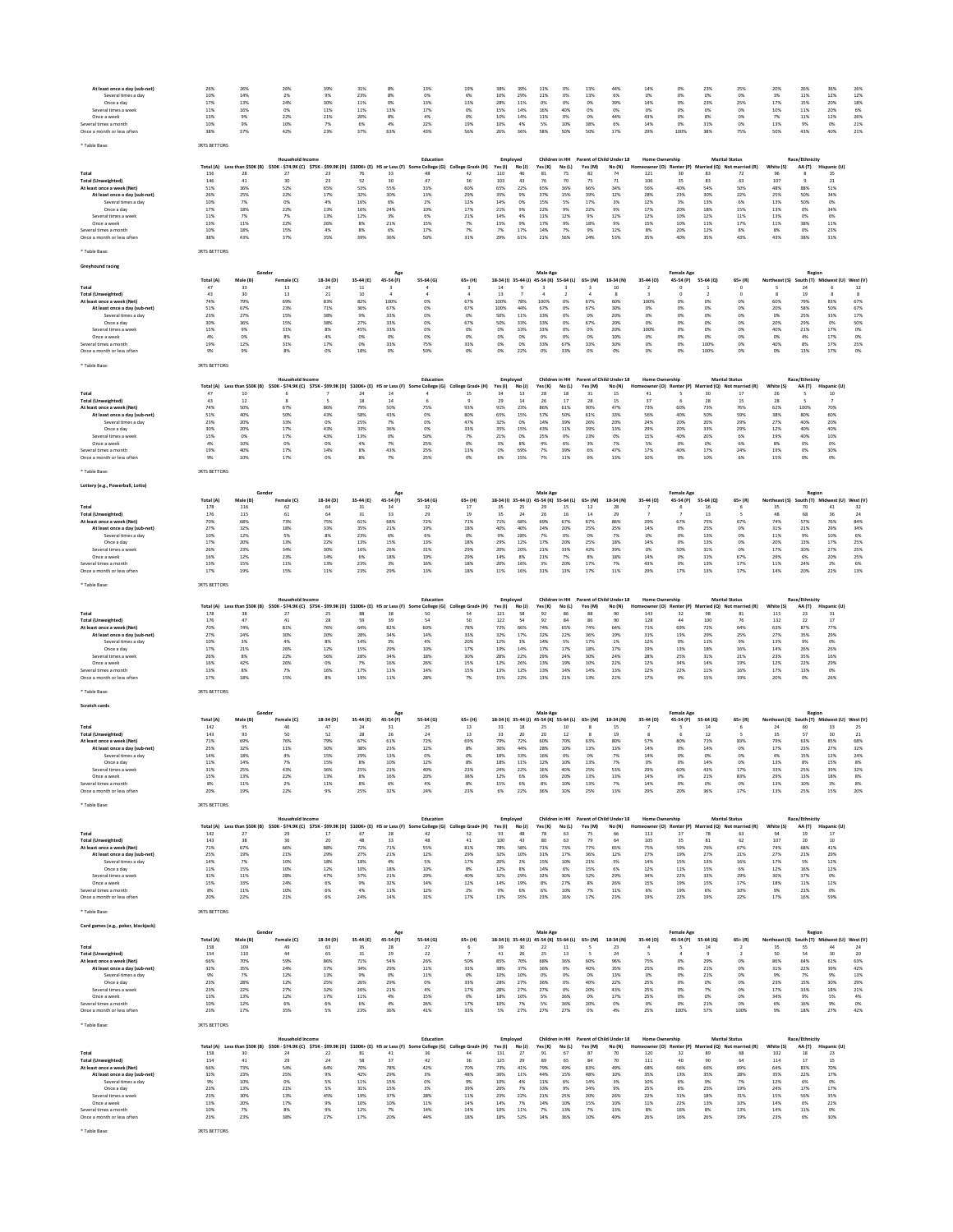| At least once a day (sub-net)<br>Several times a day<br>Once a day<br>Several times a week<br>Once a week<br>Several times a month<br>Once a month or less often                                                                                      | 26%<br>10%<br>17%<br>11%<br>13%<br>10%<br>38%                                                          | 26%<br>14%<br>13%<br>16%<br>9%<br>9%<br>37%                                                      | 26%<br>2%<br>24%<br>0%<br>22%<br>10%<br>42%                                                                                          | 39%<br>9%<br>30%<br>11%<br>21%<br>7%<br>23%                                     | 31%<br>23%<br>11%<br>11%<br>20%<br>6%<br>37%                                 | 8%<br>8%<br>0%<br>13%<br>8%<br>4%<br>63%                                                | 13%<br>0%<br>13%<br>17%<br>4%<br>22%<br>43%                                        | 19%<br>6%<br>13%<br>0%<br>0%<br>19%<br>56%                                           | 38%<br>10%<br>28%<br>15%<br>10%<br>10%<br>26%                                             | 39%<br>29%<br>11%<br>14%<br>14%<br>4%<br>36%                            | 11%<br>11%<br>0%<br>16%<br>11%<br>5%<br>58%                                                                           | 0%<br>0%<br>0%<br>40%<br>0%<br>10%<br>50%                                | 13%<br>13%<br>0%<br>0%<br>0%<br>38%<br>50%                                  | 44%<br>6%<br>39%<br>0%<br>44%<br>6%<br>17%                                     | 14%<br>0%<br>14%<br>0%<br>43%<br>14%<br>29%                                                      | O <sub>2</sub><br>0%<br>0%<br>0%<br>0%<br>0%<br>100%                                    | 23%<br>0%<br>23%<br>0%<br>8%<br>31%<br>38%                                    | 25%<br>0%<br>25%<br>0%<br>0%<br>0%<br>75%                                                      | 20%<br>3%<br>17%<br>10%<br>7%<br>13%<br>50%                                          | 26%<br>11%<br>15%<br>11%<br>11%<br>9%<br>43%                             | 36%<br>12%<br>20%<br>20%<br>12%<br>0%<br>40%                                                      | 26%<br>12%<br>18%<br>6%<br>26%<br>21%<br>21%                                     |  |
|-------------------------------------------------------------------------------------------------------------------------------------------------------------------------------------------------------------------------------------------------------|--------------------------------------------------------------------------------------------------------|--------------------------------------------------------------------------------------------------|--------------------------------------------------------------------------------------------------------------------------------------|---------------------------------------------------------------------------------|------------------------------------------------------------------------------|-----------------------------------------------------------------------------------------|------------------------------------------------------------------------------------|--------------------------------------------------------------------------------------|-------------------------------------------------------------------------------------------|-------------------------------------------------------------------------|-----------------------------------------------------------------------------------------------------------------------|--------------------------------------------------------------------------|-----------------------------------------------------------------------------|--------------------------------------------------------------------------------|--------------------------------------------------------------------------------------------------|-----------------------------------------------------------------------------------------|-------------------------------------------------------------------------------|------------------------------------------------------------------------------------------------|--------------------------------------------------------------------------------------|--------------------------------------------------------------------------|---------------------------------------------------------------------------------------------------|----------------------------------------------------------------------------------|--|
| * Table Base:                                                                                                                                                                                                                                         | <b>IRTS BETTORS</b>                                                                                    |                                                                                                  | <b>Household Income</b>                                                                                                              |                                                                                 |                                                                              |                                                                                         | Education                                                                          |                                                                                      | Employed                                                                                  |                                                                         |                                                                                                                       |                                                                          |                                                                             | Children in HH Parent of Child Under 18                                        | Home Ownership                                                                                   |                                                                                         |                                                                               | <b>Marital Status</b>                                                                          |                                                                                      | Race/Ethnicity                                                           |                                                                                                   |                                                                                  |  |
| Total<br><b>Total (Unweighted)</b><br>At least once a week (Net)<br>At least once a day (sub-net)<br>Several times a day<br>Once a day<br>Several times a w<br>Once a week<br>Several times a month<br>Once a month or less ofter                     | 156<br>146<br>51%<br>26%<br>10%<br>17%<br>11%<br>13%<br>10%<br>38%                                     | Total (A) Less than \$50K (B)<br>28<br>41<br>36%<br>25%<br>7%<br>18%<br>7%<br>11%<br>18%<br>43%  | \$50K - \$74.9K (C) \$75K - \$99.9K (D) \$100K+ (E) HS or Less (F)<br>27<br>30<br>52%<br>22%<br>0%<br>22%<br>7%<br>22%<br>15%<br>37% | 23<br>23<br>65%<br>17%<br>4%<br>13%<br>13%<br>26%<br>4%<br>35%                  | 76<br>52<br>53%<br>32%<br>16%<br>16%<br>12%<br>8%<br>8%<br>39%               | 33<br>30<br>55%<br>30%<br>6%<br>24%<br>3%<br>21%<br>6%<br>36%                           | Some College (G)<br>48<br>47<br>33%<br>13%<br>2%<br>10%<br>6%<br>15%<br>17%<br>50% | College Grad+ (H)<br>42<br>36<br>60%<br>29%<br>12%<br>17%<br>21%<br>7%<br>7%<br>31%  | Yes(1)<br>110<br>103<br>65%<br>35%<br>14%<br>21%<br>14%<br>15%<br>7%<br>29%               | No (J)<br>46<br>43<br>22%<br>9%<br>0%<br>9%<br>4%<br>9%<br>17%<br>61%   | Yes (K)<br>81<br>76<br>65%<br>37%<br>15%<br>22%<br>11%<br>17%<br>14%<br>21%                                           | No(L)<br>75<br>70<br>36%<br>15%<br>5%<br>9%<br>12%<br>9%<br>7%<br>56%    | Yes (M)<br>82<br>75<br>66%<br>39%<br>17%<br>22%<br>9%<br>18%<br>9%<br>24%   | No (N)<br>74<br>71<br>34%<br>12%<br>3%<br>9%<br>12%<br>9%<br>12%<br>53%        | Homeowner (O) Renter (P)<br>121<br>106<br>56%<br>28%<br>12%<br>17%<br>12%<br>15%<br>8%<br>35%    | 30<br>35<br>40%<br>23%<br>3%<br>20%<br>10%<br>10%<br>20%<br>40%                         | 83<br>83<br>54%<br>30%<br>13%<br>18%<br>12%<br>11%<br>12%<br>35%              | Married (Q) Not married (R)<br>72<br>63<br>50%<br>22%<br>6%<br>15%<br>11%<br>17%<br>8%<br>43%  | White (S)<br>96<br>107<br>48%<br>25%<br>13%<br>13%<br>13%<br>11%<br>8%<br>43%        | <b>AA(T)</b><br>R<br>88%<br>50%<br>50%<br>0%<br>0%<br>38%<br>0%<br>38%   | Hispanic (U)<br>35<br>21<br>51%<br>34%<br>0%<br>34%<br>6%<br>11%<br>23%<br>31%                    |                                                                                  |  |
| * Table Base:<br>Greyhound racing                                                                                                                                                                                                                     | <b>IRTS BETTORS</b>                                                                                    |                                                                                                  |                                                                                                                                      |                                                                                 |                                                                              |                                                                                         |                                                                                    |                                                                                      |                                                                                           |                                                                         |                                                                                                                       |                                                                          |                                                                             |                                                                                |                                                                                                  |                                                                                         |                                                                               |                                                                                                |                                                                                      |                                                                          |                                                                                                   |                                                                                  |  |
| Total<br><b>Total (Unweighted)</b><br>At least once a week (Net)<br>At least once a day (sub-net)<br>Several times a day<br>Once a day<br>Several times a week<br>Once a week<br>Several times a month<br>Once a month or less often<br>* Table Base: | Total (A)<br>47<br>43<br>74%<br>51%<br>23%<br>30%<br>15%<br>4%<br>19%<br>9%<br><b>JRTS BETTORS</b>     | Male (B)<br>33<br>30<br>79%<br>67%<br>27%<br>36%<br>9%<br>0%<br>12%<br>9%                        | Female (C)<br>13<br>13<br>69%<br>23%<br>15%<br>15%<br>31%<br>8%<br>31%<br>8%                                                         | 18-34 (D)<br>24<br>21<br>83%<br>71%<br>38%<br>38%<br>8%<br>4%<br>17%<br>0%      | 35-44 (E)<br>11<br>10<br>82%<br>36%<br>9%<br>27%<br>45%<br>0%<br>0%<br>18%   | Age<br>45-54 (F)<br>100%<br>67%<br>33%<br>33%<br>33%<br>0%<br>33%<br>0%                 | 55-64 (G)<br>0%<br>0%<br>0%<br>0%<br>0%<br>0%<br>75%<br>50%                        | $65+ (H)$<br>67%<br>67%<br>0%<br>67%<br>0%<br>0%<br>33%<br>0%                        | 14<br>13<br>100%<br>100%<br>50%<br>50%<br>0%<br>0%<br>0%<br>0%                            | 78%<br>44%<br>11%<br>33%<br>33%<br>0%<br>0%<br>22%                      | Male Age<br>18-34 (I) 35-44 (J) 45-54 (K) 55-64 (L)<br>100%<br>67%<br>33%<br>33%<br>33%<br>0%<br>33%<br>0%            | 0%<br>0%<br>0%<br>0%<br>0%<br>0%<br>67%<br>33%                           | $65+ (M)$<br>67%<br>67%<br>0%<br>67%<br>0%<br>0%<br>33%<br>0%               | 18-34 (N)<br>10<br>60%<br>30%<br>20%<br>20%<br>20%<br>10%<br>30%<br>0%         | 35-44 (0)<br>100%<br>0%<br>0%<br>0%<br>100%<br>0%<br>0%<br>0%                                    | <b>Female Age</b><br>45-54 (P)<br>0%<br>0%<br>0%<br>0%<br>0%<br>0%<br>0%<br>0%          | 55-64 (Q)<br>0%<br>0%<br>0%<br>0%<br>0%<br>0%<br>100%<br>100%                 | $65 + (R)$<br>$^{\circ}$<br>0%<br>0%<br>0%<br>0%<br>0%<br>0%<br>0%<br>0%                       | Northeast (S)<br>60%<br>20%<br>0%<br>20%<br>40%<br>0%<br>40%<br>0%                   | Regior<br>24<br>19<br>79%<br>58%<br>25%<br>29%<br>21%<br>4%<br>8%<br>13% | South (T) Midwest (U) West (V)<br>83%<br>50%<br>33%<br>0%<br>17%<br>17%<br>17%<br>17%             | 12<br>8<br>67%<br>67%<br>17%<br>50%<br>0%<br>0%<br>25%<br>0%                     |  |
|                                                                                                                                                                                                                                                       |                                                                                                        |                                                                                                  | <b>Household Incom</b>                                                                                                               |                                                                                 |                                                                              |                                                                                         | Education                                                                          |                                                                                      | Employed                                                                                  |                                                                         | Children in HH                                                                                                        |                                                                          |                                                                             | Parent of Child Under 18                                                       | <b>Home Ownership</b>                                                                            |                                                                                         |                                                                               | <b>Marital Status</b>                                                                          |                                                                                      | Race/Ethnicity                                                           |                                                                                                   |                                                                                  |  |
| Total<br><b>Total (Unweighted)</b><br>At least once a week (Net)<br>At least once a day (sub-net)<br>Several times a day<br>Once a day<br>Several times a week<br>Once a week<br>Several times a month<br>Once a month or less often<br>* Table Base: | 47<br>43<br>74%<br>51%<br>23%<br>30%<br>15%<br>4%<br>19%<br>9%<br><b>IRTS BETTORS</b>                  | Total (A) Less than \$50K (B)<br>10<br>12<br>50%<br>40%<br>20%<br>20%<br>0%<br>10%<br>40%<br>10% | \$50K - \$74.9K (C) \$75K - \$99.9K (D) \$100K+ (E) HS or Less (F)<br>67%<br>50%<br>33%<br>17%<br>17%<br>0%<br>17%<br>17%            | 86%<br>43%<br>0%<br>43%<br>43%<br>0%<br>14%<br>0%                               | 24<br>18<br>79%<br>58%<br>25%<br>33%<br>13%<br>4%<br>8%<br>8%                | 14<br>14<br>50%<br>43%<br>7%<br>36%<br>0%<br>7%<br>43%<br>7%                            | e College (G)<br>75%<br>OX<br>OX<br>50%<br>25%<br>25%<br>25%                       | College Grad+ (H)<br>15<br>93%<br>80%<br>47%<br>33%<br>7%<br>0%<br>13%<br>0%         | Yes (I)<br>34<br>29<br>91%<br>65%<br>32%<br>35%<br>21%<br>3%<br>0%<br>6%                  | No (J)<br>13<br>14<br>23%<br>15%<br>0%<br>15%<br>0%<br>8%<br>69%<br>15% | Yes (K)<br>28<br>26<br>86%<br>57%<br>14%<br>43%<br>25%<br>4%<br>7%<br>7%                                              | No (L)<br>18<br>17<br>61%<br>50%<br>39%<br>11%<br>0%<br>6%<br>39%<br>11% | Yes (M)<br>31<br>28<br>90%<br>61%<br>26%<br>39%<br>23%<br>3%<br>6%<br>6%    | No (N)<br>15<br>15<br>47%<br>33%<br>20%<br>13%<br>0%<br>7%<br>47%<br>13%       | vner (O)<br>41<br>37<br>73%<br>56%<br>24%<br>29%<br>15%<br>5%<br>17%<br>10%                      | Renter (P)<br>60%<br>40%<br>20%<br>20%<br>40%<br>0%<br>40%<br>0%                        | 30<br>28<br>73%<br>50%<br>20%<br>33%<br>20%<br>0%<br>17%<br>10%               | Married (Q) Not married (R)<br>17<br>15<br>76%<br>59%<br>29%<br>29%<br>6%<br>6%<br>24%<br>6%   | White (S)<br>26<br>28<br>62%<br>38%<br>27%<br>12%<br>19%<br>8%<br>19%<br>15%         | AA (T)<br>100%<br>80%<br>40%<br>40%<br>40%<br>0%<br>0%<br>0%             | Hispanic (U)<br>$10$<br>70%<br>60%<br>20%<br>40%<br>10%<br>O%<br>30%<br>0%                        |                                                                                  |  |
| Lottery (e.g., Powerball, Lotto)                                                                                                                                                                                                                      |                                                                                                        |                                                                                                  |                                                                                                                                      |                                                                                 |                                                                              |                                                                                         |                                                                                    |                                                                                      |                                                                                           |                                                                         |                                                                                                                       |                                                                          |                                                                             |                                                                                |                                                                                                  |                                                                                         |                                                                               |                                                                                                |                                                                                      |                                                                          |                                                                                                   |                                                                                  |  |
| Total<br><b>Total (Unweighted)</b><br>At least once a week (Net)<br>At least once a day (sub-net)<br>Several times a day<br>Once a day<br>Several times a week<br>Once a week<br>Several times a month<br>Once a month or less ofter                  | Total (A)<br>178<br>176<br>70%<br>27%<br>10%<br>17%<br>26%<br>16%<br>13%<br>17%                        | Gender<br>Male (B)<br>116<br>115<br>68%<br>32%<br>12%<br>20%<br>23%<br>12%<br>15%<br>19%         | Female (C)<br>62<br>61<br>73%<br>18%<br>5%<br>13%<br>34%<br>23%<br>11%<br>15%                                                        | 18-34 (D)<br>64<br>64<br>75%<br>33%<br>8%<br>22%<br>30%<br>14%<br>13%<br>$11\%$ | 35-44 (E)<br>31<br>31<br>61%<br>35%<br>23%<br>13%<br>16%<br>6%<br>23%<br>23% | Age<br>45-54 (F)<br>34<br>33<br>68%<br>21%<br>6%<br>15%<br>26%<br>18%<br>3%<br>29%      | 55-64 (G)<br>32<br>29<br>72%<br>19%<br>6%<br>13%<br>31%<br>19%<br>16%<br>13%       | $65+ (H)$<br>17<br>19<br>71%<br>18%<br>0%<br>18%<br>29%<br>29%<br>18%<br>18%         | 35<br>35<br>71%<br>40%<br>9%<br>29%<br>20%<br>14%<br>20%<br>11%                           | 25<br>24<br>68%<br>40%<br>28%<br>12%<br>20%<br>8%<br>16%<br>16%         | Male Age<br>18-34 (I) 35-44 (J) 45-54 (K) 55-64 (L)<br>29<br>26<br>69%<br>24%<br>7%<br>17%<br>21%<br>21%<br>3%<br>31% | 15<br>16<br>67%<br>20%<br>0%<br>20%<br>33%<br>7%<br>20%<br>13%           | $65+ (M)$<br>12<br>14<br>67%<br>25%<br>0%<br>25%<br>42%<br>8%<br>17%<br>17% | 18-34 (N)<br>28<br>29<br>86%<br>25%<br>7%<br>18%<br>39%<br>18%<br>7%<br>$11\%$ | 35-44 (0)<br>7<br>29%<br>14%<br>0%<br>14%<br>0%<br>14%<br>43%<br>29%                             | <b>Female Age</b><br>45-54 (P)<br>67%<br>0%<br>0%<br>0%<br>50%<br>0%<br>0%<br>17%       | 55-64 (Q)<br>16<br>13<br>75%<br>25%<br>13%<br>13%<br>31%<br>31%<br>13%<br>13% | $65 + (R)$<br>67%<br>0%<br>0%<br>0%<br>0%<br>67%<br>17%<br>17%                                 | Northeast (S)<br>35<br>48<br>74%<br>31%<br>11%<br>20%<br>17%<br>29%<br>$11\%$<br>14% | Region<br>70<br>68<br>57%<br>21%<br>9%<br>13%<br>30%<br>6%<br>24%<br>20% | South (T) Midwest (U) West (V)<br>41<br>36<br>76%<br>29%<br>10%<br>17%<br>27%<br>20%<br>2%<br>22% | 32<br>24<br>84%<br>34%<br>6%<br>25%<br>25%<br>25%<br>6%<br>$13\%$                |  |
| * Table Base:                                                                                                                                                                                                                                         | <b>JRTS BETTORS</b>                                                                                    |                                                                                                  | Household Income                                                                                                                     |                                                                                 |                                                                              |                                                                                         | Education                                                                          |                                                                                      | Employed                                                                                  |                                                                         | Children in HH                                                                                                        |                                                                          |                                                                             | Parent of Child Under 18                                                       | <b>Home Ownership</b>                                                                            |                                                                                         |                                                                               | <b>Marital Status</b>                                                                          |                                                                                      | Race/Ethnicity                                                           |                                                                                                   |                                                                                  |  |
| Total<br><b>Total (Unweighted)</b><br>At least once a week (Net)<br>At least once a day (sub-net)<br>Several times a day<br>Once a day<br>Several times a week<br>Once a week<br>Several times a month<br>Once a month or less often<br>* Table Base: | Total (A)<br>178<br>176<br>70%<br>27%<br>10%<br>17%<br>26%<br>16%<br>13%<br>17%<br><b>JRTS BETTORS</b> | Less than \$50K (B)<br>38<br>47<br>74%<br>24%<br>3%<br>21%<br>8%<br>42%<br>8%<br>18%             | \$50K - \$74.9K (C) \$75K - \$99.9K (D)<br>27<br>41<br>81%<br>30%<br>4%<br>26%<br>22%<br>26%<br>7%<br>15%                            | 25<br>28<br>76%<br>20%<br>8%<br>12%<br>56%<br>0%<br>16%<br>8%                   | 64%<br>28%<br>14%<br>15%<br>28%<br>7%<br>17%<br>19%                          | \$100K+ (E) HS or Less (F)<br>39<br>82%<br>34%<br>3%<br>29%<br>34%<br>16%<br>11%<br>11% | e College (G)<br>50<br>60%<br>14%<br>4%<br>10%<br>18%<br>26%<br>14%<br>28%         | lege Grad+ (H)<br>54<br>50<br>78%<br>33%<br>20%<br>17%<br>30%<br>15%<br>15%<br>7%    | Yes (I)<br>121<br>122<br>72%<br>32%<br>12%<br>19%<br>28%<br>12%<br>13%<br>15%             | No (J)<br>54<br>66%<br>17%<br>3%<br>14%<br>22%<br>26%<br>12%<br>22%     | Yes (K)<br>92<br>92<br>74%<br>32%<br>14%<br>17%<br>29%<br>13%<br>13%<br>13%                                           | No (L)<br>84<br>65%<br>22%<br>5%<br>17%<br>24%<br>19%<br>14%<br>21%      | Yes (M)<br>74%<br>36%<br>17%<br>18%<br>30%<br>10%<br>14%<br>13%             | No (N)<br>90<br>90<br>64%<br>19%<br>1%<br>17%<br>24%<br>22%<br>13%<br>22%      | 143<br>128<br>71%<br>31%<br>12%<br>19%<br>28%<br>12%<br>12%<br>17%                               | eowner (O) Renter (P)<br>32<br>44<br>69%<br>13%<br>0%<br>13%<br>25%<br>34%<br>22%<br>9% | 98<br>100<br>72%<br>29%<br>11%<br>18%<br>31%<br>14%<br>11%<br>15%             | rried (Q) Not married (R)<br>81<br>76<br>64%<br>25%<br>9%<br>16%<br>21%<br>19%<br>16%<br>19%   | White (S)<br>115<br>132<br>63%<br>27%<br>13%<br>14%<br>23%<br>12%<br>17%<br>20%      | AA (T)<br>23<br>22<br>87%<br>35%<br>9%<br>26%<br>35%<br>22%<br>13%<br>0% | Hispanic (U)<br>31<br>17<br>77%<br>29%<br>0%<br>26%<br>16%<br>29%<br>0%<br>26%                    |                                                                                  |  |
| Scratch cards                                                                                                                                                                                                                                         |                                                                                                        |                                                                                                  |                                                                                                                                      |                                                                                 |                                                                              | Age                                                                                     |                                                                                    |                                                                                      |                                                                                           |                                                                         | Male Age                                                                                                              |                                                                          |                                                                             |                                                                                |                                                                                                  | <b>Female Age</b>                                                                       |                                                                               |                                                                                                |                                                                                      | Region                                                                   |                                                                                                   |                                                                                  |  |
| Total<br><b>Total (Unweighted)</b><br>At least once a week (Net)<br>At least once a day (sub-net)<br>Several times a day<br>Once a day<br>Several times a week<br>Once a week<br>Several times a month<br>Once a month or less often<br>* Table Base: | Total (A)<br>142<br>143<br>71%<br>25%<br>14%<br>11%<br>31%<br>15%<br>8%<br>20%<br><b>IRTS BETTORS</b>  | Male (B)<br>95<br>93<br>69%<br>32%<br>18%<br>14%<br>25%<br>13%<br>11%<br>19%                     | Female (C)<br>46<br>50<br>76%<br>$11\%$<br>4%<br>7%<br>43%<br>22%<br>2%<br>22%                                                       | 18-34 (D)<br>47<br>52<br>79%<br>30%<br>15%<br>15%<br>36%<br>15%<br>11%<br>9%    | 35-44 (E)<br>24<br>28<br>67%<br>38%<br>29%<br>8%<br>25%<br>8%<br>8%<br>25%   | 45-54 (F)<br>31<br>26<br>61%<br>23%<br>13%<br>10%<br>23%<br>167<br>6%<br>32%            | 55-64 (G)<br>25<br>24<br>72%<br>12%<br>0%<br>12%<br>40%<br>20%<br>4%<br>24%        | $65+ (H)$<br>13<br>$13\,$<br>69%<br>8%<br>0%<br>8%<br>23%<br>38%<br>8%<br>23%        | 18-34 (i) 35-44 (i)<br>33<br>33<br>79%<br>36%<br>18%<br>18%<br>24%<br>12%<br>15%<br>$6\%$ | 18<br>20<br>72%<br>44%<br>33%<br>11%<br>22%<br>6%<br>6%<br>22%          | 45-54 (K) 55-64 (L)<br>25<br>20<br>60%<br>28%<br>16%<br>12%<br>16%<br>16%<br>$8\%$<br>36%                             | 10<br>12<br>70%<br>10%<br>0%<br>10%<br>40%<br>20%<br>10%<br>10%          | 65+ (M)<br>63%<br>13%<br>0%<br>13%<br>25%<br>13%<br>13%<br>25%              | 18-34 (N)<br>15<br>19<br>80%<br>13%<br>7%<br>7%<br>53%<br>15%<br>7%<br>13%     | 35-44 (0)<br>57%<br>$14\%$<br>14%<br>0%<br>29%<br>147<br>14%<br>29%                              | 45-54 (P)<br>80%<br>0%<br>0%<br>0%<br>60%<br>O%<br>0%<br>20%                            | 55-64 (Q)<br>14<br>12<br>71%<br>14%<br>0%<br>14%<br>43%<br>21%<br>0%<br>36%   | $65 + (R)$<br>83%<br>0%<br>0%<br>0%<br>17%<br>83%<br>0%<br>17%                                 | Northeast (S)<br>24<br>35<br>79%<br>17%<br>4%<br>13%<br>33%<br>29%<br>13%<br>13%     | 60<br>57<br>63%<br>23%<br>15%<br>8%<br>25%<br>137<br>10%<br>25%          | South (T) Midwest (U)<br>33<br>30<br>85%<br>27%<br>12%<br>15%<br>39%<br>18%<br>3%<br>15%          | West (V)<br>25<br>$\bf{21}$<br>68%<br>32%<br>24%<br>8%<br>32%<br>8%<br>8%<br>20% |  |
|                                                                                                                                                                                                                                                       |                                                                                                        | Total (A) Less than \$50K (B)                                                                    | <b>Household Income</b><br>\$50K - \$74.9K (C) \$75K - \$99.9K (D) \$100K+ (E) HS or Less (F)                                        |                                                                                 |                                                                              |                                                                                         | Education<br>ne College (G)                                                        | College Grad+ (H)                                                                    | Employed<br>Yes(1)                                                                        | No (J)                                                                  | Children in HH<br>Yes (K)                                                                                             | No(L)                                                                    | Yes (M)                                                                     | Parent of Child Under 18<br>No (N)                                             | <b>Home Ownership</b>                                                                            | eowner (O) Renter (P)                                                                   |                                                                               | <b>Marital Status</b><br>Married (Q) Not married (R)                                           | White (S)                                                                            | Race/Ethnicity<br>AA (T)                                                 | Hispanic (U)                                                                                      |                                                                                  |  |
| Total<br><b>Total (Unweighted)</b><br>At least once a week (Net)<br>At least once a day (sub-net)<br>Several times a day<br>Once a day<br>Several times a week<br>Once a week<br>Several times a month<br>Once a month or less often                  | 142<br>143<br>71%<br>25%<br>14%<br>11%<br>31%<br>15%<br>8%<br>20%                                      | 27<br>38<br>67%<br>19%<br>7%<br>15%<br>11%<br>33%<br>11%<br>22%                                  | 29<br>36<br>66%<br>21%<br>10%<br>10%<br>28%<br>24%<br>10%<br>21%                                                                     | 17<br>20<br>88%<br>29%<br>18%<br>12%<br>47%<br>6%<br>6%<br>6%                   | 67<br>48<br>72%<br>27%<br>18%<br>10%<br>37%<br>9%<br>4%<br>24%               | 28<br>33<br>71%<br>21%<br>4%<br>18%<br>21%<br>32%<br>11%<br>14%                         | 42<br>48<br>55%<br>12%<br>5%<br>10%<br>29%<br>14%<br>12%<br>31%                    | 52<br>41<br>81%<br>29%<br>17%<br>8%<br>40%<br>12%<br>2%<br>17%                       | 93<br>100<br>78%<br>32%<br>20%<br>12%<br>32%<br>14%<br>9%<br>13%                          | 48<br>43<br>58%<br>10%<br>2%<br>8%<br>29%<br>19%<br>6%<br>35%           | 78<br>80<br>71%<br>31%<br>15%<br>14%<br>32%<br>8%<br>6%<br>23%                                                        | 63<br>63<br>73%<br>17%<br>10%<br>6%<br>30%<br>27%<br>10%<br>16%          | 75<br>79<br>77%<br>36%<br>21%<br>15%<br>32%<br>8%<br>7%<br>17%              | 66<br>64<br>65%<br>12%<br>5%<br>6%<br>29%<br>26%<br>11%<br>23%                 | 113<br>105<br>75%<br>27%<br>14%<br>12%<br>34%<br>15%<br>6%<br>19%                                | 27<br>35<br>59%<br>19%<br>15%<br>11%<br>22%<br>19%<br>19%<br>22%                        | 78<br>81<br>76%<br>27%<br>13%<br>15%<br>33%<br>15%<br>6%<br>19%               | 63<br>62<br>67%<br>21%<br>16%<br>6%<br>29%<br>17%<br>10%<br>22%                                | 94<br>107<br>74%<br>27%<br>17%<br>12%<br>30%<br>18%<br>9%<br>17%                     | 19<br>20<br>68%<br>21%<br>5%<br>16%<br>37%<br>11%<br>21%<br>16%          | 17<br>10<br>41%<br>29%<br>12%<br>12%<br>0%<br>12%<br>0%<br>59%                                    |                                                                                  |  |
| * Table Base:<br>Card games (e.g., poker, blackjack)                                                                                                                                                                                                  | <b>JRTS BETTORS</b>                                                                                    |                                                                                                  |                                                                                                                                      |                                                                                 |                                                                              |                                                                                         |                                                                                    |                                                                                      |                                                                                           |                                                                         |                                                                                                                       |                                                                          |                                                                             |                                                                                |                                                                                                  |                                                                                         |                                                                               |                                                                                                |                                                                                      |                                                                          |                                                                                                   |                                                                                  |  |
| Total                                                                                                                                                                                                                                                 | Total (A)<br>158                                                                                       | Gender<br>Male (B)<br>109                                                                        | Female (C)<br>49                                                                                                                     | 18-34 (D)<br>63                                                                 | 35-44 (E)<br>35                                                              | Ago<br>45-54 (F)<br>28                                                                  | 55-64 (G)<br>27                                                                    | $65+ (H)$                                                                            | 39                                                                                        | 30                                                                      | Male Age<br>18-34 (I) 35-44 (J) 45-54 (K) 55-64 (L)<br>22                                                             | $11$                                                                     | 65+ (M)                                                                     | 18-34 (N)<br>23                                                                | 35-44 (0)<br>4                                                                                   | <b>Female Age</b><br>45-54 (P)                                                          | 55-64 (Q)<br>14                                                               | $65 + (R)$<br>$\overline{2}$                                                                   | Northeast (S)<br>35                                                                  | Region<br>55                                                             | South (T) Midwest (U) West (V)<br>44                                                              | 24                                                                               |  |
| <b>Total (Unweighted)</b><br>At least once a week (Net)<br>At least once a day (sub-net)<br>Several times a day<br>Once a day<br>Several times a week<br>Once a week<br>Several times a month<br>Once a month or less often<br>* Table Base:          | 154<br>66%<br>32%<br>9%<br>23%<br>23%<br>13%<br>10%<br>23%<br><b>IRTS BETTORS</b>                      | 110<br>70%<br>35%<br>7%<br>28%<br>22%<br>13%<br>12%<br>17%                                       | $44\,$<br>59%<br>24%<br>12%<br>12%<br>27%<br>12%<br>6%<br>35%                                                                        | 65<br>86%<br>37%<br>13%<br>25%<br>32%<br>17%<br>6%<br>5%                        | $_{\rm 31}$<br>71%<br>34%<br>9%<br>26%<br>26%<br>11%<br>6%<br>23%            | 29<br>54%<br>29%<br>0%<br>29%<br>21%<br>4%<br>4%<br>36%                                 | 22<br>26%<br>11%<br>11%<br>0%<br>4%<br>15%<br>26%<br>41%                           | 50%<br>33%<br>0%<br>33%<br>17%<br>0%<br>17%<br>33%                                   | $41\,$<br>85%<br>38%<br>10%<br>28%<br>28%<br>18%<br>10%<br>5%                             | 26<br>70%<br>37%<br>10%<br>27%<br>27%<br>10%<br>7%<br>27%               | 25<br>68%<br>36%<br>0%<br>36%<br>27%<br>5%<br>5%<br>27%                                                               | 13<br>36%<br>0%<br>0%<br>0%<br>0%<br>36%<br>36%<br>27%                   | 60%<br>40%<br>0%<br>40%<br>20%<br>0%<br>20%<br>0%                           | 24<br>96%<br>35%<br>13%<br>22%<br>43%<br>17%<br>0%<br>4%                       | 75%<br>25%<br>0%<br>25%<br>25%<br>25%<br>0%<br>25%                                               | 0%<br>0%<br>0%<br>0%<br>0%<br>0%<br>0%<br>100%                                          | 29%<br>21%<br>21%<br>0%<br>7%<br>0%<br>21%<br>57%                             | 0%<br>0%<br>0%<br>0%<br>0%<br>0%<br>0%<br>100%                                                 | $50\,$<br>86%<br>31%<br>9%<br>23%<br>17%<br>34%<br>6%<br>9%                          | 54<br>64%<br>22%<br>7%<br>15%<br>33%<br>9%<br>16%<br>18%                 | 30<br>61%<br>39%<br>9%<br>30%<br>18%<br>5%<br>9%<br>27%                                           | $20\,$<br>63%<br>42%<br>13%<br>29%<br>21%<br>4%<br>0%<br>42%                     |  |
|                                                                                                                                                                                                                                                       |                                                                                                        |                                                                                                  | <b>Household Income</b>                                                                                                              |                                                                                 |                                                                              |                                                                                         | Education                                                                          |                                                                                      | Employed                                                                                  |                                                                         | Children in HH                                                                                                        |                                                                          |                                                                             | Parent of Child Under 18                                                       | <b>Home Ownership</b>                                                                            |                                                                                         |                                                                               | <b>Marital Status</b>                                                                          |                                                                                      | Race/Ethnicity                                                           |                                                                                                   |                                                                                  |  |
| Total<br><b>Total (Unweighted)</b><br>At least once a week (Net)<br>At least once a day (sub-net)<br>Several times a day<br>Once a day<br>Several times a week<br>Once a week<br>Several times a month<br>Once a month or less often<br>* Table Base: | Total (A)<br>158<br>154<br>66%<br>32%<br>9%<br>23%<br>23%<br>13%<br>10%<br>23%<br><b>IRTS BETTORS</b>  | Less than \$50K (B)<br>30<br>41<br>73%<br>23%<br>10%<br>13%<br>30%<br>20%<br>7%<br>23%           | \$50K - \$74.9K (C) \$75K - \$99.9K (D) \$100K+ (E) HS or Less (F)<br>24<br>29<br>54%<br>25%<br>0%<br>21%<br>13%<br>17%<br>8%<br>38% | 22<br>24<br>64%<br>9%<br>5%<br>5%<br>45%<br>9%<br>9%<br>27%                     | 81<br>58<br>70%<br>42%<br>11%<br>31%<br>19%<br>10%<br>12%<br>17%             | 41<br>37<br>78%<br>29%<br>15%<br>15%<br>37%<br>10%<br>7%<br>20%                         | Some College (G)<br>36<br>42<br>42%<br>3%<br>0%<br>3%<br>28%<br>11%<br>14%<br>44%  | College Grad+ (H)<br>44<br>36<br>70%<br>48%<br>9%<br>39%<br>11%<br>14%<br>14%<br>18% | Yes(1)<br>131<br>125<br>73%<br>36%<br>10%<br>26%<br>23%<br>14%<br>10%<br>18%              | No (J)<br>27<br>29<br>41%<br>11%<br>4%<br>7%<br>22%<br>7%<br>11%<br>52% | Yes (K)<br>91<br>89<br>79%<br>44%<br>11%<br>33%<br>21%<br>14%<br>7%<br>14%                                            | No(L)<br>67<br>65<br>49%<br>15%<br>6%<br>9%<br>25%<br>10%<br>13%<br>36%  | Yes (M)<br>87<br>84<br>83%<br>48%<br>14%<br>34%<br>20%<br>15%<br>7%<br>10%  | No (N)<br>70<br>70<br>49%<br>10%<br>3%<br>9%<br>26%<br>10%<br>13%<br>40%       | Homeowner (O) Renter (P)<br>120<br>111<br>68%<br>35%<br>10%<br>25%<br>22%<br>$11\%$<br>8%<br>26% | 32<br>40<br>66%<br>13%<br>6%<br>6%<br>31%<br>22%<br>16%<br>16%                          | 89<br>90<br>66%<br>35%<br>9%<br>25%<br>18%<br>13%<br>8%<br>26%                | Married (Q) Not married (R)<br>68<br>64<br>69%<br>28%<br>7%<br>19%<br>31%<br>10%<br>13%<br>19% | White (S)<br>102<br>114<br>64%<br>35%<br>12%<br>24%<br>15%<br>14%<br>14%<br>23%      | AA (T)<br>18<br>17<br>83%<br>22%<br>6%<br>17%<br>56%<br>6%<br>11%<br>6%  | Hispanic (U)<br>23<br>15<br>70%<br>17%<br>0%<br>17%<br>35%<br>22%<br>0%<br>30%                    |                                                                                  |  |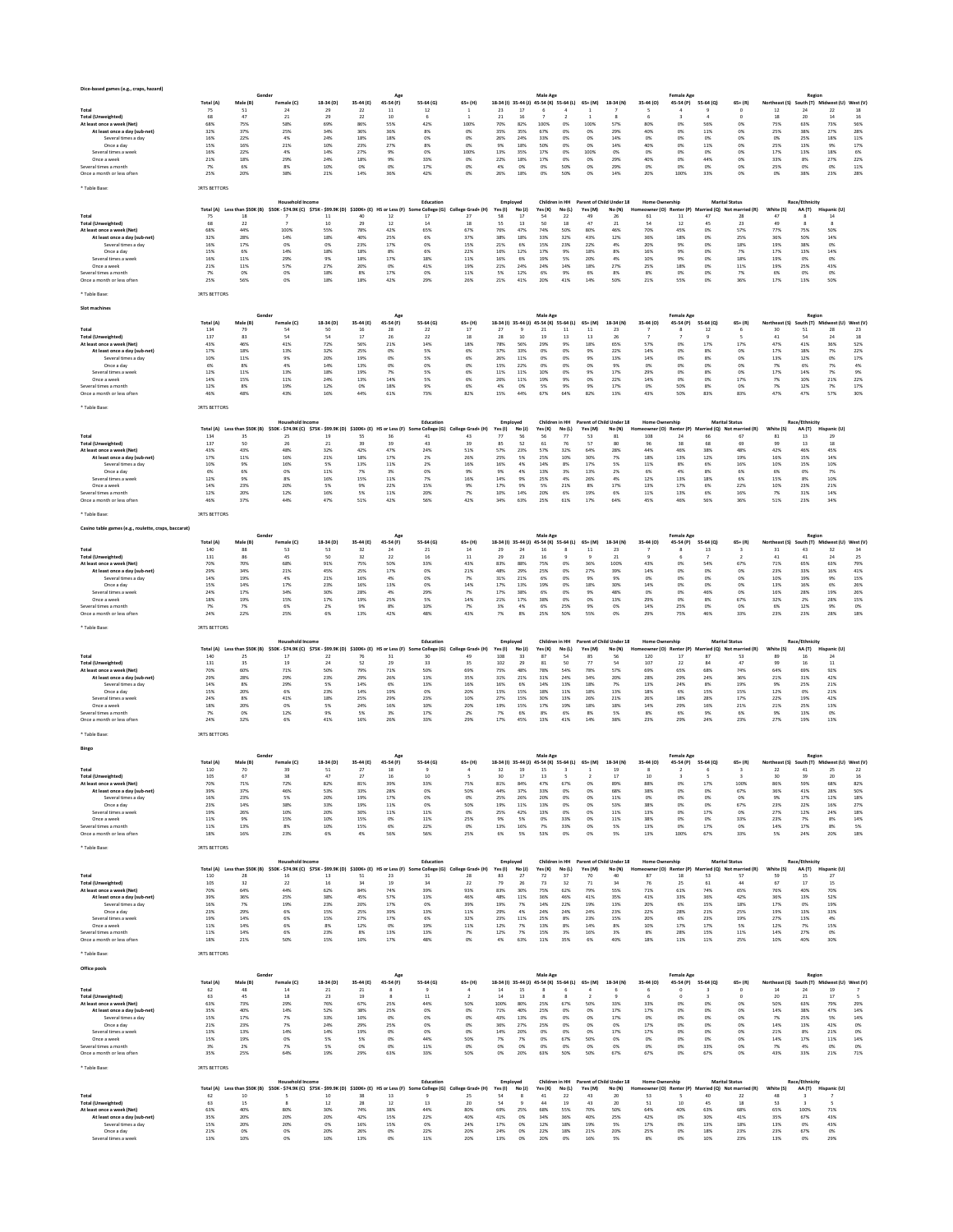| Dice-based games (e.g., craps, hazard)                      |                     |                           |                                                                                                     |                                         |                 | Age                                   |                        |                         |                     |                 | Male Age                                |             |                       |                                         |                       | <b>Female Age</b>              |                     |                                   |                                                    | Region                                    |                    |                                 |
|-------------------------------------------------------------|---------------------|---------------------------|-----------------------------------------------------------------------------------------------------|-----------------------------------------|-----------------|---------------------------------------|------------------------|-------------------------|---------------------|-----------------|-----------------------------------------|-------------|-----------------------|-----------------------------------------|-----------------------|--------------------------------|---------------------|-----------------------------------|----------------------------------------------------|-------------------------------------------|--------------------|---------------------------------|
|                                                             | Total (A)           | Male (B)<br>51            | Female (C)<br>24                                                                                    | 18-34 (D)                               | 35-44 (E)<br>22 | 45-54 (F)                             | 55-64 (G)<br>12        | $65+ (H)$               | 23                  | 17              | 18-34 (I) 35-44 (J) 45-54 (K) 55-64 (L) |             | $65+ (M)$             | 18-34 (N)                               | 35-44 (0)             | 45-54 (P)                      | 55-64 (Q)           | $65 + (R)$                        | Northeast (S) South (T) Midwest (U) West (V)<br>12 | 24                                        | 22                 | 18                              |
| Total<br><b>Total (Unweighted)</b>                          | 75<br>68            | 47                        | 21                                                                                                  | 29<br>29                                | 22              | 11<br>10                              | -6                     | 1                       | 21                  | 16              |                                         |             |                       |                                         | 6                     | 3                              |                     | $^{\circ}$                        | 18                                                 | 20                                        | 14                 | 16                              |
| At least once a week (Net)                                  | 68%                 | 75%                       | 58%                                                                                                 | 69%                                     | 86%             | 55%                                   | 42%                    | 100%                    | 70%                 | 82%             | 100%                                    | 0%          | 100%                  | 57%                                     | 80%                   | 0%                             | 56%                 | 0%                                | 75%                                                | 63%                                       | 73%                | 56%                             |
| At least once a day (sub-net)<br>Several times a day        | 32%<br>16%          | 37%<br>22%                | 25%<br>4%                                                                                           | 34%<br>24%                              | 36%<br>18%      | 36%<br>18%                            | 8%<br>0%               | 0%<br>0%                | 35%<br>26%          | 35%<br>24%      | 67%<br>33%                              | 0%<br>0%    | 0%<br>0%              | 29%<br>14%                              | 40%<br>0%             | 0%<br>0%                       | 11%<br>0%           | 0%<br>0%                          | 25%<br>0%                                          | 38%<br>25%                                | 27%<br>18%         | 28%<br>11%                      |
| Once a day                                                  | 15%                 | 16%                       | 21%                                                                                                 | 10%                                     | 23%             | 27%                                   | 8%                     | 0%                      | 9%                  | 18%             | 50%                                     | 0%          | 0%                    | 14%                                     | 40%                   | 0%                             | 11%                 | 0%                                | 25%                                                | 13%                                       | 9%                 | 17%                             |
| Several times a week                                        | 16%                 | 22%                       | 4%                                                                                                  | 14%                                     | 27%             | 9%                                    | 0%                     | 100%                    | 13%                 | 35%             | 17%                                     | 0%          | 100%                  | 0%                                      | 0%                    | 0%                             | 0%                  | 0%                                | 17%                                                | 13%                                       | 18%                | 6%                              |
| Once a week<br>Several times a month                        | 21%<br>7%           | 18%<br>6%                 | 29%<br>8%                                                                                           | 24%<br>10%                              | 18%<br>0%       | 9%<br>0%                              | 33%<br>17%             | 0%<br>0%                | 22%<br>4%           | 18%<br>0%       | 17%<br>0%                               | 0%<br>50%   | 0%<br>0%              | 29%<br>29%                              | 40%<br>0%             | 0%<br>0%                       | 44%<br>0%           | 0%<br>0%                          | 33%<br>25%                                         | 8%<br>0%                                  | 27%<br>0%          | 22%<br>11%                      |
| Once a month or less often                                  | 25%                 | 20%                       | 38%                                                                                                 | 21%                                     | 14%             | 36%                                   | 42%                    | 0%                      | 26%                 | 18%             | 0%                                      | 50%         | 0%                    | 14%                                     | 20%                   | 100%                           | 33%                 | 0%                                | 0%                                                 | 38%                                       | 23%                | 28%                             |
| Table Base                                                  | <b>JRTS RETTORS</b> |                           |                                                                                                     |                                         |                 |                                       |                        |                         |                     |                 |                                         |             |                       |                                         |                       |                                |                     |                                   |                                                    |                                           |                    |                                 |
|                                                             |                     |                           |                                                                                                     |                                         |                 |                                       |                        |                         |                     |                 |                                         |             |                       |                                         |                       |                                |                     |                                   |                                                    |                                           |                    |                                 |
|                                                             |                     |                           | Household Incom                                                                                     |                                         |                 |                                       | Education              |                         | Employed            |                 | Children in HH                          |             |                       | Parent of Child Under 18                | <b>Home Ownership</b> |                                |                     | <b>Marital Status</b>             |                                                    | Race/Ethnicity                            |                    |                                 |
| Total                                                       | 75                  | 18                        | Total (A) Less than \$50K (B) \$50K - \$74.9K (C) \$75K - \$99.9K (D) \$100K+ (E) HS or Less (F) Sc | 11                                      | 40              | 12                                    | : College (G)<br>17    | College Grad+ (H)<br>27 | Yes (I)<br>58       | No (J)<br>17    | Yes (K)<br>54                           | No(L)<br>22 | Yes (M)<br>49         | No (N)<br>26                            | 61                    | wner (O) Renter (P)<br>11      | 47                  | Married (Q) Not married (R)<br>28 | White (S)<br>47                                    | AA (T)                                    | Hispanic (U)<br>14 |                                 |
| <b>Total (Unweighted)</b>                                   | 68                  | 22                        | $\overline{z}$                                                                                      | 10                                      | 29              | 12                                    | 14                     | 18                      | 55                  | 13              | 50                                      | 18          | 47                    | 21                                      | 54                    | 12                             | 45                  | 23                                | 49                                                 | R                                         | 8                  |                                 |
| At least once a week (Net)                                  | 68%                 | 44%                       | 100%                                                                                                | 55%                                     | 78%             | 42%                                   | 65%                    | 67%                     | 76%                 | 47%             | 74%                                     | 50%         | 80%                   | 46%                                     | 70%                   | 45%                            | 0%                  | 57%                               | 77%                                                | 75%                                       | 50%                |                                 |
| At least once a day (sub-net)<br>Several times a day        | 32%<br>16%          | 28%<br>17%                | 14%<br>0%                                                                                           | 18%<br>O%                               | 40%<br>23%      | 25%<br>17%                            | 6%<br>0%               | 37%<br>15%              | 38%<br>21%          | 18%<br>6%       | 33%<br>15%                              | 32%<br>23%  | 43%<br>22%            | 12%<br>4%                               | 36%<br>20%            | 18%<br>9%                      | 0%<br>0%            | 25%<br>18%                        | 36%<br>19%                                         | 50%<br>38%                                | 14%<br>0%          |                                 |
| Once a day                                                  | 15%                 | 6%                        | 14%                                                                                                 | 18%                                     | 18%             | 8%                                    | 6%                     | 22%                     | 16%                 | 12%             | 17%                                     | 9%          | 18%                   | 8%                                      | 16%                   | 9%                             | 0%                  | 7%                                | 17%                                                | 13%                                       | 14%                |                                 |
| Several times a week<br>Once a week                         | 16%<br>21%          | 11%<br>11%                | 29%<br>57%                                                                                          | 9%<br>27%                               | 18%<br>20%      | 17%<br>0%                             | 18%<br>41%             | 11%<br>19%              | 16%<br>21%          | 6%<br>24%       | 19%<br>24%                              | 5%<br>14%   | 20%<br>18%            | 4%<br>27%                               | 10%<br>25%            | 9%<br>18%                      | 0%<br>0%            | 18%<br>11%                        | 19%<br>19%                                         | 0%<br>25%                                 | 0%<br>43%          |                                 |
| Several times a month                                       | 7%                  | 0%                        | 0%                                                                                                  | 18%                                     | 8%              | 17%                                   | 0%                     | 11%                     | 5%                  | 12%             | 6%                                      | 9%          | 6%                    | 8%                                      | 8%                    | 0%                             | 0%                  | 7%                                | 6%                                                 | 0%                                        | 0%                 |                                 |
| Once a month or less often                                  | 25%                 | 56%                       | 0%                                                                                                  | 18%                                     | 18%             | 42%                                   | 29%                    | 26%                     | 21%                 | 41%             | 20%                                     | 41%         | 14%                   | 50%                                     | 21%                   | 55%                            | 0%                  | 36%                               | 17%                                                | 13%                                       | 50%                |                                 |
| Table Base:                                                 | <b>JRTS BETTORS</b> |                           |                                                                                                     |                                         |                 |                                       |                        |                         |                     |                 |                                         |             |                       |                                         |                       |                                |                     |                                   |                                                    |                                           |                    |                                 |
|                                                             |                     |                           |                                                                                                     |                                         |                 |                                       |                        |                         |                     |                 |                                         |             |                       |                                         |                       |                                |                     |                                   |                                                    |                                           |                    |                                 |
| Slot machine:                                               |                     |                           |                                                                                                     |                                         |                 |                                       |                        |                         |                     |                 |                                         |             |                       |                                         |                       |                                |                     |                                   |                                                    |                                           |                    |                                 |
|                                                             | Total (A)           | Male (B)                  | Gender<br>Female (C)                                                                                | 18-34 (D)                               | 35-44 (E)       | Age<br>45-54 (F)                      | 55-64 (G)              | $65+ (H)$               | 18-34 (l) 35-44 (J) |                 | Male Age<br>45-54 (K) 55-64 (L)         |             | $65+ (M)$             | 18-34 (N)                               | 35-44 (0)             | <b>Female Age</b><br>45-54 (P) | 55-64 (Q)           | $65 + (R)$                        | Northeast (S)                                      | Region<br>South (T) Midwest (U) West (V   |                    |                                 |
| Total                                                       | 134                 | 79                        | 54                                                                                                  | 50                                      | 16              | 28                                    | 22                     | 17                      | 27                  |                 | 21                                      | 11          | 11                    | 23                                      |                       | R                              | 12                  | 6                                 | 30                                                 | 51                                        | 28                 | 23                              |
| <b>Total (Unweighted)</b><br>At least once a week (Net)     | 137<br>43%          | 83<br>46%                 | 54<br>41%                                                                                           | 54<br>72%                               | 17<br>56%       | 26<br>21%                             | 22<br>14%              | 18<br>18%               | 28<br>78%           | 10<br>56%       | 19<br>29%                               | 13<br>9%    | 13<br>18%             | 26<br>65%                               | 7<br>57%              | 7<br>0%                        | $\mathbf{Q}$<br>17% | 5<br>17%                          | 41<br>47%                                          | 54<br>41%                                 | 24<br>36%          | 18<br>52%                       |
| At least once a day (sub-net)                               | 17%                 | 18%                       | 13%                                                                                                 | 32%                                     | 25%             | 0%                                    | 5%                     | 6%                      | 37%                 | 33%             | 0%                                      | 0%          | 9%                    | 22%                                     | 14%                   | 0%                             | 8%                  | 0%                                | 17%                                                | 18%                                       | 7%                 | 22%                             |
| Several times a day                                         | 10%                 | 11%                       | 9%                                                                                                  | 20%                                     | 19%             | 0%                                    | 5%                     | 6%                      | 26%                 | 11%             | 0%                                      | 0%          | 9%                    | 13%                                     | 14%                   | 0%                             | 8%                  | 0%                                | 13%                                                | 12%                                       | 0%                 | 17%                             |
| Once a day<br>Several times a week                          | 6%<br>12%           | 8%<br>11%                 | 4%<br>13%                                                                                           | 14%<br>18%                              | 13%<br>19%      | 0%<br>7%                              | 0%<br>5%               | 0%<br>6%                | 15%<br>11%          | 22%<br>11%      | 0%<br>10%                               | 0%<br>0%    | 0%<br>9%              | 9%<br>17%                               | 0%<br>29%             | 0%<br>0%                       | 0%<br>8%            | 0%<br>0%                          | 7%<br>17%                                          | 6%<br>14%                                 | 7%<br>7%           | 4%<br>$9\%$                     |
| Once a week                                                 | 14%                 | 15%                       | 11%                                                                                                 | 24%                                     | 13%             | 14%                                   | 5%                     | 6%                      | 26%                 | 11%             | 19%                                     | 9%          | 0%                    | 22%                                     | 14%                   | 0%                             | 0%                  | 17%                               | 7%                                                 | 10%                                       | 21%                | 22%                             |
| Several times a month<br>Once a month or less ofter         | 12%<br>46%          | 8%<br>48%                 | 19%<br>43%                                                                                          | 12%<br>16%                              | 0%<br>44%       | 18%<br>61%                            | 9%<br>73%              | 6%<br>82%               | 4%<br>15%           | 0%<br>44%       | 5%<br>67%                               | 9%<br>64%   | 9%<br>82%             | 17%<br>13%                              | 0%<br>43%             | 50%<br>50%                     | 8%<br>83%           | 0%<br>83%                         | 7%<br>47%                                          | 12%<br>47%                                | 7%<br>57%          | $17\%$<br>30%                   |
|                                                             |                     |                           |                                                                                                     |                                         |                 |                                       |                        |                         |                     |                 |                                         |             |                       |                                         |                       |                                |                     |                                   |                                                    |                                           |                    |                                 |
| * Table Base                                                | <b>JRTS BETTORS</b> |                           |                                                                                                     |                                         |                 |                                       |                        |                         |                     |                 |                                         |             |                       |                                         |                       |                                |                     |                                   |                                                    |                                           |                    |                                 |
|                                                             |                     |                           | <b>Household Income</b>                                                                             |                                         |                 |                                       | Education              |                         | Employed            |                 | Children in HH                          |             |                       | Parent of Child Under 18                | <b>Home Ownership</b> |                                |                     | <b>Marital Status</b>             |                                                    | Race/Ethnicity                            |                    |                                 |
|                                                             | Total (A)           | Less than \$50K (B)       |                                                                                                     | \$50K - \$74.9K (C) \$75K - \$99.9K (D) | $$100K+ (E)$    | HS or Less (F)                        | College (G)            | lege Grad+ (H)          | Yes (I)             | No(1)           | Yes (K)                                 | No(L)       | Yes (M)               | No (N)                                  | ner (O)               | Renter (P)                     |                     | rried (Q) Not married (R)         | White (S)                                          | AA (T)                                    | Hispanic (U)       |                                 |
| Total                                                       | 134<br>137          | 35<br>50                  | 25<br>26                                                                                            | 19<br>21                                | 5S<br>39        | 36<br>39                              | 41<br>43               | 43<br>39                | 77<br>85            | 56<br>52        | 56<br>61                                | 77<br>76    | 53<br>57              | 81<br>80                                | 108                   | 24<br>38                       | 66<br>68            | 67<br>69                          | 81<br>99                                           | 13<br>13                                  | 29<br>18           |                                 |
| Total (Unweighted)<br>At least once a week (Net)            | 43%                 | 43%                       | 48%                                                                                                 | 32%                                     | 42%             | 47%                                   | 24%                    | 51%                     | 57%                 | 23%             | 57%                                     | 32%         | 64%                   | 28%                                     | 44%                   | 46%                            | 38%                 | 48%                               | 42%                                                | 46%                                       | 45%                |                                 |
| At least once a day (sub-net)                               | 17%                 | 11%                       | 16%                                                                                                 | 21%                                     | 18%             | 17%                                   | 2%                     | 26%                     | 25%                 | 5%              | 25%                                     | 10%         | 30%                   | 7%                                      | 18%                   | 13%                            | 12%                 | 19%                               | 16%                                                | 15%                                       | 14%                |                                 |
| Several times a day<br>Once a day                           | 10%<br>6%           | 9%<br>6%                  | 16%<br>0%                                                                                           | 5%<br>11%                               | 13%<br>7%       | 11%<br>3%                             | 2%<br>0%               | 16%<br>9%               | 16%<br>9%           | 4%<br>4%        | 14%<br>13%                              | 8%<br>3%    | 17%<br>13%            | 5%<br>2%                                | 11%<br>6%             | 8%<br>4%                       | 6%<br>8%            | 16%<br>6%                         | 10%<br>6%                                          | 15%<br>0%                                 | 10%<br>7%          |                                 |
| Several times a week                                        | 12%                 | 9%                        | 8%                                                                                                  | 16%                                     | 15%             | 11%                                   | 7%                     | 16%                     | 14%                 | 9%              | 25%                                     | 4%          | 26%                   | 4%                                      | 12%                   | 13%                            | 18%                 | 6%                                | 15%                                                | 8%                                        | 10%                |                                 |
| Once a week                                                 | 14%<br>12%          | 23%<br>20%                | 20%<br>12%                                                                                          | 5%<br>16%                               | 9%<br>5%        | 22%<br>11%                            | 15%<br>20%             | 9%<br>7%                | 17%<br>10%          | 9%<br>14%       | 5%<br>20%                               | 21%<br>6%   | 8%<br>19%             | 17%<br>6%                               | 13%<br>11%            | 17%<br>13%                     | 6%<br>6%            | 22%<br>16%                        | 10%<br>7%                                          | 23%<br>31%                                | 21%<br>14%         |                                 |
| Several times a month<br>Once a month or less often         | 46%                 | 37%                       | 44%                                                                                                 | 47%                                     | 51%             | 42%                                   | 56%                    | 42%                     | 34%                 | 63%             | 25%                                     | 61%         | 17%                   | 64%                                     | 45%                   | 46%                            | 56%                 | 36%                               | 51%                                                | 23%                                       | 34%                |                                 |
|                                                             |                     |                           |                                                                                                     |                                         |                 |                                       |                        |                         |                     |                 |                                         |             |                       |                                         |                       |                                |                     |                                   |                                                    |                                           |                    |                                 |
| <b>Table Base</b>                                           | <b>JRTS BETTORS</b> |                           |                                                                                                     |                                         |                 |                                       |                        |                         |                     |                 |                                         |             |                       |                                         |                       |                                |                     |                                   |                                                    |                                           |                    |                                 |
| Casino table games (e.g., roulette, craps, baccarat)        |                     |                           |                                                                                                     |                                         |                 |                                       |                        |                         |                     |                 |                                         |             |                       |                                         |                       |                                |                     |                                   |                                                    |                                           |                    |                                 |
|                                                             | <b>Total (A</b>     | Male (B)                  | Female (C)                                                                                          | 18-34 (D)                               | 35-44 (E)       | $\Delta \sigma \epsilon$<br>45-54 (F) | 55-64 (G)              | $65+$ (H)               | 18-34 (I) 35-44 (J) |                 | Male Age<br>45-54 (K) 55-64 (L)         |             | 65+ (M)               | 18-34 (N)                               | 35-44 (0)             | <b>Female Age</b><br>45-54 (P) | 55-64 (0)           | $65 + (R)$                        | Northeast (S)                                      | Region<br>South (T) Midwest (U)           |                    | West (V)                        |
| Total                                                       | 140                 | 88                        | 53                                                                                                  | 53                                      | 32              | 24                                    | 21                     | 14                      | 29                  | 24              | 16                                      |             | 11                    | 23                                      |                       |                                | 13                  |                                   | 31                                                 | 43                                        | 32                 | 34                              |
| <b>Total (Unweighted)</b>                                   | 131                 | 86                        | 45                                                                                                  | 50                                      | 32              | 22                                    | 16                     | $11\,$                  | 29                  | 23              | 16                                      |             |                       | 21                                      | ٠                     | 6                              |                     | $\overline{ }$                    | 41                                                 | 41                                        | 24                 | 25                              |
| At least once a week (Net)<br>At least once a day (sub-net) | 70%<br>29%          | 70%<br>34%                | 68%<br>$21\%$                                                                                       | 91%<br>45%                              | 75%<br>25%      | 50%<br>17%                            | 33%<br>0%              | 43%<br>21%              | 83%<br>48%          | 88%<br>29%      | 75%<br>25%                              | 0%<br>0%    | 36%<br>27%            | 100%<br>39%                             | 43%<br>14%            | 0%<br>0%                       | 54%<br>0%           | 67%<br>0%                         | 71%<br>23%                                         | 65%<br>33%                                | 63%<br>16%         | 79%<br>41%                      |
| Several times a day                                         | 14%                 | 19%                       | 4%                                                                                                  | 21%                                     | 16%             | 4%                                    | 0%                     | 7%                      | 31%                 | 21%             | 6%                                      | 0%          | 9%                    | 9%                                      | 0%                    | 0%                             | 0%                  | 0%                                | 10%                                                | 19%                                       | 9%                 | 15%                             |
| Once a day                                                  | 15%                 | 14%                       | 17%                                                                                                 | 23%                                     | 16%             | $13\%$                                | 0%                     | 14%                     | 17%                 | 13%             | 19%                                     | 0%          | 18%                   | 30%                                     | 14%                   | 0%                             | 0%                  | 0%                                | 13%                                                | 16%                                       | 6%                 | 26%                             |
| Several times a week<br>Once a week                         | 24%<br>18%          | 17%<br>19%                | 34%<br>15%                                                                                          | 30%<br>17%                              | 28%<br>19%      | 4%<br>25%                             | 29%<br>5%              | 7%<br>14%               | 17%<br>21%          | 38%<br>17%      | 6%<br>38%                               | OX<br>0%    | 9%<br>0%              | 48%<br>13%                              | 0%<br>29%             | 0%<br>0%                       | 46%<br>8%           | 0%<br>67%                         | 16%<br>32%                                         | 28%<br>2%                                 | 19%<br>28%         | 26%<br>15%                      |
| Several times a month                                       | 7%                  | 7%                        | 6%                                                                                                  | 2%                                      | 9%              | 8%                                    | 10%                    | 7%                      | 3%                  | 4%              | 6%                                      | 25%         | 9%                    | 0%                                      | 14%                   | 25%                            | 0%                  | 0%                                | 6%                                                 | 12%                                       | 9%                 | 0%                              |
| Once a month or less often                                  | 24%                 | 22%                       | 25%                                                                                                 | 6%                                      | 13%             | 42%                                   | 48%                    | 43%                     | 7%                  | 8%              | 25%                                     | 50%         | 55%                   | 0%                                      | 29%                   | 75%                            | 46%                 | 33%                               | 23%                                                | 23%                                       | 28%                | 18%                             |
|                                                             |                     |                           |                                                                                                     |                                         |                 |                                       |                        |                         |                     |                 |                                         |             |                       |                                         |                       |                                |                     |                                   |                                                    |                                           |                    |                                 |
| Table Base                                                  | <b>IRTS BETTORS</b> |                           |                                                                                                     |                                         |                 |                                       |                        |                         |                     |                 |                                         |             |                       |                                         |                       |                                |                     |                                   |                                                    |                                           |                    |                                 |
|                                                             |                     |                           |                                                                                                     |                                         |                 |                                       |                        |                         |                     |                 |                                         |             |                       |                                         |                       |                                |                     |                                   |                                                    |                                           |                    |                                 |
|                                                             |                     |                           | <b>Household Income</b>                                                                             |                                         |                 |                                       | Education              |                         | Employed            |                 | Children in HH                          |             |                       | Parent of Child Under 18                | <b>Home Ownership</b> |                                |                     | <b>Marital Status</b>             |                                                    | Race/Ethnicity                            |                    |                                 |
| Total                                                       | 140                 | 25                        | Total (A) Less than \$50K (B) \$50K - \$74.9K (C) \$75K - \$99.9K (D) \$100K+ (E)<br>17             | 22                                      | 76              | HS or Less (F)<br>31                  | e College (G)<br>30    | College Grad+ (H)<br>49 | Yes(1)<br>108       | No (J)<br>33    | Yes (K)<br>87                           | No(L)<br>54 | Yes (M)<br>85         | No (N)<br>56                            | eowner (O)<br>120     | Renter (P)<br>17               | 87                  | Married (Q) Not married (R)<br>53 | White (S)<br>89                                    | AA(T)<br>16                               | Hispanic (U)<br>24 |                                 |
| <b>Total (Unweighted)</b>                                   | 131                 | 35                        | 19                                                                                                  | 24                                      | 52              | 29                                    | 33                     | 35                      | 102                 | 29              | 81                                      | 50          | 77                    | 54                                      | 107                   | 22                             | 84                  | 47                                | 99                                                 | 16                                        | 11                 |                                 |
| At least once a week (Net)<br>At least once a day (sub-net) | 70%<br>29%          | 60%<br>28%                | 71%<br>29%                                                                                          | 50%<br>23%                              | 79%<br>29%      | 71%<br>26%                            | 50%<br>13%             | 69%<br>35%              | 75%<br>31%          | 48%<br>21%      | 78%<br>31%                              | 54%<br>24%  | 78%<br>34%            | 57%<br>20%                              | 69%<br>28%            | 65%<br>29%                     | 68%<br>24%          | 74%<br>36%                        | 64%<br>21%                                         | 69%<br>31%                                | 92%<br>42%         |                                 |
| Several times a day                                         | 14%                 | 8%                        | 29%                                                                                                 | 5%                                      | 14%             | 6%                                    | 13%                    | 16%                     | 16%                 | 6%              | 14%                                     | 13%         | 18%                   | 7%                                      | 13%                   | 24%                            | 8%                  | 19%                               | 9%                                                 | 25%                                       | 21%                |                                 |
| Once a day                                                  | 15%                 | 20%                       | 6%                                                                                                  | 23%                                     | 14%             | 19%                                   | 0%                     | 20%                     | 15%                 | 15%             | 18%                                     | 11%         | 18%                   | 13%                                     | 18%                   | 6%                             | 15%                 | 15%                               | 12%                                                | 0%                                        | 21%                |                                 |
| Several times a week<br>Once a week                         | 24%<br>18%          | 8%<br>20%                 | 41%<br>0%                                                                                           | 18%<br>5%                               | 25%<br>24%      | 29%<br>16%                            | 23%<br>10%             | 10%<br>20%              | 27%<br>19%          | 15%<br>15%      | 30%<br>17%                              | 13%<br>19%  | 26%<br>18%            | 21%<br>18%                              | 26%<br>14%            | 18%<br>29%                     | 28%<br>16%          | 17%<br>21%                        | 22%<br>21%                                         | 19%<br>25%                                | 42%<br>13%         |                                 |
| Several times a month                                       | 7%                  | 0%                        | 12%                                                                                                 | 9%                                      | 5%              | 3%                                    | 17%                    | 2%                      | 7%                  | 6%              | 8%                                      | 6%          | 8%                    | 5%                                      | 8%                    | 6%                             | 9%                  | 6%                                | 9%                                                 | 13%                                       | 0%                 |                                 |
| Once a month or less often                                  | 24%                 | 32%                       | 6%                                                                                                  | 41%                                     | 16%             | 26%                                   | 33%                    | 29%                     | 17%                 | 45%             | 13%                                     | 41%         | 14%                   | 38%                                     | 23%                   | 29%                            | 24%                 | 23%                               | 27%                                                | 19%                                       | 13%                |                                 |
| * Table Base                                                | <b>JRTS BETTORS</b> |                           |                                                                                                     |                                         |                 |                                       |                        |                         |                     |                 |                                         |             |                       |                                         |                       |                                |                     |                                   |                                                    |                                           |                    |                                 |
|                                                             |                     |                           |                                                                                                     |                                         |                 |                                       |                        |                         |                     |                 |                                         |             |                       |                                         |                       |                                |                     |                                   |                                                    |                                           |                    |                                 |
| Bing                                                        |                     |                           |                                                                                                     |                                         |                 |                                       |                        |                         |                     |                 | Male Age                                |             |                       |                                         |                       | <b>Female Age</b>              |                     |                                   |                                                    | Regior                                    |                    |                                 |
|                                                             | Total (A)           | Male (B)                  | Female (C)                                                                                          | 18-34 (D)                               | 35-44 (E)       | 45-54 (F)                             | 55-64 (G)              | 65+ (H)                 | 18-34 (I) 35-44 (J) |                 | 45-54 (K) 55-64 (L)                     |             | 65+ (M)               | 18-34 (N)                               | 35-44 (O)             | 45-54 (P)                      | 55-64 (Q)           | $65 + (R)$                        | Northeast (S)                                      | South (T) Midwest (U)                     |                    | West (V)                        |
| Total                                                       | 110                 | 70                        | 39                                                                                                  | 51                                      | 27              | 18                                    | 9                      | 4                       | 32                  | 19              | 15                                      |             |                       | 19                                      | 8                     |                                |                     | $\overline{\mathbf{3}}$           | 22                                                 | 41                                        | 25                 | 22                              |
| <b>Total (Unweighted)</b><br>At least once a w              | 105<br>70%          | 67<br>719                 | 38<br>72%                                                                                           | 47<br>82%                               | 27<br>81%       | 16<br>39%                             | 10<br>33%              | 5<br>75%                | 30<br>81%           | $17\,$<br>84%   | $13\,$<br>47%                           | 67%         | 0%                    | 17<br>89%                               | 10<br>88%             | 3<br>0%                        | 17%                 | $\overline{\mathbf{3}}$<br>100%   | 30<br>86%                                          | 39<br>59%                                 | 20<br>68%          | $16\,$<br>82%                   |
| At least once a day (sub-net)                               | 39%                 | 37%                       | 46%                                                                                                 | 53%                                     | 33%             | 28%                                   | 0%                     | 50%                     | 44%                 | 37%             | 33%                                     | OX          | 0%                    | 68%                                     | 38%                   | 0%                             | 0%                  | 67%                               | 36%                                                | 41%                                       | 28%                | 50%                             |
| Several times a day<br>Once a day                           | 16%<br>23%          | 23%<br>14%                | 5%<br>38%                                                                                           | 20%<br>33%                              | 19%<br>19%      | 17%<br>11%                            | 0%<br>0%               | 0%<br>50%               | 25%<br>19%          | 26%<br>11%      | 20%<br>13%                              | OX<br>0%    | 0%<br>0%              | 11%<br>53%                              | 0%<br>38%             | 0%<br>0%                       | 0%<br>0%            | 0%<br>67%                         | 9%<br>23%                                          | 17%<br>22%                                | 12%<br>16%         | 18%<br>27%                      |
| Several times a week                                        | 19%                 | 26%                       | 10%                                                                                                 | 20%                                     | 30%             | 11%                                   | 11%                    | 0%                      | 25%                 | 42%             | 13%                                     | 0%          | 0%                    | 11%                                     | 13%                   | 0%                             | 17%                 | 0%                                | 27%                                                | 12%                                       | 24%                | 18%                             |
| Once a week                                                 | 11%                 | 9%                        | 15%                                                                                                 | 10%                                     | 15%             | 0%                                    | 11%                    | 25%                     | $9\%$               | 5%              | 0%                                      | 33%         | 0%                    | 11%                                     | 38%                   | 0%                             | 0%                  | 33%                               | 23%                                                | 7%                                        | 8%                 | 14%                             |
| Several times a month<br>Once a month or less often         | 11%<br>18%          | 13%<br>16%                | 8%<br>23%                                                                                           | 10%<br>6%                               | 15%<br>4%       | 6%<br>56%                             | 22%<br>56%             | 0%<br>25%               | 13%<br>6%           | 16%<br>5%       | 7%<br>53%                               | 33%<br>0%   | 0%<br>0%              | 5%<br>5%                                | 13%<br>13%            | 0%<br>100%                     | 17%<br>67%          | 0%<br>33%                         | 14%<br>5%                                          | 17%<br>24%                                | 8%<br>20%          | 5%<br>18%                       |
|                                                             |                     |                           |                                                                                                     |                                         |                 |                                       |                        |                         |                     |                 |                                         |             |                       |                                         |                       |                                |                     |                                   |                                                    |                                           |                    |                                 |
| * Table Base:                                               | <b>IRTS BETTORS</b> |                           |                                                                                                     |                                         |                 |                                       |                        |                         |                     |                 |                                         |             |                       |                                         |                       |                                |                     |                                   |                                                    |                                           |                    |                                 |
|                                                             |                     |                           | <b>Household Income</b>                                                                             |                                         |                 |                                       | Education              |                         | Employed            |                 |                                         |             |                       | Children in HH Parent of Child Under 18 | <b>Home Ownership</b> |                                |                     | <b>Marital Status</b>             |                                                    | <b>Race/Ethnicity</b>                     |                    |                                 |
| Total                                                       | Total (A)<br>110    | Less than \$50K (B)<br>28 | \$50K - \$74.9K (C) \$75K - \$99.9K (D) \$100K+ (E) HS or Less (F)<br>16                            | 13                                      | 51              | 23                                    | Some College (G)<br>31 | College Grad+ (H)<br>28 | Yes(1)<br>83        | No (J)<br>27    | Yes (K)<br>72                           | No(L)<br>37 | Yes (M)<br>70         | No (N)<br>40                            | 87                    | eowner (O) Renter (P)<br>18    | 53                  | Married (Q) Not married (R)<br>57 | White (S)<br>59                                    | AA (T)<br>15                              | Hispanic (U)<br>27 |                                 |
| <b>Total (Unweighted)</b>                                   | 105                 | 32                        | 22                                                                                                  | 16                                      | 34              | 19                                    | 34                     | 22                      | 79                  | 26              | 73                                      | 32          | 71                    | 34                                      | 76                    | 25                             | 61                  | 44                                | 67                                                 | 17                                        | 15                 |                                 |
| At least once a week (Net)                                  | 70%<br>39%          | 64%<br>36%                | 44%<br>25%                                                                                          | 62%<br>38%                              | 84%<br>45%      | 74%<br>57%                            | 39%<br>13%             | 93%<br>46%              | 83%<br>48%          | 30%<br>11%      | 75%<br>36%                              | 62%<br>46%  | 79%<br>41%            | 55%<br>35%                              | 71%<br>41%            | 61%<br>33%                     | 74%<br>36%          | 65%<br>42%                        | 76%<br>36%                                         | 40%<br>13%                                | 70%<br>52%         |                                 |
| At least once a day (sub-net)<br>Several times a day        | 16%                 | 7%                        | 19%                                                                                                 | 23%                                     | 20%             | 17%                                   | 0%                     | 39%                     | 19%                 | 7%              | 14%                                     | 22%         | 19%                   | 13%                                     | 20%                   | 6%                             | 15%                 | 18%                               | 17%                                                | 0%                                        | 19%                |                                 |
| Once a day                                                  | 23%                 | 29%                       | 6%                                                                                                  | 15%                                     | 25%             | 39%                                   | 13%                    | 11%                     | 29%                 | 4%              | 24%                                     | 24%         | 24%                   | 23%                                     | 22%                   | 28%                            | 21%                 | 25%                               | 19%                                                | 13%                                       | 33%                |                                 |
| Several times a week                                        | 19%<br>11%          | 14%<br>14%                | 6%<br>6%                                                                                            | 15%<br>8%                               | 27%<br>12%      | 17%<br>0%                             | 6%<br>19%              | 32%                     | 23%<br>12%          | 11%             | 25%<br>13%                              | 8%<br>8%    | 23%<br>14%            | 15%<br>8%                               | 20%<br>10%            | 6%<br>17%                      | 23%<br>17%          | 19%<br>5%                         | 27%<br>12%                                         | 13%<br>7%                                 | 4%<br>15%          |                                 |
| Once a week<br>Several times a month                        | 11%                 | 14%                       | 6%                                                                                                  | 23%                                     | 8%              | 13%                                   | 13%                    | $11\%$<br>7%            | 12%                 | 7%<br>7%        | 15%                                     | 3%          | 16%                   | 3%                                      | 8%                    | 28%                            | 15%                 | 11%                               | 14%                                                | 27%                                       | 0%                 |                                 |
| Once a month or less often                                  | 18%                 | 21%                       | 50%                                                                                                 | 15%                                     | 10%             | 17%                                   | 48%                    | 0%                      | 4%                  | 63%             | 11%                                     | 35%         | 6%                    | 40%                                     | 18%                   | 11%                            | 11%                 | 25%                               | 10%                                                | 40%                                       | 30%                |                                 |
| * Table Base                                                | <b>IRTS BETTORS</b> |                           |                                                                                                     |                                         |                 |                                       |                        |                         |                     |                 |                                         |             |                       |                                         |                       |                                |                     |                                   |                                                    |                                           |                    |                                 |
|                                                             |                     |                           |                                                                                                     |                                         |                 |                                       |                        |                         |                     |                 |                                         |             |                       |                                         |                       |                                |                     |                                   |                                                    |                                           |                    |                                 |
| Office pools                                                |                     |                           |                                                                                                     |                                         |                 | Age                                   |                        |                         |                     |                 |                                         |             |                       |                                         |                       | <b>Female Age</b>              |                     |                                   |                                                    | Region                                    |                    |                                 |
|                                                             | Total (A)           | Male (B)                  | Female (C)                                                                                          | 18-34 (D)                               | 35-44 (E)       | 45-54 (F)                             | 55-64 (G)              | 65+ (H)                 | 18-34 (I) 35-44 (J) |                 | Male Age<br>45-54 (K) 55-64 (L)         |             | 65+ (M)               | 18-34 (N)                               | 35-44 (O)             | 45-54 (P)                      | 55-64 (Q)           | $65 + (R)$                        | Northeast (S)                                      | South (T) Midwest (U) West (V)            |                    |                                 |
| Total                                                       | 62                  | 48                        | 14                                                                                                  | 21                                      | 21              |                                       | 9                      | $\overline{4}$          | 14                  | 15              | 8                                       |             | -4                    | - 6                                     | 6                     | $\,$ 0                         |                     | $^{\circ}$                        | 14                                                 | 24                                        | 19                 | 7                               |
| <b>Total (Unweighted)</b><br>At least once a week (Net)     | 63<br>63%           | $45\,$<br>73%             | 18<br>29%                                                                                           | $23\,$<br>76%                           | 19<br>67%       | 8<br>25%                              | $11\,$<br>44%          | $\overline{2}$<br>50%   | $14\,$<br>100%      | $13\,$<br>80%   | 8<br>25%                                | -8<br>67%   | $\overline{2}$<br>50% | -9<br>33%                               | 6<br>33%              | $\circ$<br>0%                  | 3<br>0%             | $^{\circ}$<br>0%                  | $20\,$<br>50%                                      | 21<br>63%                                 | 17<br>79%          | $\overline{\phantom{a}}$<br>29% |
| At least once a day (sub-net)                               | 35%                 | 40%                       | 14%                                                                                                 | 52%                                     | 38%             | 25%                                   | 0%                     | 0%                      | 71%                 | 40%             | 25%                                     | 0%          | 0%                    | 17%                                     | 17%                   | 0%                             | 0%                  | 0%                                | 14%                                                | 38%                                       | 47%                | $14\%$                          |
| Several times a day                                         | 15%                 | 17%                       | 7%                                                                                                  | 33%                                     | 10%             | 0%                                    | 0%                     | 0%                      | 43%                 | 13%             | 0%                                      | 0%          | 0%                    | 17%                                     | 0%                    | 0%                             | 0%                  | 0%                                | 7%                                                 | 25%                                       | 5%                 | 14%                             |
| Once a day<br>Several times a week                          | 21%<br>13%          | 23%<br>13%                | 7%<br>14%                                                                                           | 24%<br>14%                              | 29%<br>19%      | 25%<br>0%                             | 0%<br>0%               | 0%<br>0%                | 36%<br>14%          | 27%<br>20%      | 25%<br>0%                               | 0%<br>0%    | 0%<br>0%              | 0%<br>17%                               | 17%<br>17%            | 0%<br>0%                       | 0%<br>0%            | 0%<br>0%                          | 14%<br>21%                                         | 13%<br>8%                                 | 42%<br>21%         | 0%<br>0%                        |
| Once a week                                                 | 15%                 | 19%                       | 0%                                                                                                  | 5%                                      | 5%              | 0%                                    | 44%                    | 50%                     | 7%                  | 7%              | 0%                                      | 67%         | 50%                   | 0%                                      | 0%                    | 0%                             | 0%                  | 0%                                | 14%                                                | 17%                                       | 11%                | 14%                             |
| Several times a month<br>Once a month or less often         | 3%<br>35%           | 2%<br>25%                 | 7%<br>64%                                                                                           | 5%<br>19%                               | 0%<br>29%       | 0%<br>63%                             | 11%<br>33%             | 0%<br>50%               | 0%<br>0%            | 0%<br>20%       | 0%<br>63%                               | 0%<br>50%   | 0%<br>50%             | 0%<br>67%                               | 0%<br>67%             | 0%<br>0%                       | 33%<br>67%          | 0%<br>0%                          | 7%<br>43%                                          | 4%<br>33%                                 | 0%<br>21%          | 0%<br>71%                       |
|                                                             |                     |                           |                                                                                                     |                                         |                 |                                       |                        |                         |                     |                 |                                         |             |                       |                                         |                       |                                |                     |                                   |                                                    |                                           |                    |                                 |
| * Table Base                                                | <b>JRTS BETTORS</b> |                           |                                                                                                     |                                         |                 |                                       |                        |                         |                     |                 |                                         |             |                       |                                         |                       |                                |                     |                                   |                                                    |                                           |                    |                                 |
|                                                             |                     |                           | <b>Household Income</b>                                                                             |                                         |                 |                                       | Education              |                         | Employed            |                 | Children in HH                          |             |                       | Parent of Child Under 18                | <b>Home Ownership</b> |                                |                     | <b>Marital Status</b>             |                                                    | Race/Ethnicity                            |                    |                                 |
|                                                             | Total (A)           | Less than \$50K (B)       | \$50K - \$74.9K (C) \$75K - \$99.9K (D) \$100K+ (E) HS or Less (F) Sc                               |                                         |                 |                                       | e College (G)          | College Grad+ (H)       | Yes (I)             | No (J)          | Yes (K)                                 | No(L)       | Yes (M)               | No (N)                                  |                       | eowner (O) Renter (P)          |                     | Married (Q) Not married (R)       | White (S)                                          | AA (T)                                    | Hispanic (U)       |                                 |
| Total                                                       | 62<br>63            | $10\,$<br>15              | 5<br>8                                                                                              | $10$<br>$12\,$                          | 38<br>28        | 13                                    | $\overline{9}$         | 25<br>20                | 54<br>54            | 8<br>$\ddot{q}$ | $41\,$<br>44                            | 22<br>19    | 43<br>43              | 20<br>$20\,$                            | 53<br>51              | 5<br>10                        | 40<br>45            | 22<br>18                          | 48<br>53                                           | $\overline{\mathbf{3}}$<br>$\overline{a}$ | 7<br>×,            |                                 |
| <b>Total (Unweighted)</b><br>At least once a week (Net)     | 63%                 | 40%                       | 80%                                                                                                 | 30%                                     | 74%             | $12\,$<br>38%                         | $13\,$<br>44%          | 80%                     | 69%                 | 25%             | 68%                                     | 55%         | 70%                   | 50%                                     | 64%                   | 40%                            | 63%                 | 68%                               | 65%                                                | 100%                                      | 71%                |                                 |
| At least once a day (sub-net)                               | 35%                 | 20%                       | 20%                                                                                                 | 20%                                     | 42%             | 15%                                   | 22%                    | 40%                     | 41%                 | 0%              | 34%                                     | 36%         | 40%                   | 25%                                     | 42%                   | 0%                             | 30%                 | 41%                               | 35%                                                | 67%                                       | 43%                |                                 |
| Several times a day                                         | 15%<br>21%          | 20%<br>0%                 | 20%<br>0%                                                                                           | 0%<br>20%                               | 16%<br>26%      | 15%<br>0%                             | 0%<br>22%              | 24%<br>20%              | 17%<br>24%          | 0%<br>0%        | 12%<br>22%                              | 18%<br>18%  | 19%<br>21%            | 5%<br>20%                               | 17%<br>25%            | 0%<br>0%                       | 13%<br>18%          | 18%<br>23%                        | 13%<br>23%                                         | 0%<br>67%                                 | 43%<br>0%          |                                 |
| Once a day<br>Several times a week                          | 13%                 | 10%                       | 0%                                                                                                  | 10%                                     | 13%             | 0%                                    | 11%                    | 20%                     | 13%                 | 0%              | 20%                                     | 0%          | 16%                   | 5%                                      | 8%                    | 0%                             | 10%                 | 23%                               | 13%                                                | 0%                                        | 29%                |                                 |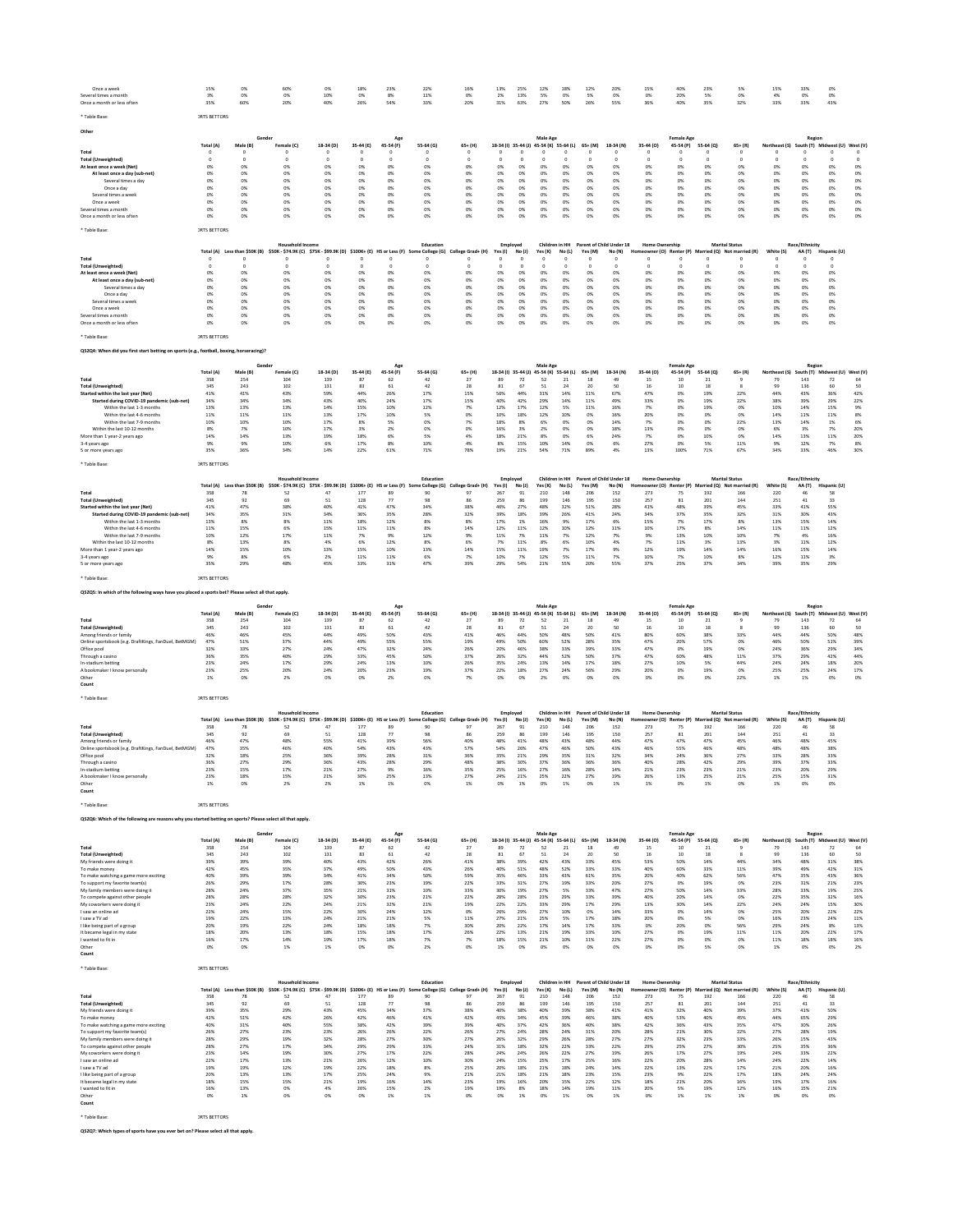| Once a week                                                                                                | 15%                     | 0%                                  | 60%                                                                                                            | 0%               | 18%             | 23%              | 22%                       | 16%                     | 13%                       | 25%            | 12%                                                 | 18%            | 12%             | 20%                                     | 15%                                               | 40%                            | 23%             | 5%                                                          | 15%                 | 33%                      | 0%                                           |               |
|------------------------------------------------------------------------------------------------------------|-------------------------|-------------------------------------|----------------------------------------------------------------------------------------------------------------|------------------|-----------------|------------------|---------------------------|-------------------------|---------------------------|----------------|-----------------------------------------------------|----------------|-----------------|-----------------------------------------|---------------------------------------------------|--------------------------------|-----------------|-------------------------------------------------------------|---------------------|--------------------------|----------------------------------------------|---------------|
| Several times a month<br>Once a month or less ofter                                                        | 3%<br>35%               | 0%<br>60%                           | 0%<br>20%                                                                                                      | 10%<br>40%       | 0%<br>26%       | 8%<br>54%        | 11%<br>33%                | 0%<br>20%               | 2%<br>31%                 | 13%<br>63%     | 5%<br>27%                                           | 0%<br>50%      | 5%<br>26%       | 0%<br>55%                               | 0%<br>36%                                         | 20%<br>40%                     | 5%<br>35%       | 0%<br>32%                                                   | 4%<br>33%           | 0%<br>33%                | 0%<br>43%                                    |               |
|                                                                                                            |                         |                                     |                                                                                                                |                  |                 |                  |                           |                         |                           |                |                                                     |                |                 |                                         |                                                   |                                |                 |                                                             |                     |                          |                                              |               |
| * Table Base                                                                                               | <b>JRTS BETTORS</b>     |                                     |                                                                                                                |                  |                 |                  |                           |                         |                           |                |                                                     |                |                 |                                         |                                                   |                                |                 |                                                             |                     |                          |                                              |               |
| Othe                                                                                                       |                         | Gender                              |                                                                                                                |                  |                 |                  |                           |                         |                           |                |                                                     |                |                 |                                         |                                                   |                                |                 |                                                             |                     | Region                   |                                              |               |
|                                                                                                            | Total (A)               | Male (B)                            | Female (C)                                                                                                     | 18-34 (D)        | 35-44 (E)       | Age<br>45-54 (F) | 55-64 (G)                 | $65+$ (H)               |                           |                | Male Age<br>18-34 (I) 35-44 (J) 45-54 (K) 55-64 (L) |                | $65+ (M)$       | 18-34 (N)                               | 35-44 (0)                                         | <b>Female Age</b><br>45-54 (P) | 55-64 (0)       | $65 + (R)$                                                  | Northeast (S)       |                          | South (T) Midwest (U) West (V                |               |
| Total                                                                                                      | $\Omega$                |                                     |                                                                                                                |                  | $\Omega$        |                  | $^{\circ}$                | $\Omega$                | $\Omega$                  | $\Omega$       | $\Omega$                                            |                |                 |                                         | $\circ$                                           | $^{\circ}$                     |                 | $\Omega$                                                    | $\Omega$            |                          |                                              |               |
| <b>Total (Unweighted)</b><br>At least once a week (Net)                                                    | $\Omega$<br>0%          | $\Omega$<br>0%                      | 0%                                                                                                             | $\Omega$<br>0%   | $\Omega$<br>0%  | 0%               | $\Omega$<br>0%            | $\circ$<br>0%           | $\Omega$<br>0%            | $\Omega$<br>0% | $\Omega$<br>0%                                      | $\Omega$<br>0% | $\Omega$<br>0%  | $\Omega$<br>0%                          | $\circ$<br>0%                                     | $\circ$<br>0%                  | 0%              | $\Omega$<br>0%                                              | $\Omega$<br>0%      | 0%                       | 0%                                           | $\circ$<br>0% |
| At least once a day (sub-net)                                                                              | 0%                      | 0%                                  | 0%                                                                                                             | 0%               | 0%              | 0%               | 0%                        | 0%                      | 0%                        | 0%             | 0%                                                  | 0%             | 0%              | 0%                                      | 0%                                                | 0%                             | 0%              | 0%                                                          | 0%                  | 0%                       | 0%                                           | 0%            |
| Several times a day<br>Once a day                                                                          | 0%<br>0%                | 0%<br>0%                            | 0%<br>0%                                                                                                       | 0%<br>0%         | 0%<br>0%        | 0%<br>0%         | 0%<br>0%                  | 0%<br>0%                | 0%<br>0%                  | 0%<br>0%       | 0%<br>0%                                            | 0%<br>0%       | 0%<br>0%        | 0%<br>0%                                | 0%<br>0%                                          | 0%<br>0%                       | 0%<br>0%        | 0%<br>0%                                                    | 0%<br>0%            | 0%<br>0%                 | 0%<br>0%                                     | 0%<br>0%      |
| Several times a week                                                                                       | 0%                      | 0%                                  | 0%                                                                                                             | O%               | 0%              | 0%               | 0%                        | 0%                      | 0%                        | 0%             | 0%                                                  | O%             | 0%              | 0%                                      | 0%                                                | 0%                             | 0%              | 0%                                                          | 0%                  | 0%                       | 0%                                           | 0%            |
| Once a week<br>Several times a month                                                                       | 0%<br>0%                | 0%<br>0%                            | 0%<br>0%                                                                                                       | O%<br>0%         | 0%<br>0%        | 0%<br>0%         | 0%<br>0%                  | 0%<br>0%                | 0%<br>0%                  | 0%<br>0%       | 0%<br>0%                                            | O%<br>O%       | 0%<br>0%        | 0%<br>0%                                | 0%<br>0%                                          | 0%<br>0%                       | 0%<br>0%        | 0%<br>0%                                                    | 0%<br>0%            | 0%<br>0%                 | 0%<br>0%                                     | 0%<br>0%      |
| Once a month or less often                                                                                 | O%                      | 0%                                  | 0%                                                                                                             | O%               | 0%              | 0%               | 0%                        |                         | 0%                        | 0%             | 0%                                                  | OX             | 0%              | O%                                      | 0%                                                | Oh                             | oх              | 0%                                                          | OX                  | 0%                       | 0%                                           | 0%            |
|                                                                                                            | <b>JRTS BETTORS</b>     |                                     |                                                                                                                |                  |                 |                  |                           |                         |                           |                |                                                     |                |                 |                                         |                                                   |                                |                 |                                                             |                     |                          |                                              |               |
|                                                                                                            |                         |                                     |                                                                                                                |                  |                 |                  |                           |                         |                           |                |                                                     |                |                 |                                         |                                                   |                                |                 |                                                             |                     |                          |                                              |               |
|                                                                                                            |                         |                                     | <b>Household Income</b><br>\$50K - \$74.9K (C) \$75K - \$99.9K (D) \$100K+ (E) HS or Less (F) Some College (G) |                  |                 |                  | Education                 |                         | Employed                  |                |                                                     |                |                 | Children in HH Parent of Child Under 18 | <b>Home Ownership</b><br>Homeowner (O) Renter (P) |                                |                 | <b>Marital Status</b>                                       |                     | Race/Ethnicity           |                                              |               |
| Total                                                                                                      | Total (A)<br>$^{\circ}$ | Less than \$50K (B)                 |                                                                                                                | 0                |                 | 0                | $^{\circ}$                | College Grad+ (H)       | Yes(1)                    | No (J)<br>-0   | Yes (K)<br>c                                        | No(L)          | Yes (M)<br>0    | No (N)<br>- 0                           | $\circ$                                           | -0                             |                 | Married (Q) Not married (R)<br>$^{\circ}$                   | White (S)<br>0      | AA (T)                   | Hispanic (U)                                 |               |
| <b>Total (Unweighted)</b>                                                                                  | $^{\circ}$              | $^{\circ}$                          | $^{\circ}$                                                                                                     | $^{\circ}$       | $^{\circ}$      | 0                | $^{\circ}$                | $^{\circ}$              | $^{\circ}$                | $^{\circ}$     | 0                                                   | $^{\circ}$     | $^{\circ}$      | $^{\circ}$                              | $^{\circ}$                                        | $^{\circ}$                     | $^{\circ}$      | $^{\circ}$                                                  | $^{\circ}$          | $^{\circ}$               |                                              |               |
| At least once a week (Net)<br>At least once a day (sub-net)                                                | 0%<br>0%                | 0%<br>0%                            | 0%<br>0%                                                                                                       | 0%<br>0%         | 0%<br>0%        | 0%<br>0%         | 0%<br>0%                  | 0%<br>0%                | 0%<br>0%                  | 0%<br>0%       | 0%<br>0%                                            | 0%<br>0%       | 0%<br>0%        | 0%<br>0%                                | 0%<br>0%                                          | 0%<br>0%                       | 0%<br>0%        | 0%<br>0%                                                    | 0%<br>0%            | 0%<br>0%                 | 0%<br>0%                                     |               |
| Several times a day                                                                                        | 0%                      | 0%                                  | 0%                                                                                                             | 0%               | 0%              | 0%               | 0%                        | 0%                      | 0%                        | 0%             | 0%                                                  | 0%             | 0%              | 0%                                      | 0%                                                | 0%                             | 0%              | 0%                                                          | 0%                  | 0%                       | 0%                                           |               |
| Once a day<br>Several times a week                                                                         | 0%<br>0%                | 0%<br>0%                            | 0%<br>0%                                                                                                       | 0%<br>0%         | 0%<br>0%        | 0%<br>0%         | 0%<br>0%                  | 0%<br>0%                | 0%<br>0%                  | 0%<br>0%       | 0%<br>0%                                            | 0%<br>0%       | 0%<br>0%        | 0%<br>0%                                | 0%<br>0%                                          | 0%<br>0%                       | 0%<br>0%        | 0%<br>0%                                                    | 0%<br>0%            | 0%<br>0%                 | 0%<br>0%                                     |               |
| Once a week                                                                                                | 0%                      | 0%                                  | 0%                                                                                                             | 0%               | 0%              | 0%               | 0%                        | 0%                      | 0%                        | 0%             | 0%                                                  | 0%             | 0%              | 0%                                      | 0%                                                | 0%                             | 0%              | 0%                                                          | 0%                  | 0%                       | 0%                                           |               |
| Several times a month<br>Once a month or less often                                                        | 0%<br>0%                | 0%<br>0%                            | 0%<br>0%                                                                                                       | 0%<br>0%         | 0%<br>0%        | 0%<br>0%         | 0%<br>0%                  | 0%<br>0%                | 0%<br>0%                  | 0%<br>0%       | 0%<br>0%                                            | 0%<br>0%       | 0%<br>0%        | 0%<br>0%                                | 0%<br>0%                                          | 0%<br>0%                       | 0%<br>0%        | 0%<br>0%                                                    | 0%<br>0%            | 0%<br>0%                 | 0%<br>0%                                     |               |
|                                                                                                            |                         |                                     |                                                                                                                |                  |                 |                  |                           |                         |                           |                |                                                     |                |                 |                                         |                                                   |                                |                 |                                                             |                     |                          |                                              |               |
| * Table Base                                                                                               | <b>JRTS BETTORS</b>     |                                     |                                                                                                                |                  |                 |                  |                           |                         |                           |                |                                                     |                |                 |                                         |                                                   |                                |                 |                                                             |                     |                          |                                              |               |
| QS2Q4: When did you first start betting on sports (e.g., football, boxing, horseracing)?                   |                         |                                     |                                                                                                                |                  |                 |                  |                           |                         |                           |                |                                                     |                |                 |                                         |                                                   |                                |                 |                                                             |                     |                          |                                              |               |
|                                                                                                            |                         |                                     |                                                                                                                |                  |                 |                  |                           |                         |                           |                |                                                     |                |                 |                                         |                                                   |                                |                 |                                                             |                     |                          |                                              |               |
|                                                                                                            | Total (A)               | Gende<br>Male (B)                   | Female (C)                                                                                                     | 18-34 (D)        | 35-44 (E)       | 45-54 (F)        | 55-64 (G)                 | $65+ (H)$               | 18-34 (l) 35-44 (J)       |                | Male Age<br>45-54 (K) 55-64 (L)                     |                | $65+ (M)$       | 18-34 (N)                               | 35-44 (O)                                         | <b>Female Age</b><br>45-54 (P) | 55-64 (Q)       | $65 + (R)$                                                  | Northeast (S)       | Regior                   | South (T) Midwest (U) West (V)               |               |
| Total                                                                                                      | 358                     | 254                                 | 104                                                                                                            | 139              | 87              | 62               | 42                        | 27                      | 89                        | 72             | 52                                                  | 21             | 18              | 49                                      | 15                                                | 10                             | 21              |                                                             | 79                  | 143                      | 72                                           | 64            |
| <b>Total (Unweighted)</b>                                                                                  | 345                     | 243                                 | 102                                                                                                            | 131              | 83              | 61               | $42\,$                    | 28                      | 81                        | 67             | 51                                                  | 24             | 20              | 50                                      | 16                                                | 10                             | 18              |                                                             | 99                  | 136                      |                                              | 50            |
| Started within the last year (Net)<br>Started during COVID-19 pandemic (sub-net)                           | 41%<br>34%              | 41%<br>34%                          | 43%<br>34%                                                                                                     | 59%<br>43%       | 44%<br>40%      | 26%<br>24%       | 17%<br>17%                | 15%<br>15%              | 56%<br>40%                | 44%<br>42%     | 31%<br>29%                                          | 14%<br>14%     | 11%<br>11%      | 67%<br>49%                              | 47%<br>33%                                        | 0%<br>0%                       | 19%<br>19%      | 22%<br>22%                                                  | 44%<br>38%          | 43%<br>39%               | 36%<br>29%                                   | 42%<br>22%    |
| Within the last 1-3 months                                                                                 | 13%                     | 13%                                 | 13%                                                                                                            | 14%              | 15%             | 10%              | 12%                       | 7%                      | 12%                       | 17%            | 12%                                                 | 5%             | 11%             | 16%                                     | 7%                                                | 0%                             | 19%             | 0%                                                          | 10%                 | 14%                      | 15%                                          | 9%            |
| Within the last 4-6 months<br>Within the last 7-9 months                                                   | 11%<br>10%              | 11%<br>10%                          | 11%<br>10%                                                                                                     | 13%<br>17%       | 17%<br>8%       | 10%<br>5%        | 5%<br>0%                  | 0%<br>7%                | 10%<br>18%                | 18%<br>8%      | 12%<br>6%                                           | 10%<br>0%      | 0%<br>0%        | 16%<br>14%                              | 20%<br>7%                                         | 0%<br>0%                       | 0%<br>0%        | 0%<br>22%                                                   | 14%<br>13%          | 11%<br>14%               | 11%<br>1%                                    | 8%<br>6%      |
| Within the last 10-12 months                                                                               | 8%                      | 7%                                  | 10%                                                                                                            | 17%              | 3%              | 2%               | 0%                        | 0%                      | 16%                       | 3%             | 2%                                                  | 0%             | 0%              | 18%                                     | 13%                                               | 0%                             | 0%              | 0%                                                          | 6%                  | 3%                       | 7%                                           | 20%           |
| More than 1 year-2 years ago<br>3-4 years ago                                                              | 14%<br>9%               | 14%<br>9%                           | 13%<br>10%                                                                                                     | 19%<br>6%        | 18%<br>17%      | 6%<br>8%         | 5%<br>10%                 | 4%<br>4%                | 18%<br>8%                 | 21%<br>15%     | 8%<br>10%                                           | 0%<br>14%      | 6%<br>0%        | 24%<br>6%                               | 7%<br>27%                                         | 0%<br>0%                       | 10%<br>5%       | 0%<br>11%                                                   | 14%<br>9%           | 13%<br>12%               | 11%<br>7%                                    | 20%<br>8%     |
| 5 or more years ago                                                                                        | 35%                     | 36%                                 | 34%                                                                                                            | 14%              | 22%             | 61%              | 71%                       | 78%                     | 19%                       | 21%            | 54%                                                 | 71%            | 89%             | 4%                                      | 13%                                               | 100%                           | 71%             | 67%                                                         | 34%                 | 33%                      | 46%                                          | 30%           |
|                                                                                                            |                         |                                     |                                                                                                                |                  |                 |                  |                           |                         |                           |                |                                                     |                |                 |                                         |                                                   |                                |                 |                                                             |                     |                          |                                              |               |
| * Table Base                                                                                               | <b>JRTS RETTORS</b>     |                                     |                                                                                                                |                  |                 |                  |                           |                         |                           |                |                                                     |                |                 |                                         |                                                   |                                |                 |                                                             |                     |                          |                                              |               |
|                                                                                                            |                         |                                     | <b>Household Incom</b>                                                                                         |                  |                 |                  | Education                 |                         | Employed                  |                | Children in HH                                      |                |                 | Parent of Child Under 18                | <b>Home Ownership</b>                             |                                |                 | <b>Marital Status</b>                                       |                     | <b>Race/Fthnicity</b>    |                                              |               |
| Total                                                                                                      | Total (A)<br>358        | Less than \$50K (B)<br>78           | \$50K - \$74.9K (C) \$75K - \$99.9K (D) \$100K+ (E) HS or Less (F) Some College (G)<br>52                      | 47               | 177             | 89               | 90                        | College Grad+ (H)<br>97 | Yes(1)<br>267             | No (J)<br>91   | Yes (K)<br>210                                      | No(L)<br>148   | Yes (M)<br>206  | No (N)<br>152                           | 273                                               | 75                             | 192             | Homeowner (O) Renter (P) Married (Q) Not married (R)<br>166 | White (S)<br>220    | AA (T)<br>46             | Hispanic (U)<br>58                           |               |
| <b>Total (Unweighted)</b>                                                                                  | 345                     | 92                                  | 69                                                                                                             | 51               | 128             | 77               | 98                        | 86                      | 259                       | 86             | 199                                                 | 146            | 195             | 150                                     | 257                                               | 81                             | 201             | 144                                                         | 251                 | 41                       | 33                                           |               |
| Started within the last year (Net)                                                                         | 41%                     | 47%                                 | 38%                                                                                                            | 40%              | 41%             | 47%              | 34%                       | 38%                     | 46%                       | 27%            | 48%                                                 | 32%            | 51%             | 28%                                     | 41%                                               | 48%                            | 39%             | 45%                                                         | 33%                 | 41%                      | 55%                                          |               |
| Started during COVID-19 pandemic (sub-net<br>Within the last 1-3 months                                    | 34%<br>13%              | 35%<br>8%                           | 31%<br>8%                                                                                                      | 34%<br>$11\%$    | 36%<br>18%      | 35%<br>12%       | 28%<br>8%                 | 32%<br>8%               | 39%<br>17%                | 18%<br>1%      | 39%<br>16%                                          | 26%<br>9%      | 41%<br>17%      | 24%<br>6%                               | 34%<br>15%                                        | 37%<br>7%                      | 35%<br>17%      | 32%<br>8%                                                   | 31%<br>13%          | 30%<br>15%               | 43%<br>14%                                   |               |
| Within the last 4-6 months                                                                                 | 11%                     | 15%                                 | 6%                                                                                                             | 15%              | 11%             | 11%              | 8%                        | 14%                     | 12%                       | 11%            | 12%                                                 | 10%            | 12%             | 11%                                     | 10%                                               | 17%                            | 8%              | 14%                                                         | 11%                 | 11%                      | 12%                                          |               |
| Within the last 7-9 months<br>Within the last 10-12 months                                                 | 10%<br>8%               | 12%<br>13%                          | 17%<br>8%                                                                                                      | 11%<br>4%        | 7%<br>6%        | 9%<br>12%        | 12%<br>8%                 | 9%<br>6%                | 11%<br>7%                 | 7%<br>11%      | 11%<br>8%                                           | 7%<br>6%       | 12%<br>10%      | 7%<br>4%                                | 9%<br>7%                                          | 13%<br>11%                     | 10%<br>3%       | 10%<br>13%                                                  | 7%<br>3%            | 4%<br>11%                | 16%<br>12%                                   |               |
| More than 1 year-2 years ago                                                                               | 14%                     | 15%                                 | 10%                                                                                                            | 13%              | 15%             | 10%              | 13%                       | 14%                     | 15%                       | 11%            | 19%                                                 | 7%             | 17%             | 9%                                      | 12%                                               | 19%                            | 14%             | 14%                                                         | 16%                 | 15%                      | 14%                                          |               |
| $3-4$ years ago                                                                                            | 9%                      | 8%                                  | 6%                                                                                                             | 2%               | 11%             | 11%              | 6%                        | 7%                      | 10%                       | 7%             | 12%                                                 | 5%             | 11%             | 7%                                      | 10%                                               | 7%                             | 10%             | 8%                                                          | 12%                 | 11%                      | 3%                                           |               |
| 5 or more years ago                                                                                        | 35%                     | 29%                                 | 48%                                                                                                            | 45%              | 33%             | 31%              | 47%                       | 39%                     | 29%                       | 54%            | 21%                                                 | 55%            | 20%             | 55%                                     | 37%                                               | 25%                            | 37%             | 34%                                                         | 39%                 | 35%                      | 29%                                          |               |
| Table Base                                                                                                 | <b>JRTS BETTORS</b>     |                                     |                                                                                                                |                  |                 |                  |                           |                         |                           |                |                                                     |                |                 |                                         |                                                   |                                |                 |                                                             |                     |                          |                                              |               |
| QS2Q5: In which of the following ways have you placed a sports bet? Please select all that apply.          |                         |                                     |                                                                                                                |                  |                 |                  |                           |                         |                           |                |                                                     |                |                 |                                         |                                                   |                                |                 |                                                             |                     |                          |                                              |               |
|                                                                                                            |                         |                                     |                                                                                                                |                  |                 |                  |                           |                         |                           |                |                                                     |                |                 |                                         |                                                   |                                |                 |                                                             |                     |                          |                                              |               |
|                                                                                                            |                         | Gende                               |                                                                                                                |                  |                 |                  |                           |                         |                           |                | Male Age                                            |                |                 |                                         |                                                   | <b>Female Age</b>              |                 |                                                             |                     | Regior                   |                                              |               |
| Total                                                                                                      | Total (A)<br>358        | Male (B)<br>254                     | Female (C)<br>104                                                                                              | 18-34 (D)<br>139 | 35-44 (E)<br>87 | 45-54 (F)<br>62  | 55-64 (G)<br>42           | $65+ (H)$<br>27         | 18-34 (I) 35-44 (J)<br>89 | 72             | 45-54 (K) 55-64 (L)<br>52                           | 21             | $65+ (M)$<br>18 | 18-34 (N)<br>49                         | 35-44 (O)<br>15                                   | 45-54 (P)<br>10                | 55-64 (Q)<br>21 | $65 + (R)$                                                  | Northeast (S)<br>79 | 143                      | South (T) Midwest (U) West (V<br>72          | 64            |
| <b>Total (Unweighted)</b>                                                                                  | 345                     | 243                                 | 102                                                                                                            | 131              | 83              | 61               | 42                        | 28                      | 81                        | 67             | 51                                                  | 24             | 20              | 50                                      | 16                                                | 10                             | 18              | 8                                                           | 99                  | 136                      | 60                                           | 50            |
| Among friends or family                                                                                    | 46%                     | 46%                                 | 45%                                                                                                            | 44%              | 49%             | 50%              | 43%                       | 41%                     | 46%                       | 44%            | 50%                                                 | 48%            | 50%             | 41%                                     | 80%                                               | 60%                            | 38%             | 33%                                                         | 44%                 | 44%                      | 50%                                          | 48%           |
| Online sportsbook (e.g. DraftKings, FanDuel, BetMGM)<br>Office pool                                        | 47%<br>32%              | 51%<br>33%                          | 37%<br>27%                                                                                                     | 44%<br>24%       | 49%<br>47%      | 55%<br>32%       | 55%<br>24%                | 19%<br>26%              | 49%<br>20%                | 50%<br>46%     | 60%<br>38%                                          | 52%<br>33%     | 28%<br>39%      | 35%<br>33%                              | 47%<br>47%                                        | 20%<br>0%                      | 57%<br>19%      | 0%<br>0%                                                    | 46%<br>24%          | 50%<br>36%               | 51%<br>29%                                   | 39%<br>34%    |
| Through a casino                                                                                           | 36%                     | 35%                                 | 40%                                                                                                            | 29%              | 33%             | 45%              | 50%                       | 37%                     | 26%                       | 32%            | 44%                                                 | 52%            | 50%             | 37%                                     | 47%                                               | 60%                            | 48%             | 11%                                                         | 37%                 | 29%                      | 42%                                          | 44%           |
| In-stadium betting                                                                                         | 23%                     | 24%                                 | 17%                                                                                                            | 29%              | 24%             | 13%              | 10%                       | 26%                     | 35%                       | 24%            | 13%                                                 | 14%            | 17%             | 18%                                     | 27%                                               | 10%                            | 5%              | 44%                                                         | 24%                 | 24%                      | 18%                                          | 20%           |
| A bookmaker I know personally<br>Other                                                                     | 23%<br>1%               | 25%<br>0%                           | 20%<br>2%                                                                                                      | 24%<br>0%        | 20%<br>0%       | 23%<br>2%        | 19%<br>0%                 | 37%<br>7%               | 22%<br>0%                 | 18%<br>0%      | 27%<br>2%                                           | 24%<br>0%      | 56%<br>0%       | 29%<br>0%                               | 20%<br>0%                                         | 0%<br>0%                       | 19%<br>0%       | 0%<br>22%                                                   | 25%<br>1%           | 25%<br>1%                | 24%<br>0%                                    | 17%<br>0%     |
| Count                                                                                                      |                         |                                     |                                                                                                                |                  |                 |                  |                           |                         |                           |                |                                                     |                |                 |                                         |                                                   |                                |                 |                                                             |                     |                          |                                              |               |
| * Table Base                                                                                               | <b>JRTS BETTORS</b>     |                                     |                                                                                                                |                  |                 |                  |                           |                         |                           |                |                                                     |                |                 |                                         |                                                   |                                |                 |                                                             |                     |                          |                                              |               |
|                                                                                                            |                         |                                     |                                                                                                                |                  |                 |                  |                           |                         |                           |                |                                                     |                |                 |                                         |                                                   |                                |                 |                                                             |                     |                          |                                              |               |
|                                                                                                            | Total (A)               | Less than \$50K (B)                 | Household Inco<br>\$50K - \$74.9K (C) \$75K - \$99.9K (D) \$100K+ (E) HS or Less (F)                           |                  |                 |                  | Educatio<br>e College (G) | College Grad+ (H)       | Employed<br>Yes(1)        | No (J)         | Children in HH<br>Yes (K)                           | No(L)          | Yes (M)         | Parent of Child Under 18<br>No (N)      | <b>Home Ownership</b>                             | er (O) Renter (P)              |                 | <b>Marital Status</b><br>Married (Q) Not married (R)        | White (S)           | Race/Ethnicity<br>AA (T) | Hispanic (U)                                 |               |
| Total                                                                                                      | 358                     | 78                                  | 52                                                                                                             | 47               | 177             | 89               | 90                        | 97                      | 267                       | 91             | 210                                                 | 148            | 206             | 152                                     | 273                                               | 75                             | 192             | 166                                                         | 220                 |                          | 58                                           |               |
| <b>Total (Unweighted)</b>                                                                                  | 345                     | 92                                  | 69                                                                                                             | 51               | 128             | 77               |                           | 86                      | 259                       | 86             | 199                                                 | 146            | 195             | 150                                     | 257                                               | 81                             | 201             | 144                                                         | 251                 | 41                       | 33                                           |               |
| Among friends or family<br>Online sportsbook (e.g. DraftKings, FanDuel, BetMGM)                            | 46%<br>47%              | 47%<br>35%                          | 48%<br>46%                                                                                                     | 55%<br>40%       | 41%<br>54%      | 39%<br>43%       | 56%<br>43%                | 40%<br>57%              | 48%<br>54%                | 41%<br>26%     | 48%<br>47%                                          | 43%<br>46%     | 48%<br>50%      | 44%<br>43%                              | 47%<br>46%                                        | 47%<br>55%                     | 47%<br>46%      | 45%<br>48%                                                  | 46%<br>48%          | 48%<br>48%               | 45%<br>38%                                   |               |
| Office pool                                                                                                | 32%                     | 18%                                 | 25%                                                                                                            | 36%              | 39%             | 28%              | 31%                       | 36%                     | 35%                       | 21%            | 29%                                                 | 35%            | 31%             | 32%                                     | 34%                                               | 24%                            | 36%             | 27%                                                         | 33%                 | 28%                      | 33%                                          |               |
| Through a casino<br>In-stadium betting                                                                     | 36%<br>23%              | 27%<br>15%                          | 29%<br>17%                                                                                                     | 36%<br>21%       | 43%<br>27%      | 28%<br>9%        | 29%<br>16%                | 48%<br>35%              | 38%<br>25%                | 30%<br>16%     | 37%<br>27%                                          | 36%<br>16%     | 36%<br>28%      | 36%<br>14%                              | 40%<br>21%                                        | 28%<br>23%                     | 42%<br>23%      | 29%<br>21%                                                  | 39%<br>23%          | 37%<br>20%               | 33%<br>29%                                   |               |
| A bookmaker I know personally                                                                              | 23%                     | 18%                                 | 15%                                                                                                            | 21%              | 30%             | 25%              | 13%                       | 27%                     | 24%                       | 21%            | 25%                                                 | 22%            | 27%             | 19%                                     | 26%                                               | 13%                            | 25%             | 21%                                                         | 25%                 | 15%                      | 31%                                          |               |
| Other                                                                                                      | 1%                      |                                     |                                                                                                                | 2%               |                 |                  |                           |                         |                           |                |                                                     |                |                 |                                         |                                                   |                                |                 |                                                             |                     |                          |                                              |               |
| Count                                                                                                      |                         |                                     |                                                                                                                |                  |                 |                  |                           |                         |                           |                |                                                     |                |                 |                                         |                                                   |                                |                 |                                                             |                     |                          |                                              |               |
| * Table Base:                                                                                              | <b>JRTS BETTORS</b>     |                                     |                                                                                                                |                  |                 |                  |                           |                         |                           |                |                                                     |                |                 |                                         |                                                   |                                |                 |                                                             |                     |                          |                                              |               |
| QS2Q6: Which of the following are reasons why you started betting on sports? Please select all that apply. |                         |                                     |                                                                                                                |                  |                 |                  |                           |                         |                           |                |                                                     |                |                 |                                         |                                                   |                                |                 |                                                             |                     |                          |                                              |               |
|                                                                                                            |                         |                                     |                                                                                                                |                  |                 |                  |                           |                         |                           |                |                                                     |                |                 |                                         |                                                   |                                |                 |                                                             |                     |                          |                                              |               |
|                                                                                                            | Total (A)               | Gender<br>Male (B)                  | Female (C)                                                                                                     | 18-34 (D)        | 35-44 (E)       | Age<br>45-54 (F) | 55-64 (G)                 | $65+ (H)$               |                           |                | Male Age<br>18-34 (I) 35-44 (J) 45-54 (K) 55-64 (L) |                | $65+ (M)$       | 18-34 (N)                               | 35-44 (0)                                         | <b>Female Age</b><br>45-54 (P) | 55-64 (0)       | $65 + (R)$                                                  |                     | Region                   | Northeast (S) South (T) Midwest (U) West (V) |               |
| Total                                                                                                      | 358                     | 254                                 | 104                                                                                                            | 139              | 87              | 62               | 42                        | 27                      | 89                        | 72             | 52                                                  | 21             | 18              | 49                                      | 15                                                | 10                             | 21              | 9                                                           | 79                  | 143                      | 72                                           | 64            |
| <b>Total (Unweighted)</b>                                                                                  | 345                     | 243                                 | 102                                                                                                            | 131              | 83              | 61               | 42                        | 28                      | 81                        | 67             | 51                                                  | 24             | 20              | 50                                      | 16                                                | 10                             | 18              | 8                                                           | 99                  | 136                      | 60                                           | 50            |
| My friends were doing it<br>To make money                                                                  | 39%<br>42%              | 39%<br>45%                          | 39%<br>35%                                                                                                     | 40%<br>37%       | 43%<br>49%      | 42%<br>50%       | 26%<br>43%                | 41%<br>26%              | 38%<br>40%                | 39%<br>51%     | 42%<br>48%                                          | 43%<br>52%     | 33%<br>33%      | 45%<br>33%                              | 53%<br>40%                                        | 50%<br>60%                     | 14%<br>33%      | 44%<br>11%                                                  | 34%<br>39%          | 48%<br>49%               | 31%<br>42%                                   | 38%<br>31%    |
| To make watching a game more exciting                                                                      |                         | 39%                                 | 39%                                                                                                            | 34%              | 41%             | 34%              | 50%                       | 59%                     | 35%                       | 46%            | 33%                                                 | 43%            | 61%             | 35%                                     | 20%                                               | 40%                            | 62%             | 56%                                                         | 47%                 | 35%                      | 43%                                          | 36%           |
| To support my favorite team(s)<br>My family members were doing it                                          | 40%                     |                                     | 17%                                                                                                            | 28%<br>35%       | 30%<br>21%      | 23%<br>31%       | 19%<br>10%                | 22%<br>33%              | 33%<br>30%                | 31%<br>19%     | 27%<br>27%                                          | 19%<br>5%      | 33%<br>33%      | 20%<br>47%                              | 27%<br>27%                                        | 0%<br>50%                      | 19%<br>14%      | 0%<br>33%                                                   | 23%<br>28%          | 31%<br>33%               | 21%<br>19%                                   | 23%<br>25%    |
|                                                                                                            | 26%<br>28%              | 29%<br>24%                          |                                                                                                                |                  |                 |                  | 21%                       | 22%                     | 28%                       | 28%            |                                                     | 29%            | 33%             |                                         |                                                   |                                |                 |                                                             |                     |                          |                                              |               |
| To compete against other people                                                                            | 28%                     | 28%                                 | 37%<br>28%                                                                                                     | 32%              | 30%             | 23%              |                           |                         |                           |                | 23%                                                 |                |                 | 39%                                     | 40%                                               | 20%                            | 14%             | 0%                                                          | 22%                 | 35%                      | 32%                                          | 16%           |
| My coworkers were doing it                                                                                 | 23%                     | 24%                                 | 22%                                                                                                            | 24%              | 21%             | 32%              | 21%                       | 19%                     | 22%                       | 22%            | 33%                                                 | 29%            | 17%             | 29%                                     | 13%                                               | 30%                            | 14%             | 22%                                                         | 24%                 | 24%                      | 15%                                          | 30%           |
| I saw an online ad                                                                                         | 22%<br>19%              | 24%<br>22%                          | 15%                                                                                                            | 22%<br>24%       | 30%<br>21%      | 24%<br>21%       | 12%<br>5%                 | 0%                      | 26%                       | 29%<br>21%     | 27%<br>25%                                          | 10%<br>5%      | 0%              | 14%<br>18%                              | 33%<br>20%                                        | 0%<br>0%                       | 14%             | 0%<br>0%                                                    | 25%<br>16%          | 20%<br>23%               | 22%<br>24%                                   | 22%<br>11%    |
| I saw a TV ad<br>I like being part of a group                                                              | 20%                     | 19%                                 | 13%<br>22%                                                                                                     | 24%              | 18%             | 18%              | 7%                        | 11%<br>30%              | 27%<br>20%                | 22%            | 17%                                                 | 14%            | 17%<br>17%      | 33%                                     | 0%                                                | 20%                            | 5%<br>0%        | 56%                                                         | 29%                 | 24%                      | 8%                                           | 13%           |
| It became legal in my state                                                                                | 18%                     | 20%                                 | 13%                                                                                                            | 18%              | 15%             | 18%              | 17%                       | 26%                     | 22%                       | 13%            | 21%                                                 | 19%            | 33%             | 10%                                     | 27%                                               | 0%                             | 19%             | 11%                                                         | 11%                 | 20%                      | 22%                                          | 17%           |
| I wanted to fit in<br>Other                                                                                | 16%<br>0%               | 17%<br>0%                           | 14%<br>1%                                                                                                      | 19%<br>$1\%$     | 17%<br>0%       | 18%<br>0%        | 7%<br>2%                  | 7%<br>0%                | 18%<br>$1\%$              | 15%<br>0%      | 21%<br>$0\%$                                        | 10%<br>$0\%$   | 11%<br>$0\%$    | 22%<br>0%                               | 27%<br>0%                                         | 0%<br>0%                       | 0%<br>5%        | 0%<br>0%                                                    | 11%<br>$1\%$        | 18%<br>0%                | 18%<br>$0\%$                                 | 16%<br>$2\%$  |
| Count                                                                                                      |                         |                                     |                                                                                                                |                  |                 |                  |                           |                         |                           |                |                                                     |                |                 |                                         |                                                   |                                |                 |                                                             |                     |                          |                                              |               |
|                                                                                                            |                         |                                     |                                                                                                                |                  |                 |                  |                           |                         |                           |                |                                                     |                |                 |                                         |                                                   |                                |                 |                                                             |                     |                          |                                              |               |
| * Table Base:                                                                                              | <b>IRTS BETTORS</b>     |                                     |                                                                                                                |                  |                 |                  |                           |                         |                           |                |                                                     |                |                 |                                         |                                                   |                                |                 |                                                             |                     |                          |                                              |               |
|                                                                                                            |                         |                                     | <b>Household Income</b>                                                                                        |                  |                 |                  | Education                 |                         | Employed                  |                |                                                     |                |                 | Children in HH Parent of Child Under 18 | <b>Home Ownership</b>                             |                                |                 | <b>Marital Status</b>                                       |                     | Race/Ethnicity           |                                              |               |
| Total                                                                                                      | 358                     | Total (A) Less than \$50K (B)<br>78 | \$50K - \$74.9K (C) \$75K - \$99.9K (D) \$100K+ (E) HS or Less (F) Some College (G)<br>52                      | 47               | 177             | 89               | 90                        | College Grad+ (H)<br>97 | Yes(1)<br>267             | No (J)<br>91   | Yes (K)<br>210                                      | No(L)<br>148   | Yes (M)<br>206  | No (N)<br>152                           | 273                                               | 75                             | 192             | Homeowner (O) Renter (P) Married (O) Not married (R)<br>166 | White (S)<br>220    | AA (T)<br>46             | Hispanic (U)<br>58                           |               |
| <b>Total (Unweighted)</b>                                                                                  | 345                     | 92                                  | 69                                                                                                             | 51               | 128             | 77               | 98                        | 86                      | 259                       | 86             | 199                                                 | 146            | 195             | 150                                     | 257                                               | 81                             | 201             | 144                                                         | 251                 | 41                       | 33                                           |               |
| My friends were doing it<br>To make money                                                                  | 39%<br>42%              | 35%<br>51%                          | 29%<br>42%                                                                                                     | 43%<br>26%       | 45%<br>42%      | 34%<br>46%       | 37%<br>41%                | 38%<br>42%              | 40%<br>45%                | 38%<br>34%     | 40%<br>45%                                          | 39%<br>39%     | 38%<br>46%      | 41%<br>38%                              | 41%<br>40%                                        | 32%<br>53%                     | 40%<br>40%      | 39%<br>45%                                                  | 37%<br>44%          | 41%<br>65%               | 50%<br>29%                                   |               |
| To make watching a game more exciting                                                                      | 40%                     | 31%                                 | 40%                                                                                                            | 55%              | 38%             | 42%              | 39%                       | 39%                     | 40%                       | 37%            | 42%                                                 | 36%            | 40%             | 38%                                     | 42%                                               | 36%                            | 43%             | 35%                                                         | 47%                 | 30%                      | 26%                                          |               |
| To support my favorite team(s)                                                                             | 26%                     | 27%                                 | 23%                                                                                                            | 23%              | 26%             | 26%              | 22%                       | 26%                     | 27%                       | 24%            | 28%                                                 | 24%            | 31%             | 20%                                     | 28%                                               | 21%                            | 30%             | 22%                                                         | 27%                 | 28%                      | 19%                                          |               |
| My family members were doing it<br>To compete against other people                                         | 28%<br>28%              | 29%<br>27%                          | 19%<br>17%                                                                                                     | 32%<br>34%       | 28%<br>29%      | 27%<br>29%       | 30%<br>33%                | 27%<br>24%              | 26%<br>31%                | 32%<br>18%     | 29%<br>32%                                          | 26%<br>22%     | 28%<br>33%      | 27%<br>22%                              | 27%<br>29%                                        | 32%<br>25%                     | 23%<br>27%      | 33%<br>30%                                                  | 26%<br>25%          | 15%<br>35%               | 43%<br>36%                                   |               |
| My coworkers were doing it                                                                                 | 23%                     | 14%                                 | 19%                                                                                                            | 30%              | 27%             | 17%              | 22%                       | 28%                     | 24%                       | 24%            | 26%                                                 | 22%            | 27%             | 19%                                     | 26%                                               | 17%                            | 27%             | 19%                                                         | 24%                 | 33%                      | 22%                                          |               |
| I saw an online ad<br>I saw a TV ad                                                                        | 22%<br>19%              | 17%<br>19%                          | 13%<br>12%                                                                                                     | 21%<br>19%       | 26%<br>22%      | 12%<br>18%       | 10%<br>8%                 | 30%<br>25%              | 24%<br>20%                | 15%<br>18%     | 25%<br>21%                                          | 17%<br>18%     | 25%<br>24%      | 16%<br>14%                              | 22%<br>22%                                        | 20%<br>13%                     | 28%<br>22%      | 14%<br>17%                                                  | 24%<br>21%          | 22%<br>20%               | 14%<br>16%                                   |               |
| I like being part of a group                                                                               | 20%                     | 13%                                 | 13%                                                                                                            | 17%              | 25%             | 24%              | 9%                        | 21%                     | 21%                       | 18%            | 21%                                                 | 18%            | 23%             | 15%                                     | 23%                                               | 9%                             | 22%             | 17%                                                         | 18%                 | 24%                      | 24%                                          |               |
| It became legal in my state                                                                                | 18%                     | 15%                                 | 15%                                                                                                            | 21%              | 19%             | 16%              | 14%                       | 23%                     | 19%                       | 16%            | 20%                                                 | 15%            | 22%             | 12%                                     | 18%                                               | 21%                            | 20%             | 16%                                                         | 19%                 | 17%                      | 16%                                          |               |
| I wanted to fit in<br>Other                                                                                | 16%<br>0%               | 13%<br>1%                           | 0%<br>0%                                                                                                       | 4%<br>$0\%$      | 26%<br>0%       | 15%<br>$1\%$     | 2%<br>1%                  | 19%<br>0%               | 19%<br>0%                 | 8%<br>$1\%$    | 18%<br>0%                                           | 14%<br>1%      | 19%<br>0%       | 11%<br>1%                               | 20%<br>0%                                         | 5%<br>$1\%$                    | 19%<br>1%       | 12%<br>1%                                                   | 16%<br>0%           | 15%<br>0%                | 21%<br>0%                                    |               |
| Count                                                                                                      |                         |                                     |                                                                                                                |                  |                 |                  |                           |                         |                           |                |                                                     |                |                 |                                         |                                                   |                                |                 |                                                             |                     |                          |                                              |               |
| * Table Base                                                                                               | <b>IRTS BETTORS</b>     |                                     |                                                                                                                |                  |                 |                  |                           |                         |                           |                |                                                     |                |                 |                                         |                                                   |                                |                 |                                                             |                     |                          |                                              |               |
| QS2Q7: Which types of sports have you ever bet on? Please select all that apply.                           |                         |                                     |                                                                                                                |                  |                 |                  |                           |                         |                           |                |                                                     |                |                 |                                         |                                                   |                                |                 |                                                             |                     |                          |                                              |               |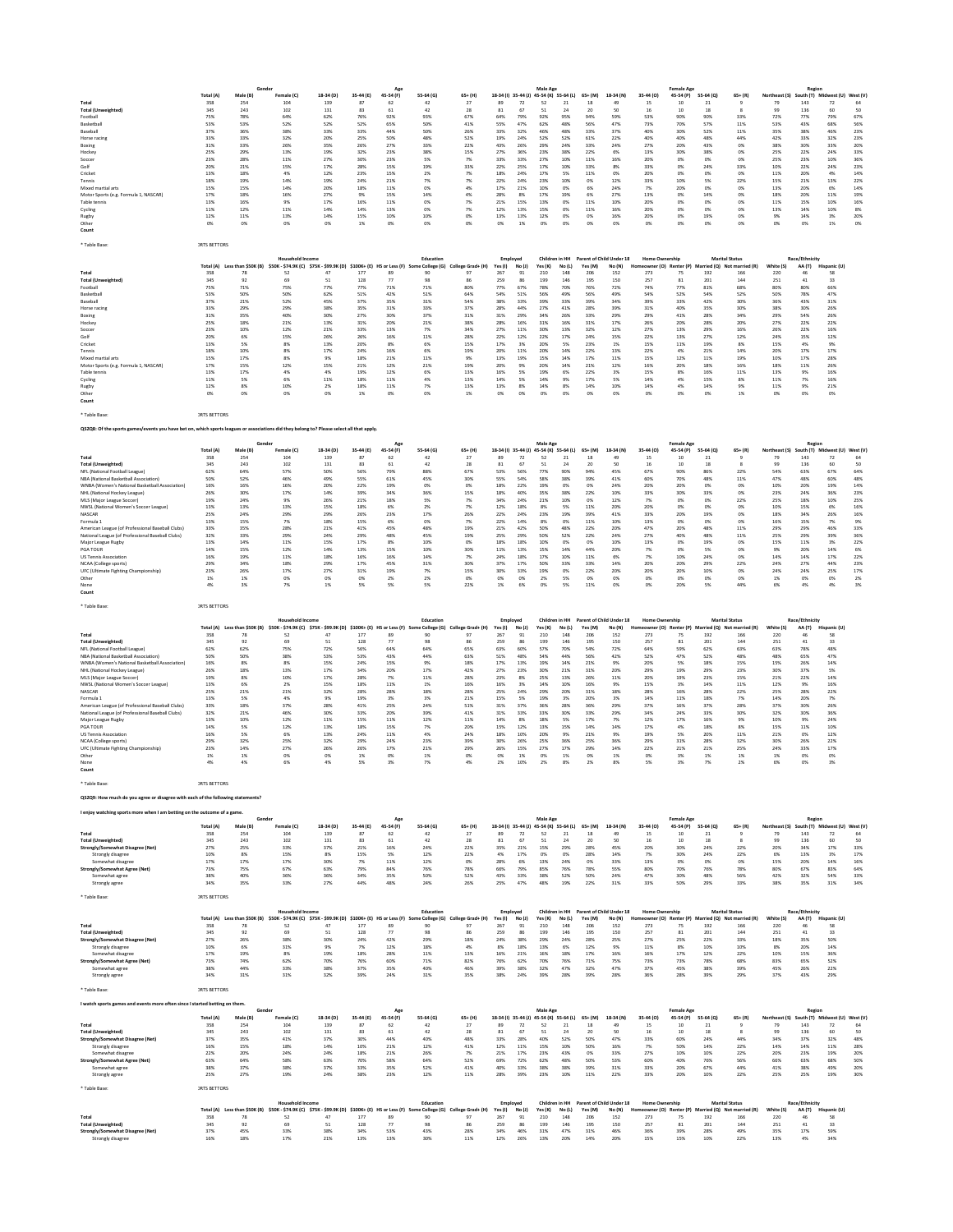|                                                                                                                                           | Total (A)           | Male (B)                      | Gende<br>Female (C)                                                                                                     | 18-34 (D)        | 35-44 (E)       | 45-54 (F)                  | 55-64 (G)                  | 65+ (H)                 |                           |                           | Male Age<br>18-34 (I) 35-44 (J) 45-54 (K) 55-64 (L) |                         | $65+ (M)$       | 18-34 (N)                          | 35-44 (O)                       | <b>Female Age</b><br>45-54 (P) | 55-64 (Q)       | $65 + (R)$                                                  | Northeast (S) South (T) Midwest (U) West (V) | Regior                   |                                      |                |
|-------------------------------------------------------------------------------------------------------------------------------------------|---------------------|-------------------------------|-------------------------------------------------------------------------------------------------------------------------|------------------|-----------------|----------------------------|----------------------------|-------------------------|---------------------------|---------------------------|-----------------------------------------------------|-------------------------|-----------------|------------------------------------|---------------------------------|--------------------------------|-----------------|-------------------------------------------------------------|----------------------------------------------|--------------------------|--------------------------------------|----------------|
| Total<br><b>Total (Unweighted)</b>                                                                                                        | 358<br>345          | 254<br>243                    | 104<br>102                                                                                                              | 139<br>131       | 87<br>83        | 62<br>61                   | 42<br>42                   | 27<br>28                | 89<br>81                  | 72<br>67                  | 52<br>51                                            | 21<br>24                | 18<br>20        | 50                                 | 15<br>16                        | 10<br>10                       | $_{21}$<br>18   |                                                             | 79<br>99                                     | 143<br>136               | 72<br>60                             | 64<br>50       |
| Football<br>Basketbal                                                                                                                     | 75%<br>53%          | 78%<br>53%                    | 64%<br>52%                                                                                                              | 62%<br>52%       | 76%<br>52%      | 92%<br>65%                 | 93%<br>50%                 | 67%<br>41%              | 64%<br>55%                | 79%<br>47%                | 92%<br>62%                                          | 95%<br>48%              | 94%<br>56%      | 59%<br>47%                         | 53%<br>73%                      | 90%<br>70%                     | 90%<br>57%      | 33%<br>11%                                                  | 72%<br>53%                                   | 77%<br>43%               | 79%<br>68%                           | 67%<br>56%     |
| Baseball                                                                                                                                  | 37%<br>33%          | 36%<br>33%                    | 38%<br>32%                                                                                                              | 33%<br>20%       | 33%<br>25%      | 44%<br>50%                 | 50%<br>48%                 | 26%<br>52%              | 33%<br>19%                | 32%<br>24%                | 46%<br>52%                                          | 48%<br>52%              | 33%<br>61%      | 37%<br>22%                         | 40%<br>40%                      | 30%<br>40%                     | 52%<br>48%      | 11%<br>44%                                                  | 35%<br>42%                                   | 38%<br>33%               | 46%<br>32%                           | 23%<br>23%     |
| Horse racing<br>Boxing                                                                                                                    | 31%                 | 33%                           | 26%                                                                                                                     | 35%              | 26%             | 27%                        | 33%                        | 22%                     | 43%                       | 26%                       | 29%                                                 | 24%                     | 33%             | 24%                                | 27%                             | 20%                            | 43%             | 0%                                                          | 38%                                          | 30%                      | 33%                                  | 20%            |
| Hockey<br>Soccer                                                                                                                          | 25%<br>23%          | 29%<br>28%                    | 13%<br>11%                                                                                                              | 19%<br>27%       | 32%<br>30%      | 23%<br>23%                 | 38%<br>5%                  | 15%<br>7%               | 27%<br>33%                | 36%<br>33%                | 23%<br>27%                                          | 38%<br>10%              | 22%<br>11%      | 6%<br>16%                          | 13%<br>20%                      | 30%<br>0%                      | 38%<br>0%       | 0%<br>0%                                                    | 25%<br>25%                                   | 22%<br>23%               | 24%<br>10%                           | 33%<br>36%     |
| Golf<br>Cricket                                                                                                                           | 20%<br>13%          | 21%<br>18%                    | 15%<br>4%                                                                                                               | 17%<br>12%       | 28%<br>23%      | 15%<br>15%                 | 19%<br>2%                  | 33%<br>7%               | 22%<br>18%                | 25%<br>24%                | 17%<br>17%                                          | 10%<br>5%               | 33%<br>11%      | 8%<br>0%                           | 33%<br>20%                      | 0%<br>0%                       | 24%<br>0%       | 33%<br>0%                                                   | 10%<br>11%                                   | 22%<br>20%               | 24%<br>4%                            | 23%<br>14%     |
| Tennis<br>Mixed martial arts                                                                                                              | 18%<br>15%          | 19%<br>15%                    | 14%<br>14%                                                                                                              | 19%<br>20%       | 24%<br>18%      | 21%<br>11%                 | 7%<br>0%                   | 7%<br>4%                | 22%<br>17%                | 24%<br>21%                | 23%<br>10%                                          | 10%<br>0%               | 0%<br>6%        | 12%<br>24%                         | 33%<br>7%                       | 10%<br>20%                     | 5%<br>0%        | 22%<br>0%                                                   | 15%<br>13%                                   | 21%<br>20%               | 13%<br>6%                            | 22%<br>14%     |
| Motor Sports (e.g. Formula 1, NASCAR)                                                                                                     | 17%                 | 18%                           | 16%                                                                                                                     | 27%              | 9%              | 15%                        | 14%                        | 4%                      | 28%                       | 8%                        | 17%                                                 | 19%                     | 6%              | 27%                                | 13%                             | 0%                             | 14%             | 0%                                                          | 18%                                          | 20%                      | 11%                                  | 19%            |
| Table tennis<br>Cycling                                                                                                                   | 13%<br>11%          | 16%<br>12%                    | 9%<br>11%                                                                                                               | 17%<br>14%       | 16%<br>14%      | 11%<br>13%                 | 0%<br>0%                   | 7%<br>7%                | 21%<br>12%                | 15%<br>13%                | 13%<br>15%                                          | 0%<br>0%                | 11%<br>11%      | 10%<br>16%                         | 20%<br>20%                      | 0%<br>0%                       | 0%<br>0%        | 0%<br>0%                                                    | 11%<br>13%                                   | 15%<br>14%               | 10%<br>10%                           | 16%<br>8%      |
| Rugby<br>Other                                                                                                                            | 12%<br>0%           | 11%<br>0%                     | 13%<br>0%                                                                                                               | 14%<br>0%        | 15%<br>1%       | 10%<br>0%                  | 10%<br>0%                  | 0%<br>0%                | 13%<br>0%                 | 13%<br>1%                 | 12%<br>0%                                           | 0%<br>0%                | 0%<br>0%        | 16%<br>0%                          | 20%<br>0%                       | 0%<br>0%                       | 19%<br>0%       | 0%<br>0%                                                    | 9%<br>0%                                     | 14%<br>0%                | 3%<br>1%                             | 20%<br>0%      |
| Count                                                                                                                                     |                     |                               |                                                                                                                         |                  |                 |                            |                            |                         |                           |                           |                                                     |                         |                 |                                    |                                 |                                |                 |                                                             |                                              |                          |                                      |                |
| * Table Base:                                                                                                                             | <b>JRTS BETTORS</b> |                               |                                                                                                                         |                  |                 |                            |                            |                         |                           |                           |                                                     |                         |                 |                                    |                                 |                                |                 |                                                             |                                              |                          |                                      |                |
|                                                                                                                                           | Total (A)           | Less than \$50K (B)           | Household Incom<br>\$50K - \$74.9K (C) \$75K - \$99.9K (D)                                                              |                  |                 | \$100K+ (E) HS or Less (F) | Education<br>e College (G) | College Grad+ (H)       | Employed<br>Yes (I)       | No (J)                    | Yes (K)                                             | Children in HH<br>No(L) | Yes (M)         | Parent of Child Under 18<br>No (N) | <b>Home Ownership</b>           | eowner (O) Renter (P)          |                 | <b>Marital Status</b><br>Married (Q) Not married (R)        | White (S)                                    | Race/Ethnicity<br>AA (T) | Hispanic (U)                         |                |
| Total<br><b>Total (Unweighted)</b>                                                                                                        | 358<br>345          | 78<br>92                      | 52<br>69                                                                                                                | 47<br>51         | 177<br>128      | 89<br>77                   | 90<br>98                   | 97<br>86                | 267<br>259                | 91<br>86                  | 210<br>199                                          | 148<br>146              | 206<br>195      | 152<br>150                         | 273<br>257                      | 75<br>81                       | 192<br>201      | 166<br>144                                                  | 220<br>251                                   | 46<br>41                 | 58<br>33                             |                |
| Football                                                                                                                                  | 75%                 | 71%                           | 75%                                                                                                                     | 77%              | 77%             | 71%                        | 71%                        | 80%                     | 77%                       | 67%                       | 78%                                                 | 70%                     | 76%             | 72%                                | 74%                             | 77%                            | 81%             | 68%                                                         | 80%                                          | 80%                      | 66%                                  |                |
| Basketbal<br>Baseball                                                                                                                     | 53%<br>37%          | 50%<br>21%                    | 50%<br>52%                                                                                                              | 62%<br>45%       | 51%<br>37%      | 42%<br>35%                 | 51%<br>31%                 | 64%<br>54%              | 54%<br>38%                | 51%<br>33%                | 56%<br>39%                                          | 49%<br>33%              | 56%<br>39%      | 49%<br>34%                         | 54%<br>39%                      | 52%<br>33%                     | 54%<br>42%      | 52%<br>30%                                                  | 50%<br>36%                                   | 78%<br>43%               | 47%<br>31%                           |                |
| Horse racing<br>Boxing                                                                                                                    | 33%<br>31%          | 29%<br>35%                    | 29%<br>40%                                                                                                              | 38%<br>30%       | 35%<br>27%      | 31%<br>30%                 | 33%<br>37%                 | 37%<br>31%              | 28%<br>31%                | 44%<br>29%                | 27%<br>34%                                          | 41%<br>26%              | 28%<br>33%      | 39%<br>29%                         | 31%<br>29%                      | 40%<br>41%                     | 35%<br>28%      | 30%<br>34%                                                  | 38%<br>29%                                   | 30%<br>54%               | 26%<br>26%                           |                |
| Hockey<br>Soccer                                                                                                                          | 25%<br>23%          | 18%<br>10%                    | 21%<br>12%                                                                                                              | 13%<br>21%       | 31%<br>33%      | 20%<br>13%                 | 21%<br>7%                  | 38%<br>34%              | 28%<br>27%                | 16%<br>11%                | 31%<br>30%                                          | 16%<br>13%              | 31%<br>32%      | 17%<br>12%                         | 26%<br>27%                      | 20%<br>13%                     | 28%<br>29%      | 20%<br>16%                                                  | 27%<br>26%                                   | 22%<br>22%               | 22%<br>16%                           |                |
| Golf                                                                                                                                      | 20%                 | 6%                            | 15%                                                                                                                     | 26%              | 26%             | 16%                        | 11%                        | 28%                     | 22%                       | 12%                       | 22%                                                 | 17%                     | 24%             | 15%                                | 22%                             | 13%                            | 27%             | 12%                                                         | 24%                                          | 15%                      | 12%                                  |                |
| Cricket<br>Tennis                                                                                                                         | 13%<br>18%          | 5%<br>10%                     | 8%<br>8%                                                                                                                | 13%<br>17%       | 20%<br>24%      | 8%<br>16%                  | 6%<br>6%                   | 15%<br>19%              | 17%<br>20%                | 3%<br>11%                 | 20%<br>20%                                          | 5%<br>14%               | 23%<br>22%      | 1%<br>13%                          | 15%<br>22%                      | 11%<br>4%                      | 19%<br>21%      | 8%<br>14%                                                   | 15%<br>20%                                   | 4%<br>17%                | 9%<br>17%                            |                |
| Mixed martial arts<br>Motor Sports (e.g. Formula 1, NASCAR)                                                                               | 15%<br>17%          | 17%<br>15%                    | 8%<br>12%                                                                                                               | 9%<br>15%        | 18%<br>21%      | 21%<br>12%                 | 11%<br>21%                 | 9%<br>19%               | 13%<br>20%                | 19%<br>9%                 | 15%<br>20%                                          | 14%<br>14%              | 17%<br>21%      | 11%<br>12%                         | 15%<br>16%                      | 12%<br>20%                     | 11%<br>18%      | 19%<br>16%                                                  | 10%<br>18%                                   | 17%<br>11%               | 28%<br>26%                           |                |
| Table tennis<br>Cycling                                                                                                                   | 13%<br>11%          | 17%<br>5%                     | 4%<br>6%                                                                                                                | 4%<br>11%        | 19%<br>18%      | 12%<br>11%                 | 6%<br>4%                   | 13%<br>13%              | 16%<br>14%                | 5%<br>5%                  | 19%<br>14%                                          | 6%<br>9%                | 22%<br>17%      | 3%<br>5%                           | 15%<br>14%                      | 8%<br>4%                       | 16%<br>15%      | 11%<br>8%                                                   | 13%<br>11%                                   | 9%<br>7%                 | 16%<br>16%                           |                |
| Rugby<br>Other                                                                                                                            | 12%<br>0%           | 8%<br>0%                      | 10%<br>0%                                                                                                               | 2%<br>0%         | 18%<br>1%       | 11%<br>0%                  | 7%<br>0%                   | 13%<br>1%               | 13%<br>0%                 | 8%<br>0%                  | 14%<br>0%                                           | 8%<br>0%                | 14%<br>0%       | 10%<br>0%                          | 14%<br>0%                       | 4%<br>0%                       | 14%<br>0%       | 9%<br>1%                                                    | 11%<br>0%                                    | 9%<br>0%                 | 21%<br>0%                            |                |
| Count                                                                                                                                     |                     |                               |                                                                                                                         |                  |                 |                            |                            |                         |                           |                           |                                                     |                         |                 |                                    |                                 |                                |                 |                                                             |                                              |                          |                                      |                |
| Table Base                                                                                                                                | <b>JRTS BETTORS</b> |                               |                                                                                                                         |                  |                 |                            |                            |                         |                           |                           |                                                     |                         |                 |                                    |                                 |                                |                 |                                                             |                                              |                          |                                      |                |
| QS2Q8: Of the sports games/events you have bet on, which sports leagues or associations did they belong to? Please select all that apply. |                     |                               |                                                                                                                         |                  |                 |                            |                            |                         |                           |                           |                                                     |                         |                 |                                    |                                 |                                |                 |                                                             |                                              |                          |                                      |                |
|                                                                                                                                           |                     |                               |                                                                                                                         |                  |                 | Age                        |                            |                         |                           |                           | Male Age                                            |                         |                 |                                    |                                 | <b>Female Age</b>              |                 |                                                             |                                              | Regior                   |                                      |                |
| Total                                                                                                                                     | Total (A)<br>358    | Male (B)<br>254               | Female (C)<br>104                                                                                                       | 18-34 (D)<br>139 | 35-44 (E)<br>87 | 45-54 (F)<br>62            | 55-64 (G)<br>42            | $65+ (H)$<br>27         | 89                        | 18-34 (I) 35-44 (J)<br>72 | 45-54 (K) 55-64 (L)<br>52                           | 21                      | $65+ (M)$<br>18 | 18-34 (N)<br>49                    | 35-44 (O)<br>15                 | 45-54 (P)<br>10                | 55-64 (Q)<br>21 | $65 + (R)$                                                  | Northeast (S)<br>79                          | 143                      | South (T) Midwest (U) West (V)<br>72 | 64             |
| <b>Total (Unweighted)</b><br>NFL (National Football League)                                                                               | 345<br>62%          | 243<br>64%                    | 102<br>57%                                                                                                              | 131<br>50%       | 83<br>56%       | 61<br>79%                  | 42<br>88%                  | 28<br>67%               | 81<br>53%                 | 67<br>56%                 | 51<br>77%                                           | 24<br>90%               | 20<br>94%       | 50<br>45%                          | 16<br>67%                       | 10<br>90%                      | 18<br>86%       | 22%                                                         | 99<br>54%                                    | 136<br>63%               | 60<br>67%                            | 50<br>64%      |
| NBA (National Basketball Association)<br>WNBA (Women's National Basketball Association)                                                   | 50%<br>16%          | 52%<br>16%                    | 46%<br>16%                                                                                                              | 49%<br>20%       | 55%<br>22%      | 61%<br>19%                 | 45%<br>0%                  | 30%<br>0%               | 55%<br>18%                | 54%<br>22%                | 58%<br>19%                                          | 38%<br>0%               | 39%<br>0%       | 41%<br>24%                         | 60%<br>20%                      | 70%<br>20%                     | 48%<br>O%       | 11%<br>0%                                                   | 47%<br>10%                                   | 48%<br>20%               | 60%<br>19%                           | 48%<br>14%     |
| NHL (National Hockey League)                                                                                                              | 26%<br>19%          | 30%<br>24%                    | 17%<br>9%                                                                                                               | 14%<br>26%       | 39%<br>21%      | 34%<br>18%                 | 36%<br>5%                  | 15%                     | 18%<br>34%                | 40%<br>24%                | 35%<br>21%                                          | 38%<br>10%              | 22%<br>0%       | 10%<br>12%                         | 33%<br>7%                       | 30%<br>0%                      | 33%<br>0%       | 0%<br>22%                                                   | 23%<br>25%                                   | 24%<br>18%               | 36%<br>10%                           | 23%<br>25%     |
| MLS (Major League Soccer)<br>NWSL (National Women's Soccer League)                                                                        | 13%                 | 13%                           | 13%                                                                                                                     | 15%              | 18%             | 6%                         | 2%                         | 7%<br>7%                | 12%                       | 18%                       | 8%                                                  | 5%                      | 11%             | 20%                                | 20%                             | 0%                             | 0%              | 0%                                                          | 10%                                          | 15%                      | 6%                                   | 16%            |
| NASCAR<br>Formula 1                                                                                                                       | 25%<br>13%          | 24%<br>15%                    | 29%<br>7%                                                                                                               | 29%<br>18%       | 26%<br>15%      | 23%<br>6%                  | 17%<br>0%                  | 26%<br>7%               | 22%<br>22%                | 24%<br>14%                | 23%<br>8%                                           | 19%<br>0%               | 39%<br>11%      | 41%<br>10%                         | 33%<br>13%                      | 20%<br>0%                      | 19%<br>0%       | 0%<br>0%                                                    | 18%<br>16%                                   | 34%<br>15%               | 26%<br>7%                            | 16%<br>9%      |
| American League (of Professional Baseball Clubs)<br>National League (of Professional Baseball Clubs)                                      | 33%<br>32%          | 35%<br>33%                    | 28%<br>29%                                                                                                              | 21%<br>24%       | 41%<br>29%      | 45%<br>48%                 | 48%<br>45%                 | 19%<br>19%              | 21%<br>25%                | 42%<br>29%                | 50%<br>50%                                          | 48%<br>52%              | 22%<br>22%      | 20%<br>24%                         | 47%<br>27%                      | 20%<br>40%                     | 48%<br>48%      | 11%<br>11%                                                  | 29%<br>25%                                   | 29%<br>29%               | 46%<br>39%                           | 33%<br>36%     |
| Major League Rugby                                                                                                                        | 13%                 | 14%                           | 11%                                                                                                                     | 15%              | 17%             | 8%                         | 10%                        | 0%                      | 18%                       | 18%                       | 10%                                                 | 0%                      | 0%              | 10%                                | 13%                             | 0%                             | 19%             | 0%                                                          | 15%                                          | 11%                      | 3%                                   | 22%            |
| <b>PGATOUR</b><br><b>US Tennis Association</b>                                                                                            | 14%<br>16%          | 15%<br>19%                    | 12%<br>11%                                                                                                              | 14%<br>18%       | 13%<br>16%      | 15%<br>16%                 | 10%<br>14%                 | 30%<br>7%               | 11%<br>24%                | 13%<br>18%                | 15%<br>17%                                          | 14%<br>10%              | 44%<br>11%      | 20%<br>6%                          | 7%<br>7%                        | 0%<br>10%                      | 5%<br>24%       | 0%<br>0%                                                    | 9%<br>14%                                    | 20%<br>14%               | 14%<br>17%                           | 6%<br>22%      |
| NCAA (College sports)<br>UFC (Ultimate Fighting Championship)                                                                             | 29%<br>23%          | 34%<br>26%                    | 18%<br>17%                                                                                                              | 29%<br>27%       | 17%<br>31%      | 45%<br>19%                 | 31%<br>7%                  | 30%<br>15%              | 37%<br>30%                | 17%<br>33%                | 50%<br>19%                                          | 33%<br>0%               | 33%<br>22%      | 14%<br>20%                         | 20%<br>20%                      | 20%<br>20%                     | 29%<br>10%      | 22%<br>0%                                                   | 24%<br>24%                                   | 27%<br>24%               | 44%<br>25%                           | 23%<br>17%     |
| Other<br>None                                                                                                                             | 1%<br>4%            | 1%<br>3%                      | 0%<br>7%                                                                                                                | 0%<br>1%         | 0%<br>5%        | 2%<br>5%                   | 2%<br>5%                   | 0%<br>22%               | 0%<br>1%                  | 0%<br>6%                  | 2%<br>0%                                            | 5%<br>5%                | 0%<br>11%       | 0%<br>0%                           | 0%<br>0%                        | 0%<br>20%                      | 0%<br>5%        | 0%<br>44%                                                   | 1%<br>6%                                     | 0%<br>4%                 | 0%<br>4%                             | 2%<br>3%       |
| Count                                                                                                                                     |                     |                               |                                                                                                                         |                  |                 |                            |                            |                         |                           |                           |                                                     |                         |                 |                                    |                                 |                                |                 |                                                             |                                              |                          |                                      |                |
| * Table Base                                                                                                                              | <b>JRTS BETTORS</b> |                               |                                                                                                                         |                  |                 |                            |                            |                         |                           |                           |                                                     |                         |                 |                                    |                                 |                                |                 |                                                             |                                              |                          |                                      |                |
|                                                                                                                                           |                     | Total (A) Less than \$50K (B) |                                                                                                                         |                  |                 |                            | Education                  | College Grad+ (H)       | Employed                  |                           | Children in HH                                      |                         |                 | Parent of Child Under 18           | <b>Home Ownership</b>           |                                |                 | <b>Marital Status</b><br>Married (Q) Not married (R)        | White (S)                                    | Race/Ethnicity           |                                      |                |
| Total                                                                                                                                     | 358                 | 78                            | \$50K - \$74.9K (C) \$75K - \$99.9K (D) \$100K+ (E) HS or Less (F) Sc<br>52                                             |                  | 177             | 89                         | e College (G)<br>90        | 97                      | Yes (I)<br>267            | No (J)<br>91              | Yes (K)<br>210                                      | No(L)<br>148            | Yes (M)<br>206  | No (N)<br>152                      | 273                             | eowner (O) Renter (P)<br>75    | 192             | 166                                                         | 220                                          | AA (T)<br>46             | Hispanic (U)<br>58                   |                |
| <b>Total (Unweighted)</b><br>NFL (National Football League)                                                                               | 345<br>62%          | 92<br>62%                     | 69<br>75%                                                                                                               | 51<br>72%        | 128<br>56%      | 77<br>64%                  | 98<br>64%                  | 86<br>65%               | 259<br>63%                | 86<br>60%                 | 199<br>57%                                          | 146<br>70%              | 195<br>54%      | 150<br>72%                         | 257<br>64%                      | 81<br>59%                      | 201<br>62%      | 144<br>63%                                                  | 251<br>63%                                   | 41<br>78%                | 33<br>48%                            |                |
| NBA (National Basketball Association)<br>WNBA (Women's National Basketball Association)                                                   | 50%<br>16%          | 50%<br>8%                     | 38%<br>8%                                                                                                               | 53%<br>15%       | 53%<br>24%      | 43%<br>15%                 | 44%<br>9%                  | 63%<br>18%              | 51%<br>17%                | 48%<br>13%                | 54%<br>19%                                          | 44%<br>14%              | 56%<br>21%      | 42%<br>9%                          | 52%<br>20%                      | 47%<br>5%                      | 52%<br>18%      | 48%<br>15%                                                  | 48%<br>15%                                   | 65%<br>26%               | 47%<br>14%                           |                |
| NHL (National Hockey League)<br>MLS (Major League Soccer)                                                                                 | 26%<br>19%          | 18%<br>8%                     | 13%<br>10%                                                                                                              | 17%<br>17%       | 34%<br>28%      | 20%<br>7%                  | 17%<br>11%                 | 42%<br>28%              | 27%<br>23%                | 23%<br>8%                 | 30%<br>25%                                          | 21%<br>13%              | 31%<br>26%      | 20%<br>11%                         | 29%<br>20%                      | 19%<br>19%                     | 29%<br>23%      | 23%<br>15%                                                  | 30%<br>21%                                   | 37%<br>22%               | 5%<br>14%                            |                |
| NWSL (National Women's Soccer League)                                                                                                     | 13%                 | 6%                            | 2%                                                                                                                      | 15%              | 18%             | 11%                        | 1%                         | 16%                     | 16%                       | 3%                        | 14%                                                 | 10%                     | 16%             | 9%                                 | 15%                             | 3%                             | 14%             | 11%                                                         | 12%                                          | 9%                       | 16%                                  |                |
| NASCAR<br>Formula 1                                                                                                                       | 25%<br>13%          | 21%<br>5%                     | 21%<br>4%                                                                                                               | 32%<br>9%        | 28%<br>19%      | 28%<br>3%                  | 18%<br>3%                  | 28%<br>21%              | 25%<br>15%                | 24%<br>5%                 | 29%<br>19%                                          | 20%<br>3%               | 31%<br>20%      | 18%<br>3%                          | 28%<br>14%                      | 16%<br>11%                     | 28%<br>18%      | 22%<br>7%                                                   | 25%<br>14%                                   | 28%<br>20%               | 22%<br>7%                            |                |
| American League (of Professional Baseball Clubs)<br>National League (of Professional Baseball Clubs)                                      | 33%<br>32%          | 18%<br>21%                    | 37%<br>46%                                                                                                              | 28%<br>30%       | 41%<br>33%      | 25%<br>20%                 | 24%<br>39%                 | 51%<br>41%              | 31%<br>31%                | 37%<br>33%                | 36%<br>33%                                          | 28%<br>30%              | 36%<br>33%      | 29%<br>29%                         | 37%<br>34%                      | 16%<br>24%                     | 37%<br>33%      | 28%<br>30%                                                  | 37%<br>32%                                   | 30%<br>30%               | 26%<br>36%                           |                |
| Major League Rugby<br>PGA TOUR                                                                                                            | 13%<br>14%          | 10%<br>5%                     | 12%<br>12%                                                                                                              | 11%<br>13%       | 15%<br>18%      | 11%<br>15%                 | 12%<br>7%                  | 11%<br>20%              | 14%<br>15%                | 8%<br>12%                 | 18%<br>13%                                          | 5%<br>15%               | 17%<br>14%      | 7%<br>14%                          | 12%<br>17%                      | 17%<br>4%                      | 16%<br>18%      | 9%<br>8%                                                    | 10%<br>15%                                   | 9%<br>11%                | 24%<br>10%                           |                |
| <b>US Tennis Association</b>                                                                                                              | 16%<br>29%          | 5%<br>32%                     | 6%<br>25%                                                                                                               | 13%<br>32%       | 24%<br>29%      | 11%<br>24%                 | 4%<br>23%                  | 24%<br>39%              | 18%<br>30%                | 10%<br>26%                | 20%<br>25%                                          | 9%<br>36%               | 21%<br>25%      | 9%<br>36%                          | 19%<br>29%                      | 5%<br>31%                      | 20%<br>28%      | 11%<br>32%                                                  | 21%<br>30%                                   | 0%<br>26%                | 12%<br>22%                           |                |
| NCAA (College sports)<br>UFC (Ultimate Fighting Championship)                                                                             | 23%                 | 14%                           | 27%                                                                                                                     | 26%              | 26%             | 17%                        | 21%                        | 29%                     | 26%                       | 15%                       | 27%                                                 | 17%                     | 29%             | 14%                                | 22%                             | 21%                            | 21%             | 25%                                                         | 24%                                          | 33%                      | 17%                                  |                |
| Other<br>None                                                                                                                             | 1%<br>4%            | 1%<br>4%                      | 0%<br>6%                                                                                                                | 0%<br>4%         | 1%<br>5%        | 0%<br>3%                   | 1%<br>7%                   | 0%<br>4%                | 0%<br>2%                  | 1%<br>10%                 | 0%<br>2%                                            | 1%<br>8%                | 0%<br>2%        | 1%<br>8%                           | 0%<br>5%                        | 3%<br>3%                       | 1%<br>7%        | 1%<br>2%                                                    | 1%<br>6%                                     | 0%<br>0%                 | 0%<br>3%                             |                |
| Count                                                                                                                                     |                     |                               |                                                                                                                         |                  |                 |                            |                            |                         |                           |                           |                                                     |                         |                 |                                    |                                 |                                |                 |                                                             |                                              |                          |                                      |                |
| * Table Base                                                                                                                              | <b>JRTS BETTORS</b> |                               |                                                                                                                         |                  |                 |                            |                            |                         |                           |                           |                                                     |                         |                 |                                    |                                 |                                |                 |                                                             |                                              |                          |                                      |                |
| QS2Q9: How much do you agree or disagree with each of the following statements?                                                           |                     |                               |                                                                                                                         |                  |                 |                            |                            |                         |                           |                           |                                                     |                         |                 |                                    |                                 |                                |                 |                                                             |                                              |                          |                                      |                |
| I enjoy watching sports more when I am betting on the outcome of a game.                                                                  |                     |                               |                                                                                                                         |                  |                 | Age                        |                            |                         |                           |                           | Male Age                                            |                         |                 |                                    |                                 | <b>Female Age</b>              |                 |                                                             |                                              | Regior                   |                                      |                |
| Total                                                                                                                                     | Total (A)<br>358    | Male (B)<br>254               | Female (C)<br>104                                                                                                       | 18-34 (D)<br>139 | 35-44 (E)<br>87 | 45-54 (F)<br>62            | 55-64 (G)<br>42            | 65+ (H)<br>27           | 18-34 (I)<br>89           | $35 - 44$ (J)<br>72       | 45-54 (K) 55-64 (L)<br>52                           | 21                      | $65+ (M)$<br>18 | 18-34 (N)<br>49                    | 35-44 (0)<br>15                 | 45-54 (P)<br>10                | 55-64 (Q)<br>21 | $65 + (R)$<br>9                                             | Northeast (S)<br>79                          | 143                      | South (T) Midwest (U) West (V)<br>72 | 64             |
| <b>Total (Unweighted)</b>                                                                                                                 | 345<br>27%          | 243<br>25%                    | 102<br>33%                                                                                                              | 131<br>37%       | 83<br>21%       | 61<br>16%                  | $42\,$<br>24%              | $\bf 28$<br>22%         | 81<br>35%                 | 67<br>21%                 | 51<br>15%                                           | 24<br>29%               | 20<br>28%       | $50$<br>45%                        | $16\,$<br>20%                   | 10<br>30%                      | 18<br>24%       | 8<br>22%                                                    | 99<br>20%                                    | 136<br>34%               | 60<br>17%                            | 50<br>33%      |
| Strongly/Somewhat Disagree (Net)<br>Strongly disagree                                                                                     | 10%                 | 8%                            | 15%                                                                                                                     | 8%               | 15%             | 5%                         | 12%                        | 22%                     | 4%                        | 17%                       | 0%                                                  | 0%                      | 28%             | 14%                                | 7%                              | 30%                            | 24%             | 22%                                                         | 6%                                           | 13%                      | 3%                                   | 17%            |
| Somewhat disagree<br>Strongly/Somewhat Agree (Net)                                                                                        | 17%<br>73%          | 17%<br>75%                    | 17%<br>67%                                                                                                              | 30%<br>63%       | 7%<br>79%       | 11%<br>84%                 | 12%<br>76%                 | 0%<br>78%               | 28%<br>66%                | 6%<br>79%                 | 13%<br>85%                                          | 24%<br>76%              | 0%<br>78%       | 33%<br>55%                         | 13%<br>80%                      | 0%<br>70%                      | 0%<br>76%       | 0%<br>78%                                                   | 15%<br>80%                                   | 20%<br>67%               | 14%<br>83%                           | 16%<br>64%     |
| Somewhat agree<br>Strongly agree                                                                                                          | 38%<br>34%          | 40%<br>35%                    | 36%<br>33%                                                                                                              | 36%<br>27%       | 34%<br>44%      | 35%<br>48%                 | 50%<br>24%                 | 52%<br>26%              | 43%<br>25%                | 33%<br>47%                | 38%<br>48%                                          | 52%<br>19%              | 50%<br>22%      | 24%<br>31%                         | 47%<br>33%                      | 30%<br>50%                     | 48%<br>29%      | 56%<br>33%                                                  | 42%<br>38%                                   | 32%<br>35%               | 54%<br>31%                           | 33%<br>34%     |
| * Table Base:                                                                                                                             | <b>IRTS BETTORS</b> |                               |                                                                                                                         |                  |                 |                            |                            |                         |                           |                           |                                                     |                         |                 |                                    |                                 |                                |                 |                                                             |                                              |                          |                                      |                |
|                                                                                                                                           |                     |                               | Household Income                                                                                                        |                  |                 |                            | Education                  |                         | Employed                  |                           | Children in HH                                      |                         |                 | Parent of Child Under 18           | Home Ownership                  |                                |                 | <b>Marital Status</b>                                       |                                              | <b>Race/Fthnicity</b>    |                                      |                |
| Total                                                                                                                                     | Total (A)<br>358    | Less than \$50K (B)<br>78     | \$50K - \$74.9K (C) \$75K - \$99.9K (D) \$100K+ (E) HS or Less (F) Some College (G)<br>52                               | 47               | 177             | 89                         | 90                         | College Grad+ (H)<br>97 | Yes(1)<br>267             | No (J)<br>91              | Yes (K)<br>210                                      | No (L)<br>148           | Yes (M)<br>206  | No (N)<br>152                      | Homeowner (O) Renter (P)<br>273 | 75                             | 192             | Married (Q) Not married (R)<br>166                          | White (S)<br>220                             | AA (T)<br>46             | Hispanic (U)<br>58                   |                |
| <b>Total (Unweighted)</b>                                                                                                                 | 345                 | 92                            | 69                                                                                                                      | 51               | 128             | 77                         | 98                         | 86                      | 259                       | 86                        | 199                                                 | 146                     | 195             | 150                                | 257                             | 81                             | 201             | 144                                                         | 251                                          | 41                       | 33                                   |                |
| Strongly/Somewhat Disagree (Net)<br>Strongly disagree                                                                                     | 27%<br>10%          | 26%<br>6%                     | 38%<br>31%                                                                                                              | 30%<br>9%        | 24%<br>7%       | 42%<br>12%                 | 29%<br>18%                 | 18%<br>4%               | 24%<br>8%                 | 38%<br>18%                | 29%<br>13%                                          | 24%<br>6%               | 28%<br>12%      | 25%<br>9%                          | 27%<br>11%                      | 25%<br>8%                      | 22%<br>10%      | 33%<br>10%                                                  | 18%<br>8%                                    | 35%<br>20%               | 50%<br>14%                           |                |
| Somewhat disagre<br>Strongly/Somewhat Agree (Net)                                                                                         | 17%<br>73%          | 19%<br>74%                    | 8%<br>62%                                                                                                               | 19%<br>70%       | 18%<br>76%      | 28%<br>60%                 | 11%<br>71%                 | 13%<br>82%              | 16%<br>76%                | 21%<br>62%                | 16%<br>70%                                          | 18%<br>76%              | 17%<br>71%      | 16%<br>75%                         | 16%<br>73%                      | 17%<br>73%                     | 12%<br>78%      | 22%<br>68%                                                  | 10%<br>83%                                   | 15%<br>65%               | 36%<br>52%                           |                |
| Somewhat agree<br>Strongly agree                                                                                                          | 38%<br>34%          | 44%<br>31%                    | 33%<br>31%                                                                                                              | 38%<br>32%       | 37%<br>39%      | 35%<br>24%                 | 40%<br>31%                 | 46%<br>35%              | 39%<br>38%                | 38%<br>24%                | 32%<br>39%                                          | 47%<br>28%              | 32%<br>39%      | 47%<br>28%                         | 37%<br>36%                      | 45%<br>28%                     | 38%<br>39%      | 39%<br>29%                                                  | 45%<br>37%                                   | 26%<br>43%               | 22%<br>29%                           |                |
|                                                                                                                                           |                     |                               |                                                                                                                         |                  |                 |                            |                            |                         |                           |                           |                                                     |                         |                 |                                    |                                 |                                |                 |                                                             |                                              |                          |                                      |                |
| * Table Base:                                                                                                                             | <b>JRTS BETTORS</b> |                               |                                                                                                                         |                  |                 |                            |                            |                         |                           |                           |                                                     |                         |                 |                                    |                                 |                                |                 |                                                             |                                              |                          |                                      |                |
| I watch sports games and events more often since I started betting on them.                                                               |                     |                               | Gende                                                                                                                   |                  |                 | Age                        |                            |                         |                           |                           | Male Age                                            |                         |                 |                                    |                                 | <b>Female Age</b>              |                 |                                                             |                                              | Regior                   |                                      |                |
| Total                                                                                                                                     | Total (A)<br>358    | Male (B)<br>254               | Female (C)<br>104                                                                                                       | 18-34 (D)<br>139 | 35-44 (E)<br>87 | 45-54 (F)<br>62            | 55-64 (G)<br>42            | 65+ (H)<br>27           | 18-34 (l) 35-44 (J)<br>89 | 72                        | 45-54 (K) 55-64 (L)<br>52                           | 21                      | $65+ (M)$<br>18 | 18-34 (N)<br>49                    | 35-44 (O)<br>15                 | 45-54 (P)<br>10                | 55-64 (Q)<br>21 | $65 + (R)$<br>$^{\rm 9}$                                    | Northeast (S)<br>79                          | 143                      | South (T) Midwest (U)<br>72          | West (V)<br>64 |
| <b>Total (Unweighted)</b><br>Strongly/Somewhat Disagree (Net)                                                                             | 345<br>37%          | 243<br>35%                    | 102<br>41%                                                                                                              | 131<br>37%       | 83<br>30%       | 61<br>44%                  | $42\,$<br>40%              | 28<br>48%               | 81<br>33%                 | 67<br>28%                 | 51<br>40%                                           | 24<br>52%               | 20<br>50%       | $50$<br>47%                        | 16<br>33%                       | 10<br>60%                      | 18<br>24%       | $^{\rm 8}$<br>44%                                           | 99<br>34%                                    | 136<br>37%               | 60<br>32%                            | 50<br>48%      |
| Strongly disagree<br>Somewhat disagree                                                                                                    | 16%<br>22%          | 15%<br>20%                    | 18%<br>24%                                                                                                              | 14%<br>24%       | 10%<br>18%      | 21%<br>21%                 | 12%<br>26%                 | 41%<br>7%               | 12%<br>21%                | 11%<br>17%                | 15%<br>23%                                          | 10%<br>43%              | 50%<br>0%       | 16%<br>33%                         | 7%<br>27%                       | 50%<br>10%                     | 14%<br>10%      | 22%<br>22%                                                  | 14%<br>20%                                   | 14%<br>23%               | 11%<br>19%                           | 28%<br>20%     |
| Strongly/Somewhat Agree (Net)                                                                                                             | 63%                 | 64%<br>37%                    | 58%                                                                                                                     | 63%<br>37%       | 70%<br>33%      | 58%<br>35%                 | 64%<br>52%                 | 52%                     | 69%                       | 72%                       | 62%                                                 | 48%                     | 50%             | 53%                                | 60%                             | 40%                            | 76%<br>67%      | 56%                                                         | 66%                                          | 63%<br>38%               | 68%<br>49%                           | 50%<br>20%     |
| Somewhat agree<br>Strongly agree                                                                                                          | 38%<br>25%          | 27%                           | 38%<br>19%                                                                                                              | 24%              | 38%             | 23%                        | 12%                        | 41%<br>11%              | 40%<br>28%                | 33%<br>39%                | 38%<br>23%                                          | 38%<br>10%              | 39%<br>11%      | 31%<br>22%                         | 33%<br>33%                      | 20%<br>20%                     | 10%             | 44%<br>22%                                                  | 41%<br>25%                                   | 25%                      | 19%                                  | 30%            |
| * Table Base:                                                                                                                             | <b>JRTS BETTORS</b> |                               |                                                                                                                         |                  |                 |                            |                            |                         |                           |                           |                                                     |                         |                 |                                    |                                 |                                |                 |                                                             |                                              |                          |                                      |                |
|                                                                                                                                           |                     |                               | <b>Household Incom</b>                                                                                                  |                  |                 |                            | Education                  |                         | Employed                  |                           | Children in HH                                      |                         |                 | Parent of Child Under 18           | <b>Home Ownership</b>           |                                |                 | <b>Marital Status</b>                                       |                                              | Race/Ethnicity           |                                      |                |
| Total                                                                                                                                     | 358                 | 78                            | Total (A) Less than \$50K (B) \$50K - \$74.9K (C) \$75K - \$99.9K (D) \$100K+ (E) HS or Less (F) Some College (G)<br>52 | 47               | 177             | 89                         | 90                         | College Grad+ (H)<br>97 | Yes(1)<br>267             | No (J)<br>91              | Yes (K)<br>210                                      | No (L)<br>148           | Yes (M)<br>206  | No (N)<br>152                      | 273                             | 75                             | 192             | Homeowner (O) Renter (P) Married (Q) Not married (R)<br>166 | White (S)<br>220                             | AA (T)<br>46             | Hispanic (U)<br>58                   |                |
| Total (Unweighted)                                                                                                                        | 345<br>37%          | 92<br>45%                     | 69<br>33%                                                                                                               | 51<br>38%        | 128<br>34%      | 77<br>53%                  | 98<br>43%                  | 86<br>28%               | 259<br>34%                | 86<br>46%                 | 199<br>31%                                          | 146<br>47%              | 195<br>31%      | 150<br>46%                         | 257<br>36%                      | 81<br>39%                      | 201<br>28%      | 144<br>49%                                                  | 251<br>35%                                   | 41<br>17%                | 33<br>59%                            |                |
| Strongly/Somewhat Disagree (Net)<br>Strongly disagree                                                                                     | 16%                 | 18%                           | 17%                                                                                                                     | 21%              | 13%             | 13%                        | 30%                        | $11\%$                  | 12%                       | 26%                       | 13%                                                 | 20%                     | 14%             | 20%                                | 15%                             | 15%                            | 10%             | 22%                                                         | 13%                                          | 4%                       | 34%                                  |                |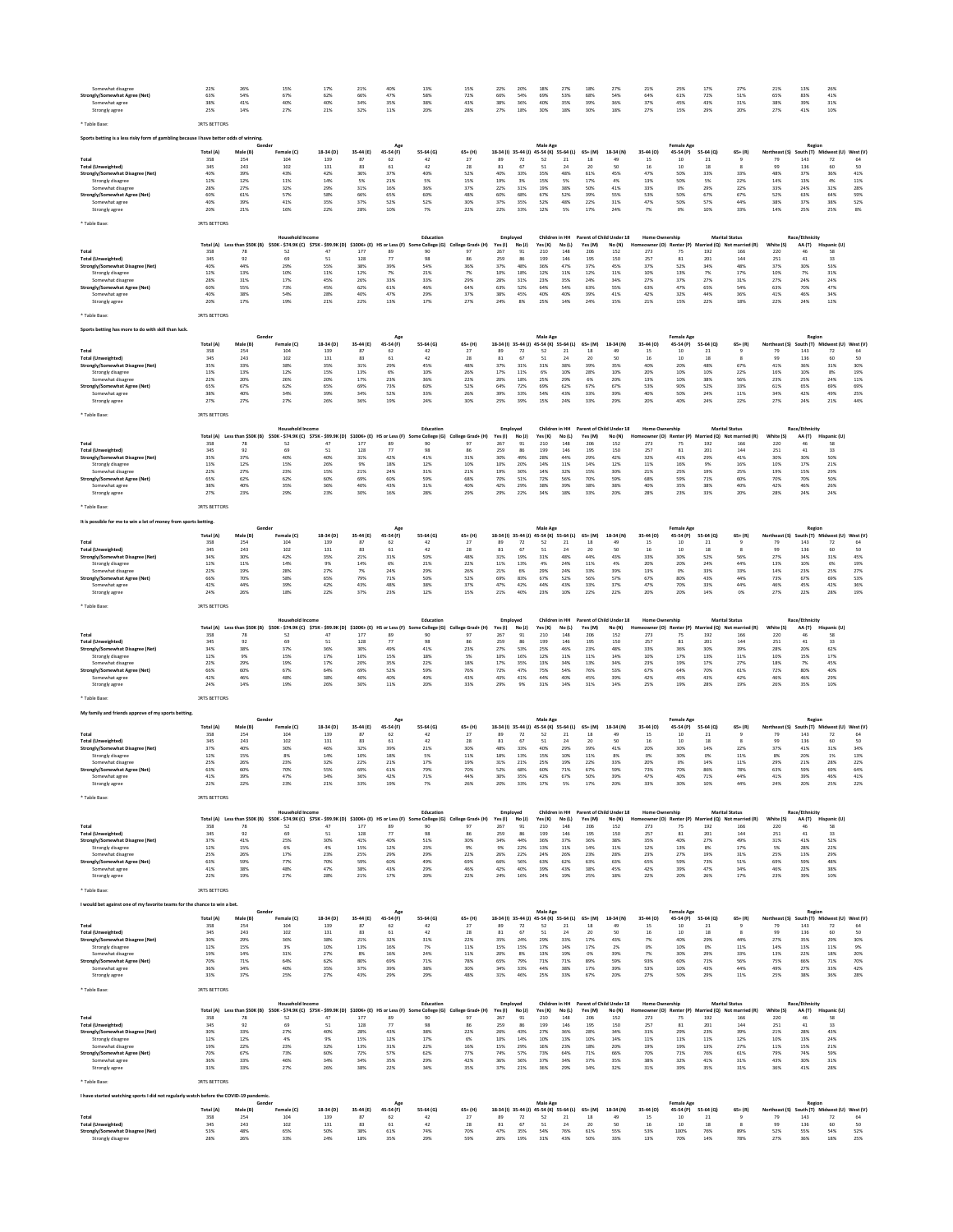| Somewhat disagree<br>Strongly/Somewhat Agree (Net)<br>Somewhat agree<br>Strongly agree | 22%<br>63%<br>38%<br>25%       | 26%<br>54%<br>41%<br>14%      | 15%<br>67%<br>40%<br>27%                                                                                                    | 17%<br>62%<br>40%<br>21%       | 21%<br>66%<br>34%<br>32%     | 40%<br>47%<br>35%<br>11%         | 13%<br>58%<br>38%<br>20%      | 15%<br>72%<br>43%<br>28%     | 22%<br>66%<br>38%<br>27% | 20%<br>54%<br>36%<br>18%                                   | 18%<br>69%<br>40%<br>30%        | 27%<br>53%<br>35%<br>18%                         | 18%<br>68%<br>39%<br>30%            | 27%<br>54%<br>36%<br>18%     | 21%<br>64%<br>37%<br>27%                          | 25%<br>61%<br>45%<br>15%       | 17%<br>72%<br>43%<br>29%     | 27%<br>51%<br>31%<br>20%                                                      | 21%<br>65%<br>38%<br>27%                           | 13%<br>83%<br>39%<br>41%                   | 26%<br>41%<br>31%<br>10%       |                             |
|----------------------------------------------------------------------------------------|--------------------------------|-------------------------------|-----------------------------------------------------------------------------------------------------------------------------|--------------------------------|------------------------------|----------------------------------|-------------------------------|------------------------------|--------------------------|------------------------------------------------------------|---------------------------------|--------------------------------------------------|-------------------------------------|------------------------------|---------------------------------------------------|--------------------------------|------------------------------|-------------------------------------------------------------------------------|----------------------------------------------------|--------------------------------------------|--------------------------------|-----------------------------|
| ' Table Base:                                                                          | <b>JRTS BETTORS</b>            |                               |                                                                                                                             |                                |                              |                                  |                               |                              |                          |                                                            |                                 |                                                  |                                     |                              |                                                   |                                |                              |                                                                               |                                                    |                                            |                                |                             |
| Sports betting is a less risky form of gambling because I have better odds of winning. |                                | Gender                        |                                                                                                                             |                                |                              | Age                              |                               |                              |                          |                                                            | Male Age                        |                                                  |                                     |                              |                                                   | <b>Female Age</b>              |                              |                                                                               |                                                    | Regior                                     |                                |                             |
| Total<br><b>Total (Unweighted)</b><br><b>Strongly/Somewhat Disagree (Net</b>           | Total (A)<br>358<br>345<br>40% | Male (B)<br>254<br>243<br>39% | Female (C)<br>104<br>102<br>43%                                                                                             | 18-34 (D)<br>139<br>131<br>42% | 35-44 (E)<br>87<br>83<br>36% | 45-54 (F)<br>62<br>61<br>37%     | 55-64 (G)<br>42<br>42<br>40%  | $65+$ (H)<br>27<br>28<br>52% | 89<br>81<br>40%          | 18-34 (I) 35-44 (J) 45-54 (K) 55-64 (L)<br>72<br>67<br>33% | 52<br>51<br>35%                 | 21<br>24<br>48%                                  | 65+ (M)<br>18<br>20<br>61%          | 18-34 (N)<br>49<br>50<br>45% | 35-44 (0)<br>15<br>16<br>47%                      | 45-54 (P)<br>10<br>10<br>50%   | 55-64 (Q)<br>21<br>18<br>33% | $65 + (R)$<br>R<br>33%                                                        | Northeast (S)<br>79<br>99<br>48%                   | South (T) Midwest (U)<br>143<br>136<br>37% | 72<br>60<br>36%                | West (V)<br>64<br>50<br>41% |
| Strongly disagree<br>Somewhat disagree                                                 | 12%<br>28%                     | 12%<br>27%                    | 11%<br>32%                                                                                                                  | 14%<br>29%                     | 5%<br>31%                    | 21%<br>16%                       | 5%<br>36%                     | 15%<br>37%                   | 19%<br>22%               | 3%<br>31%                                                  | 15%<br>19%                      | 5%<br>38%                                        | 17%<br>50%                          | 4%<br>41%                    | 13%<br>33%                                        | 50%<br>0%                      | 5%<br>29%                    | 22%<br>22%                                                                    | 14%<br>33%                                         | 13%<br>24%                                 | 4%<br>32%                      | 11%<br>28%                  |
| Strongly/Somewhat Agree (Net)                                                          | 60%                            | 61%                           | 57%                                                                                                                         | 58%                            | 66%                          | 65%                              | 60%                           | 48%                          | 60%                      | 68%                                                        | 67%                             | 52%                                              | 39%                                 | 55%                          | 53%                                               | 50%                            | 67%                          | 67%                                                                           | 52%                                                | 63%                                        | 64%                            | 59%                         |
| Somewhat agree<br>Strongly agree                                                       | 40%<br>20%                     | 39%<br>21%                    | 41%<br>16%                                                                                                                  | 35%<br>22%                     | 37%<br>28%                   | 52%<br>10%                       | 52%<br>7%                     | 30%<br>22%                   | 37%<br>22%               | 35%<br>33%                                                 | 52%<br>12%                      | 48%<br>5%                                        | 22%<br>17%                          | 31%<br>24%                   | 47%<br>7%                                         | 50%<br>0%                      | 57%<br>10%                   | 44%<br>33%                                                                    | 38%<br>14%                                         | 37%<br>25%                                 | 38%<br>25%                     | 52%<br>8%                   |
| Table Base                                                                             | <b>JRTS BETTORS</b>            |                               |                                                                                                                             |                                |                              |                                  |                               |                              |                          |                                                            |                                 |                                                  |                                     |                              |                                                   |                                |                              |                                                                               |                                                    |                                            |                                |                             |
|                                                                                        |                                |                               | <b>Household Income</b>                                                                                                     |                                |                              |                                  | Education                     |                              | Employed                 |                                                            | Children in HH                  |                                                  | Parent of Child Under 18            |                              | <b>Home Ownership</b>                             |                                |                              | <b>Marital Status</b>                                                         |                                                    | Race/Ethnicity                             |                                |                             |
| Total                                                                                  | Total (A)<br>358               | Less than \$50K (B)<br>78     | \$50K - \$74.9K (C) \$75K - \$99.9K (D)<br>52                                                                               | 47                             | $$100K + (E)$<br>177         | HS or Less (F)<br>89             | e College (G)<br>90           | ge Grad+ (H)<br>97           | Yes (I)<br>267           | No(1)<br>91                                                | Yes (K)<br>210                  | No(L)<br>148                                     | Yes (M)<br>206                      | No (N)<br>152                | neowner (O)<br>273                                | Renter (P)<br>75               | 192                          | srried (Q) Not married (R)<br>166                                             | White (S)<br>220                                   | AA (T)                                     | Hispanic (U)<br>58             |                             |
| Total (Unweighted)<br>Strongly/Somewhat Disagree (Net)                                 | 345<br>40%                     | 92<br>44%                     | 69<br>29%                                                                                                                   | 51<br>55%                      | 128<br>38%                   | 77<br>39%                        | 98<br>54%                     | 86<br>36%                    | 259<br>37%               | 86<br>48%                                                  | 199<br>36%                      | 146<br>47%                                       | 195<br>37%                          | 150<br>45%                   | 257<br>37%                                        | 81<br>52%                      | 201<br>34%                   | 144<br>48%                                                                    | 251<br>37%                                         | $41\,$<br>30%                              | 33<br>53%                      |                             |
| Strongly disagree                                                                      | 12%                            | 13%<br>31%                    | 10%<br>17%                                                                                                                  | 11%<br>45%                     | 12%<br>26%                   | 7%<br>33%                        | 21%<br>33%                    | 7%<br>29%                    | 10%<br>28%               | 18%<br>31%                                                 | 12%<br>23%                      | 11%<br>35%                                       | 12%<br>24%                          | 11%                          | 10%<br>27%                                        | 13%<br>37%                     | 7%<br>27%                    | 17%<br>31%                                                                    | 10%<br>27%                                         | 7%<br>24%                                  | 31%<br>24%                     |                             |
| Somewhat disagree<br>Strongly/Somewhat Agree (Net)                                     | 28%<br>60%                     | 55%                           | 73%                                                                                                                         | 45%                            | 62%                          | 61%                              | 46%                           | 64%                          | 63%                      | 52%                                                        | 64%                             | 54%                                              | 63%                                 | 34%<br>55%                   | 63%                                               | 47%                            | 65%                          | 54%                                                                           | 63%                                                | 70%                                        | 47%                            |                             |
| Somewhat agree<br>Strongly agree                                                       | 40%<br>20%                     | 38%<br>17%                    | 54%<br>19%                                                                                                                  | 28%<br>21%                     | 40%<br>22%                   | 47%<br>13%                       | 29%<br>17%                    | 37%<br>27%                   | 38%<br>24%               | 45%<br>8%                                                  | 40%<br>25%                      | 40%<br>14%                                       | 39%<br>24%                          | 41%<br>15%                   | 42%<br>21%                                        | 32%<br>15%                     | 44%<br>22%                   | 36%<br>18%                                                                    | 41%<br>22%                                         | 46%<br>24%                                 | 34%<br>12%                     |                             |
| ' Table Base:                                                                          | <b>IRTS BETTORS</b>            |                               |                                                                                                                             |                                |                              |                                  |                               |                              |                          |                                                            |                                 |                                                  |                                     |                              |                                                   |                                |                              |                                                                               |                                                    |                                            |                                |                             |
| Sports betting has more to do with skill than luck.                                    |                                |                               |                                                                                                                             |                                |                              |                                  |                               |                              |                          |                                                            |                                 |                                                  |                                     |                              |                                                   |                                |                              |                                                                               |                                                    |                                            |                                |                             |
|                                                                                        | Total (A)                      | Gende<br>Male (B)             | Female (C)                                                                                                                  | 18-34 (D)                      | 35-44 (E)                    | Age<br>45-54 (F)                 | 55-64 (G)                     | $65+$ (H)                    | 18-34 (i) 35-44 (j)      |                                                            | Male Age<br>45-54 (K) 55-64 (L) |                                                  | $65+$ (M)                           | 18-34 (N)                    | 35-44 (0)                                         | <b>Female Age</b><br>45-54 (P) | 55-64 (0)                    | $65 + (R)$                                                                    | Northeast (S)                                      | Region                                     | South (T) Midwest (U) West (V) |                             |
| Total<br><b>Total (Unweighted)</b>                                                     | 358<br>345                     | 254<br>243                    | 104<br>102                                                                                                                  | 139<br>131                     | 87<br>83                     | 62<br>61                         | 42<br>42                      | 27<br>28                     | 89<br>81                 | 72<br>67                                                   | 52<br>51                        | 21<br>24                                         | 18<br>20                            | 49<br>50                     | 15<br>16                                          | 10<br>10                       | 21<br>18                     | R                                                                             | 79<br>99                                           | 143<br>136                                 | 72<br>60                       | 64<br>50                    |
| Strongly/Somewhat Disagree (Net)<br>Strongly disagree                                  | 35%<br>13%                     | 33%<br>13%                    | 38%<br>12%                                                                                                                  | 35%<br>15%                     | 31%<br>13%                   | 29%<br>6%                        | 45%<br>10%                    | 48%<br>26%                   | 37%<br>17%               | 31%<br>11%                                                 | 31%<br>6%                       | 38%<br>10%                                       | 39%<br>28%                          | 35%<br>10%                   | 40%<br>20%                                        | 20%<br>10%                     | 48%<br>10%                   | 67%<br>22%                                                                    | 41%<br>16%                                         | 36%<br>10%                                 | 31%<br>8%                      | 30%<br>19%                  |
| Somewhat disagre                                                                       | 22%                            | 20%                           | 26%                                                                                                                         | 20%                            | 17%                          | 23%                              | 36%                           | 22%                          | 20%                      | 18%                                                        | 25%                             | 29%                                              | 6%                                  | 20%                          | 13%                                               | 10%                            | 38%                          | 56%                                                                           | 23%                                                | 25%                                        | 24%                            | $11\%$                      |
| Strongly/Somewhat Agree (Net<br>Somewhat agree                                         | 65%<br>38%                     | 67%<br>40%                    | 62%<br>34%                                                                                                                  | 65%<br>39%                     | 69%<br>34%                   | 73%<br>52%                       | 60%<br>33%                    | 52%<br>26%                   | 64%<br>39%               | 72%<br>33%                                                 | 69%<br>54%                      | 62%<br>43%                                       | 67%<br>33%                          | 67%<br>39%                   | 53%<br>40%                                        | 90%<br>50%                     | 52%<br>24%                   | 33%<br>11%                                                                    | 61%<br>34%                                         | 65%<br>42%                                 | 69%<br>49%                     | 69%<br>25%                  |
| Strongly agree                                                                         | 27%                            | 27%                           | 27%                                                                                                                         | 26%                            | 36%                          | 19%                              | 24%                           | 30%                          | 25%                      | 39%                                                        | 15%                             | 24%                                              | 33%                                 | 29%                          | 20%                                               | 40%                            | 24%                          | 22%                                                                           | 27%                                                | 24%                                        | 21%                            | 44%                         |
| Table Base                                                                             | <b>IRTS BETTORS</b>            |                               |                                                                                                                             |                                |                              |                                  |                               |                              |                          |                                                            |                                 |                                                  |                                     |                              |                                                   |                                |                              |                                                                               |                                                    |                                            |                                |                             |
|                                                                                        | Total (A)                      | Less than \$50K (B)           | <b>Household Income</b><br>\$50K - \$74,9K (C)                                                                              | \$75K - \$99.9K (D)            | $$100K + (E)$                | HS or Less (F)                   | Education<br>College (G)      | ege Grad+ (H)                | Employed<br>Yes (I)      | No(1)                                                      | Children in HH<br>Yes (K)       | No (L)                                           | Parent of Child Under 18<br>Yes (M) | No (N)                       | <b>Home Ownership</b><br>ner (O)                  | Renter (P)                     |                              | <b>Marital Status</b><br>larried (Q) Not married (R)                          | White (S)                                          | Race/Ethnicity<br>AA (T)                   | Hispanic (U)                   |                             |
| Total<br>Total (Unweighted)                                                            | 358<br>345                     | 78<br>92                      | 52<br>69                                                                                                                    | 47<br>51                       | 177<br>128                   | 89<br>77                         | 90<br>98                      | 97<br>86                     | 267<br>259               | 91<br>86                                                   | 210<br>199                      | 148<br>146                                       | 206<br>195                          | 152<br>150                   | 273<br>257                                        | 75<br>81                       | 192<br>201                   | 166<br>144                                                                    | 220<br>251                                         | $41\,$                                     | 58<br>33                       |                             |
| Strongly/Somewhat Disagree (Net)                                                       | 35%                            | 37%                           | 40%<br>15%                                                                                                                  | 40%<br>26%                     | 31%                          | 42%<br>18%                       | 41%<br>12%                    | 31%<br>10%                   | 30%<br>10%               | 49%<br>20%                                                 | 28%<br>14%                      | 44%<br>11%                                       | 29%                                 | 42%<br>12%                   | 32%<br>11%                                        | 41%<br>16%                     | 29%<br>9%                    | 41%<br>16%                                                                    | 30%<br>10%                                         | 30%<br>17%                                 | 50%<br>21%                     |                             |
| Strongly disagree<br>Somewhat disagree                                                 | 13%<br>22%                     | 12%<br>27%                    | 23%                                                                                                                         | 15%                            | 9%<br>21%                    | 24%                              | 31%                           | 21%                          | 19%                      | 30%                                                        | 14%                             | 32%                                              | 14%<br>15%                          | 30%                          | 21%                                               | 25%                            | 19%                          | 25%                                                                           | 19%                                                | 15%                                        | 29%                            |                             |
| Strongly/Somewhat Agree (Net)<br>Somewhat agree                                        | 65%<br>38%                     | 62%<br>40%                    | 62%<br>35%                                                                                                                  | 60%<br>36%                     | 69%<br>40%                   | 60%<br>43%                       | 59%<br>31%                    | 68%<br>40%                   | 70%<br>42%               | 51%<br>29%                                                 | 72%<br>38%                      | 56%<br>39%                                       | 70%<br>38%                          | 59%<br>38%                   | 68%<br>40%                                        | 59%<br>35%                     | 71%<br>38%                   | 60%<br>40%                                                                    | 70%<br>42%                                         | 70%<br>46%                                 | 50%<br>26%                     |                             |
| Strongly agree                                                                         | 27%                            | 23%                           | 29%                                                                                                                         | 23%                            | 30%                          | 16%                              | 28%                           | 29%                          | 29%                      | 22%                                                        | 34%                             | 18%                                              | 33%                                 | 20%                          | 28%                                               | 23%                            | 33%                          | 20%                                                                           | 28%                                                | 24%                                        | 24%                            |                             |
| ' Table Base:                                                                          | <b>JRTS BETTORS</b>            |                               |                                                                                                                             |                                |                              |                                  |                               |                              |                          |                                                            |                                 |                                                  |                                     |                              |                                                   |                                |                              |                                                                               |                                                    |                                            |                                |                             |
| It is possible for me to win a lot of money from sports betting                        |                                | Gende                         |                                                                                                                             |                                |                              |                                  |                               |                              |                          |                                                            | Male Age                        |                                                  |                                     |                              |                                                   | <b>Female Age</b>              |                              |                                                                               |                                                    | Region                                     |                                |                             |
| Total                                                                                  | <b>Total (A)</b><br>358        | Male (B)<br>254               | Female (C)<br>104                                                                                                           | 18-34 (D)<br>139               | 35-44 (E)<br>87              | 45-54 (F)<br>62                  | 55-64 (G)<br>42               | $65+$ (H)<br>27              | 89                       | 18-34 (I) 35-44 (J) 45-54 (K) 55-64 (L)<br>72              | 52                              | 21                                               | 65+ (M)<br>18                       | 18-34 (N)<br>49              | 35-44 (0)<br>15                                   | 45-54 (P)<br>10                | 55-64 (Q)<br>21              | $65 + (R)$<br>$\mathbf{Q}$                                                    | Northeast (S)<br>79                                | South (T) Midwest (U)<br>143               | 72                             | West (V)<br>64              |
| Total (Unweighted)                                                                     | 345<br>34%                     | 243<br>30%                    | 102<br>42%                                                                                                                  | 131<br>35%                     | 83                           | 61                               | 42<br>50%                     | 28<br>48%                    | 81                       | 67<br>19%                                                  | 51                              | 24<br>48%                                        | 20<br>44%                           | 50<br>43%                    | 16<br>33%                                         | 10<br>30%                      | 18<br>52%                    | 56%                                                                           | 99<br>27%                                          | 136                                        | 60                             | 50<br>45%                   |
| Strongly/Somewhat Disagree (Net)<br>Strongly disagree                                  | 12%                            | 11%                           | 14%                                                                                                                         | 9%                             | 21%<br>14%                   | 31%<br>6%                        | 21%                           | 22%                          | $31\%$<br>11%            | 13%                                                        | 31%<br>4%                       | 24%                                              | 11%                                 | 4%                           | 20%                                               | 20%                            | 24%                          | 44%                                                                           | 13%                                                | 34%<br>10%                                 | 31%<br>6%                      | 19%                         |
| Somewhat disagre<br>Strongly/Somewhat Agree (Net                                       | 22%<br>66%                     | 19%<br>70%                    | 28%<br>58%                                                                                                                  | 27%<br>65%                     | 7%<br>79%                    | 24%<br>71%                       | 29%<br>50%                    | 26%<br>52%                   | 21%<br>69%               | 6%<br>83%                                                  | 29%<br>67%                      | 24%<br>52%                                       | 33%<br>56%                          | 39%<br>57%                   | 13%<br>67%                                        | 0%<br>80%                      | 33%<br>43%                   | 33%<br>44%                                                                    | 14%<br>73%                                         | 23%<br>67%                                 | 25%<br>69%                     | 27%<br>53%                  |
| Somewhat agree<br>Strongly agree                                                       | 42%<br>24%                     | 44%<br>26%                    | 39%<br>18%                                                                                                                  | 42%<br>22%                     | 43%<br>37%                   | 48%<br>23%                       | 38%<br>12%                    | 37%<br>15%                   | 47%<br>21%               | 42%<br>40%                                                 | 44%<br>23%                      | 43%<br>10%                                       | 33%<br>22%                          | 37%<br>22%                   | 47%<br>20%                                        | 70%<br>20%                     | 33%<br>14%                   | 44%<br>0%                                                                     | 46%<br>27%                                         | 45%<br>22%                                 | 42%<br>28%                     | 36%<br>19%                  |
| Table Base                                                                             | <b>JRTS BETTORS</b>            |                               |                                                                                                                             |                                |                              |                                  |                               |                              |                          |                                                            |                                 |                                                  |                                     |                              |                                                   |                                |                              |                                                                               |                                                    |                                            |                                |                             |
|                                                                                        |                                |                               | Housel                                                                                                                      |                                |                              |                                  | Education                     |                              | Employed                 |                                                            | Children in HH                  |                                                  | Parent of Child Under 18            |                              | Home Ow                                           | nership                        |                              | <b>Marital Status</b>                                                         |                                                    | Race/Ethnicity                             |                                |                             |
| Total                                                                                  | Total (A)<br>358               | Less than \$50K (B)<br>78     | \$50K - \$74.9K (C) \$75K - \$99.9K (D)<br>52                                                                               | 47                             | $$100K + (E)$<br>177         | <b>HS or Less (F)</b><br>s<br>89 | e College (G)<br>90           | ge Grad+ (H)<br>97           | Yes (I)<br>267           | No(1)<br>91                                                | Yes (K)<br>210                  | No(L)<br>148                                     | Yes (M)<br>206                      | No (N)<br>152                | Homeowner (O)<br>273                              | Renter (P)<br>75               | 192                          | arried (Q) Not married (R)<br>166                                             | White (S)<br>220                                   | AA (T)<br>46                               | Hispanic (U)<br>58             |                             |
| <b>Total (Unweighted)</b><br>Strongly/Somewhat Disagree (Net)                          | 345<br>34%                     | 92<br>38%                     | 69<br>37%                                                                                                                   | 51<br>36%                      | 128<br>30%                   | 77<br>49%                        | 98<br>41%                     | 86<br>23%                    | 259<br>27%               | 86<br>53%                                                  | 199<br>25%                      | 146<br>46%                                       | 195<br>23%                          | 150<br>48%                   | 257<br>33%                                        | 81<br>36%                      | 201<br>30%                   | 144<br>39%                                                                    | 251<br>28%                                         | 41<br>20%                                  | 33<br>62%                      |                             |
| Strongly disagree                                                                      | 12%                            | 9%<br>29%                     | 15%<br>19%                                                                                                                  | 17%<br>17%                     | 10%<br>20%                   | 15%<br>35%                       | 18%<br>22%                    | 5%<br>18%                    | 10%<br>17%               | 16%<br>35%                                                 | 12%<br>13%                      | 11%<br>34%                                       | 11%<br>13%                          | 14%<br>34%                   | 10%<br>23%                                        | 17%<br>19%                     | 13%<br>17%                   | 11%<br>27%                                                                    | 10%<br>18%                                         | 15%<br>7%                                  | 17%<br>45%                     |                             |
| Somewhat disagree<br>Strongly/Somewhat Agree (Net)                                     | 22%<br>66%                     | 60%                           | 67%                                                                                                                         | 64%                            | 69%                          | 52%                              | 59%                           | 76%                          | 72%                      | 47%                                                        | 75%                             | 54%                                              | 76%                                 | 53%                          | 67%                                               | 64%                            | 70%                          | 61%                                                                           | 72%                                                | 80%                                        | 40%                            |                             |
| Somewhat agree<br>Strongly agree                                                       | 42%<br>24%                     | 46%<br>14%                    | 48%<br>19%                                                                                                                  | 38%<br>26%                     | 40%<br>30%                   | 40%<br>11%                       | 40%<br>20%                    | 43%<br>33%                   | 43%<br>29%               | 41%<br>9%                                                  | 44%<br>31%                      | 40%<br>14%                                       | 45%<br>31%                          | 39%<br>14%                   | 42%<br>25%                                        | 45%<br>19%                     | 43%<br>28%                   | 42%<br>19%                                                                    | 46%<br>26%                                         | 46%<br>35%                                 | 29%<br>10%                     |                             |
| ' Table Base                                                                           | <b>JRTS BETTORS</b>            |                               |                                                                                                                             |                                |                              |                                  |                               |                              |                          |                                                            |                                 |                                                  |                                     |                              |                                                   |                                |                              |                                                                               |                                                    |                                            |                                |                             |
| My family and friends approve of my sports betting                                     |                                |                               |                                                                                                                             |                                |                              |                                  |                               |                              |                          |                                                            |                                 |                                                  |                                     |                              |                                                   |                                |                              |                                                                               |                                                    |                                            |                                |                             |
|                                                                                        | Total (A)                      | Male (B)                      | Female (C)                                                                                                                  | 18-34 (D)                      | 35-44 (E)                    | 45-54 (F)                        | 55-64 (G)                     | 65+ (H)                      |                          | 18-34 (I) 35-44 (J) 45-54 (K) 55-64 (L)                    | Male Age                        |                                                  | $65+ (M)$                           | 18-34 (N)                    | 35-44 (O)                                         | <b>Female Age</b><br>45-54 (P) | 55-64 (Q)                    | $65 + (R)$                                                                    | Northeast (S)                                      | Regior                                     | uth (T) Midwest (U) West (V)   |                             |
| Total<br>Total (Unweighted)                                                            | 358<br>345                     | 254<br>243                    | 104<br>102                                                                                                                  | 139<br>131                     | 87<br>83                     | 62<br>61                         | 42<br>42                      | 27<br>28                     | 89<br>$^{\rm 81}$        | 72<br>67                                                   | 52<br>51                        | 21<br>24                                         | 18<br>20                            | 49<br>50                     | 15<br>$16\,$                                      | 10<br>10                       | 21<br>18                     |                                                                               | 79<br>99                                           | 143<br>136                                 | 72<br>60                       | 64<br>50                    |
| Strongly/Somewhat Disagree (Net)                                                       | 37%                            | 40%                           | 30%                                                                                                                         | 46%<br>14%                     | 32%                          | 39%                              | 21%                           | 30%                          | 48%                      | 33%                                                        | 40%                             | 29%                                              | 39%                                 | 41%                          | 20%<br>0%                                         | 30%                            | 14%                          | 22%                                                                           | 37%                                                | 41%                                        | 31%                            | 34%                         |
| Strongly disagree<br>Somewhat disagree                                                 | 12%<br>25%                     | 15%<br>26%                    | 8%<br>23%                                                                                                                   | 32%                            | 10%<br>22%                   | 18%<br>21%                       | 5%<br>17%                     | 11%<br>19%                   | 18%<br>$31\%$            | 13%<br>21%                                                 | 15%<br>25%                      | 10%<br>19%                                       | 11%<br>22%                          | 8%<br>33%                    | 20%                                               | 30%<br>0%                      | 0%<br>14%                    | 11%<br>$11\%$                                                                 | 8%<br>29%                                          | 20%<br>21%                                 | 1%<br>28%                      | 13%<br>22%                  |
| Strongly/Somewhat Agree (Net)<br>Somewhat agree                                        | 63%<br>41%                     | 60%<br>39%                    | 70%<br>47%                                                                                                                  | 55%<br>34%                     | 69%<br>36%                   | 61%<br>42%                       | 79%<br>71%                    | 70%<br>44%                   | 52%<br>30%               | 68%<br>35%                                                 | 60%                             | 71%                                              | 67%                                 | 59%                          | 73%                                               | 70%                            | 86%                          | 78%                                                                           | 63%                                                | 59%<br>39%                                 | 69%<br>46%                     | 64%<br>41%                  |
| Strongly agree                                                                         | 22%                            | 22%                           | 23%                                                                                                                         | 21%                            | 33%                          | 19%                              |                               | 26%                          |                          |                                                            | 42%                             | 67%                                              | 50%                                 | 39%                          | 47%                                               | 40%                            | 71%                          | 44%                                                                           | 41%                                                |                                            | 25%                            |                             |
| * Table Base                                                                           |                                |                               |                                                                                                                             |                                |                              |                                  |                               |                              | 20%                      | 33%                                                        | 17%                             | 5%                                               |                                     |                              | 33%                                               |                                |                              |                                                                               |                                                    |                                            |                                |                             |
|                                                                                        | <b>IRTS BETTORS</b>            |                               |                                                                                                                             |                                |                              |                                  |                               |                              |                          |                                                            |                                 |                                                  |                                     |                              |                                                   |                                |                              |                                                                               |                                                    |                                            |                                |                             |
|                                                                                        |                                |                               | <b>Household Income</b>                                                                                                     |                                |                              |                                  | Education                     | College Grad+ (H)            | Employed<br>Yes(1)       | No (J)                                                     | Yes (K)                         | Children in HH Parent of Child Under 18<br>No(L) | Yes (M)                             | No (N)                       | <b>Home Ownership</b>                             |                                |                              | <b>Marital Status</b><br>Homeowner (O) Renter (P) Married (O) Not married (R) |                                                    | Race/Ethnicity                             |                                |                             |
| Total                                                                                  | 358                            | 78                            | Total (A) Less than \$50K (B) \$50K - \$74.9K (C) \$75K - \$99.9K (D) \$100K+ (E) HS or Less (F)<br>52                      | 47                             | 177                          | 89                               | Some College (G)<br>90        | 97                           | 267                      | 91                                                         | 210                             | 148                                              | 206                                 | 152                          | 273                                               | 75                             | 192                          | 166                                                                           | White (S)<br>220                                   | 46                                         | AA (T) Hispanic (U)<br>58      |                             |
| Total (Unweighted)<br>Strongly/Somewhat Disagree (Net)                                 | 345<br>37%                     | 92<br>41%                     | 69<br>25%                                                                                                                   | 51<br>30%                      | 128<br>41%                   | 77<br>40%                        | 98<br>51%                     | 86<br>30%                    | 259<br>34%               | 86<br>44%                                                  | 199<br>36%                      | 146<br>37%                                       | 195<br>36%                          | 150<br>38%                   | 257<br>35%                                        | 81<br>40%                      | 201<br>27%                   | 144<br>49%                                                                    | 251<br>31%                                         | 41<br>41%                                  | 33<br>52%                      |                             |
| Strongly disagree<br>Somewhat disagree                                                 | 12%<br>25%                     | 15%<br>26%                    | 6%<br>17%                                                                                                                   | 4%<br>23%                      | 15%<br>25%                   | 12%<br>29%                       | 23%<br>29%                    | 9%<br>22%                    | 9%<br>26%                | 22%<br>22%                                                 | 13%<br>24%                      | 11%<br>26%                                       | 14%<br>23%                          | 11%<br>28%                   | 12%<br>23%                                        | 13%<br>27%                     | 8%<br>19%                    | 17%<br>31%                                                                    | 5%<br>25%                                          | 28%<br>13%                                 | 22%<br>29%                     |                             |
| Strongly/Somewhat Agree (Net)<br>Somewhat agree                                        | 63%<br>41%                     | 59%<br>38%                    | 77%<br>48%                                                                                                                  | 70%<br>47%                     | 59%<br>38%                   | 60%<br>43%                       | 49%<br>29%                    | 69%<br>46%                   | 66%<br>42%               | 56%<br>40%                                                 | 63%<br>39%                      | 62%<br>43%                                       | 63%<br>38%                          | 63%<br>45%                   | 65%<br>42%                                        | 59%<br>39%                     | 73%<br>47%                   | 51%<br>34%                                                                    | 69%<br>46%                                         | 59%<br>22%                                 | 48%<br>38%                     |                             |
| Strongly agree                                                                         | 22%                            | 19%                           | 27%                                                                                                                         | 28%                            | 21%                          | 17%                              | 20%                           | 22%                          | 24%                      | 16%                                                        | 24%                             | 19%                                              | 25%                                 | 18%                          | 22%                                               | 20%                            | 26%                          | 17%                                                                           | 23%                                                | 39%                                        | 10%                            |                             |
| ' Table Base:                                                                          | <b>JRTS BETTORS</b>            |                               |                                                                                                                             |                                |                              |                                  |                               |                              |                          |                                                            |                                 |                                                  |                                     |                              |                                                   |                                |                              |                                                                               |                                                    |                                            |                                |                             |
| would bet against one of my favorite teams for the chance to win a bet.                |                                | Gende                         |                                                                                                                             |                                |                              |                                  |                               |                              |                          |                                                            |                                 |                                                  |                                     |                              |                                                   |                                |                              |                                                                               |                                                    |                                            |                                |                             |
|                                                                                        | Total (A)                      | Male (B)                      | Female (C)                                                                                                                  | 18-34 (D)                      | 35-44 (E)                    | Ago<br>45-54 (F)                 | 55-64 (G)                     | $65+ (H)$                    |                          | 18-34 (I) 35-44 (J) 45-54 (K) 55-64 (L)                    | Male Age                        |                                                  | $65+ (M)$                           | 18-34 (N)                    | 35-44 (O)                                         | <b>Female Age</b><br>45-54 (P) | 55-64 (Q)                    | $65 + (R)$                                                                    | Northeast (S)                                      | Regior<br>South (T) Midwest (U) West (V)   |                                |                             |
| Total<br>Total (Unweighted)                                                            | 358<br>345                     | 254<br>243                    | 104<br>102                                                                                                                  | 139<br>131                     | 87<br>83                     | 62<br>61                         | 42<br>42                      | 27<br>28                     | 89<br>81                 | 72<br>67                                                   | 52<br>51                        | 21<br>24                                         | 18<br>20                            | 49<br>50                     | 15<br>$16\,$                                      | $10\,$<br>10                   | 21<br>18                     | R                                                                             | 79<br>99                                           | 143<br>136                                 | 72<br>60                       | 64<br>50                    |
| Strongly/Somewhat Disagree (Net)<br>Strongly disagree                                  | 30%<br>12%                     | 29%<br>15%                    | 36%<br>3%                                                                                                                   | 38%<br>10%                     | 21%<br>13%                   | 32%<br>16%                       | 31%<br>7%                     | 22%<br>11%                   | 35%<br>15%               | 24%<br>15%                                                 | 29%<br>17%                      | 33%<br>14%                                       | 17%<br>17%                          | 43%<br>2%                    | 7%<br>0%                                          | 40%<br>10%                     | 29%<br>0%                    | 44%<br>11%                                                                    | 27%<br>14%                                         | 35%<br>13%                                 | 29%<br>11%                     | 30%<br>9%                   |
| Somewhat disagree<br>Strongly/Somewhat Agree (Net)                                     | 19%<br>70%                     | 14%<br>71%                    | 31%<br>64%                                                                                                                  | 27%<br>62%                     | 8%<br>80%                    | 16%<br>69%                       | 24%<br>71%                    | 11%<br>78%                   | 20%<br>65%               | $8\%$<br>79%                                               | 13%<br>71%                      | 19%<br>71%                                       | 0%<br>89%                           | 39%<br>59%                   | 7%<br>93%                                         | 30%<br>60%                     | 29%<br>71%                   | 33%<br>56%                                                                    | 13%<br>75%                                         | 22%<br>66%                                 | 18%<br>71%                     | 20%<br>70%                  |
| Somewhat agree<br>Strongly agree                                                       | 36%<br>33%                     | 34%<br>37%                    | 40%<br>25%                                                                                                                  | 35%<br>27%                     | 37%<br>43%                   | 39%<br>29%                       | 38%<br>29%                    | 30%<br>48%                   | 34%<br>31%               | 33%<br>46%                                                 | 44%<br>25%                      | 38%<br>33%                                       | 17%<br>67%                          | 39%<br>20%                   | 53%<br>27%                                        | 10%<br>50%                     | 43%<br>29%                   | 44%<br>11%                                                                    | 49%<br>25%                                         | 27%<br>38%                                 | 33%<br>36%                     | 42%<br>28%                  |
|                                                                                        |                                |                               |                                                                                                                             |                                |                              |                                  |                               |                              |                          |                                                            |                                 |                                                  |                                     |                              |                                                   |                                |                              |                                                                               |                                                    |                                            |                                |                             |
| Table Base:                                                                            | <b>IRTS BETTORS</b>            |                               |                                                                                                                             |                                |                              |                                  |                               |                              |                          |                                                            |                                 |                                                  |                                     |                              |                                                   |                                |                              |                                                                               |                                                    |                                            |                                |                             |
|                                                                                        |                                |                               | <b>Household Income</b><br>Total (A) Less than \$50K (B) \$50K - \$74.9K (C) \$75K - \$99.9K (D) \$100K+ (E) HS or Less (F) |                                |                              |                                  | Education<br>Some College (G) | College Grad+ (H)            | Employed<br>Yes(1)       | No(1)                                                      | Children in HH<br>Yes (K)       | No(L)                                            | Parent of Child Under 18<br>Yes (M) | No (N)                       | <b>Home Ownership</b><br>Homeowner (O) Renter (P) |                                |                              | <b>Marital Status</b><br>Married (Q) Not married (R)                          | White (S)                                          | Race/Ethnicity<br>AA (T)                   | Hispanic (U)                   |                             |
| Total<br><b>Total (Unweighted)</b>                                                     | 358<br>345                     | 78<br>92                      | 52<br>69                                                                                                                    | 47<br>51                       | 177<br>128                   | 89<br>77                         | 90<br>98                      | 97<br>86                     | 267<br>259               | 91<br>86                                                   | 210<br>199                      | 148<br>146                                       | 206<br>195                          | 152<br>150                   | 273<br>257                                        | 75<br>81                       | 192<br>201                   | 166<br>144                                                                    | 220<br>251                                         | 46<br>$41\,$                               | 58<br>33                       |                             |
| Strongly/Somewhat Disagree (Net)<br>Strongly disagree                                  | 30%<br>12%                     | 33%<br>12%                    | 27%<br>4%                                                                                                                   | 40%<br>9%                      | 28%<br>15%                   | 43%<br>12%                       | 38%<br>17%                    | 22%<br>6%                    | 26%<br>10%               | 43%<br>14%                                                 | 27%<br>10%                      | 36%<br>13%                                       | 28%<br>10%                          | 34%<br>14%                   | 31%<br>11%                                        | 29%<br>11%                     | 23%<br>11%                   | 39%<br>12%                                                                    | 21%<br>10%                                         | 28%<br>13%                                 | 43%<br>24%                     |                             |
| Somewhat disagree                                                                      | 19%<br>70%                     | 22%<br>67%                    | 23%<br>73%                                                                                                                  | 32%<br>60%                     | 13%<br>72%                   | 31%<br>57%                       | 22%<br>62%                    | 16%<br>77%                   | 15%<br>74%               | 29%<br>57%                                                 | 16%<br>73%                      | 23%<br>64%                                       | 18%<br>71%                          | 20%<br>66%                   | 19%<br>70%                                        | 19%<br>71%                     | 13%<br>76%                   | 27%<br>61%                                                                    | 11%<br>79%                                         | 15%<br>74%                                 | 21%<br>59%                     |                             |
| Strongly/Somewhat Agree (Net)<br>Somewhat agree                                        | 36%                            | 33%                           | 46%                                                                                                                         | 34%                            | 34%                          | 35%                              | 29%                           | 42%                          | 36%                      | 36%                                                        | 37%                             | 34%                                              | 37%                                 | 35%                          | 38%                                               | 32%                            | 41%                          | 31%                                                                           | 43%                                                | 30%                                        | 31%                            |                             |
| Strongly agree                                                                         | 33%                            | 33%                           | 27%                                                                                                                         | 26%                            | 38%                          | 22%                              | 34%                           | 35%                          | 37%                      | 21%                                                        | 36%                             | 29%                                              | 34%                                 | 32%                          | 31%                                               | 39%                            | 35%                          | 31%                                                                           | 36%                                                | 41%                                        | 28%                            |                             |
| Table Base                                                                             | <b>JRTS BETTORS</b>            |                               |                                                                                                                             |                                |                              |                                  |                               |                              |                          |                                                            |                                 |                                                  |                                     |                              |                                                   |                                |                              |                                                                               |                                                    |                                            |                                |                             |
| have started watching sports I did not regularly watch before the COVID-19 pandemic.   |                                | Gender                        |                                                                                                                             |                                |                              | Ago                              |                               |                              |                          |                                                            | Male Age                        |                                                  |                                     |                              |                                                   | <b>Female Age</b>              |                              |                                                                               |                                                    | Regior                                     |                                |                             |
| Total                                                                                  | Total (A)<br>358               | Male (B)<br>254               | Female (C)<br>104                                                                                                           | 18-34 (D)<br>139               | 35-44 (E)<br>87              | 45-54 (F)<br>62                  | 55-64 (G)<br>$42\,$           | $65+ (H)$<br>27              | 89                       | 18-34 (I) 35-44 (J) 45-54 (K) 55-64 (L)<br>72              | 52                              | $21\,$                                           | $65+ (M)$<br>18                     | 18-34 (N)<br>49              | 35-44 (O)<br>15                                   | 45-54 (P)<br>$10\,$            | 55-64 (Q)<br>21              | $65 + (R)$                                                                    | Northeast (S) South (T) Midwest (U) West (V)<br>79 | 143                                        | 72                             | 64                          |
| Total (Unweighted)<br>Strongly/Somewhat Disagree (Net)<br>Strongly disagree            | 345<br>53%<br>28%              | 243<br>48%<br>26%             | 102<br>65%<br>33%                                                                                                           | 131<br>50%<br>24%              | 83<br>38%<br>18%             | 61<br>61%<br>35%                 | 42<br>74%<br>29%              | 28<br>70%<br>59%             | 81<br>47%<br>20%         | 67<br>35%<br>19%                                           | 51<br>54%<br>31%                | 24<br>76%<br>43%                                 | 20<br>61%<br>50%                    | 50<br>55%<br>33%             | 16<br>53%<br>13%                                  | 10<br>100%<br>70%              | 18<br>76%<br>14%             | 89%<br>78%                                                                    | 99<br>52%<br>27%                                   | 136<br>55%<br>36%                          | 60<br>54%<br>18%               | 50<br>52%<br>25%            |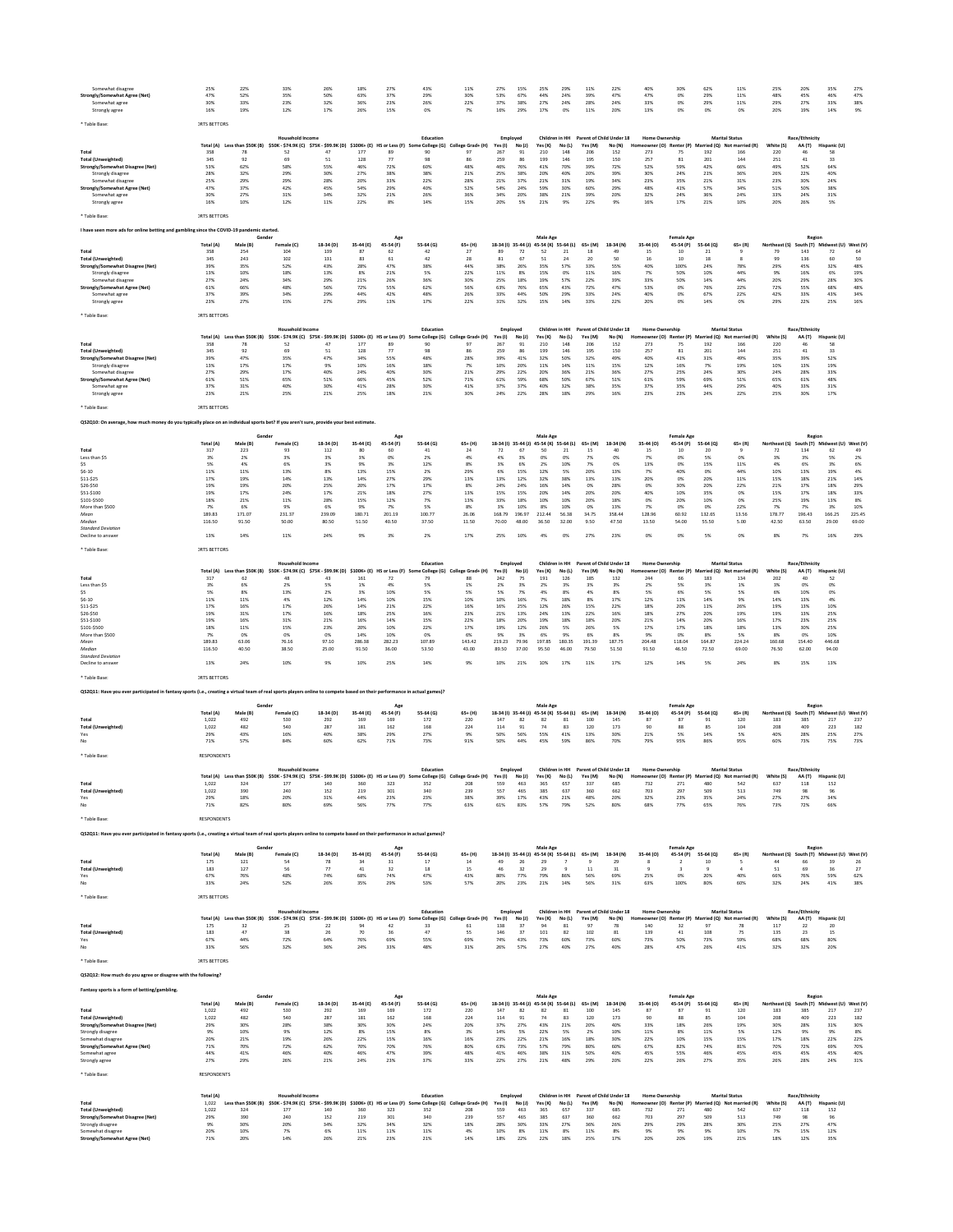| Somewhat disagre<br>Strongly/Somewhat Agree (Net)                                                                                                                         | 25%<br>47%          | 22%<br>52%                    | 33%<br>35%                                                                                 | 26%<br>50%      | 18%<br>63%      | 27%<br>37%                    | 43%<br>29%                                               | 11%<br>30%               | 27%<br>53%          | 15%<br>67%                       | 25%<br>44%                | 29%<br>24%          | 11%<br>39%                          | 22%<br>47%                                        | 40%<br>47%                                        | 30%<br>$0\%$                | 62%<br>29%      | 11%<br>11%                                                  | 25%<br>48%          | 20%<br>45%               | 35%<br>46%                           | 27%<br>47%    |
|---------------------------------------------------------------------------------------------------------------------------------------------------------------------------|---------------------|-------------------------------|--------------------------------------------------------------------------------------------|-----------------|-----------------|-------------------------------|----------------------------------------------------------|--------------------------|---------------------|----------------------------------|---------------------------|---------------------|-------------------------------------|---------------------------------------------------|---------------------------------------------------|-----------------------------|-----------------|-------------------------------------------------------------|---------------------|--------------------------|--------------------------------------|---------------|
| Somewhat agree                                                                                                                                                            | 30%                 | 33%                           | 23%                                                                                        | 32%             | 36%             | 23%                           | 26%                                                      | 22%                      | 37%                 | 38%                              | 27%                       | 24%                 | 28%                                 | 24%                                               | 33%                                               | 0%                          | 29%             | 11%                                                         | 29%                 | 27%                      | 33%                                  | 38%           |
| Strongly agree                                                                                                                                                            | 16%                 | 19%                           | 12%                                                                                        | 17%             | 26%             | 15%                           | 0%                                                       | 7%                       | 16%                 | 29%                              | 17%                       | 0%                  | 11%                                 | 20%                                               | 13%                                               | 0%                          | 0%              | 0%                                                          | 20%                 | 19%                      | 14%                                  | 9%            |
| Table Base                                                                                                                                                                | <b>JRTS BETTORS</b> |                               |                                                                                            |                 |                 |                               |                                                          |                          |                     |                                  |                           |                     |                                     |                                                   |                                                   |                             |                 |                                                             |                     |                          |                                      |               |
|                                                                                                                                                                           |                     |                               |                                                                                            |                 |                 |                               |                                                          |                          |                     |                                  |                           | Children in HH      |                                     |                                                   |                                                   |                             |                 |                                                             |                     |                          |                                      |               |
|                                                                                                                                                                           | Total (A)           | Less than \$50K (B)           | Household Income<br>\$50K - \$74.9K (C) \$75K - \$99.9K (D)                                |                 |                 | \$100K+ (E) HS or Less (F) So | Education<br>College (G)                                 | College Grad+ (H)        | Employed<br>Yes (I) | No (J)                           | Yes (K)                   | No(L)               | Parent of Child Under 18<br>Yes (M) | No (N)                                            | <b>Home Ownership</b>                             | owner (O) Renter (P)        |                 | <b>Marital Status</b><br>Married (Q) Not married (R)        | White (S)           | Race/Ethnicity<br>AA (T) | Hispanic (U)                         |               |
| Total                                                                                                                                                                     | 358                 | 78                            | 52                                                                                         | 47              | 177             | 89                            | 90                                                       | 97                       | 267                 | 91                               | 210                       | 148                 | 206                                 | 152                                               | 273                                               | 75                          | 192             | 166                                                         | 220                 | 46                       | 58                                   |               |
| <b>Total (Unweighted)</b><br>Strongly/Somewhat Disagree (Net)                                                                                                             | 345<br>53%          | 92<br>62%                     | 69<br>58%                                                                                  | 51<br>55%       | 128             | 77<br>72%                     | 98<br>60%                                                | 86<br>48%                | 259<br>46%          | 86<br>76%                        | 199<br>41%                | 146<br>70%          | 195                                 | 150<br>72%                                        | 257<br>52%                                        | 81<br>59%                   | 201<br>42%      | 144<br>66%                                                  | 251                 | 41<br>52%                | 33<br>64%                            |               |
| Strongly disagree                                                                                                                                                         | 28%                 | 32%                           | 29%                                                                                        | 30%             | 46%<br>27%      | 38%                           | 38%                                                      | 21%                      | 25%                 | 38%                              | 20%                       | 40%                 | 39%<br>20%                          | 39%                                               | 30%                                               | 24%                         | 21%             | 36%                                                         | 49%<br>26%          | 22%                      | 40%                                  |               |
| Somewhat disagree                                                                                                                                                         | 25%                 | 29%                           | 29%                                                                                        | 28%             | 20%             | 33%                           | 22%                                                      | 28%                      | 21%                 | 37%                              | 21%                       | 31%                 | 19%                                 | 34%                                               | 23%                                               | 35%                         | 21%             | 31%                                                         | 23%                 | 30%                      | 24%                                  |               |
| Strongly/Somewhat Agree (Net)                                                                                                                                             | 47%                 | 37%                           | 42%                                                                                        | 45%             | 54%             | 29%                           | 40%                                                      | 52%                      | 54%                 | 24%                              | 59%                       | 30%                 | 60%                                 | 29%                                               | 48%                                               | 41%                         | 57%             | 34%                                                         | 51%                 | 50%                      | 38%                                  |               |
| Somewhat agree<br>Strongly agree                                                                                                                                          | 30%<br>16%          | 27%<br>10%                    | 31%<br>12%                                                                                 | 34%<br>11%      | 32%<br>22%      | 21%<br>8%                     | 26%<br>14%                                               | 36%<br>15%               | 34%<br>20%          | 20%<br>5%                        | 38%<br>21%                | 21%<br>9%           | 39%<br>22%                          | 20%<br>9%                                         | 32%<br>16%                                        | 24%<br>17%                  | 36%<br>21%      | 24%<br>10%                                                  | 33%<br>20%          | 24%<br>26%               | 31%<br>5%                            |               |
|                                                                                                                                                                           |                     |                               |                                                                                            |                 |                 |                               |                                                          |                          |                     |                                  |                           |                     |                                     |                                                   |                                                   |                             |                 |                                                             |                     |                          |                                      |               |
| * Table Base                                                                                                                                                              | <b>JRTS BETTORS</b> |                               |                                                                                            |                 |                 |                               |                                                          |                          |                     |                                  |                           |                     |                                     |                                                   |                                                   |                             |                 |                                                             |                     |                          |                                      |               |
| I have seen more ads for online betting and gambling since the COVID-19 pandemic started.                                                                                 |                     |                               |                                                                                            |                 |                 |                               |                                                          |                          |                     |                                  |                           |                     |                                     |                                                   |                                                   |                             |                 |                                                             |                     |                          |                                      |               |
|                                                                                                                                                                           |                     | Geno                          |                                                                                            |                 |                 |                               |                                                          |                          |                     |                                  | Male Age                  |                     |                                     |                                                   |                                                   | <b>Female Age</b>           |                 |                                                             |                     | Regior                   |                                      |               |
|                                                                                                                                                                           | Total (A)<br>358    | Male (B)                      | Female (C)                                                                                 | 18-34 (D)       | 35-44 (E)<br>87 | 45-54 (F)                     | 55-64 (G)                                                | $65+ (H)$                |                     | 18-34 (I) 35-44 (J)              | 45-54 (K) 55-64 (L)       |                     | $65+ (M)$                           | 18-34 (N)                                         | 35-44 (0)                                         | 45-54 (P)                   | 55-64 (Q)       | $65 + (R)$                                                  | Northeast (S)       | 143                      | South (T) Midwest (U) West (V)       |               |
| Total<br><b>Total (Unweighted)</b>                                                                                                                                        | 345                 | 254<br>243                    | 104<br>102                                                                                 | 139<br>131      | 83              | 62<br>61                      | 42<br>42                                                 | 27<br>28                 | 89<br>81            | 72<br>67                         | 52<br>51                  | 21<br>24            | 18<br>20                            | 49<br>50                                          | 15<br>16                                          | $10\,$<br>10                | 21<br>18        |                                                             | 79<br>99            | 136                      | 72<br>60                             | 64<br>50      |
| Strongly/Somewhat Disagree (Net)                                                                                                                                          | 39%                 | 35%                           | 52%                                                                                        | 43%             | 28%             | 47%                           | 38%                                                      | 44%                      | 38%                 | 26%                              | 35%                       | 57%                 | 33%                                 | 55%                                               | 40%                                               | 100%                        | 24%             | 78%                                                         | 29%                 | 45%                      | 32%                                  | 48%           |
| Strongly disagree                                                                                                                                                         | 13%                 | 10%                           | 18%                                                                                        | 13%             | 8%              | 21%                           | 5%                                                       | 22%                      | 11%                 | 8%                               | 15%                       | 0%                  | 11%                                 | 16%                                               | 7%                                                | 50%                         | 10%             | 44%                                                         | 9%                  | 16%                      | 6%                                   | 19%           |
| Somewhat disagree<br>Strongly/Somewhat Agree (Net)                                                                                                                        | 27%<br>61%          | 24%<br>66%                    | 34%<br>48%                                                                                 | 29%<br>56%      | 21%<br>72%      | 26%<br>55%                    | 36%<br>62%                                               | 30%<br>56%               | 25%<br>63%          | 18%<br>76%                       | 19%<br>65%                | 57%<br>43%          | 22%<br>72%                          | 39%<br>47%                                        | 33%<br>53%                                        | 50%<br>0%                   | 14%<br>76%      | 44%<br>22%                                                  | 20%<br>72%          | 29%<br>55%               | 28%<br>68%                           | 30%<br>48%    |
| Somewhat agree                                                                                                                                                            | 37%                 | 39%                           | 34%                                                                                        | 29%             | 44%             | 42%                           | 48%                                                      | 26%                      | 33%                 | 44%                              | 50%                       | 29%                 | 33%                                 | 24%                                               | 40%                                               | 0%                          | 67%             | 22%                                                         | 42%                 | 33%                      | 43%                                  | 34%           |
| Strongly agree                                                                                                                                                            | 23%                 | 27%                           | 15%                                                                                        | 27%             | 29%             | 13%                           | 17%                                                      | 22%                      | 31%                 | 32%                              | 15%                       | 14%                 | 33%                                 | 22%                                               | 20%                                               | 0%                          | 14%             | 0%                                                          | 29%                 | 22%                      | 25%                                  | 16%           |
| * Table Base                                                                                                                                                              | <b>JRTS BETTORS</b> |                               |                                                                                            |                 |                 |                               |                                                          |                          |                     |                                  |                           |                     |                                     |                                                   |                                                   |                             |                 |                                                             |                     |                          |                                      |               |
|                                                                                                                                                                           |                     |                               |                                                                                            |                 |                 |                               |                                                          |                          |                     |                                  |                           |                     |                                     |                                                   |                                                   |                             |                 |                                                             |                     |                          |                                      |               |
|                                                                                                                                                                           | Total (A)           | Less than \$50K (B)           | Household Income<br>\$50K - \$74.9K (C) \$75K - \$99.9K (D)                                |                 |                 |                               | Education<br>\$100K+ (E) HS or Less (F) Some College (G) | College Grad+ (H)        | Yes(1)              | Employed                         | Yes (K)                   | Children in HH      | Yes (M)                             | Parent of Child Under 18<br>No (N)                | <b>Home Ownership</b><br>Homeowner (O) Renter (P) |                             |                 | <b>Marital Status</b><br>Married (Q) Not married (R)        | White (S)           | Race/Ethnicity<br>AA (T) | Hispanic (U)                         |               |
| Total                                                                                                                                                                     | 358                 | 78                            | 52                                                                                         | 47              | 177             | 89                            | 90                                                       | 97                       | 267                 | No (J)<br>91                     | 210                       | No(L)<br>148        | 206                                 | 152                                               | 273                                               | 75                          | 192             | 166                                                         | 220                 | 46                       | 58                                   |               |
| <b>Total (Unweighted)</b>                                                                                                                                                 | 345                 | 92                            | 69                                                                                         | 51              | 128             | 77                            | 98                                                       | 86                       | 259                 | 86                               | 199                       | 146                 | 195                                 | 150                                               | 257                                               | 81                          | 201             | 144                                                         | 251                 | 41                       | 33                                   |               |
| Strongly/Somewhat Disagree (Net)<br>Strongly disagree                                                                                                                     | 39%<br>13%          | 47%<br>17%                    | 35%<br>17%                                                                                 | 47%<br>9%       | 34%<br>10%      | 55%<br>16%                    | 48%<br>18%                                               | 28%<br>7%                | 39%<br>10%          | 41%<br>20%                       | 32%<br>11%                | 50%<br>14%          | 32%<br>11%                          | 49%<br>15%                                        | 40%<br>12%                                        | 41%<br>16%                  | 31%<br>7%       | 49%<br>19%                                                  | 35%<br>10%          | 39%<br>13%               | 52%<br>19%                           |               |
| Somewhat disagree                                                                                                                                                         | 27%                 | 29%                           | 17%                                                                                        | 40%             | 24%             | 40%                           | 30%                                                      | 21%                      | 29%                 | 22%                              | 20%                       | 36%                 | 21%                                 | 36%                                               | 27%                                               | 25%                         | 24%             | 30%                                                         | 24%                 | 28%                      | 33%                                  |               |
| Strongly/Somewhat Agree (Net                                                                                                                                              | 61%                 | 51%                           | 65%                                                                                        | 51%             | 66%             | 45%                           | 52%                                                      | 71%                      | 61%                 | 59%                              | 68%                       | 50%                 | 67%                                 | 51%                                               | 61%                                               | 59%                         | 69%             | 51%                                                         | 65%                 | 61%                      | 48%                                  |               |
| Somewhat agree                                                                                                                                                            | 37%                 | 31%                           | 40%                                                                                        | 30%             | 41%             | 28%                           | 30%                                                      | 41%                      | 37%                 | 37%                              | 40%                       | 32%                 | 38%                                 | 35%                                               | 37%                                               | 35%                         | 44%             | 29%                                                         | 40%                 | 33%                      | 31%                                  |               |
| Strongly agree                                                                                                                                                            | 23%                 | 21%                           | 25%                                                                                        | 21%             | 25%             | 18%                           | 21%                                                      | 30%                      | 24%                 | 22%                              | 28%                       | 18%                 | 29%                                 | 16%                                               | 23%                                               | 23%                         | 24%             | 22%                                                         | 25%                 | 30%                      | 17%                                  |               |
| * Table Base                                                                                                                                                              | <b>JRTS BETTORS</b> |                               |                                                                                            |                 |                 |                               |                                                          |                          |                     |                                  |                           |                     |                                     |                                                   |                                                   |                             |                 |                                                             |                     |                          |                                      |               |
|                                                                                                                                                                           |                     |                               |                                                                                            |                 |                 |                               |                                                          |                          |                     |                                  |                           |                     |                                     |                                                   |                                                   |                             |                 |                                                             |                     |                          |                                      |               |
| QS2Q10: On average, how much money do you typically place on an individual sports bet? If you aren't sure, provide your best estimate.                                    |                     |                               |                                                                                            |                 |                 |                               |                                                          |                          |                     |                                  |                           |                     |                                     |                                                   |                                                   |                             |                 |                                                             |                     |                          |                                      |               |
|                                                                                                                                                                           |                     |                               |                                                                                            |                 |                 |                               |                                                          |                          |                     |                                  | Male Age                  |                     |                                     |                                                   |                                                   | <b>Female Age</b>           |                 |                                                             |                     | Regior                   |                                      |               |
| Total                                                                                                                                                                     | Total (A)           | Male (B)<br>223               | Female (C)<br>93                                                                           | 18-34 (D        | 35-44 (E)<br>80 | 45-54 (F)<br>60               | 55-64 (G)                                                | $65+ (H)$<br>24          | 18-34 (I)           | $35 - 44$ (J)<br>67              | 45-54 (K) 55-64 (L)<br>50 | 21                  | 65+ (M)<br>15                       | 18-34 (N)<br>40                                   | 35-44 (O)<br>15                                   | 45-54 (P)                   | 55-64 (Q)<br>20 | $65 + (R)$                                                  | Northeast (S)       | 134                      | uth (T) Midwest (U) West (V<br>62    |               |
| Less than \$5                                                                                                                                                             | 317<br>3%           | 2%                            | 3%                                                                                         | 112<br>3%       | 3%              | 0%                            | $41\,$<br>2%                                             | 4%                       | $72\,$<br>4%        | 3%                               | 0%                        | OX                  | 7%                                  | 0%                                                | 7%                                                | 10<br>0%                    | 5%              | 0%                                                          | $72\,$<br>3%        | 3%                       | 5%                                   | 49<br>2%      |
| \$5                                                                                                                                                                       | 5%                  | 4%                            | 6%                                                                                         | 3%              | 9%              | 3%                            | 12%                                                      | 8%                       | 3%                  | 6%                               | 2%                        | 10%                 | 7%                                  | 0%                                                | 13%                                               | 0%                          | 15%             | 11%                                                         | 4%                  | 6%                       | 3%                                   | 6%            |
| $$6 - 10$                                                                                                                                                                 | 11%                 | 11%                           | 13%                                                                                        | 8%              | 13%             | 15%                           | 2%                                                       | 29%                      | 6%                  | 15%                              | 12%                       | 5%                  | 20%                                 | 13%                                               | 7%                                                | 40%                         | 0%              | 44%                                                         | 10%                 | 13%                      | 19%                                  | 4%            |
| $$11-$25$<br>\$26-\$50                                                                                                                                                    | 17%<br>19%          | 19%<br>19%                    | 14%<br>20%                                                                                 | 13%<br>25%      | 14%<br>20%      | 27%<br>17%                    | 29%<br>17%                                               | 13%<br>8%                | 13%<br>24%          | 12%<br>24%                       | 32%<br>16%                | 38%<br>14%          | 13%<br>0%                           | 13%<br>28%                                        | 20%<br>0%                                         | 0%<br>30%                   | 20%<br>20%      | 11%<br>22%                                                  | 15%<br>21%          | 18%<br>17%               | 21%<br>18%                           | 14%<br>29%    |
| \$51-\$100                                                                                                                                                                | 19%                 | 17%                           | 24%                                                                                        | 17%             | 21%             | 18%                           | 27%                                                      | 13%                      | 15%                 | 15%                              | 20%                       | 14%                 | 20%                                 | 20%                                               | 40%                                               | 10%                         | 35%             | 0%                                                          | 15%                 | 17%                      | 18%                                  | 33%           |
| \$101-\$500                                                                                                                                                               | 18%                 | 21%                           | 11%                                                                                        | 28%             | 15%             | 12%                           | 7%                                                       | 13%                      | 33%                 | 18%                              | 10%                       | 10%                 | 20%                                 | 18%                                               | 0%                                                | 20%                         | 10%             | 0%                                                          | 25%                 | 19%                      | 13%                                  | 8%            |
| More than \$500<br>Mean                                                                                                                                                   | 7%<br>189.83        | 6%<br>171.07                  | 9%<br>231.37                                                                               | 6%<br>239.09    | 9%<br>180.71    | 7%<br>201.19                  | 5%<br>100.77                                             | 8%<br>26.06              | 3%<br>168.79        | 10%<br>196.97                    | 8%<br>212.44              | 10%<br>56.38        | 0%<br>34.75                         | 13%<br>358.44                                     | 7%<br>128.96                                      | 0%<br>60.92                 | 0%<br>132.65    | 22%<br>13.56                                                | 7%<br>178.77        | 7%<br>196.43             | 3%<br>166.25                         | 10%<br>225.45 |
| Median                                                                                                                                                                    | 116.50              | 91.50                         | 50.00                                                                                      | 80.50           | 51.50           | 40.50                         | 37.50                                                    | 11.50                    | 70.00               | 48.00                            | 36.50                     | 32.00               | 9.50                                | 47.50                                             | 13.50                                             | 54.00                       | 55.50           | 5.00                                                        | 42.50               | 63.50                    | 29.00                                | 69.00         |
| <b>Standard Deviation</b>                                                                                                                                                 |                     |                               |                                                                                            |                 |                 |                               | 2%                                                       |                          |                     |                                  |                           |                     |                                     |                                                   |                                                   |                             |                 |                                                             |                     |                          |                                      |               |
| Decline to answer                                                                                                                                                         | 13%                 | 14%                           | 11%                                                                                        | 24%             | 9%              | 3%                            |                                                          | 17%                      | 25%                 | 10%                              | 4%                        | 0%                  | 27%                                 | 23%                                               | 0%                                                | 0%                          | 5%              | 0%                                                          | 8%                  | 7%                       | 16%                                  | 29%           |
| * Table Base                                                                                                                                                              | <b>JRTS BETTORS</b> |                               |                                                                                            |                 |                 |                               |                                                          |                          |                     |                                  |                           |                     |                                     |                                                   |                                                   |                             |                 |                                                             |                     |                          |                                      |               |
|                                                                                                                                                                           |                     |                               | <b>Household Income</b>                                                                    |                 |                 |                               | Education                                                |                          | Employee            |                                  |                           | Children in HH      | Parent of Child Under 18            |                                                   | <b>Home Ownership</b>                             |                             |                 | <b>Marital Status</b>                                       |                     | Race/Ethnicity           |                                      |               |
|                                                                                                                                                                           | Total (A)           | Less than \$50K (B)           | \$50K - \$74.9K (C) \$75K - \$99.9K (D)                                                    |                 | \$100K+ (E)     | HS or Less (F)                | Some College (G)                                         | College Grad+ (H)        | Yes (I)             | No(1)                            | Yes (K)                   | No (L)              | Yes (M)                             | No (N)                                            | Homeowner (O) Renter (P)                          |                             |                 | Married (Q) Not married (R)                                 | White (S)           | AA(T)                    | Hispanic (U)                         |               |
| Total                                                                                                                                                                     | 317                 | 62                            | 48                                                                                         | 43              | 161             | 72                            | 79                                                       | 88                       | 242                 | 75                               | 191                       | 126                 | 185                                 | 132                                               | 244                                               | 66                          | 183             | 134                                                         | 202                 | 40                       | 52                                   |               |
| Less than SS<br>\$S                                                                                                                                                       | 3%<br>5%            | 6%<br>8%                      | 2%<br>13%                                                                                  | 5%<br>2%        | 1%<br>3%        | 4%<br>10%                     | 5%<br>5%                                                 | 1%<br>5%                 | 2%<br>5%            | 3%<br>7%                         | 2%<br>4%                  | 3%<br>8%            | 3%<br>4%                            | 3%<br>8%                                          | 2%<br>5%                                          | 5%<br>6%                    | 3%<br>5%        | 1%<br>5%                                                    | 3%<br>6%            | 0%<br>10%                | 0%<br>0%                             |               |
| $$6 - 10$                                                                                                                                                                 | 11%                 | 11%                           | 4%                                                                                         | 12%             | 14%             | 10%                           | 15%                                                      | 10%                      | 10%                 | 16%                              | 7%                        | 18%                 | 8%                                  | 17%                                               | 12%                                               | 11%                         | 14%             | 9%                                                          | 14%                 | 13%                      | 4%                                   |               |
| \$11-\$25                                                                                                                                                                 | 17%                 | 16%                           | 17%                                                                                        | 26%             | 14%             | 21%                           | 22%                                                      | 16%                      | 16%                 | 25%                              | 12%                       | 26%                 | 15%                                 | 22%                                               | 18%                                               | 20%                         | $11\%$          | 26%                                                         | 19%                 | 13%                      | 10%                                  |               |
| \$26-\$50<br>\$51-\$100                                                                                                                                                   | 19%<br>19%          | 31%<br>16%                    | 17%                                                                                        | 16%<br>21%      | 18%<br>16%      | 25%<br>14%                    | 16%<br>15%                                               | 23%<br>22%               | 21%<br>18%          | 13%<br>20%                       | 24%<br>19%                | 13%<br>18%          | 22%<br>18%                          | 16%<br>20%                                        | 18%<br>21%                                        | 27%<br>14%                  | 20%<br>20%      | 19%<br>16%                                                  | 19%                 | 13%<br>23%               | 25%<br>25%                           |               |
| \$101-\$500                                                                                                                                                               | 18%                 | 11%                           | $31\%$<br>15%                                                                              | 23%             | 20%             | 10%                           | 22%                                                      | 17%                      | 19%                 | 12%                              | 26%                       | 5%                  | 26%                                 | 5%                                                | 17%                                               | 17%                         | 18%             | 18%                                                         | 17%<br>13%          | 30%                      | 25%                                  |               |
| More than \$500                                                                                                                                                           | 7%                  | 0%                            | 0%                                                                                         | 0%              | 14%             | 10%                           | 0%                                                       | 6%                       | 9%                  | 3%                               | 6%                        | 9%                  | 6%                                  | 8%                                                | 9%                                                | 0%                          | 8%              | 5%                                                          | 8%                  | 0%                       | 10%                                  |               |
| Mean                                                                                                                                                                      | 189.83              | 63.06                         | 76.16                                                                                      | 97.10           | 286.38          | 282.23                        | 107.89                                                   | 143.42                   | 219.23              | 79.96                            | 197.85                    | 180.35              | 191.39                              | 187.75                                            | 204.48                                            | 118.04                      | 164.87          | 224.24                                                      | 160.68              | 154.40                   | 446.68                               |               |
| Median<br><b>Standard Deviation</b>                                                                                                                                       | 116.50              | 40.50                         | 38.50                                                                                      | 25.00           | 91.50           | 36.00                         | 53.50                                                    | 43.00                    | 89.50               | 37.00                            | 95.50                     | 46.00               | 79.50                               | 51.50                                             | 91.50                                             | 46.50                       | 72.50           | 69.00                                                       | 76.50               | 62.00                    | 94.00                                |               |
| Decline to answer                                                                                                                                                         | 13%                 | 24%                           | 10%                                                                                        | 9%              | 10%             | 25%                           | 14%                                                      | 9%                       | 10%                 | 21%                              | 10%                       | 17%                 | 11%                                 | 17%                                               | 12%                                               | 14%                         | 5%              | 24%                                                         | 8%                  | 15%                      | 13%                                  |               |
|                                                                                                                                                                           |                     |                               |                                                                                            |                 |                 |                               |                                                          |                          |                     |                                  |                           |                     |                                     |                                                   |                                                   |                             |                 |                                                             |                     |                          |                                      |               |
| Table Base                                                                                                                                                                | <b>JRTS BETTORS</b> |                               |                                                                                            |                 |                 |                               |                                                          |                          |                     |                                  |                           |                     |                                     |                                                   |                                                   |                             |                 |                                                             |                     |                          |                                      |               |
| QS2Q11: Have you ever participated in fantasy sports (i.e., creating a virtual team of real sports players online to compete based on their performance in actual games)  |                     |                               |                                                                                            |                 |                 |                               |                                                          |                          |                     |                                  |                           |                     |                                     |                                                   |                                                   |                             |                 |                                                             |                     |                          |                                      |               |
|                                                                                                                                                                           |                     | Gende                         |                                                                                            |                 |                 | Age                           |                                                          |                          |                     |                                  | Male Age                  |                     |                                     |                                                   |                                                   | <b>Female Age</b>           |                 |                                                             |                     | Regior                   |                                      |               |
|                                                                                                                                                                           | Total (A)           | Male (B)                      | Female (C)                                                                                 | 18-34 (D)       | 35-44 (E)       | 45-54 (F)                     | 55-64 (G)                                                | $65+ (H)$                |                     | 18-34 (I) 35-44 (J)              | 45-54 (K) 55-64 (L)       |                     | $65+ (M)$                           | 18-34 (N)                                         | 35-44 (O)                                         | 45-54 (P)                   | 55-64 (Q)       | $65 + (R)$                                                  | Northeast (S)       |                          | South (T) Midwest (U) West (V)       |               |
| Total                                                                                                                                                                     | 1,022               | 492                           | 530                                                                                        | 292             | 169             | 169                           | 172                                                      | 220                      | 147                 | 82                               | 82                        | 81                  | 100                                 | 145                                               | 87                                                | 87                          | 91              | 120                                                         | 183                 | 385                      | 217                                  | 237           |
| <b>Total (Unweighted)</b>                                                                                                                                                 | 1.022               | 482                           | 540                                                                                        | 287             | 181             | 162                           | 168                                                      | 224                      | 114                 | 91                               | 74                        | 83                  | 120                                 | 173                                               | 90                                                | 88                          | 85              | 104                                                         | 208                 | 409                      | 223                                  | 182           |
| Yes<br>No                                                                                                                                                                 | 29%<br>71%          | 43%<br>57%                    | 16%<br>84%                                                                                 | 40%<br>60%      | 38%<br>62%      | 29%<br>71%                    | 27%<br>73%                                               | 9%<br>91%                | 50%<br>50%          | 56%<br>44%                       | 55%<br>45%                | 41%<br>59%          | 13%<br>86%                          | 30%<br>70%                                        | 21%<br>79%                                        | 5%<br>95%                   | 14%<br>86%      | 5%<br>95%                                                   | 40%<br>60%          | 28%<br>73%               | 25%<br>75%                           | 27%<br>73%    |
|                                                                                                                                                                           |                     |                               |                                                                                            |                 |                 |                               |                                                          |                          |                     |                                  |                           |                     |                                     |                                                   |                                                   |                             |                 |                                                             |                     |                          |                                      |               |
| * Table Base                                                                                                                                                              | <b>RESPONDENTS</b>  |                               |                                                                                            |                 |                 |                               |                                                          |                          |                     |                                  |                           |                     |                                     |                                                   |                                                   |                             |                 |                                                             |                     |                          |                                      |               |
|                                                                                                                                                                           |                     |                               | Household Incom                                                                            |                 |                 |                               | Education                                                |                          |                     | Employed                         |                           | Children in HH      |                                     | Parent of Child Under 18                          | <b>Home Ownership</b>                             |                             |                 | <b>Marital Status</b>                                       |                     | Race/Ethnicity           |                                      |               |
|                                                                                                                                                                           |                     | Total (A) Less than \$50K (B) | \$50K - \$74.9K (C) \$75K - \$99.9K (D)                                                    |                 | $$100K+ (E)$    | HS or Less (F)                | College (G)                                              | College Grad+ (H)        | Yes (I)             | No (J)                           | Yes (K)                   | No (L)              | Yes (M)                             | No (N)                                            |                                                   | er (O) Renter (P)           |                 | d (Q) Not married (R)                                       | White (S)           | AA (T)                   | Hispanic (U                          |               |
| Total<br>Total (Unweighted)                                                                                                                                               | 1,022<br>1,022      | 324<br>390                    | 177<br>240                                                                                 | 140<br>152      | 360<br>219      | 323<br>301                    | 352<br>340                                               | 208<br>239               | 559<br>557          | 463<br>465                       | 365<br>385                | 657<br>637          | 337<br>360                          | 685<br>662                                        | 732<br>703                                        | 271<br>297                  | 480<br>509      | 542<br>513                                                  | 637<br>749          | 118<br>98                | 152<br>96                            |               |
| Yes                                                                                                                                                                       | 29%                 | 18%                           | 20%                                                                                        | 31%             | 44%             | 23%                           | 23%                                                      | 38%                      | 39%                 | 17%                              | 43%                       | 21%                 | 48%                                 | 20%                                               | 32%                                               | 23%                         | 35%             | 24%                                                         | 27%                 | 27%                      | 34%                                  |               |
| No                                                                                                                                                                        | 71%                 | 82%                           | 80%                                                                                        | 69%             | 56%             | 77%                           | 77%                                                      | 63%                      | 61%                 | 83%                              | 57%                       | 79%                 | 52%                                 | 80%                                               | 68%                                               | 77%                         | 65%             | 76%                                                         | 73%                 | 72%                      | 66%                                  |               |
| * Table Base                                                                                                                                                              | RESPONDENTS         |                               |                                                                                            |                 |                 |                               |                                                          |                          |                     |                                  |                           |                     |                                     |                                                   |                                                   |                             |                 |                                                             |                     |                          |                                      |               |
|                                                                                                                                                                           |                     |                               |                                                                                            |                 |                 |                               |                                                          |                          |                     |                                  |                           |                     |                                     |                                                   |                                                   |                             |                 |                                                             |                     |                          |                                      |               |
| QS2Q11: Have you ever participated in fantasy sports (i.e., creating a virtual team of real sports players online to compete based on their performance in actual games)? |                     |                               |                                                                                            |                 |                 |                               |                                                          |                          |                     |                                  |                           |                     |                                     |                                                   |                                                   |                             |                 |                                                             |                     |                          |                                      |               |
|                                                                                                                                                                           |                     |                               |                                                                                            |                 |                 |                               |                                                          |                          |                     |                                  | Male Age                  |                     |                                     |                                                   |                                                   | <b>Female Age</b>           |                 |                                                             |                     | Region                   |                                      |               |
|                                                                                                                                                                           | Total (A)<br>175    | Male (B)<br>121               | Female (C)<br>54                                                                           | 18-34 (D)<br>78 | 35-44 (E)<br>34 | 45-54 (F)<br>31               | 55-64 (G)<br>17                                          | $65+ (H)$<br>14          | 49                  | 18-34 (l) 35-44 (J)<br>$\bf{26}$ | 29                        | 45-54 (K) 55-64 (L) | 65+ (M)<br>$\overline{9}$           | 18-34 (N)<br>29                                   | 35-44 (O)                                         | 45-54 (P)<br>$\overline{2}$ | 55-64 (Q)<br>10 | $65 + (R)$                                                  | Northeast (S)<br>44 | 66                       | South (T) Midwest (U) West (V)<br>39 | 26            |
| Total<br><b>Total (Unweighted)</b>                                                                                                                                        | 183                 | 127                           | 56                                                                                         | $77\,$          | $41\,$          | 32                            | $18\,$                                                   | $15\,$                   | $46\,$              | $32\,$                           | 29                        | -9                  | $11\,$                              | 31                                                | 8<br>$\,$ 9                                       | $\overline{\mathbf{3}}$     | $\overline{9}$  | -5<br>$\sqrt{4}$                                            | $51\,$              | 69                       | 36                                   | $27\,$        |
| Yes                                                                                                                                                                       | 67%                 | 76%                           | 48%                                                                                        | 74%             | 68%             | 74%                           | 47%                                                      | 43%                      | 80%                 | 77%                              | 79%                       | 86%                 | 56%                                 | 69%                                               | 25%                                               | 0%                          | 20%             | 40%                                                         | 66%                 | 76%                      | 59%                                  | 62%           |
| No                                                                                                                                                                        | 33%                 | 24%                           | 52%                                                                                        | 26%             | 35%             | 29%                           | 53%                                                      | 57%                      | 20%                 | 23%                              | 21%                       | 14%                 | 56%                                 | 31%                                               | 63%                                               | 100%                        | 80%             | 60%                                                         | 32%                 | 24%                      | 41%                                  | 38%           |
| * Table Base                                                                                                                                                              | <b>IRTS BETTORS</b> |                               |                                                                                            |                 |                 |                               |                                                          |                          |                     |                                  |                           |                     |                                     |                                                   |                                                   |                             |                 |                                                             |                     |                          |                                      |               |
|                                                                                                                                                                           |                     |                               | Household Income                                                                           |                 |                 |                               |                                                          |                          |                     |                                  |                           |                     |                                     |                                                   |                                                   |                             |                 |                                                             |                     | <b>Race/Ethnicity</b>    |                                      |               |
|                                                                                                                                                                           | Total (A)           | Less than \$50K (B)           | \$50K - \$74.9K (C) \$75K - \$99.9K (D) \$100K+ (E) HS or Less (F)                         |                 |                 |                               | Education<br>Some College (G)                            | College Grad+ (H)        | Yes(1)              | Employed<br>No (J)               | Yes (K)                   | No(L)               | Yes (M)                             | Children in HH Parent of Child Under 18<br>No (N) | <b>Home Ownership</b>                             | meowner (O) Renter (P)      |                 | <b>Marital Status</b><br>Married (Q) Not married (R)        | White (S)           |                          | AA (T) Hispanic (U)                  |               |
| Total                                                                                                                                                                     | 175                 | 32                            | 25                                                                                         | 22              | 94              | 42                            | 33                                                       | 61                       | 138                 | 37                               | 94                        | 81                  | 97                                  | 78                                                | 140                                               | 32                          | 97              | 78                                                          | 117                 | 22                       | 20                                   |               |
| <b>Total (Unweighted)</b>                                                                                                                                                 | 183                 | 47<br>44%                     | 38<br>72%                                                                                  | 26<br>64%       | 70              | 36                            | 47<br>55%                                                | 55<br>69%                | 146                 | 37                               | 101                       | 82                  | 102                                 | 81                                                | 139                                               | 41                          | 108<br>73%      | 75                                                          | 135<br>68%          | 23                       | 15                                   |               |
| Yes<br>No                                                                                                                                                                 | 67%<br>33%          | 56%                           | 32%                                                                                        | 36%             | 76%<br>24%      | 69%<br>33%                    | 48%                                                      | 31%                      | 74%<br>26%          | 43%<br>57%                       | 73%<br>27%                | 60%<br>40%          | 73%<br>27%                          | 60%<br>40%                                        | 73%<br>28%                                        | 50%<br>47%                  | 26%             | 59%<br>41%                                                  | 32%                 | 68%<br>32%               | 80%<br>20%                           |               |
|                                                                                                                                                                           |                     |                               |                                                                                            |                 |                 |                               |                                                          |                          |                     |                                  |                           |                     |                                     |                                                   |                                                   |                             |                 |                                                             |                     |                          |                                      |               |
| * Table Base                                                                                                                                                              | <b>JRTS BETTORS</b> |                               |                                                                                            |                 |                 |                               |                                                          |                          |                     |                                  |                           |                     |                                     |                                                   |                                                   |                             |                 |                                                             |                     |                          |                                      |               |
| QS2Q12: How much do you agree or disagree with the following?                                                                                                             |                     |                               |                                                                                            |                 |                 |                               |                                                          |                          |                     |                                  |                           |                     |                                     |                                                   |                                                   |                             |                 |                                                             |                     |                          |                                      |               |
|                                                                                                                                                                           |                     |                               |                                                                                            |                 |                 |                               |                                                          |                          |                     |                                  |                           |                     |                                     |                                                   |                                                   |                             |                 |                                                             |                     |                          |                                      |               |
| Fantasy sports is a form of betting/gambling.                                                                                                                             |                     | Gende                         |                                                                                            |                 |                 |                               |                                                          |                          |                     |                                  | Male Age                  |                     |                                     |                                                   |                                                   | <b>Female Age</b>           |                 |                                                             |                     | Region                   |                                      |               |
|                                                                                                                                                                           | Total (A)           | Male (B)                      | Female (C)                                                                                 | 18-34 (D)       | 35-44 (E)       | Age<br>45-54 (F)              | 55-64 (G)                                                | $65+ (H)$                |                     | 18-34 (I) 35-44 (J)              | 45-54 (K) 55-64 (L)       |                     | 65+ (M)                             | 18-34 (N)                                         | 35-44 (0)                                         | 45-54 (P)                   | 55-64 (Q)       | $65 + (R)$                                                  | Northeast (S)       |                          | South (T) Midwest (U) West (V)       |               |
| Total                                                                                                                                                                     | 1,022               | 492                           | 530                                                                                        | 292             | 169             | 169                           | 172                                                      | 220                      | 147                 | 82                               | 82                        | 81                  | 100                                 | 145                                               | 87                                                | 87                          | 91              | 120                                                         | 183                 | 385                      | 217                                  | 237           |
| <b>Total (Unweighted)</b>                                                                                                                                                 | 1,022<br>29%        | 482<br>30%                    | 540<br>28%                                                                                 | 287<br>38%      | 181             | 162<br>30%                    | 168<br>24%                                               | 224<br>20%               | 114<br>37%          | 91<br>27%                        | 74<br>43%                 | 83<br>21%           | 120<br>20%                          | 173<br>40%                                        | $90\,$<br>33%                                     | 88<br>18%                   | 85<br>26%       | 104<br>19%                                                  | 208<br>30%          | 409<br>28%               | 223<br>31%                           | 182<br>30%    |
| Strongly/Somewhat Disagree (Net)<br>Strongly disagree                                                                                                                     | 9%                  | 10%                           | 9%                                                                                         | 12%             | 30%<br>8%       | 15%                           | 8%                                                       | 3%                       | 14%                 | 5%                               | 22%                       | 5%                  | 2%                                  | 10%                                               | 11%                                               | 8%                          | 11%             | 5%                                                          | 12%                 | 9%                       | $9\%$                                | $8\%$         |
| Somewhat disagree                                                                                                                                                         | 20%                 | 21%                           | 19%                                                                                        | 26%             | 22%             | 15%                           | 16%                                                      | 16%                      | 23%                 | 22%                              | 21%                       | 16%                 | 18%                                 | 30%                                               | 22%                                               | 10%                         | 15%             | 15%                                                         | 17%                 | 18%                      | 22%                                  | 22%           |
| Strongly/Somewhat Agree (Net                                                                                                                                              | 71%                 | 70%                           | 72%                                                                                        | 62%             | 70%             | 70%                           | 76%                                                      | 80%                      | 63%                 | 73%                              | 57%                       | 79%                 | 80%                                 | 60%                                               | 67%                                               | 82%                         | 74%             | 81%                                                         | 70%                 | 72%                      | 69%                                  | 70%           |
| Somewhat agree<br>Strongly agree                                                                                                                                          | 44%<br>27%          | 41%<br>29%                    | 46%<br>26%                                                                                 | 40%<br>21%      | 46%<br>24%      | 47%<br>23%                    | 39%<br>37%                                               | 48%<br>33%               | 41%<br>22%          | 46%<br>27%                       | 38%<br>21%                | 31%<br>48%          | 50%<br>29%                          | 40%<br>20%                                        | 45%<br>22%                                        | 55%<br>26%                  | 46%<br>27%      | 45%<br>35%                                                  | 45%<br>26%          | 45%<br>28%               | 45%<br>24%                           | 40%<br>31%    |
|                                                                                                                                                                           |                     |                               |                                                                                            |                 |                 |                               |                                                          |                          |                     |                                  |                           |                     |                                     |                                                   |                                                   |                             |                 |                                                             |                     |                          |                                      |               |
| * Table Base:                                                                                                                                                             | RESPONDENTS         |                               |                                                                                            |                 |                 |                               |                                                          |                          |                     |                                  |                           |                     |                                     |                                                   |                                                   |                             |                 |                                                             |                     |                          |                                      |               |
|                                                                                                                                                                           |                     |                               |                                                                                            |                 |                 |                               |                                                          |                          |                     |                                  |                           |                     |                                     |                                                   |                                                   |                             |                 |                                                             |                     |                          |                                      |               |
|                                                                                                                                                                           | Total (A)           |                               | <b>Household Income</b>                                                                    |                 |                 |                               | Education                                                |                          |                     | Employed                         |                           | Children in HH      | Parent of Child Under 18            |                                                   | <b>Home Ownership</b>                             |                             |                 | <b>Marital Status</b>                                       |                     | Race/Ethnicity           |                                      |               |
| Total<br><b>Total (Unweighted)</b>                                                                                                                                        | 1.022<br>1.022      | Less than \$50K (B)<br>324    | \$50K - \$74.9K (C) \$75K - \$99.9K (D) \$100K+ (E) HS or Less (F) Some College (G)<br>177 | 140             | 360             | 323                           | 352                                                      | College Grad+ (H)<br>208 | Yes(1)<br>559       | No(1)<br>463                     | Yes (K)<br>365            | No (L)<br>657       | Yes (M)<br>337                      | No (N)<br>685                                     | 732                                               | 271                         | 480             | Homeowner (O) Renter (P) Married (O) Not married (R)<br>542 | White (S)<br>637    | 118                      | AA (T) Hispanic (U)<br>152           |               |
| Strongly/Somewhat Disagree (Net)                                                                                                                                          | 29%                 | 390                           | 240                                                                                        | 152             | 219             | 301                           | 340                                                      | 239                      | 557                 | 465                              | 385                       | 637                 | 360                                 | 662                                               | 703                                               | 297                         | 509             | 513                                                         | 749                 | 98                       | 96                                   |               |
| Strongly disagree<br>Somewhat disagree                                                                                                                                    | $9\%$<br>20%        | 30%<br>10%                    | 20%<br>$7\%$                                                                               | 34%<br>6%       | 32%<br>$11\%$   | 34%<br>11%                    | 32%<br>11%                                               | 18%<br>4%                | 28%<br>10%          | 30%<br>8%                        | 33%<br>11%                | 27%<br>8%           | 36%<br>11%                          | 26%<br>$8\%$                                      | 29%<br>9%                                         | 29%<br>9%                   | 28%<br>9%       | 30%<br>10%                                                  | 25%<br>$7\%$        | 27%<br>15%               | 47%<br>12%                           |               |
| Strongly/Somewhat Agree (Net)                                                                                                                                             | 71%                 | 20%                           | 14%                                                                                        | 26%             | 21%             | 23%                           | 21%                                                      | 14%                      | 18%                 | 22%                              | 22%                       | 18%                 | 25%                                 | 17%                                               | 20%                                               | 20%                         | 19%             | 21%                                                         | 18%                 | 12%                      | 35%                                  |               |
|                                                                                                                                                                           |                     |                               |                                                                                            |                 |                 |                               |                                                          |                          |                     |                                  |                           |                     |                                     |                                                   |                                                   |                             |                 |                                                             |                     |                          |                                      |               |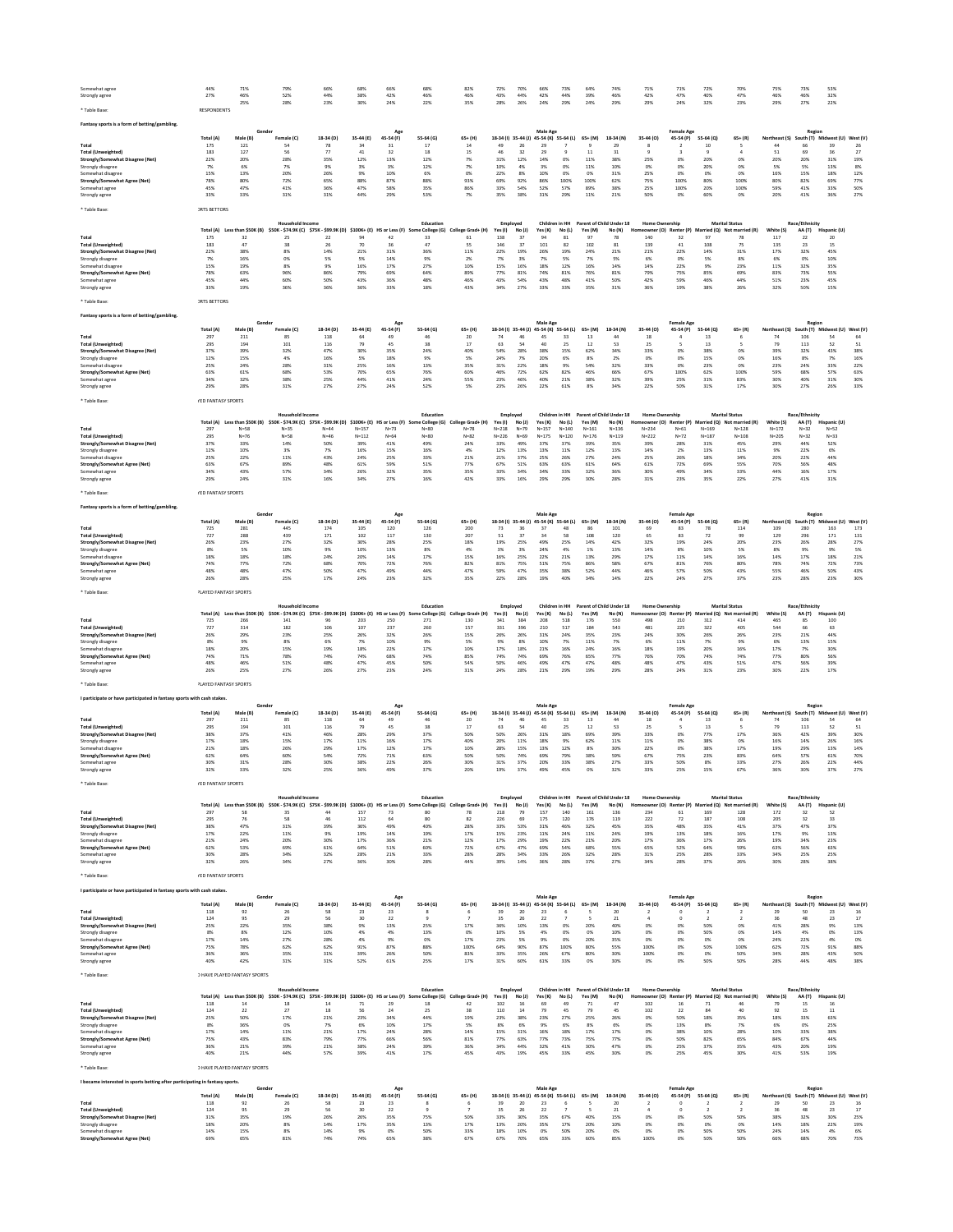| Somewhat agree                                                               | 44%<br>27%                   | 71%<br>46%                          | 79%<br>52%                                                                                                    | 66%<br>44%      | 68%<br>38%             | 66%<br>42%                        | 68%<br>46%                             | 82%<br>46%                    | 72%<br>43%          | 70%<br>44%           | 66%<br>42%                              | 73%<br>44%          | 64%<br>39%           | 74%<br>46%                              | 71%<br>42%                         | 71%<br>47%                     | 72%<br>40%                       | 70%<br>47%                               | 75%<br>46%                                   | 73%<br>46%      | 53%<br>32%                     |                            |
|------------------------------------------------------------------------------|------------------------------|-------------------------------------|---------------------------------------------------------------------------------------------------------------|-----------------|------------------------|-----------------------------------|----------------------------------------|-------------------------------|---------------------|----------------------|-----------------------------------------|---------------------|----------------------|-----------------------------------------|------------------------------------|--------------------------------|----------------------------------|------------------------------------------|----------------------------------------------|-----------------|--------------------------------|----------------------------|
| Strongly agree                                                               |                              | 25%                                 | 28%                                                                                                           | 23%             | 30%                    | 24%                               | 22%                                    | 35%                           | 28%                 | 26%                  | 24%                                     | 29%                 | 24%                  | 29%                                     | 29%                                | 24%                            | 32%                              | 23%                                      | 29%                                          | 27%             | 22%                            |                            |
| Table Base                                                                   | <b>RESPONDENTS</b>           |                                     |                                                                                                               |                 |                        |                                   |                                        |                               |                     |                      |                                         |                     |                      |                                         |                                    |                                |                                  |                                          |                                              |                 |                                |                            |
| Fantasy sports is a form of betting/gambling                                 |                              |                                     | Gende                                                                                                         |                 |                        |                                   |                                        |                               |                     |                      | Male Age                                |                     |                      |                                         |                                    | Female Age                     |                                  |                                          |                                              | Region          |                                |                            |
|                                                                              | Total (A)                    | Male (B)                            | Female (C)                                                                                                    | 18-34 (D)       | 35-44 (E)              | 45-54 (F)                         | 55-64 (G)                              | 65+ (H)                       | 18-34 (l) 35-44 (J) |                      | 45-54 (K) 55-64 (L)                     |                     | $65+ (M)$            | 18-34 (N)                               | 35-44 (0)                          | 45-54 (P)                      | 55-64 (Q)                        | $65 + (R)$                               | Northeast (S)                                |                 | South (T) Midwest (U) West (V) |                            |
| Total<br>Total (Unweighted)                                                  | 175<br>183                   | 121<br>127                          | 54<br>56                                                                                                      | 78<br>77        | 34<br>41               | 31<br>32                          | $17\,$<br>18                           | 14<br>15                      | 49<br>46            | ${\bf 26}$<br>$32\,$ | 29<br>29                                |                     | $11$                 | 29<br>31                                |                                    | $\overline{2}$<br>3            | 10                               |                                          | 44<br>51                                     | 66<br>69        | 39<br>36                       | $_{\rm 26}$<br>$\sqrt{27}$ |
| Strongly/Somewhat Disagree (Net)<br>Strongly disagree                        | 22%<br>7%                    | 20%<br>6%                           | 28%<br>7%                                                                                                     | 35%<br>9%       | 12%<br>3%              | 13%<br>3%                         | 12%<br>12%                             | 7%<br>7%                      | 31%<br>10%          | 12%<br>4%            | 14%<br>3%                               | 0%<br>0%            | 11%<br>11%           | 38%<br>10%                              | 25%<br>0%                          | 0%<br>0%                       | 20%<br>20%                       | 0%<br>0%                                 | 20%<br>5%                                    | 20%<br>5%       | 31%<br>13%                     | 19%<br>8%                  |
| Somewhat disagree<br>Strongly/Somewhat Agree (Net)                           | 15%<br>78%                   | 13%<br>80%                          | 20%<br>72%                                                                                                    | 26%<br>65%      | 9%<br>88%              | 10%<br>87%                        | 6%<br>88%                              | 0%<br>93%                     | 22%<br>69%          | 8%<br>92%            | 10%<br>86%                              | 0%<br>100%          | 0%<br>100%           | 31%<br>62%                              | 25%<br>75%                         | 0%<br>100%                     | 0%<br>80%                        | 0%<br>100%                               | 16%<br>80%                                   | 15%<br>82%      | 18%<br>69%                     | 12%<br>77%                 |
| Somewhat agree                                                               | 45%                          | 47%                                 | 41%                                                                                                           | 36%             | 47%                    | 58%                               | 35%                                    | 86%                           | 33%                 | 54%                  | 52%                                     | 57%                 | 89%                  | 38%                                     | 25%                                | 100%                           | 20%                              | 100%                                     | 59%                                          | 41%             | 33%                            | 50%                        |
| Strongly agree                                                               | 33%                          | 33%                                 | 31%                                                                                                           | 31%             | 44%                    | 29%                               | 53%                                    | 7%                            | 35%                 | 38%                  | 31%                                     | 29%                 | 11%                  | 21%                                     | 50%                                | 0%                             | 60%                              | 0%                                       | 20%                                          | 41%             | 36%                            | 27%                        |
| Table Base:                                                                  | <b>JRTS BETTORS</b>          |                                     |                                                                                                               |                 |                        |                                   |                                        |                               |                     |                      |                                         |                     |                      |                                         |                                    |                                |                                  |                                          |                                              |                 |                                |                            |
|                                                                              |                              |                                     | Household Income                                                                                              |                 |                        |                                   | Education                              |                               | Employed            |                      | Children in HH                          |                     |                      | Parent of Child Under 18                | <b>Home Ownership</b>              |                                |                                  | <b>Marital Status</b>                    |                                              | Race/Ethnicity  |                                |                            |
| Total                                                                        | Total (A)<br>175             | Less than \$50K (B)<br>32           | \$50K - \$74.9K (C) \$75K - \$99.9K (D) \$100K+ (E) HS or Less (F)<br>25                                      | 22              | 94                     | 42                                | e College (G)<br>33                    | College Grad+ (H)<br>61       | Yes(1)<br>138       | No (J)<br>37         | Yes (K)<br>94                           | No(L)<br>81         | Yes (M)<br>97        | No (N)<br>78                            | 140                                | owner (O) Renter (P)<br>32     | 97                               | Married (Q) Not married (R)<br>78        | White (S)<br>117                             | AA (T)<br>22    | Hispanic (U)<br>20             |                            |
| <b>Total (Unweighted)</b><br>Strongly/Somewhat Disagree (Net)                | 183<br>22%                   | 47<br>38%                           | 38<br>8%                                                                                                      | 26<br>14%       | 70<br>21%              | 36<br>31%                         | 47<br>36%                              | 55<br>11%                     | 146<br>22%          | 37<br>19%            | 101<br>26%                              | 82<br>19%           | 102<br>24%           | 81<br>21%                               | 139<br>21%                         | 41<br>22%                      | 108<br>14%                       | 75<br>31%                                | 135<br>17%                                   | 23<br>32%       | 15<br>45%                      |                            |
| Strongly disagree                                                            | 7%                           | 16%                                 | 0%                                                                                                            | 5%              | 5%                     | 14%                               | 9%                                     | 2%                            | 7%                  | 3%                   | 7%                                      | 5%                  | 7%                   | 5%                                      | 6%                                 | 0%                             | 5%                               | 8%                                       | 6%                                           | 0%              | 10%                            |                            |
| Somewhat disagree<br>Strongly/Somewhat Agree (Net)                           | 15%<br>78%                   | 19%<br>63%                          | 8%<br>96%                                                                                                     | 9%<br>86%       | 16%<br>79%             | 17%<br>69%                        | 27%<br>64%                             | 10%<br>89%                    | 15%<br>77%          | 16%<br>81%           | 18%<br>74%                              | 12%<br>81%          | 16%<br>76%           | 14%<br>81%                              | 14%<br>79%                         | 22%<br>75%                     | 9%<br>85%                        | 23%<br>69%                               | 11%<br>83%                                   | 32%<br>73%      | 35%<br>55%                     |                            |
| Somewhat agree<br>Strongly agree                                             | 45%<br>33%                   | 44%<br>19%                          | 60%<br>36%                                                                                                    | 50%<br>36%      | 43%<br>36%             | 36%<br>33%                        | 48%<br>18%                             | 46%<br>43%                    | 43%<br>34%          | 54%<br>27%           | 43%<br>33%                              | 48%<br>33%          | 41%<br>35%           | 50%<br>31%                              | 42%<br>36%                         | 59%<br>19%                     | 46%<br>38%                       | 44%<br>26%                               | 51%<br>32%                                   | 23%<br>50%      | 45%<br>15%                     |                            |
|                                                                              |                              |                                     |                                                                                                               |                 |                        |                                   |                                        |                               |                     |                      |                                         |                     |                      |                                         |                                    |                                |                                  |                                          |                                              |                 |                                |                            |
| * Table Base                                                                 | <b>IRTS BETTORS</b>          |                                     |                                                                                                               |                 |                        |                                   |                                        |                               |                     |                      |                                         |                     |                      |                                         |                                    |                                |                                  |                                          |                                              |                 |                                |                            |
| Fantasy sports is a form of betting/gambling                                 |                              |                                     | Gend                                                                                                          |                 |                        |                                   |                                        |                               |                     |                      | Male Age                                |                     |                      |                                         |                                    | <b>Female Age</b>              |                                  |                                          |                                              | Regior          |                                |                            |
|                                                                              | <b>Total (A)</b>             | Male (B)                            | Female (C)                                                                                                    | 18-34 (D)       | 35-44 (E)              | 45-54 (F)                         | 55-64 (G)                              | $65+ (H)$                     | 18-34 (I)           | 35-44 (J)            | 45-54 (K) 55-64 (L)                     |                     | 65+ (M)              | 18-34 (N)                               | 35-44 (0)                          | 45-54 (P)                      | 55-64 (Q)                        | $65+$ (R                                 | Northeast (S)                                | outh (T)        | dwest (U)                      | West (V                    |
| Total<br>Total (Unweighted)                                                  | 297<br>295                   | 211<br>194                          | 85<br>101                                                                                                     | 118<br>116      | 79                     | 45                                | 46<br>38                               | $20\,$<br>17                  | 74<br>63            | 46<br>54             | 45<br>40                                | 33<br>25            | 13<br>12             | 44<br>53                                | 18<br>25                           |                                | 13<br>13                         |                                          | 74<br>79                                     | 106<br>113      | 52                             | 64<br>51                   |
| Strongly/Somewhat Disagree (Net)<br>Strongly disagree                        | 37%<br>12%                   | 39%<br>15%                          | 32%<br>4%                                                                                                     | 47%<br>16%      | 30%<br>5%              | 35%<br>18%                        | 24%<br>9%                              | 40%<br>5%                     | 54%<br>24%          | 28%<br>7%            | 38%<br>20%                              | 15%<br>6%           | 62%<br>8%            | 34%<br>2%                               | 33%<br>0%                          | 0%<br>0%                       | 38%<br>15%                       | 0%<br>0%                                 | 39%<br>16%                                   | 32%<br>8%       | 43%<br>7%                      | 38%<br>16%                 |
| Somewhat disagree                                                            | 25%                          | 24%                                 | 28%<br>68%                                                                                                    | 31%<br>53%      | 25%<br>70%             | 16%<br>65%                        | 13%<br>76%                             | 35%<br>60%                    | 31%<br>46%          | 22%<br>72%           | 18%<br>62%                              | 9%<br>82%           | 54%<br>46%           | 32%<br>66%                              | 33%<br>67%                         | 0%<br>100%                     | 23%<br>62%                       | 0%<br>100%                               | 23%<br>59%                                   | 24%<br>68%      | 33%                            | 22%<br>63%                 |
| Strongly/Somewhat Agree (Net)<br>Somewhat agree                              | 63%<br>34%                   | 61%<br>32%                          | 38%                                                                                                           | 25%             | 44%                    | 41%                               | 24%                                    | 55%                           | 23%                 | 46%                  | 40%                                     | 21%                 | 38%                  | 32%                                     | 39%                                | 25%                            | 31%                              | 83%                                      | 30%                                          | 40%             | 57%<br>31%                     | 30%                        |
| Strongly agree                                                               | 29%                          | 28%                                 | 31%                                                                                                           | 27%             | 27%                    | 24%                               | 52%                                    | 5%                            | 23%                 | 26%                  | 22%                                     | 61%                 | 8%                   | 34%                                     | 22%                                | 50%                            | 31%                              | 17%                                      | 30%                                          | 27%             | 26%                            | 33%                        |
| ' Table Base:                                                                | <b>/ED FANTASY SPORTS</b>    |                                     |                                                                                                               |                 |                        |                                   |                                        |                               |                     |                      |                                         |                     |                      |                                         |                                    |                                |                                  |                                          |                                              |                 |                                |                            |
|                                                                              |                              |                                     | Household Income                                                                                              |                 |                        |                                   | Education                              |                               | Employed            |                      |                                         | Children in HH      |                      | Parent of Child Under 18                | Home Ownership                     |                                |                                  | <b>Marital Status</b>                    |                                              | Race/Ethnicity  |                                |                            |
| Total                                                                        | Total (A)<br>297             | Less than \$50K (B)<br>$N = 58$     | \$50K - \$74.9K (C) \$75K - \$99.9K (D)<br>$N = 35$                                                           | $N = 44$        | \$100K+ (E)<br>$N=157$ | HS or Less (F)<br>$N=73$          | e College (G)<br><b>Sc</b><br>$N = 80$ | College Grad+ (H)<br>$N = 78$ | Yes(1)<br>$N = 218$ | No(1)<br>$N=79$      | Yes (K)<br>$N = 157$                    | No (L)<br>$N = 140$ | Yes (M)<br>$N = 161$ | No (N)<br>$N = 136$                     | eowner (O) Renter (P)<br>$N = 234$ | $N=61$                         | $N = 169$                        | Married (Q) Not married (R)<br>$N = 128$ | White (S)<br>$N = 172$                       | AA(T)<br>$N=32$ | Hispanic (U)<br>$N = 52$       |                            |
| Total (Unweighted)<br>Strongly/Somewhat Disagree (Net)                       | 295<br>37%                   | $N=76$<br>33%                       | $N = 58$<br>14%                                                                                               | $N = 46$<br>50% | $N = 112$<br>39%       | $N = 64$<br>41%                   | $N = 80$<br>49%                        | $N = 82$<br>24%               | $N = 226$<br>33%    | $N = 69$<br>49%      | $N = 175$<br>37%                        | $N = 120$<br>37%    | $N = 176$<br>39%     | $N = 119$<br>35%                        | $N = 222$<br>39%                   | $N=72$<br>28%                  | $N = 187$<br>31%                 | $N = 108$<br>45%                         | $N = 205$<br>29%                             | $N=32$<br>44%   | $N = 33$<br>52%                |                            |
| Strongly disagree                                                            | 12%                          | 10%                                 | 3%                                                                                                            | 7%              | 16%                    | 15%                               | 16%                                    | 4%                            | 12%                 | 13%                  | 13%                                     | 11%                 | 12%                  | 13%                                     | 14%                                | 2%                             | 13%                              | 11%                                      | 9%                                           | 22%             | 6%                             |                            |
| Somewhat disagree<br>Strongly/Somewhat Agree (Net)                           | 25%<br>63%                   | 22%<br>67%                          | 11%<br>89%                                                                                                    | 43%<br>48%      | 24%<br>61%             | 25%<br>59%                        | 33%<br>51%                             | 21%<br>77%                    | 21%<br>67%          | 37%<br>51%           | 25%<br>63%                              | 26%<br>63%          | 27%<br>61%           | 24%<br>64%                              | 25%<br>61%                         | 26%<br>72%                     | 18%<br>69%                       | 34%<br>55%                               | 20%<br>70%                                   | 22%<br>56%      | 44%<br>48%                     |                            |
| Somewhat agree<br>Strongly agree                                             | 34%<br>29%                   | 43%<br>24%                          | 57%<br>31%                                                                                                    | 34%<br>16%      | 26%<br>34%             | 32%<br>27%                        | 35%<br>16%                             | 35%<br>42%                    | 33%<br>33%          | 34%<br>16%           | 34%<br>29%                              | 33%<br>29%          | 32%<br>30%           | 36%<br>28%                              | 30%<br>31%                         | 49%<br>23%                     | 34%<br>35%                       | 33%<br>22%                               | 44%<br>27%                                   | 16%<br>41%      | 17%<br>31%                     |                            |
|                                                                              |                              |                                     |                                                                                                               |                 |                        |                                   |                                        |                               |                     |                      |                                         |                     |                      |                                         |                                    |                                |                                  |                                          |                                              |                 |                                |                            |
| Table Base                                                                   | <b>/ED FANTASY SPORTS</b>    |                                     |                                                                                                               |                 |                        |                                   |                                        |                               |                     |                      |                                         |                     |                      |                                         |                                    |                                |                                  |                                          |                                              |                 |                                |                            |
| Fantasy sports is a form of betting/gambling.                                |                              |                                     |                                                                                                               |                 |                        |                                   |                                        |                               |                     |                      | Male Age                                |                     |                      |                                         |                                    | <b>Female Age</b>              |                                  |                                          |                                              | Regior          |                                |                            |
|                                                                              | Total (A)                    | Male (B)                            | Female (C)                                                                                                    | 18-34 (D)       | 35-44 (E)              | 45-54 (F)                         | 55-64 (G)                              | 65+ (H)                       | 18-34 (I) 35-44 (J) |                      | 45-54 (K) 55-64 (L)                     |                     | 65+ (M)              | 18-34 (N)                               | 35-44 (0)                          | 45-54 (P)                      | 55-64 (Q)                        | $65 + (R)$                               | Northeast (S)                                |                 | outh (T) Midwest (U) West (V)  |                            |
| Total<br>Total (Unweighted)                                                  | 725<br>727                   | 281<br>288                          | 445<br>439                                                                                                    | 174<br>171      | 105<br>102             | 120<br>117                        | 126<br>130                             | 200<br>207                    | 73<br>51            | 36<br>$37\,$         | 37<br>34                                | 58                  | 108                  | 101<br>120                              | 69<br>65                           | 83<br>83                       | 72                               | 114<br>99                                | 109<br>129                                   | 280<br>296      | 163<br>171                     | 173<br>131                 |
| Strongly/Somewhat Disagree (Net)<br>Strongly disagree                        | 26%<br>8%                    | 23%<br>5%                           | 27%<br>10%                                                                                                    | 32%<br>9%       | 30%<br>10%             | 28%<br>13%                        | 25%<br>8%                              | 18%<br>4%                     | 19%<br>3%           | 25%<br>3%            | 49%<br>24%                              | 25%<br>4%           | 14%<br>1%            | 42%<br>13%                              | 32%<br>14%                         | 19%<br>8%                      | 24%<br>10%                       | 20%<br>5%                                | 23%<br>8%                                    | 26%<br>9%       | 28%<br>9%                      | 27%<br>5%                  |
| Somewhat disagree                                                            | 18%                          | 18%                                 | 18%                                                                                                           | 24%             | 20%                    | 14%                               | 17%                                    | 15%                           | 16%                 | 25%                  | 22%                                     | 21%                 | 13%                  | 29%                                     | 17%                                | 11%                            | 14%                              | 16%                                      | 14%                                          | 17%             | 18%                            | 21%                        |
| <b>Strongly/Somewhat Agree (Net)</b><br>Somewhat agree                       | 74%<br>48%                   | 77%<br>48%                          | 72%<br>47%                                                                                                    | 68%<br>50%      | 70%<br>47%             | 72%<br>49%                        | 76%<br>44%                             | 82%<br>47%                    | 81%<br>59%          | 75%<br>47%           | 51%<br>35%                              | 75%<br>38%          | 86%<br>52%           | 58%<br>44%                              | 67%<br>46%                         | 81%<br>57%                     | 76%<br>50%                       | 80%<br>43%                               | 78%<br>55%                                   | 74%<br>46%      | 72%<br>50%                     | 73%<br>43%                 |
| Strongly agree                                                               | 26%                          | 28%                                 | 25%                                                                                                           | 17%             | 24%                    | 23%                               | 32%                                    | 35%                           | 22%                 | 28%                  | 19%                                     | 40%                 | 34%                  | 14%                                     | 22%                                | 24%                            | 27%                              | 37%                                      | 23%                                          | 28%             | 23%                            | 30%                        |
| * Table Base:                                                                | <b>PLAYED FANTASY SPORTS</b> |                                     |                                                                                                               |                 |                        |                                   |                                        |                               |                     |                      |                                         |                     |                      |                                         |                                    |                                |                                  |                                          |                                              |                 |                                |                            |
|                                                                              |                              |                                     | Household Income                                                                                              |                 |                        |                                   | Education                              |                               | Employed            |                      | Children in HH                          |                     |                      | Parent of Child Under 18                | <b>Home Ownership</b>              |                                |                                  | <b>Marital Status</b>                    |                                              | Race/Ethnicity  |                                |                            |
| Total                                                                        | Total (A)<br>725             | Less than \$50K (B)<br>266          | \$50K - \$74.9K (C) \$75K - \$99.9K (D)<br>141                                                                | 96              | 203                    | \$100K+ (E) HS or Less (F)<br>250 | e College (G)<br><sub>So</sub><br>271  | College Grad+ (H)<br>130      | Yes(1)<br>341       | No (J)<br>384        | Yes (K)<br>208                          | No (L)<br>518       | Yes (M)<br>176       | No (N)<br>550                           | 498                                | eowner (O) Renter (P)<br>210   | 312                              | Married (Q) Not married (R)<br>414       | White (S)<br>465                             | AA(T)<br>85     | Hispanic (U)<br>100            |                            |
| Total (Unweighted)                                                           | 727                          | 314                                 | 182                                                                                                           | 106             | 107                    | 237                               | 260<br>26%                             | 157                           | 331                 | 396                  | 210                                     | 517                 | 184                  | 543                                     | 481                                | 225                            | 322                              | 405                                      | 544                                          | 66              | 63                             |                            |
| Strongly/Somewhat Disagree (Net)<br>Strongly disagree                        | 26%<br>8%                    | 29%<br>9%                           | 23%<br>8%                                                                                                     | 25%<br>6%       | 26%<br>7%              | 32%<br>10%                        | 9%                                     | 15%<br>5%                     | 26%<br>9%           | 26%<br>8%            | 31%<br>10%                              | 24%<br>7%           | 35%<br>11%           | 23%<br>7%                               | 24%<br>6%                          | 30%<br>$11\%$                  | 26%<br>7%                        | 26%<br>9%                                | 23%<br>6%                                    | 21%<br>13%      | 44%<br>15%                     |                            |
| Somewhat disagree<br>Strongly/Somewhat Agree (Net)                           | 18%<br>74%                   | 20%<br>71%                          | 15%<br>78%                                                                                                    | 19%<br>74%      | 18%<br>74%             | 22%<br>68%                        | 17%<br>74%                             | 10%<br>85%                    | 17%<br>74%          | 18%<br>74%           | 21%<br>69%                              | 16%<br>76%          | 24%<br>65%           | 16%<br>77%                              | 18%<br>76%                         | 19%<br>70%                     | 20%<br>74%                       | 16%<br>74%                               | 17%<br>77%                                   | 7%<br>80%       | 30%<br>56%                     |                            |
| Somewhat agree                                                               | 48%<br>26%                   | 46%<br>25%                          | 51%<br>27%                                                                                                    | 48%<br>26%      | 47%<br>27%             | 45%<br>23%                        | 50%<br>24%                             | 54%<br>31%                    | 50%<br>24%          | 46%<br>28%           | 49%<br>21%                              | 47%<br>29%          | 47%<br>19%           | 48%<br>29%                              | 48%<br>28%                         | 47%<br>24%                     | 43%<br>31%                       | 51%<br>23%                               | 47%<br>30%                                   | 56%<br>22%      | 39%<br>17%                     |                            |
| Strongly agree                                                               |                              |                                     |                                                                                                               |                 |                        |                                   |                                        |                               |                     |                      |                                         |                     |                      |                                         |                                    |                                |                                  |                                          |                                              |                 |                                |                            |
| Table Base:                                                                  | <b>PLAYED FANTASY SPORTS</b> |                                     |                                                                                                               |                 |                        |                                   |                                        |                               |                     |                      |                                         |                     |                      |                                         |                                    |                                |                                  |                                          |                                              |                 |                                |                            |
| I participate or have participated in fantasy sports with cash stakes.       |                              |                                     | Gende                                                                                                         |                 |                        |                                   |                                        |                               |                     |                      | Male Age                                |                     |                      |                                         |                                    | <b>Female Age</b>              |                                  |                                          |                                              | Region          |                                |                            |
|                                                                              | <b>Total</b> (A              | Male (B)                            | Female (C)                                                                                                    | 18-34 (D)       | 35-44 (E)              | 45-54 (F)                         | 55-64 (G)                              | 65+ (H)                       | $18-34(1)$          | $35 - 44$ (J)        | 45-54 (K) 55-64 (L)                     |                     | 65+ (M)              | 18-34 (N)                               | 35-44 (0)                          | 45-54 (P)                      | 55-64 (Q)                        | $65 + (R)$                               | Northeast (S)                                |                 | outh (T) Midwest (U)           | West (V)                   |
| Total<br><b>Total (Unweighted)</b>                                           | 297<br>295                   | 211<br>194                          | 85<br>101                                                                                                     | 118<br>116      | 79                     | 45                                | 46<br>38                               | 20<br>17                      | 74<br>63            | 46<br>54             | 45<br>$40\,$                            | 33<br>25            | 13<br>12             | 44<br>53                                | 18<br>25                           | 5                              | 13<br>13                         | 6<br>s                                   | 74<br>79                                     | 106<br>113      | 52                             | 64<br>51                   |
| Strongly/Somewhat Disagree (Net)<br>Strongly disagree                        | 38%<br>17%                   | 37%<br>18%                          | 41%<br>15%                                                                                                    | 46%<br>17%      | 28%<br>11%             | 29%<br>16%                        | 37%<br>17%                             | 50%<br>40%                    | 50%<br>20%          | 26%<br>11%           | 31%<br>18%                              | 18%<br>9%           | 69%<br>62%           | 39%<br>11%                              | 33%<br>11%                         | 0%<br>0%                       | 77%<br>38%                       | 17%<br>0%                                | 36%<br>16%                                   | 42%<br>14%      | 39%<br>26%                     | 30%<br>16%                 |
| Somewhat disagree                                                            | 21%                          | 18%                                 | 26%                                                                                                           | 29%             | 17%                    | 12%                               | 17%                                    | 10%                           | 28%                 | 15%                  | 13%                                     | 12%                 | 8%                   | 30%                                     | 22%                                | 0%                             | 38%                              | 17%                                      | 19%                                          | 29%             | 13%                            | 14%                        |
| Strongly/Somewhat Agree (Net)<br>Somewhat agree                              | 62%<br>30%                   | 64%<br>31%                          | 60%<br>28%                                                                                                    | 54%<br>30%      | 72%<br>38%             | 71%<br>22%                        | 63%<br>26%                             | 50%<br>30%                    | 50%<br>31%          | 74%<br>37%           | 69%<br>20%                              | 79%<br>33%          | 38%<br>38%           | 59%<br>27%                              | 67%<br>33%                         | 75%<br>50%                     | 23%<br>8%                        | 83%<br>33%                               | 64%<br>27%                                   | 57%<br>26%      | 61%<br>22%                     | 70%<br>44%                 |
| Strongly agree                                                               | 32%                          | 33%                                 | 32%                                                                                                           | 25%             | 36%                    | 49%                               | 37%                                    | 20%                           | 19%                 | 37%                  | 49%                                     | 45%                 | 0%                   | 32%                                     | 33%                                | 25%                            | 15%                              | 67%                                      | 36%                                          | 30%             | 37%                            | 27%                        |
| * Table Base                                                                 | <b>/ED FANTASY SPORTS</b>    |                                     |                                                                                                               |                 |                        |                                   |                                        |                               |                     |                      |                                         |                     |                      |                                         |                                    |                                |                                  |                                          |                                              |                 |                                |                            |
|                                                                              |                              |                                     | <b>Household Income</b>                                                                                       |                 |                        |                                   | Education                              |                               | Employed            |                      |                                         |                     |                      | Children in HH Parent of Child Under 18 | Home Ownership                     |                                |                                  | <b>Marital Status</b>                    |                                              | Race/Ethnicity  |                                |                            |
| Total                                                                        | Total (A)<br>297             | 58                                  | Less than \$50K (B) \$50K - \$74.9K (C) \$75K - \$99.9K (D) \$100K+ (E) HS or Less (F) Some College (G)<br>35 | 44              | 157                    | 73                                | 80                                     | College Grad+ (H)<br>78       | Yes(1)<br>218       | No (J)<br>79         | Yes (K)<br>157                          | No (L)<br>140       | Yes (M)<br>161       | No (N)<br>136                           | neowner (O) Renter (P)<br>234      | 61                             | 169                              | Married (O) Not married (R)<br>128       | White (S)<br>172                             | AA (T)<br>32    | Hispanic (U)<br>52             |                            |
| Total (Unweighted)                                                           | 295<br>38%                   | 76<br>47%                           | 58<br>31%                                                                                                     | 46<br>39%       | $112\,$<br>36%         | 64<br>49%                         | 80<br>40%                              | 82<br>28%                     | 226<br>33%          | 69<br>53%            | 175<br>31%                              | 120<br>46%          | 176<br>32%           | 119<br>45%                              | 222<br>35%                         | 72<br>48%                      | 187<br>35%                       | 108<br>41%                               | 205<br>37%                                   | 32<br>47%       | 33<br>37%                      |                            |
| Strongly/Somewhat Disagree (Net)<br>Strongly disagree                        | 17%                          | 22%                                 | 11%                                                                                                           | 9%              | 19%                    | 14%                               | 19%                                    | 17%                           | 15%                 | 23%                  | 11%                                     | 24%                 | 11%                  | 24%                                     | 19%                                | 13%                            | 18%                              | 16%                                      | 17%                                          | 9%              | 13%                            |                            |
| Somewhat disagree<br>Strongly/Somewhat Agree (Net)                           | 21%<br>62%                   | 24%<br>53%                          | 20%<br>69%                                                                                                    | 30%<br>61%      | 17%<br>64%             | 36%<br>51%                        | 21%<br>60%                             | 12%<br>72%                    | 17%<br>67%          | 29%<br>47%           | 19%<br>69%                              | 22%<br>54%          | 21%<br>68%           | 20%<br>55%                              | 17%<br>65%                         | 36%<br>52%                     | 17%<br>64%                       | 26%<br>59%                               | 19%<br>63%                                   | 34%<br>56%      | 23%<br>63%                     |                            |
| Somewhat agree<br>Strongly agree                                             | 30%<br>32%                   | 28%<br>26%                          | 34%<br>34%                                                                                                    | 32%<br>27%      | 28%<br>36%             | 21%<br>30%                        | 33%<br>28%                             | 28%<br>44%                    | 28%<br>39%          | 34%<br>14%           | 33%<br>36%                              | 26%<br>28%          | 32%<br>37%           | 28%<br>27%                              | 31%<br>34%                         | 25%<br>28%                     | 28%<br>37%                       | 33%<br>26%                               | 34%<br>30%                                   | 25%<br>28%      | 25%<br>38%                     |                            |
|                                                                              |                              |                                     |                                                                                                               |                 |                        |                                   |                                        |                               |                     |                      |                                         |                     |                      |                                         |                                    |                                |                                  |                                          |                                              |                 |                                |                            |
| Table Base:                                                                  | <b>/ED FANTASY SPORTS</b>    |                                     |                                                                                                               |                 |                        |                                   |                                        |                               |                     |                      |                                         |                     |                      |                                         |                                    |                                |                                  |                                          |                                              |                 |                                |                            |
| I participate or have participated in fantasy sports with cash stakes.       |                              |                                     | Gende                                                                                                         |                 |                        | Age                               |                                        |                               |                     |                      | Male Age                                |                     |                      |                                         |                                    | <b>Female Age</b>              |                                  |                                          |                                              | Region          |                                |                            |
|                                                                              | Total (A)                    | Male (B)                            | Female (C)                                                                                                    | 18-34 (D)       | 35-44 (E)              | 45-54 (F)                         | 55-64 (G)                              | $65+ (H)$                     |                     |                      | 18-34 (I) 35-44 (J) 45-54 (K) 55-64 (L) |                     | $65+ (M)$            | 18-34 (N)                               | 35-44 (O)                          | 45-54 (P)                      | 55-64 (Q)                        | $65 + (R)$                               | Northeast (S)                                |                 | South (T) Midwest (U) West (V) |                            |
| Total<br><b>Total (Unweighted)</b>                                           | 118<br>124                   | 92<br>95                            | 26<br>29                                                                                                      | 58<br>$56\,$    | 23<br>30               | 23<br>22                          | 8<br>$\overline{9}$                    | 6<br>$\overline{7}$           | 39<br>35            | 20<br>$26\,$         | 23<br>22                                |                     | -5<br>5              | 20<br>$21\,$                            | $\overline{2}$<br>$\ddot{a}$       | $\mathbf 0$<br>$\mathbf 0$     | $\overline{2}$                   | $\overline{2}$<br>$\overline{2}$         | 29<br>36                                     | 50<br>48        | 23<br>23                       | 16<br>$17\,$               |
| Strongly/Somewhat Disagree (Net)<br>Strongly disagree                        | 25%<br>8%                    | 22%<br>8%                           | 35%<br>12%                                                                                                    | 38%<br>10%      | 9%<br>$4\%$            | 13%<br>4%                         | 25%<br>13%                             | 17%<br>0%                     | 36%<br>10%          | 10%<br>5%            | 13%<br>4%                               | 0%<br>0%            | 20%<br>0%            | 40%<br>10%                              | 0%<br>0%                           | 0%<br>0%                       | 50%<br>50%                       | 0%<br>0%                                 | 41%<br>14%                                   | 28%<br>4%       | 9%<br>0%                       | 13%<br>13%                 |
| Somewhat disagree                                                            | 17%                          | 14%                                 | 27%                                                                                                           | 28%             | 4%                     | 9%                                | 0%                                     | 17%                           | 23%                 | 5%                   | 9%                                      | 0%                  | 20%                  | 35%                                     | 0%                                 | 0%                             | 0%                               | 0%                                       | 24%                                          | 22%             | 4%                             | 0%                         |
| Strongly/Somewhat Agree (Net)<br>Somewhat agree                              | 75%<br>36%                   | 78%<br>36%                          | 62%<br>35%                                                                                                    | 62%<br>31%      | 91%<br>39%             | 87%<br>26%                        | 88%<br>50%                             | 100%<br>83%                   | 64%<br>33%          | 90%<br>35%           | 87%<br>26%                              | 100%<br>67%         | 80%<br>80%           | 55%<br>30%                              | 100%<br>100%                       | 0%<br>0%                       | 50%<br>0%                        | 100%<br>50%                              | 62%<br>34%                                   | 72%<br>28%      | 91%<br>43%                     | 88%<br>50%                 |
| Strongly agree                                                               | 40%                          | 42%                                 | 31%                                                                                                           | 31%             | 52%                    | 61%                               | 25%                                    | 17%                           | 31%                 | 60%                  | 61%                                     | 33%                 | 0%                   | 30%                                     | 0%                                 | 0%                             | 50%                              | 50%                                      | 28%                                          | 44%             | 48%                            | 38%                        |
| * Table Base:                                                                |                              | <b>I HAVE PLAYED FANTASY SPORTS</b> |                                                                                                               |                 |                        |                                   |                                        |                               |                     |                      |                                         |                     |                      |                                         |                                    |                                |                                  |                                          |                                              |                 |                                |                            |
|                                                                              |                              |                                     | Household Income                                                                                              |                 |                        |                                   | Education                              |                               | Employed            |                      | Children in HH                          |                     |                      | Parent of Child Under 18                | <b>Home Ownership</b>              |                                |                                  | <b>Marital Status</b>                    |                                              | Race/Ethnicity  |                                |                            |
| Total                                                                        | Total (A)<br>118             | Less than \$50K (B)<br>14           | \$50K - \$74.9K (C) \$75K - \$99.9K (D)<br>18                                                                 | 14              | \$100K+ (E)<br>$71\,$  | HS or Less (F)<br>29              | e College (G)<br>$18\,$                | College Grad+ (H)<br>42       | Yes (I)<br>102      | No (J)<br>16         | Yes (K)<br>69                           | No (L)<br>49        | Yes (M)<br>71        | No (N)<br>47                            | 102                                | owner (O) Renter (P)<br>16     | 71                               | Married (Q) Not married (R)<br>46        | White (S)<br>79                              | AA (T)<br>15    | Hispanic (U)<br>16             |                            |
| Total (Unweighted)                                                           | $124\,$                      | 22                                  | 27                                                                                                            | 18              | 56                     | 24                                | 25                                     | 38                            | 110                 | 14                   | 79                                      | 45                  | 79                   | 45                                      | 102                                | 22                             | 84                               | 40                                       | 92                                           | 15              | $11\,$                         |                            |
| Strongly/Somewhat Disagree (Net)<br>Strongly disagree                        | 25%<br>8%                    | 50%<br>36%                          | 17%<br>0%                                                                                                     | 21%<br>7%       | 23%<br>6%              | 34%<br>10%                        | 44%<br>17%                             | 19%<br>5%                     | 23%<br>8%           | 38%<br>6%            | 23%<br>9%                               | 27%<br>6%           | 25%<br>8%            | 26%<br>6%                               | 0%<br>0%                           | 50%<br>13%                     | 18%<br>8%                        | 35%<br>7%                                | 18%<br>6%                                    | 33%<br>0%       | 63%<br>25%                     |                            |
| Somewhat disagree<br>Strongly/Somewhat Agree (Net)                           | 17%<br>75%                   | 14%<br>43%                          | 11%<br>83%                                                                                                    | 21%<br>79%      | 17%<br>77%             | 24%<br>66%                        | 28%<br>56%                             | 14%<br>81%                    | 15%<br>77%          | 31%<br>63%           | 16%<br>77%                              | 18%<br>73%          | 17%<br>75%           | 17%<br>77%                              | 0%<br>0%                           | 38%<br>50%                     | 10%<br>82%                       | 28%<br>65%                               | 10%<br>84%                                   | 33%<br>67%      | 38%<br>44%                     |                            |
| Somewhat agree                                                               | 36%                          | 21%                                 | 39%                                                                                                           | 21%             | 38%                    | 24%                               | 39%                                    | 36%                           | 34%                 | 44%                  | 32%                                     | 41%                 | 30%                  | 47%                                     | 0%                                 | 25%                            | 37%                              | 35%                                      | 43%                                          | 20%             | 19%                            |                            |
| Strongly agree                                                               | 40%                          | 21%                                 | 44%                                                                                                           | 57%             | 39%                    | 41%                               | 17%                                    | 45%                           | 43%                 | 19%                  | 45%                                     | 33%                 | 45%                  | 30%                                     | 0%                                 | 25%                            | 45%                              | 30%                                      | 41%                                          | 53%             | 19%                            |                            |
| Table Base:                                                                  |                              | <b>) HAVE PLAYED FANTASY SPORTS</b> |                                                                                                               |                 |                        |                                   |                                        |                               |                     |                      |                                         |                     |                      |                                         |                                    |                                |                                  |                                          |                                              |                 |                                |                            |
| I became interested in sports betting after participating in fantasy sports. |                              |                                     |                                                                                                               |                 |                        |                                   |                                        |                               |                     |                      | Male Age                                |                     |                      |                                         |                                    |                                |                                  |                                          |                                              |                 |                                |                            |
|                                                                              | Total (A)                    | Male (B)                            | Gender<br>Female (C)                                                                                          | 18-34 (D)       | 35-44 (E)              | Age<br>45-54 (F)                  | 55-64 (G)                              | $65+ (H)$                     |                     |                      | 18-34 (I) 35-44 (J) 45-54 (K) 55-64 (L) |                     | $65+ (M)$            | 18-34 (N)                               | 35-44 (0)                          | <b>Female Age</b><br>45-54 (P) | 55-64 (Q)                        | $65 + (R)$                               | Northeast (S) South (T) Midwest (U) West (V) | Region          |                                |                            |
| Total<br><b>Total (Unweighted)</b>                                           | 118<br>124                   | 92<br>95                            | 26<br>29                                                                                                      | 58<br>$56\,$    | 23<br>30               | 23<br>22                          | 8<br>$\overline{9}$                    | 6<br>$\overline{7}$           | 39<br>35            | 20<br>${\bf 26}$     | 23<br>$22\,$                            |                     | 5                    | 20<br>21                                | $\overline{2}$<br>$\ddot{a}$       | $\mathbf 0$<br>$\mathbf 0$     | $\overline{2}$<br>$\overline{2}$ | $\overline{2}$<br>$\overline{2}$         | 29<br>36                                     | 50<br>48        | 23<br>23                       | 16<br>$17\,$               |
| Strongly/Somewhat Disagree (Net)<br>Strongly disagree                        | 31%<br>18%                   | 35%<br>20%                          | 19%<br>8%                                                                                                     | 26%<br>14%      | 26%<br>17%             | 35%<br>35%                        | 75%<br>13%                             | 50%<br>17%                    | 33%<br>13%          | 30%<br>20%           | 35%<br>35%                              | 67%<br>17%          | 40%<br>20%           | 15%<br>10%                              | 0%<br>0%                           | 0%<br>0%                       | 50%<br>0%                        | 50%<br>0%                                | 38%<br>14%                                   | 32%<br>18%      | 30%<br>22%                     | 25%<br>19%                 |
| Somewhat disagree                                                            | 14%                          | 15%                                 | 8%                                                                                                            | 14%             | 9%                     | 0%                                | 50%                                    | 33%                           | 18%                 | 10%                  | 0%                                      | 50%                 | 20%                  | 0%                                      | 0%                                 | 0%                             | 50%                              | 50%                                      | 24%                                          | 14%             | 4%                             | 6%                         |
| Strongly/Somewhat Agree (Net)                                                | 69%                          | 65%                                 | 81%                                                                                                           | 74%             | 74%                    | 65%                               | 38%                                    | 67%                           | 67%                 | 70%                  | 65%                                     | 33%                 | 60%                  | 85%                                     | 100%                               | 0%                             | 50%                              | 50%                                      | 66%                                          | 68%             | 70%                            | 75%                        |